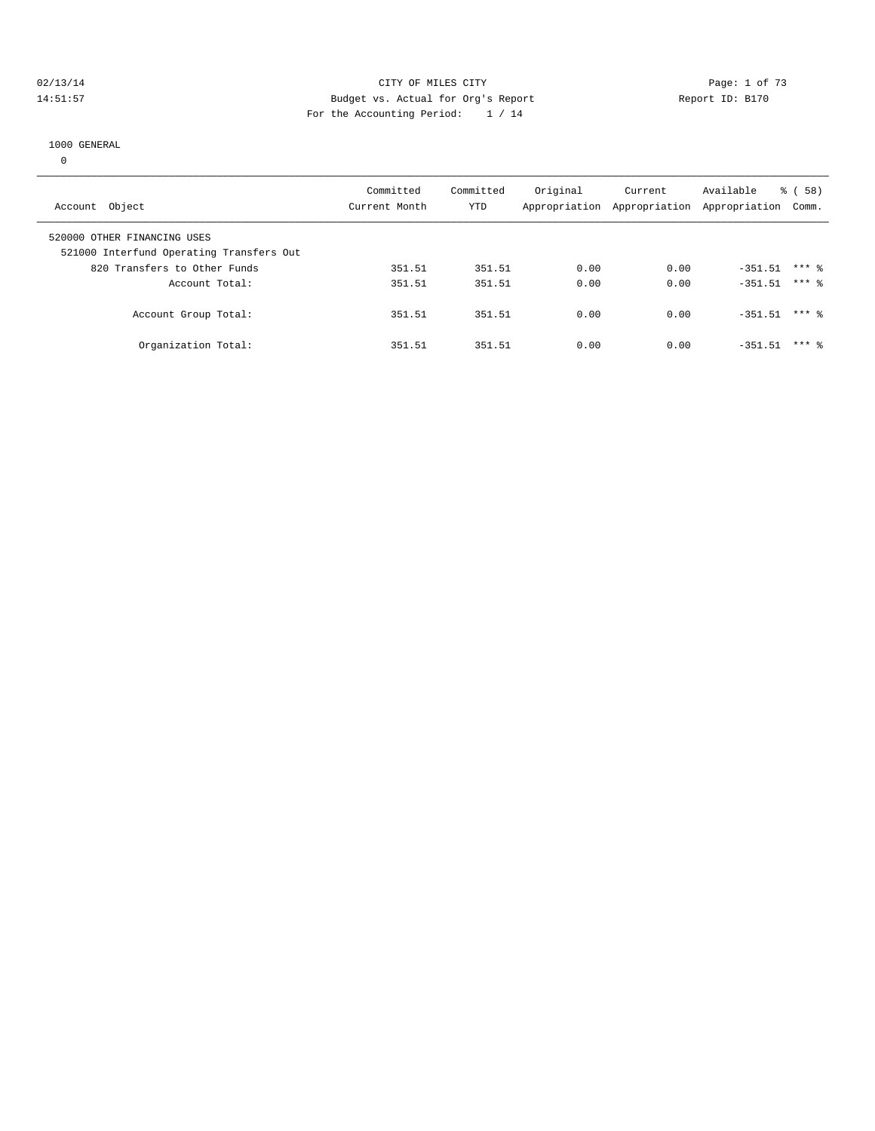#### 02/13/14 Page: 1 of 73 14:51:57 Budget vs. Actual for Org's Report Report ID: B170 For the Accounting Period: 1 / 14

#### 1000 GENERAL

0

| Account Object                                                          | Committed<br>Current Month | Committed<br>YTD | Original | Current<br>Appropriation Appropriation Appropriation Comm. | Available | 58)<br>ී ( |  |
|-------------------------------------------------------------------------|----------------------------|------------------|----------|------------------------------------------------------------|-----------|------------|--|
| 520000 OTHER FINANCING USES<br>521000 Interfund Operating Transfers Out |                            |                  |          |                                                            |           |            |  |
| 820 Transfers to Other Funds                                            | 351.51                     | 351.51           | 0.00     | 0.00                                                       | $-351.51$ | $***$ 2    |  |
| Account Total:                                                          | 351.51                     | 351.51           | 0.00     | 0.00                                                       | $-351.51$ | $***$ 2    |  |
| Account Group Total:                                                    | 351.51                     | 351.51           | 0.00     | 0.00                                                       | $-351.51$ | $***$ 8    |  |
| Organization Total:                                                     | 351.51                     | 351.51           | 0.00     | 0.00                                                       | $-351.51$ | $***$ 2    |  |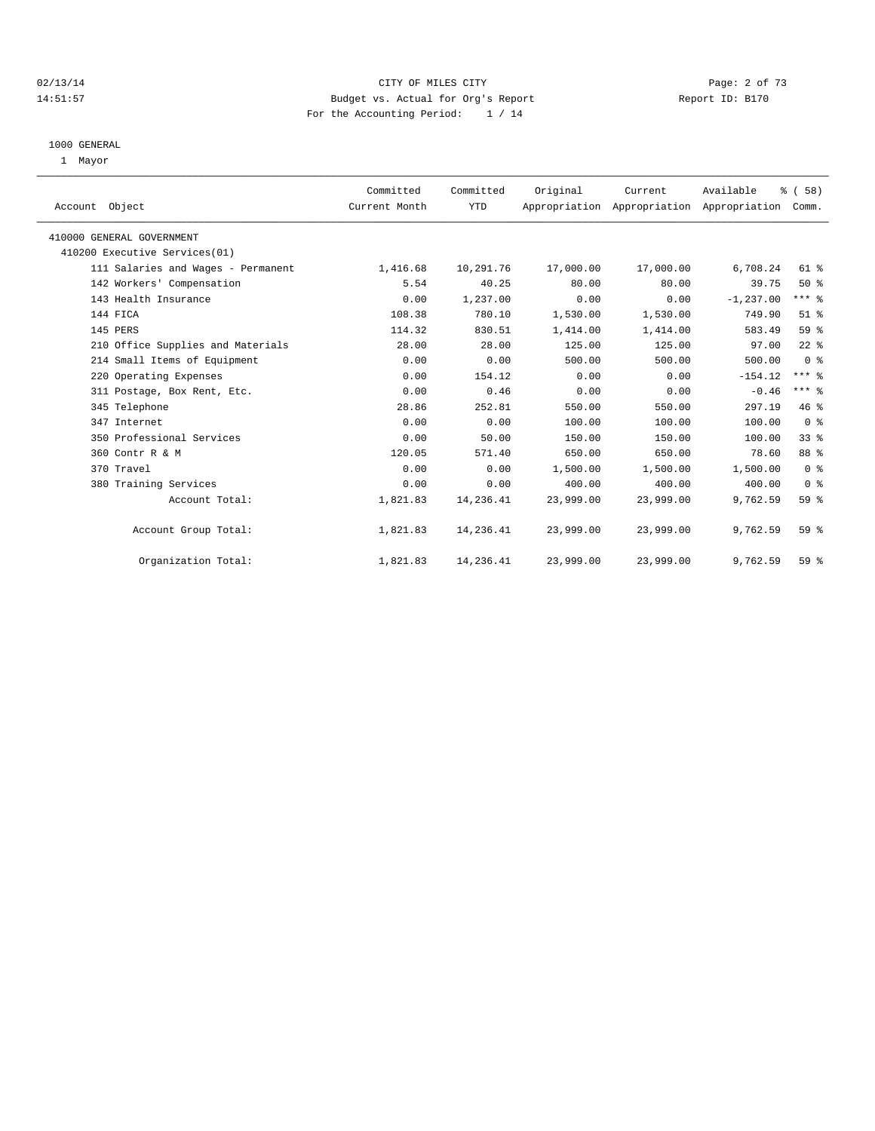## 02/13/14 Page: 2 of 73 14:51:57 Budget vs. Actual for Org's Report Report ID: B170 For the Accounting Period: 1 / 14

#### 1000 GENERAL

1 Mayor

| Account Object                     | Committed<br>Current Month | Committed<br>YTD | Original  | Current<br>Appropriation Appropriation Appropriation | Available    | % (58)<br>Comm. |  |
|------------------------------------|----------------------------|------------------|-----------|------------------------------------------------------|--------------|-----------------|--|
| 410000 GENERAL GOVERNMENT          |                            |                  |           |                                                      |              |                 |  |
| 410200 Executive Services(01)      |                            |                  |           |                                                      |              |                 |  |
| 111 Salaries and Wages - Permanent | 1,416.68                   | 10,291.76        | 17,000.00 | 17,000.00                                            | 6,708.24     | 61 %            |  |
| 142 Workers' Compensation          | 5.54                       | 40.25            | 80.00     | 80.00                                                | 39.75        | 50%             |  |
| 143 Health Insurance               | 0.00                       | 1,237.00         | 0.00      | 0.00                                                 | $-1, 237.00$ | $***$ $%$       |  |
| 144 FICA                           | 108.38                     | 780.10           | 1,530.00  | 1,530.00                                             | 749.90       | $51$ %          |  |
| 145 PERS                           | 114.32                     | 830.51           | 1,414.00  | 1,414.00                                             | 583.49       | 59 %            |  |
| 210 Office Supplies and Materials  | 28.00                      | 28.00            | 125.00    | 125.00                                               | 97.00        | $22$ $%$        |  |
| 214 Small Items of Equipment       | 0.00                       | 0.00             | 500.00    | 500.00                                               | 500.00       | 0 <sup>8</sup>  |  |
| 220 Operating Expenses             | 0.00                       | 154.12           | 0.00      | 0.00                                                 | $-154.12$    | $***$ $-$       |  |
| 311 Postage, Box Rent, Etc.        | 0.00                       | 0.46             | 0.00      | 0.00                                                 | $-0.46$      | $***$ $_{8}$    |  |
| 345 Telephone                      | 28.86                      | 252.81           | 550.00    | 550.00                                               | 297.19       | 46 %            |  |
| 347 Internet                       | 0.00                       | 0.00             | 100.00    | 100.00                                               | 100.00       | 0 <sup>8</sup>  |  |
| 350 Professional Services          | 0.00                       | 50.00            | 150.00    | 150.00                                               | 100.00       | 33%             |  |
| 360 Contr R & M                    | 120.05                     | 571.40           | 650.00    | 650.00                                               | 78.60        | 88 %            |  |
| 370 Travel                         | 0.00                       | 0.00             | 1,500.00  | 1,500.00                                             | 1,500.00     | 0 <sup>8</sup>  |  |
| 380 Training Services              | 0.00                       | 0.00             | 400.00    | 400.00                                               | 400.00       | 0 <sup>8</sup>  |  |
| Account Total:                     | 1,821.83                   | 14,236.41        | 23,999.00 | 23,999.00                                            | 9,762.59     | $59*$           |  |
| Account Group Total:               | 1,821.83                   | 14,236.41        | 23,999.00 | 23,999.00                                            | 9,762.59     | 59 <sub>8</sub> |  |
| Organization Total:                | 1,821.83                   | 14,236.41        | 23,999.00 | 23,999.00                                            | 9,762.59     | 59 %            |  |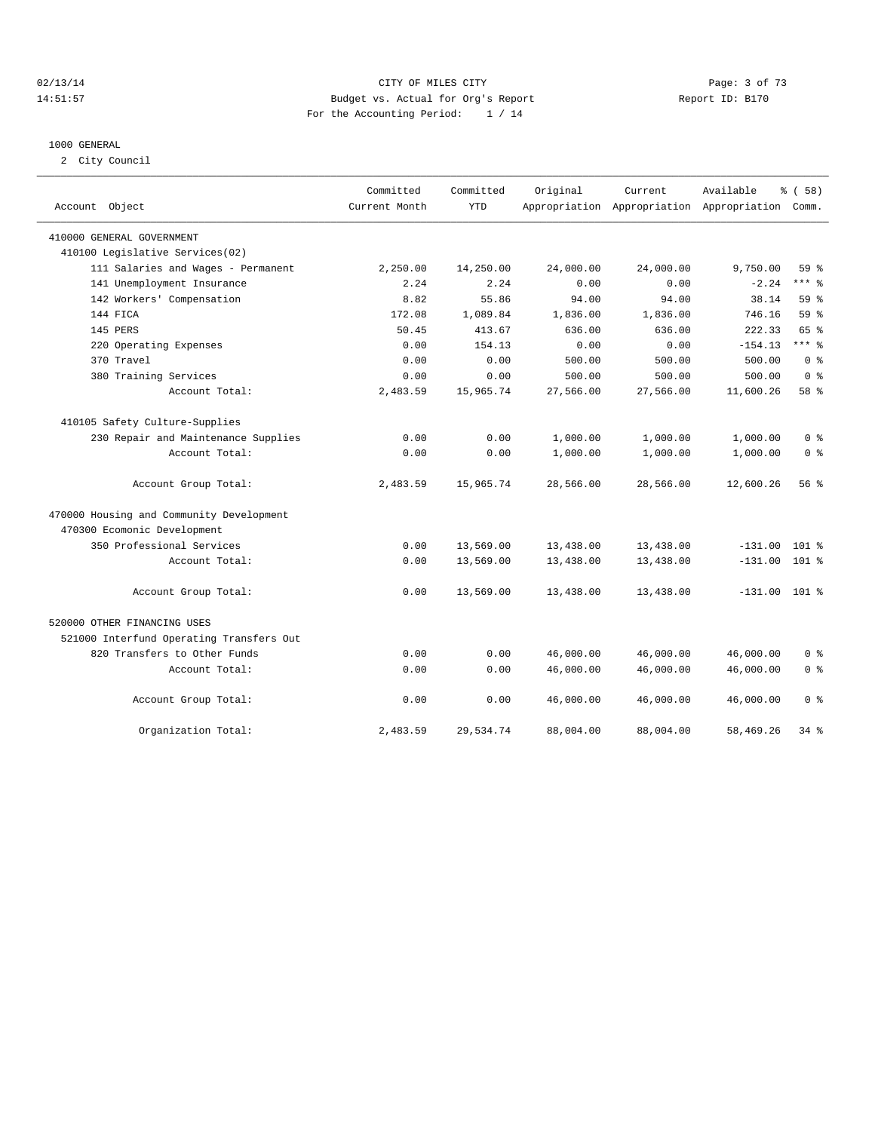## 02/13/14 Page: 3 of 73 14:51:57 Budget vs. Actual for Org's Report Report ID: B170 For the Accounting Period: 1 / 14

#### 1000 GENERAL

2 City Council

| Account Object                           | Committed<br>Current Month | Committed<br><b>YTD</b> | Original  | Current   | Available<br>Appropriation Appropriation Appropriation | % ( 58 )<br>Comm. |
|------------------------------------------|----------------------------|-------------------------|-----------|-----------|--------------------------------------------------------|-------------------|
| 410000 GENERAL GOVERNMENT                |                            |                         |           |           |                                                        |                   |
| 410100 Legislative Services(02)          |                            |                         |           |           |                                                        |                   |
| 111 Salaries and Wages - Permanent       | 2,250.00                   | 14,250.00               | 24,000.00 | 24,000.00 | 9,750.00                                               | 59 <sub>8</sub>   |
| 141 Unemployment Insurance               | 2.24                       | 2.24                    | 0.00      | 0.00      | $-2.24$                                                | $***$ 8           |
| 142 Workers' Compensation                | 8.82                       | 55.86                   | 94.00     | 94.00     | 38.14                                                  | 59 <sub>8</sub>   |
| 144 FICA                                 | 172.08                     | 1,089.84                | 1,836.00  | 1,836.00  | 746.16                                                 | 59%               |
| 145 PERS                                 | 50.45                      | 413.67                  | 636.00    | 636.00    | 222.33                                                 | 65 %              |
| 220 Operating Expenses                   | 0.00                       | 154.13                  | 0.00      | 0.00      | $-154.13$                                              | $***$ $_{8}$      |
| 370 Travel                               | 0.00                       | 0.00                    | 500.00    | 500.00    | 500.00                                                 | 0 <sup>8</sup>    |
| 380 Training Services                    | 0.00                       | 0.00                    | 500.00    | 500.00    | 500.00                                                 | $0 \approx$       |
| Account Total:                           | 2,483.59                   | 15,965.74               | 27,566.00 | 27,566.00 | 11,600.26                                              | 58 %              |
| 410105 Safety Culture-Supplies           |                            |                         |           |           |                                                        |                   |
| 230 Repair and Maintenance Supplies      | 0.00                       | 0.00                    | 1,000.00  | 1,000.00  | 1,000.00                                               | 0 <sup>8</sup>    |
| Account Total:                           | 0.00                       | 0.00                    | 1,000.00  | 1,000.00  | 1,000.00                                               | 0 <sup>8</sup>    |
| Account Group Total:                     | 2,483.59                   | 15,965.74               | 28,566.00 | 28,566.00 | 12,600.26                                              | 56%               |
| 470000 Housing and Community Development |                            |                         |           |           |                                                        |                   |
| 470300 Ecomonic Development              |                            |                         |           |           |                                                        |                   |
| 350 Professional Services                | 0.00                       | 13,569.00               | 13,438.00 | 13,438.00 | $-131.00$                                              | $101$ %           |
| Account Total:                           | 0.00                       | 13,569.00               | 13,438.00 | 13,438.00 | $-131.00$                                              | 101 %             |
| Account Group Total:                     | 0.00                       | 13,569.00               | 13,438.00 | 13,438.00 | $-131.00$ 101 %                                        |                   |
| 520000 OTHER FINANCING USES              |                            |                         |           |           |                                                        |                   |
| 521000 Interfund Operating Transfers Out |                            |                         |           |           |                                                        |                   |
| 820 Transfers to Other Funds             | 0.00                       | 0.00                    | 46,000.00 | 46,000.00 | 46,000.00                                              | 0 <sup>8</sup>    |
| Account Total:                           | 0.00                       | 0.00                    | 46,000.00 | 46,000.00 | 46,000.00                                              | 0 <sup>8</sup>    |
| Account Group Total:                     | 0.00                       | 0.00                    | 46,000.00 | 46,000.00 | 46,000.00                                              | 0 <sup>8</sup>    |
| Organization Total:                      | 2,483.59                   | 29,534.74               | 88,004.00 | 88,004.00 | 58, 469. 26                                            | 34.8              |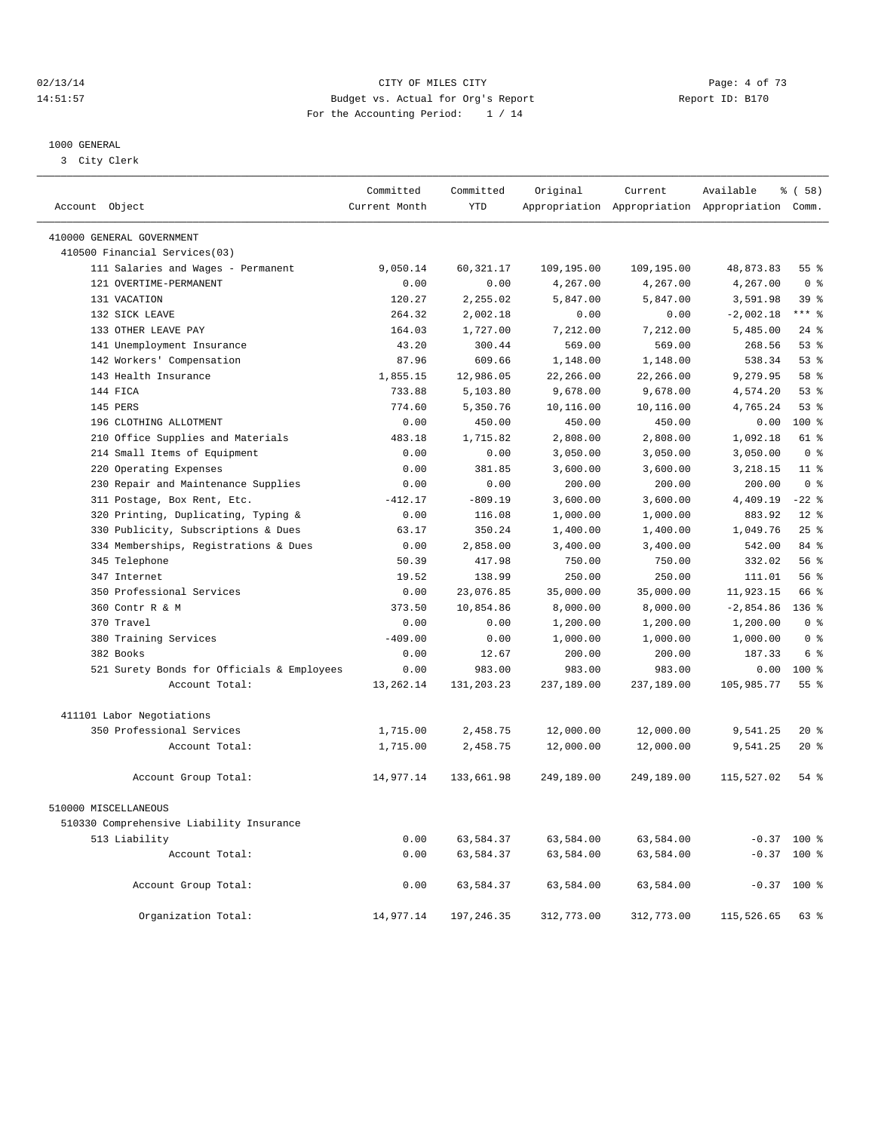## 02/13/14 Page: 4 of 73 14:51:57 Budget vs. Actual for Org's Report Report ID: B170 For the Accounting Period: 1 / 14

————————————————————————————————————————————————————————————————————————————————————————————————————————————————————————————————————

#### 1000 GENERAL

3 City Clerk

|                                            | Committed     | Committed  | Original   | Current    | Available                                       | % ( 58 )        |
|--------------------------------------------|---------------|------------|------------|------------|-------------------------------------------------|-----------------|
| Account Object                             | Current Month | <b>YTD</b> |            |            | Appropriation Appropriation Appropriation Comm. |                 |
| 410000 GENERAL GOVERNMENT                  |               |            |            |            |                                                 |                 |
| 410500 Financial Services(03)              |               |            |            |            |                                                 |                 |
| 111 Salaries and Wages - Permanent         | 9,050.14      | 60,321.17  | 109,195.00 | 109,195.00 | 48,873.83                                       | $55$ $%$        |
| 121 OVERTIME-PERMANENT                     | 0.00          | 0.00       | 4,267.00   | 4,267.00   | 4,267.00                                        | 0 <sup>8</sup>  |
| 131 VACATION                               | 120.27        | 2,255.02   | 5,847.00   | 5,847.00   | 3,591.98                                        | 39 <sup>8</sup> |
| 132 SICK LEAVE                             | 264.32        | 2,002.18   | 0.00       | 0.00       | $-2,002.18$                                     | $***$ 8         |
| 133 OTHER LEAVE PAY                        | 164.03        | 1,727.00   | 7,212.00   | 7,212.00   | 5,485.00                                        | $24$ %          |
| 141 Unemployment Insurance                 | 43.20         | 300.44     | 569.00     | 569.00     | 268.56                                          | 53%             |
| 142 Workers' Compensation                  | 87.96         | 609.66     | 1,148.00   | 1,148.00   | 538.34                                          | 53%             |
| 143 Health Insurance                       | 1,855.15      | 12,986.05  | 22,266.00  | 22,266.00  | 9,279.95                                        | 58 %            |
| 144 FICA                                   | 733.88        | 5,103.80   | 9,678.00   | 9,678.00   | 4,574.20                                        | 53%             |
| 145 PERS                                   | 774.60        | 5,350.76   | 10,116.00  | 10,116.00  | 4,765.24                                        | 53%             |
| 196 CLOTHING ALLOTMENT                     | 0.00          | 450.00     | 450.00     | 450.00     | 0.00                                            | 100 %           |
| 210 Office Supplies and Materials          | 483.18        | 1,715.82   | 2,808.00   | 2,808.00   | 1,092.18                                        | 61 %            |
| 214 Small Items of Equipment               | 0.00          | 0.00       | 3,050.00   | 3,050.00   | 3,050.00                                        | 0 <sup>8</sup>  |
| 220 Operating Expenses                     | 0.00          | 381.85     | 3,600.00   | 3,600.00   | 3, 218.15                                       | 11 <sup>8</sup> |
| 230 Repair and Maintenance Supplies        | 0.00          | 0.00       | 200.00     | 200.00     | 200.00                                          | 0 <sup>8</sup>  |
| 311 Postage, Box Rent, Etc.                | $-412.17$     | $-809.19$  | 3,600.00   | 3,600.00   | 4,409.19                                        | $-22$ %         |
| 320 Printing, Duplicating, Typing &        | 0.00          | 116.08     | 1,000.00   | 1,000.00   | 883.92                                          | $12*$           |
| 330 Publicity, Subscriptions & Dues        | 63.17         | 350.24     | 1,400.00   | 1,400.00   | 1,049.76                                        | 25%             |
| 334 Memberships, Registrations & Dues      | 0.00          | 2,858.00   | 3,400.00   | 3,400.00   | 542.00                                          | 84 %            |
| 345 Telephone                              | 50.39         | 417.98     | 750.00     | 750.00     | 332.02                                          | 56%             |
| 347 Internet                               | 19.52         | 138.99     | 250.00     | 250.00     | 111.01                                          | 56 %            |
| 350 Professional Services                  | 0.00          | 23,076.85  | 35,000.00  | 35,000.00  | 11,923.15                                       | 66 %            |
| 360 Contr R & M                            | 373.50        | 10,854.86  | 8,000.00   | 8,000.00   | $-2,854.86$                                     | $136$ $%$       |
| 370 Travel                                 | 0.00          | 0.00       | 1,200.00   | 1,200.00   | 1,200.00                                        | 0 <sup>8</sup>  |
| 380 Training Services                      | $-409.00$     | 0.00       | 1,000.00   | 1,000.00   | 1,000.00                                        | 0 <sup>8</sup>  |
| 382 Books                                  | 0.00          | 12.67      | 200.00     | 200.00     | 187.33                                          | 6 %             |
| 521 Surety Bonds for Officials & Employees | 0.00          | 983.00     | 983.00     | 983.00     | 0.00                                            | 100 %           |
| Account Total:                             | 13,262.14     | 131,203.23 | 237,189.00 | 237,189.00 | 105,985.77                                      | $55$ $%$        |
|                                            |               |            |            |            |                                                 |                 |
| 411101 Labor Negotiations                  |               |            |            |            |                                                 |                 |
| 350 Professional Services                  | 1,715.00      | 2,458.75   | 12,000.00  | 12,000.00  | 9,541.25                                        | $20*$           |
| Account Total:                             | 1,715.00      | 2,458.75   | 12,000.00  | 12,000.00  | 9,541.25                                        | $20*$           |
| Account Group Total:                       | 14,977.14     | 133,661.98 | 249,189.00 | 249,189.00 | 115,527.02                                      | $54$ $%$        |
| 510000 MISCELLANEOUS                       |               |            |            |            |                                                 |                 |
| 510330 Comprehensive Liability Insurance   |               |            |            |            |                                                 |                 |
| 513 Liability                              | 0.00          | 63,584.37  | 63,584.00  | 63,584.00  |                                                 | $-0.37$ 100 %   |
| Account Total:                             | 0.00          | 63,584.37  | 63,584.00  | 63,584.00  | $-0.37$                                         | $100*$          |
| Account Group Total:                       | 0.00          | 63,584.37  | 63,584.00  | 63,584.00  |                                                 | $-0.37$ 100 %   |
| Organization Total:                        | 14,977.14     | 197,246.35 | 312,773.00 | 312,773.00 | 115,526.65                                      | 63 %            |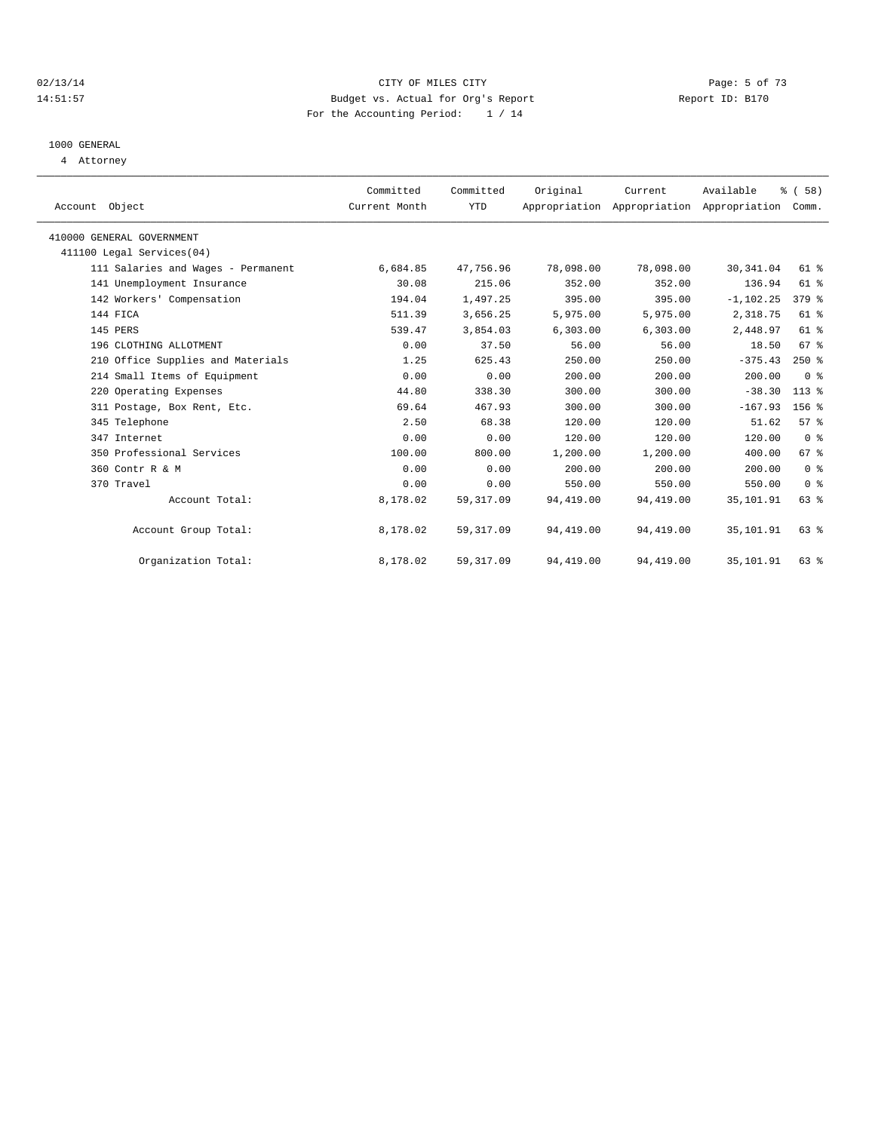#### 02/13/14 Page: 5 of 73 14:51:57 Budget vs. Actual for Org's Report Report ID: B170 For the Accounting Period: 1 / 14

# 1000 GENERAL

4 Attorney

| Account Object                     | Committed<br>Current Month | Committed<br><b>YTD</b> | Original  | Current   | Available<br>Appropriation Appropriation Appropriation | % (58)<br>Comm. |  |
|------------------------------------|----------------------------|-------------------------|-----------|-----------|--------------------------------------------------------|-----------------|--|
|                                    |                            |                         |           |           |                                                        |                 |  |
| 410000 GENERAL GOVERNMENT          |                            |                         |           |           |                                                        |                 |  |
| 411100 Legal Services (04)         |                            |                         |           |           |                                                        |                 |  |
| 111 Salaries and Wages - Permanent | 6,684.85                   | 47,756.96               | 78,098.00 | 78,098.00 | 30, 341.04                                             | 61 %            |  |
| 141 Unemployment Insurance         | 30.08                      | 215.06                  | 352.00    | 352.00    | 136.94                                                 | 61 %            |  |
| 142 Workers' Compensation          | 194.04                     | 1,497.25                | 395.00    | 395.00    | $-1, 102.25$                                           | $379$ $%$       |  |
| 144 FICA                           | 511.39                     | 3,656.25                | 5,975.00  | 5,975.00  | 2,318.75                                               | $61$ $%$        |  |
| 145 PERS                           | 539.47                     | 3,854.03                | 6,303.00  | 6,303.00  | 2,448.97                                               | 61 %            |  |
| 196 CLOTHING ALLOTMENT             | 0.00                       | 37.50                   | 56.00     | 56.00     | 18.50                                                  | 67 %            |  |
| 210 Office Supplies and Materials  | 1.25                       | 625.43                  | 250.00    | 250.00    | $-375.43$                                              | $250*$          |  |
| 214 Small Items of Equipment       | 0.00                       | 0.00                    | 200.00    | 200.00    | 200.00                                                 | 0 <sup>8</sup>  |  |
| 220 Operating Expenses             | 44.80                      | 338.30                  | 300.00    | 300.00    | $-38.30$                                               | $113*$          |  |
| 311 Postage, Box Rent, Etc.        | 69.64                      | 467.93                  | 300.00    | 300.00    | $-167.93$                                              | 156 %           |  |
| 345 Telephone                      | 2.50                       | 68.38                   | 120.00    | 120.00    | 51.62                                                  | 57 <sup>8</sup> |  |
| 347 Internet                       | 0.00                       | 0.00                    | 120.00    | 120.00    | 120.00                                                 | 0 <sup>8</sup>  |  |
| 350 Professional Services          | 100.00                     | 800.00                  | 1,200.00  | 1,200.00  | 400.00                                                 | 67 <sup>8</sup> |  |
| 360 Contr R & M                    | 0.00                       | 0.00                    | 200.00    | 200.00    | 200.00                                                 | 0 <sup>8</sup>  |  |
| 370 Travel                         | 0.00                       | 0.00                    | 550.00    | 550.00    | 550.00                                                 | 0 <sup>8</sup>  |  |
| Account Total:                     | 8,178.02                   | 59, 317.09              | 94,419.00 | 94,419.00 | 35,101.91                                              | 63%             |  |
| Account Group Total:               | 8,178.02                   | 59, 317.09              | 94,419.00 | 94,419.00 | 35,101.91                                              | 63 %            |  |
| Organization Total:                | 8,178.02                   | 59, 317.09              | 94,419.00 | 94,419.00 | 35,101.91                                              | 63 %            |  |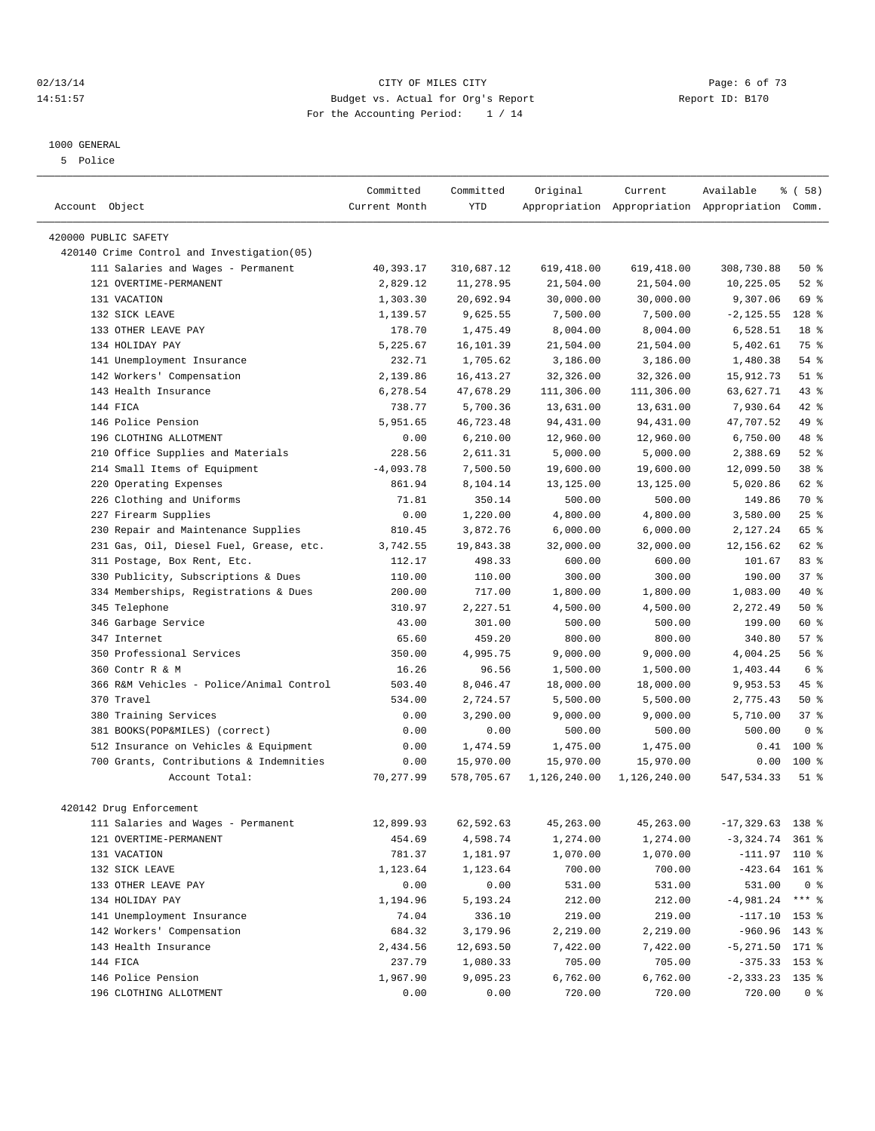#### 02/13/14 Page: 6 of 73 14:51:57 Budget vs. Actual for Org's Report Report ID: B170 For the Accounting Period: 1 / 14

————————————————————————————————————————————————————————————————————————————————————————————————————————————————————————————————————

#### 1000 GENERAL

5 Police

|                                            | Committed     | Committed  | Original     | Current      | Available                                       | $\frac{1}{6}$ (58) |
|--------------------------------------------|---------------|------------|--------------|--------------|-------------------------------------------------|--------------------|
| Account Object                             | Current Month | <b>YTD</b> |              |              | Appropriation Appropriation Appropriation Comm. |                    |
| 420000 PUBLIC SAFETY                       |               |            |              |              |                                                 |                    |
| 420140 Crime Control and Investigation(05) |               |            |              |              |                                                 |                    |
| 111 Salaries and Wages - Permanent         | 40,393.17     | 310,687.12 | 619,418.00   | 619,418.00   | 308,730.88                                      | 50%                |
| 121 OVERTIME-PERMANENT                     | 2,829.12      | 11,278.95  | 21,504.00    | 21,504.00    | 10,225.05                                       | $52$ $%$           |
| 131 VACATION                               | 1,303.30      | 20,692.94  | 30,000.00    | 30,000.00    | 9,307.06                                        | 69 %               |
| 132 SICK LEAVE                             | 1,139.57      | 9,625.55   | 7,500.00     | 7,500.00     | $-2, 125.55$                                    | $128$ %            |
| 133 OTHER LEAVE PAY                        | 178.70        | 1,475.49   | 8,004.00     | 8,004.00     | 6,528.51                                        | 18 %               |
| 134 HOLIDAY PAY                            | 5,225.67      | 16,101.39  | 21,504.00    | 21,504.00    | 5,402.61                                        | 75 %               |
| 141 Unemployment Insurance                 | 232.71        | 1,705.62   | 3,186.00     | 3,186.00     | 1,480.38                                        | 54 %               |
|                                            |               |            |              |              |                                                 | $51$ %             |
| 142 Workers' Compensation                  | 2,139.86      | 16, 413.27 | 32,326.00    | 32,326.00    | 15,912.73                                       |                    |
| 143 Health Insurance                       | 6,278.54      | 47,678.29  | 111,306.00   | 111,306.00   | 63,627.71                                       | 43 %               |
| 144 FICA                                   | 738.77        | 5,700.36   | 13,631.00    | 13,631.00    | 7,930.64                                        | 42 %               |
| 146 Police Pension                         | 5,951.65      | 46,723.48  | 94,431.00    | 94,431.00    | 47,707.52                                       | 49 %               |
| 196 CLOTHING ALLOTMENT                     | 0.00          | 6, 210.00  | 12,960.00    | 12,960.00    | 6,750.00                                        | 48 %               |
| 210 Office Supplies and Materials          | 228.56        | 2,611.31   | 5,000.00     | 5,000.00     | 2,388.69                                        | $52$ $%$           |
| 214 Small Items of Equipment               | $-4,093.78$   | 7,500.50   | 19,600.00    | 19,600.00    | 12,099.50                                       | 38 %               |
| 220 Operating Expenses                     | 861.94        | 8,104.14   | 13,125.00    | 13,125.00    | 5,020.86                                        | 62 %               |
| 226 Clothing and Uniforms                  | 71.81         | 350.14     | 500.00       | 500.00       | 149.86                                          | 70 %               |
| 227 Firearm Supplies                       | 0.00          | 1,220.00   | 4,800.00     | 4,800.00     | 3,580.00                                        | 25%                |
| 230 Repair and Maintenance Supplies        | 810.45        | 3,872.76   | 6,000.00     | 6,000.00     | 2,127.24                                        | 65 %               |
| 231 Gas, Oil, Diesel Fuel, Grease, etc.    | 3,742.55      | 19,843.38  | 32,000.00    | 32,000.00    | 12,156.62                                       | 62 %               |
| 311 Postage, Box Rent, Etc.                | 112.17        | 498.33     | 600.00       | 600.00       | 101.67                                          | 83%                |
| 330 Publicity, Subscriptions & Dues        | 110.00        | 110.00     | 300.00       | 300.00       | 190.00                                          | 37%                |
| 334 Memberships, Registrations & Dues      | 200.00        | 717.00     | 1,800.00     | 1,800.00     | 1,083.00                                        | 40 %               |
| 345 Telephone                              | 310.97        | 2,227.51   | 4,500.00     | 4,500.00     | 2,272.49                                        | 50%                |
| 346 Garbage Service                        | 43.00         | 301.00     | 500.00       | 500.00       | 199.00                                          | 60 %               |
| 347 Internet                               | 65.60         | 459.20     | 800.00       | 800.00       | 340.80                                          | 57%                |
| 350 Professional Services                  | 350.00        | 4,995.75   | 9,000.00     | 9,000.00     | 4,004.25                                        | 56 %               |
| 360 Contr R & M                            | 16.26         | 96.56      | 1,500.00     | 1,500.00     | 1,403.44                                        | 6 %                |
| 366 R&M Vehicles - Police/Animal Control   | 503.40        | 8,046.47   | 18,000.00    | 18,000.00    | 9,953.53                                        | 45 %               |
| 370 Travel                                 | 534.00        | 2,724.57   | 5,500.00     | 5,500.00     | 2,775.43                                        | 50%                |
| 380 Training Services                      | 0.00          | 3,290.00   | 9,000.00     | 9,000.00     | 5,710.00                                        | 37%                |
| 381 BOOKS(POP&MILES) (correct)             | 0.00          | 0.00       | 500.00       | 500.00       | 500.00                                          | 0 <sup>8</sup>     |
| 512 Insurance on Vehicles & Equipment      | 0.00          | 1,474.59   | 1,475.00     | 1,475.00     | 0.41                                            | $100*$             |
| 700 Grants, Contributions & Indemnities    | 0.00          | 15,970.00  | 15,970.00    | 15,970.00    | 0.00                                            | $100$ %            |
| Account Total:                             | 70,277.99     | 578,705.67 | 1,126,240.00 | 1,126,240.00 | 547, 534.33                                     | $51$ %             |
| 420142 Drug Enforcement                    |               |            |              |              |                                                 |                    |
| 111 Salaries and Wages - Permanent         | 12,899.93     | 62,592.63  | 45,263.00    | 45,263.00    | $-17,329.63$ 138 %                              |                    |
| 121 OVERTIME-PERMANENT                     | 454.69        | 4,598.74   | 1,274.00     | 1,274.00     | $-3,324.74$ 361 %                               |                    |
| 131 VACATION                               | 781.37        | 1,181.97   | 1,070.00     | 1,070.00     | $-111.97$ 110 %                                 |                    |
| 132 SICK LEAVE                             | 1,123.64      | 1,123.64   | 700.00       | 700.00       | $-423.64$ 161 %                                 |                    |
| 133 OTHER LEAVE PAY                        | 0.00          | 0.00       | 531.00       | 531.00       | 531.00                                          | 0 <sup>8</sup>     |
| 134 HOLIDAY PAY                            | 1,194.96      | 5,193.24   | 212.00       | 212.00       | $-4,981.24$ *** %                               |                    |
| 141 Unemployment Insurance                 | 74.04         | 336.10     | 219.00       | 219.00       | $-117.10$ 153 %                                 |                    |
| 142 Workers' Compensation                  | 684.32        | 3,179.96   | 2,219.00     | 2,219.00     | $-960.96$ 143 %                                 |                    |
| 143 Health Insurance                       | 2,434.56      | 12,693.50  | 7,422.00     | 7,422.00     | $-5,271.50$ 171 %                               |                    |
| 144 FICA                                   | 237.79        | 1,080.33   | 705.00       | 705.00       | $-375.33$ 153 %                                 |                    |
| 146 Police Pension                         | 1,967.90      | 9,095.23   | 6,762.00     | 6,762.00     | $-2,333.23$ 135 %                               |                    |
| 196 CLOTHING ALLOTMENT                     | 0.00          | 0.00       | 720.00       | 720.00       | 720.00                                          | 0 %                |
|                                            |               |            |              |              |                                                 |                    |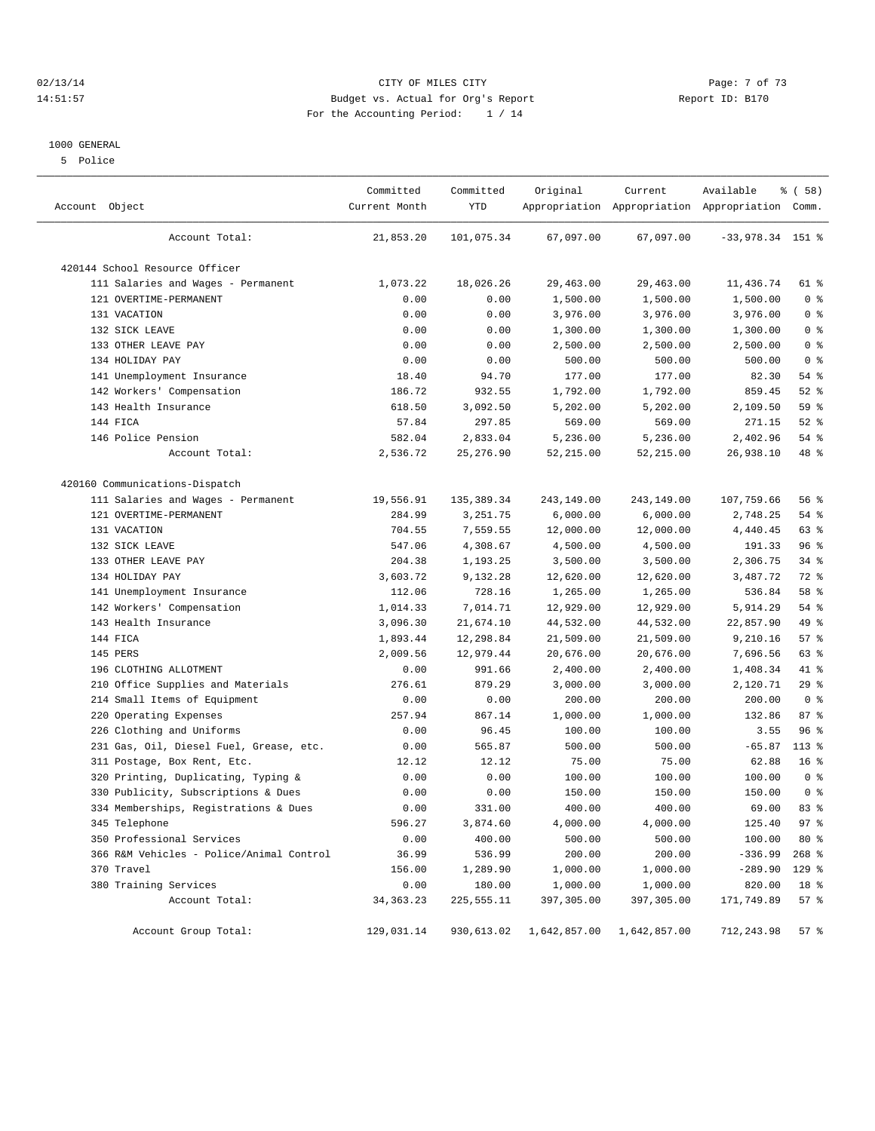#### 02/13/14 Page: 7 of 73 14:51:57 Budget vs. Actual for Org's Report Report ID: B170 For the Accounting Period: 1 / 14

#### 1000 GENERAL

5 Police

| Account Object                           | Committed<br>Current Month | Committed<br>YTD | Original     | Current      | Available<br>Appropriation Appropriation Appropriation Comm. | % ( 58 )        |
|------------------------------------------|----------------------------|------------------|--------------|--------------|--------------------------------------------------------------|-----------------|
| Account Total:                           | 21,853.20                  | 101,075.34       | 67,097.00    | 67,097.00    | $-33,978.34$ 151 %                                           |                 |
| 420144 School Resource Officer           |                            |                  |              |              |                                                              |                 |
| 111 Salaries and Wages - Permanent       | 1,073.22                   | 18,026.26        | 29,463.00    | 29,463.00    | 11,436.74                                                    | 61 %            |
| 121 OVERTIME-PERMANENT                   | 0.00                       | 0.00             | 1,500.00     | 1,500.00     | 1,500.00                                                     | 0 <sup>8</sup>  |
| 131 VACATION                             | 0.00                       | 0.00             | 3,976.00     | 3,976.00     | 3,976.00                                                     | 0 <sup>8</sup>  |
| 132 SICK LEAVE                           | 0.00                       | 0.00             | 1,300.00     | 1,300.00     | 1,300.00                                                     | 0 <sup>8</sup>  |
| 133 OTHER LEAVE PAY                      | 0.00                       | 0.00             | 2,500.00     | 2,500.00     | 2,500.00                                                     | 0 <sup>8</sup>  |
| 134 HOLIDAY PAY                          | 0.00                       | 0.00             | 500.00       | 500.00       | 500.00                                                       | 0 <sup>8</sup>  |
| 141 Unemployment Insurance               | 18.40                      | 94.70            | 177.00       | 177.00       | 82.30                                                        | 54 %            |
| 142 Workers' Compensation                | 186.72                     | 932.55           | 1,792.00     | 1,792.00     | 859.45                                                       | 52%             |
| 143 Health Insurance                     | 618.50                     | 3,092.50         | 5,202.00     | 5,202.00     | 2,109.50                                                     | 59 %            |
| 144 FICA                                 | 57.84                      | 297.85           | 569.00       | 569.00       | 271.15                                                       | $52$ $%$        |
| 146 Police Pension                       | 582.04                     | 2,833.04         | 5,236.00     | 5,236.00     | 2,402.96                                                     | 54 %            |
| Account Total:                           | 2,536.72                   | 25, 276.90       | 52, 215.00   | 52, 215.00   | 26,938.10                                                    | 48 %            |
| 420160 Communications-Dispatch           |                            |                  |              |              |                                                              |                 |
| 111 Salaries and Wages - Permanent       | 19,556.91                  | 135,389.34       | 243,149.00   | 243,149.00   | 107,759.66                                                   | 56%             |
| 121 OVERTIME-PERMANENT                   | 284.99                     | 3,251.75         | 6,000.00     | 6,000.00     | 2,748.25                                                     | 54 %            |
| 131 VACATION                             | 704.55                     | 7,559.55         | 12,000.00    | 12,000.00    | 4,440.45                                                     | 63 %            |
| 132 SICK LEAVE                           | 547.06                     | 4,308.67         | 4,500.00     | 4,500.00     | 191.33                                                       | 96%             |
| 133 OTHER LEAVE PAY                      | 204.38                     | 1,193.25         | 3,500.00     | 3,500.00     | 2,306.75                                                     | $34$ $%$        |
| 134 HOLIDAY PAY                          | 3,603.72                   | 9,132.28         | 12,620.00    | 12,620.00    | 3,487.72                                                     | 72 %            |
| 141 Unemployment Insurance               | 112.06                     | 728.16           | 1,265.00     | 1,265.00     | 536.84                                                       | 58 %            |
| 142 Workers' Compensation                | 1,014.33                   | 7,014.71         | 12,929.00    | 12,929.00    | 5,914.29                                                     | 54 %            |
| 143 Health Insurance                     | 3,096.30                   | 21,674.10        | 44,532.00    | 44,532.00    | 22,857.90                                                    | 49 %            |
| 144 FICA                                 | 1,893.44                   | 12,298.84        | 21,509.00    | 21,509.00    | 9,210.16                                                     | 57%             |
| 145 PERS                                 | 2,009.56                   | 12,979.44        | 20,676.00    | 20,676.00    | 7,696.56                                                     | 63 %            |
| 196 CLOTHING ALLOTMENT                   | 0.00                       | 991.66           | 2,400.00     | 2,400.00     | 1,408.34                                                     | 41 %            |
| Office Supplies and Materials<br>210     | 276.61                     | 879.29           | 3,000.00     | 3,000.00     | 2,120.71                                                     | 29%             |
| 214 Small Items of Equipment             | 0.00                       | 0.00             | 200.00       | 200.00       | 200.00                                                       | 0 <sup>8</sup>  |
| 220 Operating Expenses                   | 257.94                     | 867.14           | 1,000.00     | 1,000.00     | 132.86                                                       | 87%             |
| 226 Clothing and Uniforms                | 0.00                       | 96.45            | 100.00       | 100.00       | 3.55                                                         | 96%             |
| 231 Gas, Oil, Diesel Fuel, Grease, etc.  | 0.00                       | 565.87           | 500.00       | 500.00       | $-65.87$                                                     | $113*$          |
| 311 Postage, Box Rent, Etc.              | 12.12                      | 12.12            | 75.00        | 75.00        | 62.88                                                        | 16 <sup>°</sup> |
| 320 Printing, Duplicating, Typing &      | 0.00                       | 0.00             | 100.00       | 100.00       | 100.00                                                       | 0 <sup>8</sup>  |
| 330 Publicity, Subscriptions & Dues      | 0.00                       | 0.00             | 150.00       | 150.00       | 150.00                                                       | 0 <sup>8</sup>  |
| 334 Memberships, Registrations & Dues    | 0.00                       | 331.00           | 400.00       | 400.00       | 69.00                                                        | 83%             |
| 345 Telephone                            | 596.27                     | 3,874.60         | 4,000.00     | 4,000.00     | 125.40                                                       | 97%             |
| 350 Professional Services                | 0.00                       | 400.00           | 500.00       | 500.00       | 100.00                                                       | 80 %            |
| 366 R&M Vehicles - Police/Animal Control | 36.99                      | 536.99           | 200.00       | 200.00       | $-336.99$                                                    | $268$ %         |
| 370 Travel                               | 156.00                     | 1,289.90         | 1,000.00     | 1,000.00     | $-289.90$                                                    | 129 %           |
| 380 Training Services                    | 0.00                       | 180.00           | 1,000.00     | 1,000.00     | 820.00                                                       | 18 %            |
| Account Total:                           | 34, 363. 23                | 225,555.11       | 397,305.00   | 397,305.00   | 171,749.89                                                   | 57%             |
| Account Group Total:                     | 129,031.14                 | 930,613.02       | 1,642,857.00 | 1,642,857.00 | 712,243.98                                                   | 57%             |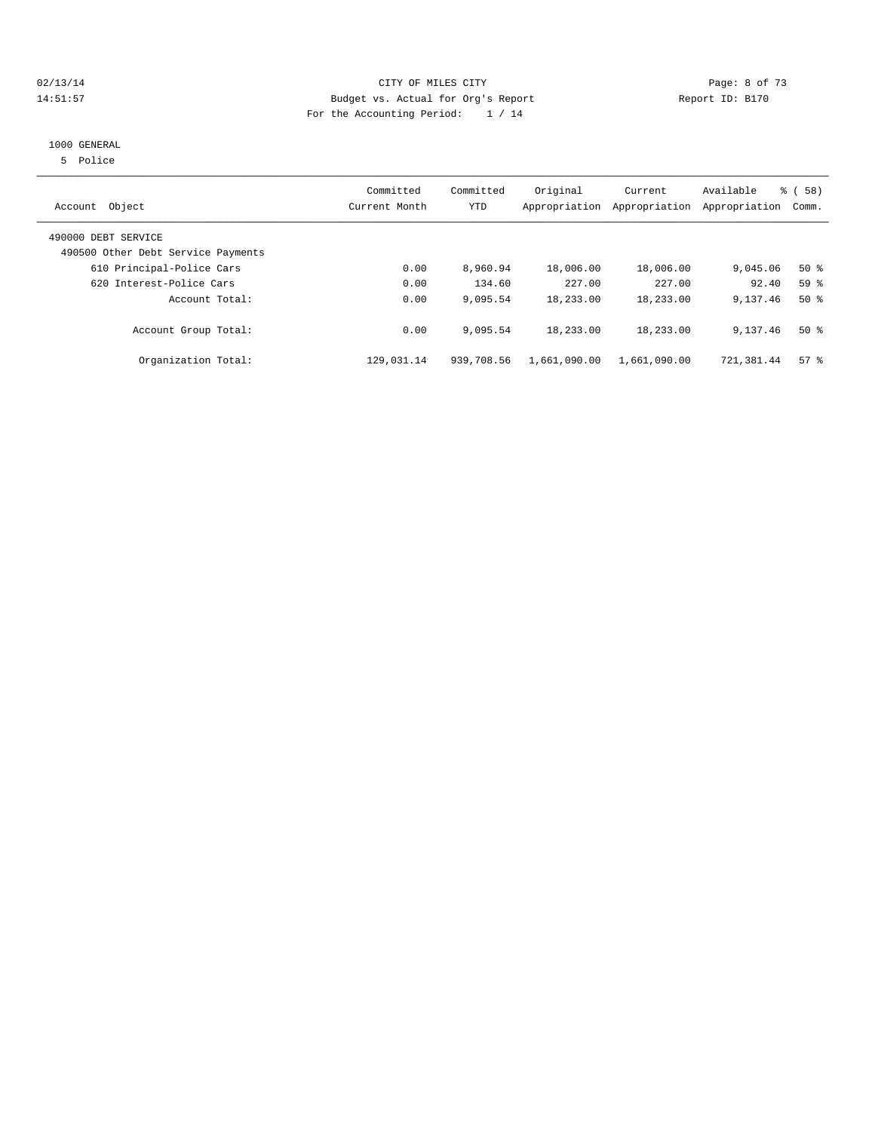## 02/13/14 Page: 8 of 73 14:51:57 Budget vs. Actual for Org's Report Report ID: B170 For the Accounting Period: 1 / 14

#### 1000 GENERAL

5 Police

| Object<br>Account                                         | Committed<br>Current Month | Committed<br>YTD | Original     | Current<br>Appropriation Appropriation | Available<br>Appropriation | % (58)<br>Comm. |
|-----------------------------------------------------------|----------------------------|------------------|--------------|----------------------------------------|----------------------------|-----------------|
| 490000 DEBT SERVICE<br>490500 Other Debt Service Payments |                            |                  |              |                                        |                            |                 |
| 610 Principal-Police Cars                                 | 0.00                       | 8,960.94         | 18,006.00    | 18,006.00                              | 9,045.06                   | $50*$           |
| 620 Interest-Police Cars                                  | 0.00                       | 134.60           | 227.00       | 227.00                                 | 92.40                      | 59 <sup>8</sup> |
| Account Total:                                            | 0.00                       | 9,095.54         | 18,233.00    | 18,233.00                              | 9,137.46                   | $50*$           |
| Account Group Total:                                      | 0.00                       | 9,095.54         | 18,233.00    | 18,233.00                              | 9,137.46                   | $50*$           |
| Organization Total:                                       | 129,031.14                 | 939,708.56       | 1,661,090.00 | 1,661,090.00                           | 721,381.44                 | 57%             |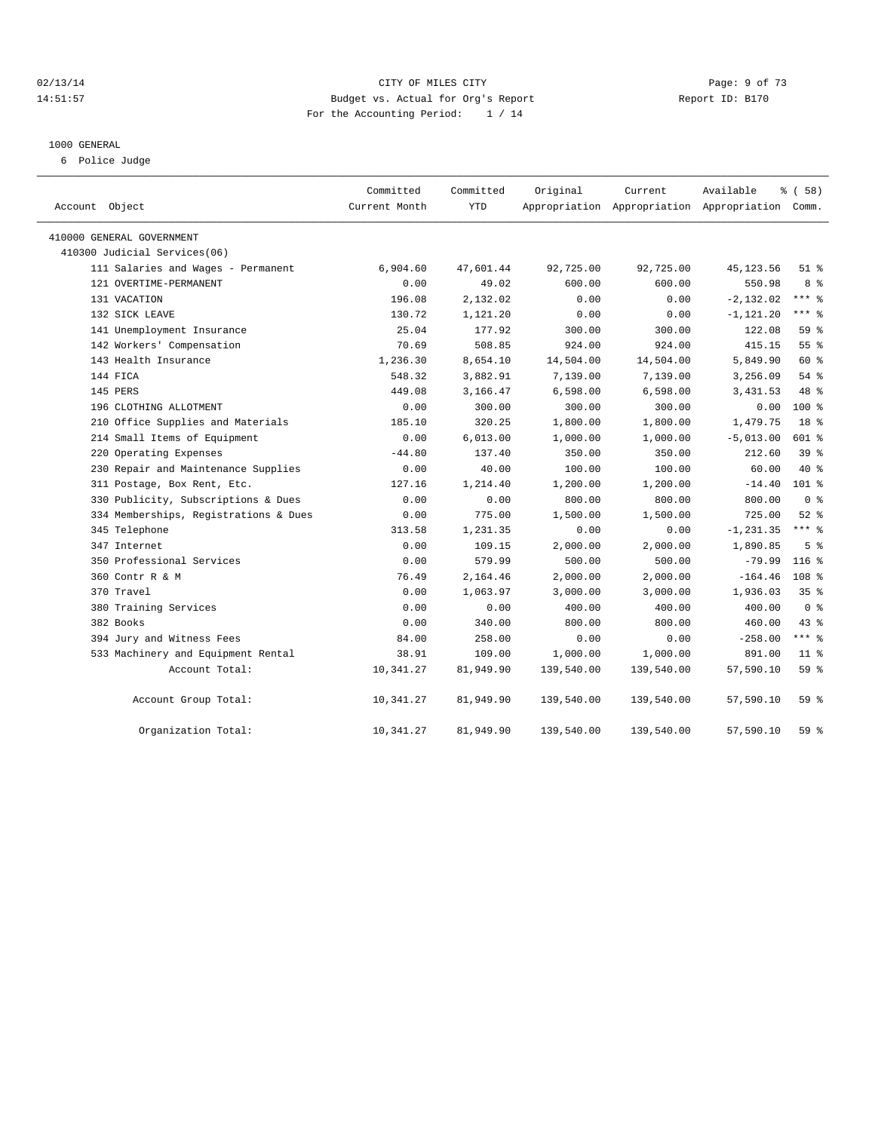## 02/13/14 Page: 9 of 73 14:51:57 Budget vs. Actual for Org's Report Report ID: B170 For the Accounting Period: 1 / 14

#### 1000 GENERAL

6 Police Judge

| Account Object                        | Committed<br>Current Month | Committed<br><b>YTD</b> | Original   | Current<br>Appropriation Appropriation Appropriation Comm. | Available    | % (58)           |
|---------------------------------------|----------------------------|-------------------------|------------|------------------------------------------------------------|--------------|------------------|
| 410000 GENERAL GOVERNMENT             |                            |                         |            |                                                            |              |                  |
| 410300 Judicial Services(06)          |                            |                         |            |                                                            |              |                  |
| 111 Salaries and Wages - Permanent    | 6,904.60                   | 47,601.44               | 92,725.00  | 92,725.00                                                  | 45, 123.56   | $51$ %           |
| 121 OVERTIME-PERMANENT                | 0.00                       | 49.02                   | 600.00     | 600.00                                                     | 550.98       | 8 %              |
| 131 VACATION                          | 196.08                     | 2,132.02                | 0.00       | 0.00                                                       | $-2, 132.02$ | $***$ $-$        |
| 132 SICK LEAVE                        | 130.72                     | 1,121.20                | 0.00       | 0.00                                                       | $-1, 121.20$ | $***$ $%$        |
| 141 Unemployment Insurance            | 25.04                      | 177.92                  | 300.00     | 300.00                                                     | 122.08       | 59 <sub>8</sub>  |
| 142 Workers' Compensation             | 70.69                      | 508.85                  | 924.00     | 924.00                                                     | 415.15       | 55 <sup>8</sup>  |
| 143 Health Insurance                  | 1,236.30                   | 8,654.10                | 14,504.00  | 14,504.00                                                  | 5,849.90     | 60 %             |
| 144 FICA                              | 548.32                     | 3,882.91                | 7,139.00   | 7,139.00                                                   | 3,256.09     | 54%              |
| 145 PERS                              | 449.08                     | 3,166.47                | 6,598.00   | 6,598.00                                                   | 3,431.53     | 48 %             |
| 196 CLOTHING ALLOTMENT                | 0.00                       | 300.00                  | 300.00     | 300.00                                                     | 0.00         | $100*$           |
| 210 Office Supplies and Materials     | 185.10                     | 320.25                  | 1,800.00   | 1,800.00                                                   | 1,479.75     | 18 <sup>°</sup>  |
| 214 Small Items of Equipment          | 0.00                       | 6,013.00                | 1,000.00   | 1,000.00                                                   | $-5,013.00$  | 601 %            |
| 220 Operating Expenses                | $-44.80$                   | 137.40                  | 350.00     | 350.00                                                     | 212.60       | 39 %             |
| 230 Repair and Maintenance Supplies   | 0.00                       | 40.00                   | 100.00     | 100.00                                                     | 60.00        | $40*$            |
| 311 Postage, Box Rent, Etc.           | 127.16                     | 1,214.40                | 1,200.00   | 1,200.00                                                   | $-14.40$     | 101 <sub>8</sub> |
| 330 Publicity, Subscriptions & Dues   | 0.00                       | 0.00                    | 800.00     | 800.00                                                     | 800.00       | 0 <sup>8</sup>   |
| 334 Memberships, Registrations & Dues | 0.00                       | 775.00                  | 1,500.00   | 1,500.00                                                   | 725.00       | $52$ $%$         |
| 345 Telephone                         | 313.58                     | 1,231.35                | 0.00       | 0.00                                                       | $-1, 231.35$ | $***$ 2          |
| 347 Internet                          | 0.00                       | 109.15                  | 2,000.00   | 2,000.00                                                   | 1,890.85     | 5 <sup>8</sup>   |
| 350 Professional Services             | 0.00                       | 579.99                  | 500.00     | 500.00                                                     | $-79.99$     | $116$ %          |
| 360 Contr R & M                       | 76.49                      | 2,164.46                | 2,000.00   | 2,000.00                                                   | $-164.46$    | 108 <sup>8</sup> |
| 370 Travel                            | 0.00                       | 1,063.97                | 3,000.00   | 3,000.00                                                   | 1,936.03     | 35 <sup>8</sup>  |
| 380 Training Services                 | 0.00                       | 0.00                    | 400.00     | 400.00                                                     | 400.00       | 0 <sup>8</sup>   |
| 382 Books                             | 0.00                       | 340.00                  | 800.00     | 800.00                                                     | 460.00       | $43$ %           |
| 394 Jury and Witness Fees             | 84.00                      | 258.00                  | 0.00       | 0.00                                                       | $-258.00$    | $***$ $_{8}$     |
| 533 Machinery and Equipment Rental    | 38.91                      | 109.00                  | 1,000.00   | 1,000.00                                                   | 891.00       | $11$ %           |
| Account Total:                        | 10,341.27                  | 81,949.90               | 139,540.00 | 139,540.00                                                 | 57,590.10    | 59 %             |
| Account Group Total:                  | 10,341.27                  | 81,949.90               | 139,540.00 | 139,540.00                                                 | 57,590.10    | $59*$            |
| Organization Total:                   | 10,341.27                  | 81,949.90               | 139,540.00 | 139,540.00                                                 | 57,590.10    | 59 %             |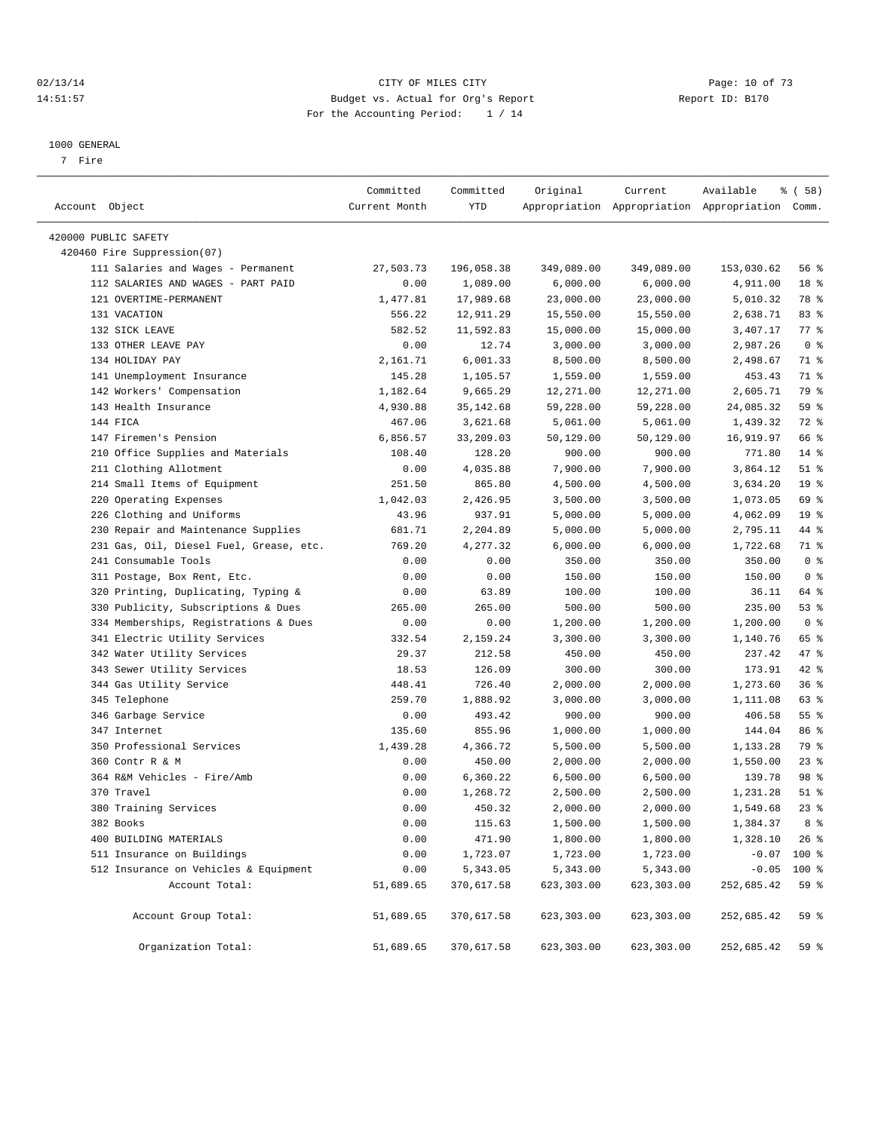#### 02/13/14 Page: 10 of 73 14:51:57 Budget vs. Actual for Org's Report Report ID: B170 For the Accounting Period: 1 / 14

————————————————————————————————————————————————————————————————————————————————————————————————————————————————————————————————————

#### 1000 GENERAL

7 Fire

|                                         | Committed     | Committed  | Original   | Current    | Available                                       | % ( 58 )        |
|-----------------------------------------|---------------|------------|------------|------------|-------------------------------------------------|-----------------|
| Account Object                          | Current Month | YTD        |            |            | Appropriation Appropriation Appropriation Comm. |                 |
| 420000 PUBLIC SAFETY                    |               |            |            |            |                                                 |                 |
| 420460 Fire Suppression(07)             |               |            |            |            |                                                 |                 |
| 111 Salaries and Wages - Permanent      | 27,503.73     | 196,058.38 | 349,089.00 | 349,089.00 | 153,030.62                                      | 56 %            |
| 112 SALARIES AND WAGES - PART PAID      | 0.00          | 1,089.00   | 6,000.00   | 6,000.00   | 4,911.00                                        | 18 %            |
| 121 OVERTIME-PERMANENT                  | 1,477.81      | 17,989.68  | 23,000.00  | 23,000.00  | 5,010.32                                        | 78 %            |
| 131 VACATION                            | 556.22        | 12,911.29  | 15,550.00  | 15,550.00  | 2,638.71                                        | 83%             |
| 132 SICK LEAVE                          | 582.52        | 11,592.83  | 15,000.00  | 15,000.00  | 3,407.17                                        | 77 %            |
| 133 OTHER LEAVE PAY                     | 0.00          | 12.74      | 3,000.00   | 3,000.00   | 2,987.26                                        | 0 <sup>8</sup>  |
| 134 HOLIDAY PAY                         | 2,161.71      | 6,001.33   | 8,500.00   | 8,500.00   | 2,498.67                                        | 71 %            |
| 141 Unemployment Insurance              | 145.28        | 1,105.57   | 1,559.00   | 1,559.00   | 453.43                                          | 71 %            |
| 142 Workers' Compensation               | 1,182.64      | 9,665.29   | 12,271.00  | 12,271.00  | 2,605.71                                        | 79 %            |
| 143 Health Insurance                    | 4,930.88      | 35, 142.68 | 59,228.00  | 59,228.00  | 24,085.32                                       | 59 %            |
| 144 FICA                                | 467.06        | 3,621.68   | 5,061.00   | 5,061.00   | 1,439.32                                        | 72 %            |
| 147 Firemen's Pension                   | 6,856.57      | 33,209.03  | 50,129.00  | 50,129.00  | 16,919.97                                       | 66 %            |
| 210 Office Supplies and Materials       | 108.40        | 128.20     | 900.00     | 900.00     | 771.80                                          | $14*$           |
| 211 Clothing Allotment                  | 0.00          | 4,035.88   | 7,900.00   | 7,900.00   | 3,864.12                                        | $51$ %          |
| 214 Small Items of Equipment            | 251.50        | 865.80     | 4,500.00   | 4,500.00   | 3,634.20                                        | 19 <sup>°</sup> |
| 220 Operating Expenses                  | 1,042.03      | 2,426.95   | 3,500.00   | 3,500.00   | 1,073.05                                        | 69 %            |
| 226 Clothing and Uniforms               | 43.96         | 937.91     | 5,000.00   | 5,000.00   | 4,062.09                                        | 19 <sup>°</sup> |
| 230 Repair and Maintenance Supplies     | 681.71        | 2,204.89   | 5,000.00   | 5,000.00   | 2,795.11                                        | 44 %            |
| 231 Gas, Oil, Diesel Fuel, Grease, etc. | 769.20        | 4,277.32   | 6,000.00   | 6,000.00   | 1,722.68                                        | 71 %            |
| 241 Consumable Tools                    | 0.00          | 0.00       | 350.00     | 350.00     | 350.00                                          | 0 <sup>8</sup>  |
| 311 Postage, Box Rent, Etc.             | 0.00          | 0.00       | 150.00     | 150.00     | 150.00                                          | 0 <sup>8</sup>  |
| 320 Printing, Duplicating, Typing &     | 0.00          | 63.89      | 100.00     | 100.00     | 36.11                                           | 64 %            |
| 330 Publicity, Subscriptions & Dues     | 265.00        | 265.00     | 500.00     | 500.00     | 235.00                                          | 53%             |
| 334 Memberships, Registrations & Dues   | 0.00          | 0.00       | 1,200.00   | 1,200.00   | 1,200.00                                        | 0 <sup>8</sup>  |
| 341 Electric Utility Services           | 332.54        | 2,159.24   | 3,300.00   | 3,300.00   | 1,140.76                                        | 65 %            |
| 342 Water Utility Services              | 29.37         | 212.58     | 450.00     | 450.00     | 237.42                                          | 47 %            |
| 343 Sewer Utility Services              | 18.53         | 126.09     | 300.00     | 300.00     | 173.91                                          | 42 %            |
| 344 Gas Utility Service                 | 448.41        | 726.40     | 2,000.00   | 2,000.00   | 1,273.60                                        | 36%             |
| 345 Telephone                           | 259.70        | 1,888.92   | 3,000.00   | 3,000.00   | 1,111.08                                        | 63 %            |
| 346 Garbage Service                     | 0.00          | 493.42     | 900.00     | 900.00     | 406.58                                          | $55$ $%$        |
| 347 Internet                            | 135.60        | 855.96     | 1,000.00   | 1,000.00   | 144.04                                          | 86 %            |
| 350 Professional Services               | 1,439.28      | 4,366.72   | 5,500.00   | 5,500.00   | 1,133.28                                        | 79 %            |
| 360 Contr R & M                         | 0.00          | 450.00     | 2,000.00   | 2,000.00   | 1,550.00                                        | $23$ $%$        |
| 364 R&M Vehicles - Fire/Amb             | 0.00          | 6,360.22   | 6,500.00   | 6,500.00   | 139.78                                          | 98 %            |
| 370 Travel                              | 0.00          | 1,268.72   | 2,500.00   | 2,500.00   | 1,231.28                                        | $51$ %          |
| 380 Training Services                   | 0.00          | 450.32     | 2,000.00   | 2,000.00   | 1,549.68                                        | $23$ $%$        |
| 382 Books                               | 0.00          | 115.63     | 1,500.00   | 1,500.00   | 1,384.37                                        | 8 %             |
| 400 BUILDING MATERIALS                  | 0.00          | 471.90     | 1,800.00   | 1,800.00   | 1,328.10                                        | $26$ %          |
| 511 Insurance on Buildings              | 0.00          | 1,723.07   | 1,723.00   | 1,723.00   | $-0.07$                                         | 100 %           |
| 512 Insurance on Vehicles & Equipment   | 0.00          | 5,343.05   | 5,343.00   | 5,343.00   | $-0.05$                                         | 100 %           |
| Account Total:                          | 51,689.65     | 370,617.58 | 623,303.00 | 623,303.00 | 252,685.42                                      | 59 %            |
| Account Group Total:                    | 51,689.65     | 370,617.58 | 623,303.00 | 623,303.00 | 252,685.42                                      | 59 %            |
| Organization Total:                     | 51,689.65     | 370,617.58 | 623,303.00 | 623,303.00 | 252,685.42                                      | 59 %            |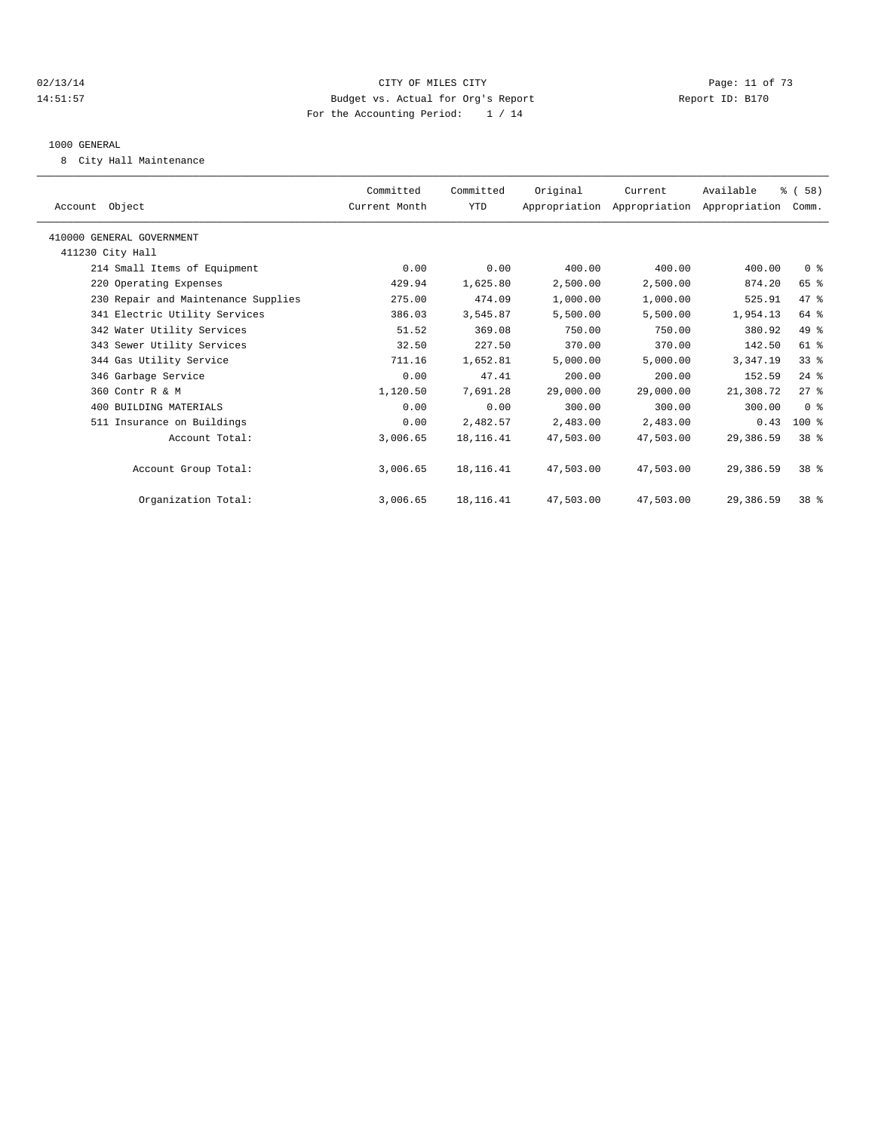## $O(2/13/14$   $O(2/13/14)$   $O(2/13/14)$   $O(2/13/14)$   $O(2/13/14)$   $O(2/13/14)$   $O(2/13/14)$ 14:51:57 Budget vs. Actual for Org's Report Report ID: B170 For the Accounting Period: 1 / 14

#### 1000 GENERAL

8 City Hall Maintenance

| Account Object                      | Committed<br>Current Month | Committed<br>YTD | Original  | Current<br>Appropriation Appropriation Appropriation Comm. | Available | % (58)          |  |
|-------------------------------------|----------------------------|------------------|-----------|------------------------------------------------------------|-----------|-----------------|--|
| 410000 GENERAL GOVERNMENT           |                            |                  |           |                                                            |           |                 |  |
| 411230 City Hall                    |                            |                  |           |                                                            |           |                 |  |
| 214 Small Items of Equipment        | 0.00                       | 0.00             | 400.00    | 400.00                                                     | 400.00    | 0 <sup>8</sup>  |  |
| 220 Operating Expenses              | 429.94                     | 1,625.80         | 2,500.00  | 2,500.00                                                   | 874.20    | 65 %            |  |
| 230 Repair and Maintenance Supplies | 275.00                     | 474.09           | 1,000.00  | 1,000.00                                                   | 525.91    | 47 %            |  |
| 341 Electric Utility Services       | 386.03                     | 3,545.87         | 5,500.00  | 5,500.00                                                   | 1,954.13  | 64 %            |  |
| 342 Water Utility Services          | 51.52                      | 369.08           | 750.00    | 750.00                                                     | 380.92    | 49 %            |  |
| 343 Sewer Utility Services          | 32.50                      | 227.50           | 370.00    | 370.00                                                     | 142.50    | $61$ $%$        |  |
| 344 Gas Utility Service             | 711.16                     | 1,652.81         | 5,000.00  | 5,000.00                                                   | 3,347.19  | $33$ $%$        |  |
| 346 Garbage Service                 | 0.00                       | 47.41            | 200.00    | 200.00                                                     | 152.59    | $24$ $%$        |  |
| 360 Contr R & M                     | 1,120.50                   | 7.691.28         | 29,000.00 | 29,000.00                                                  | 21,308.72 | $27$ $%$        |  |
| 400 BUILDING MATERIALS              | 0.00                       | 0.00             | 300.00    | 300.00                                                     | 300.00    | 0 <sup>8</sup>  |  |
| 511 Insurance on Buildings          | 0.00                       | 2,482.57         | 2,483.00  | 2,483.00                                                   | 0.43      | $100$ %         |  |
| Account Total:                      | 3,006.65                   | 18, 116. 41      | 47,503.00 | 47,503.00                                                  | 29,386.59 | 38 <sup>8</sup> |  |
| Account Group Total:                | 3,006.65                   | 18, 116. 41      | 47,503.00 | 47,503.00                                                  | 29,386.59 | $38*$           |  |
| Organization Total:                 | 3,006.65                   | 18,116.41        | 47,503.00 | 47,503.00                                                  | 29,386.59 | 38 <sup>8</sup> |  |
|                                     |                            |                  |           |                                                            |           |                 |  |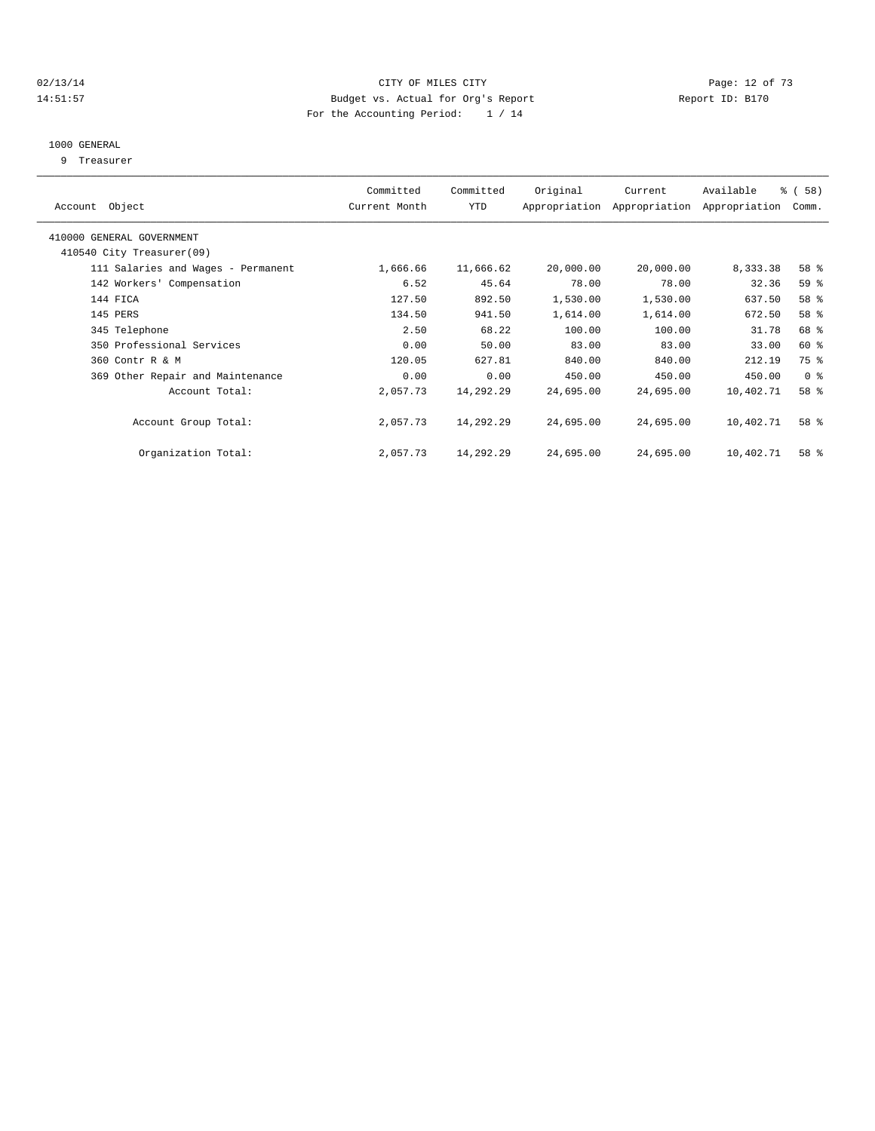#### $O(13/14)$   $O(13/14)$   $O(17)$   $O(17)$   $O(17)$   $O(17)$   $O(17)$   $O(17)$   $O(17)$   $O(17)$   $O(17)$   $O(17)$ 14:51:57 Budget vs. Actual for Org's Report Report ID: B170 For the Accounting Period: 1 / 14

#### 1000 GENERAL

9 Treasurer

|                                    | Committed     | Committed | Original  | Current                     | Available     | % (58)         |  |
|------------------------------------|---------------|-----------|-----------|-----------------------------|---------------|----------------|--|
| Account Object                     | Current Month | YTD       |           | Appropriation Appropriation | Appropriation | Comm.          |  |
| 410000 GENERAL GOVERNMENT          |               |           |           |                             |               |                |  |
| 410540 City Treasurer(09)          |               |           |           |                             |               |                |  |
| 111 Salaries and Wages - Permanent | 1,666.66      | 11,666.62 | 20,000.00 | 20,000.00                   | 8,333.38      | 58 %           |  |
| 142 Workers' Compensation          | 6.52          | 45.64     | 78.00     | 78.00                       | 32.36         | 59 %           |  |
| 144 FICA                           | 127.50        | 892.50    | 1,530.00  | 1,530.00                    | 637.50        | 58 %           |  |
| 145 PERS                           | 134.50        | 941.50    | 1,614.00  | 1,614.00                    | 672.50        | 58 %           |  |
| 345 Telephone                      | 2.50          | 68.22     | 100.00    | 100.00                      | 31.78         | 68 %           |  |
| 350 Professional Services          | 0.00          | 50.00     | 83.00     | 83.00                       | 33.00         | 60 %           |  |
| 360 Contr R & M                    | 120.05        | 627.81    | 840.00    | 840.00                      | 212.19        | 75 %           |  |
| 369 Other Repair and Maintenance   | 0.00          | 0.00      | 450.00    | 450.00                      | 450.00        | 0 <sup>8</sup> |  |
| Account Total:                     | 2,057.73      | 14,292.29 | 24,695.00 | 24,695.00                   | 10,402.71     | 58 %           |  |
|                                    |               |           |           |                             |               |                |  |
| Account Group Total:               | 2,057.73      | 14,292.29 | 24,695.00 | 24,695.00                   | 10,402.71     | 58 %           |  |
|                                    |               |           |           |                             |               |                |  |
| Organization Total:                | 2,057.73      | 14,292.29 | 24,695.00 | 24,695.00                   | 10,402.71     | 58 %           |  |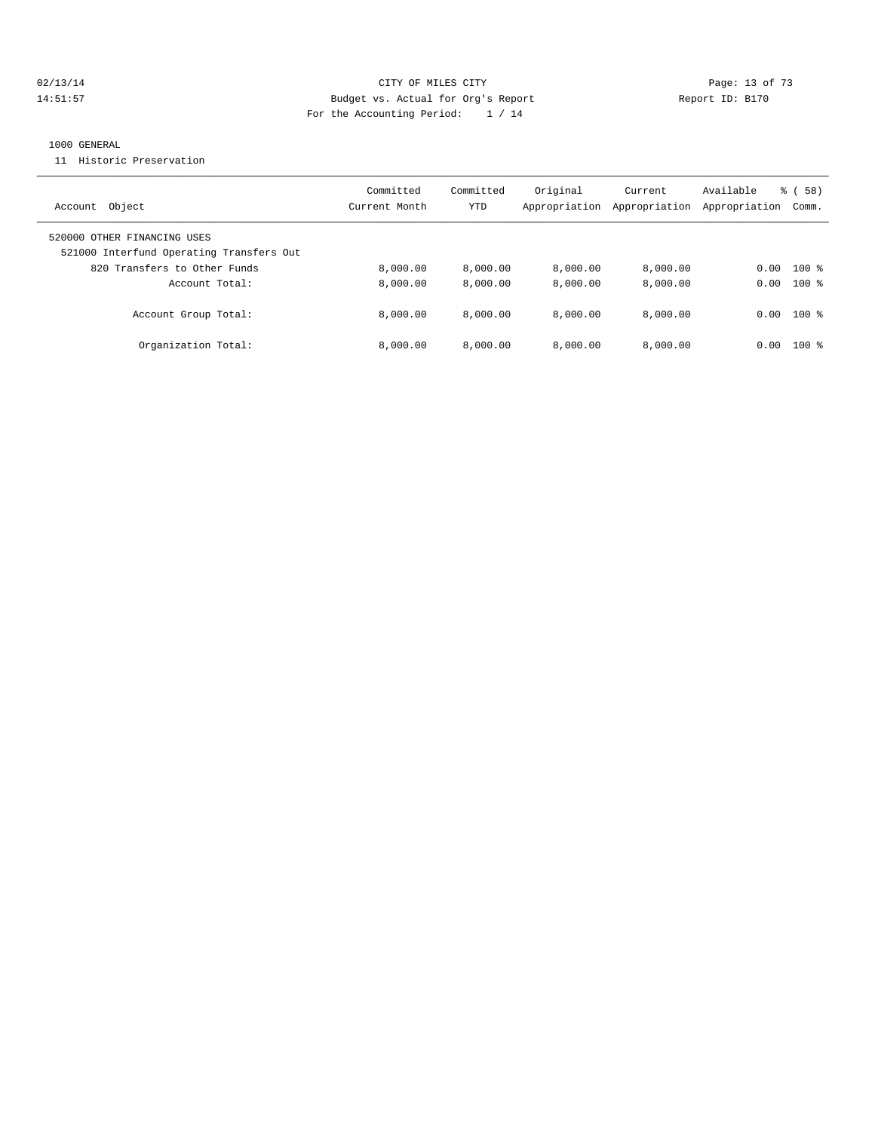## 02/13/14 Page: 13 of 73 14:51:57 Budget vs. Actual for Org's Report Report ID: B170 For the Accounting Period: 1 / 14

#### 1000 GENERAL

11 Historic Preservation

| Object<br>Account                                                                                       | Committed<br>Current Month | Committed<br>YTD | Original<br>Appropriation | Current<br>Appropriation | Available<br>Appropriation | % (58)<br>Comm. |
|---------------------------------------------------------------------------------------------------------|----------------------------|------------------|---------------------------|--------------------------|----------------------------|-----------------|
| 520000 OTHER FINANCING USES<br>521000 Interfund Operating Transfers Out<br>820 Transfers to Other Funds | 8,000.00                   | 8.000.00         | 8.000.00                  | 8,000.00                 | 0.00                       | $100*$          |
| Account Total:                                                                                          | 8,000.00                   | 8,000.00         | 8.000.00                  | 8.000.00                 | 0.00                       | $100$ %         |
| Account Group Total:                                                                                    | 8,000.00                   | 8.000.00         | 8.000.00                  | 8.000.00                 | 0.00                       | $100$ %         |
| Organization Total:                                                                                     | 8.000.00                   | 8.000.00         | 8.000.00                  | 8.000.00                 | 0.00                       | $100*$          |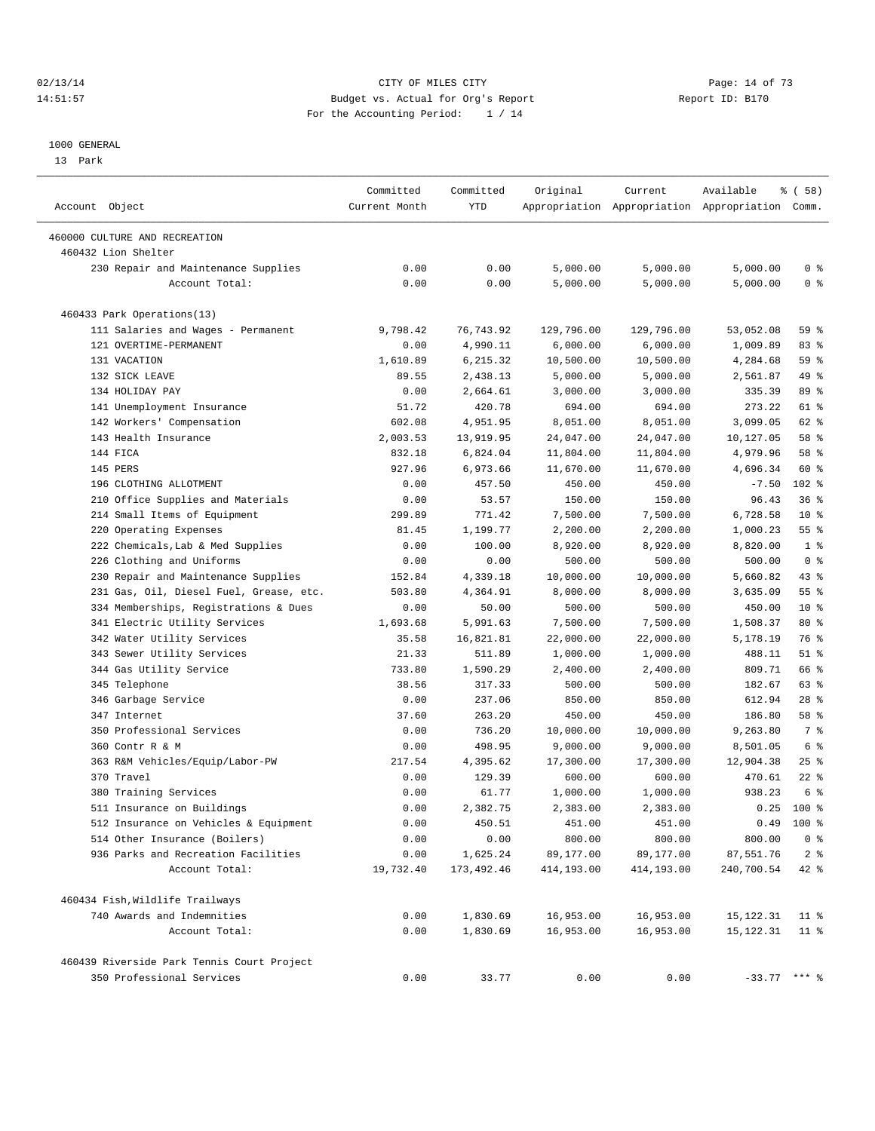#### $O2/13/14$  Page: 14 of 73 14:51:57 Budget vs. Actual for Org's Report Report ID: B170 For the Accounting Period: 1 / 14

————————————————————————————————————————————————————————————————————————————————————————————————————————————————————————————————————

#### 1000 GENERAL

13 Park

| Account Object                             | Committed<br>Current Month | Committed<br>YTD | Original   | Current    | Available<br>Appropriation Appropriation Appropriation Comm. | % ( 58)         |
|--------------------------------------------|----------------------------|------------------|------------|------------|--------------------------------------------------------------|-----------------|
| 460000 CULTURE AND RECREATION              |                            |                  |            |            |                                                              |                 |
| 460432 Lion Shelter                        |                            |                  |            |            |                                                              |                 |
| 230 Repair and Maintenance Supplies        | 0.00                       | 0.00             | 5,000.00   | 5,000.00   | 5,000.00                                                     | 0 <sup>8</sup>  |
| Account Total:                             | 0.00                       | 0.00             | 5,000.00   | 5,000.00   | 5,000.00                                                     | 0 <sup>8</sup>  |
| 460433 Park Operations(13)                 |                            |                  |            |            |                                                              |                 |
| 111 Salaries and Wages - Permanent         | 9,798.42                   | 76,743.92        | 129,796.00 | 129,796.00 | 53,052.08                                                    | 59 %            |
| 121 OVERTIME-PERMANENT                     | 0.00                       | 4,990.11         | 6,000.00   | 6,000.00   | 1,009.89                                                     | 83%             |
| 131 VACATION                               | 1,610.89                   | 6,215.32         | 10,500.00  | 10,500.00  | 4,284.68                                                     | 59 %            |
| 132 SICK LEAVE                             | 89.55                      | 2,438.13         | 5,000.00   | 5,000.00   | 2,561.87                                                     | 49 %            |
| 134 HOLIDAY PAY                            | 0.00                       | 2,664.61         | 3,000.00   | 3,000.00   | 335.39                                                       | 89 %            |
| 141 Unemployment Insurance                 | 51.72                      | 420.78           | 694.00     | 694.00     | 273.22                                                       | 61 %            |
| 142 Workers' Compensation                  | 602.08                     | 4,951.95         | 8,051.00   | 8,051.00   | 3,099.05                                                     | 62 %            |
| 143 Health Insurance                       | 2,003.53                   | 13,919.95        | 24,047.00  | 24,047.00  | 10,127.05                                                    | 58 %            |
| 144 FICA                                   | 832.18                     | 6,824.04         | 11,804.00  | 11,804.00  | 4,979.96                                                     | 58 %            |
| 145 PERS                                   | 927.96                     | 6,973.66         | 11,670.00  | 11,670.00  | 4,696.34                                                     | 60 %            |
| 196 CLOTHING ALLOTMENT                     | 0.00                       | 457.50           | 450.00     | 450.00     | $-7.50$                                                      | $102*$          |
| 210 Office Supplies and Materials          | 0.00                       | 53.57            | 150.00     | 150.00     | 96.43                                                        | 36%             |
| 214 Small Items of Equipment               | 299.89                     | 771.42           | 7,500.00   | 7,500.00   | 6,728.58                                                     | $10*$           |
| 220 Operating Expenses                     | 81.45                      | 1,199.77         | 2,200.00   | 2,200.00   | 1,000.23                                                     | 55%             |
| 222 Chemicals, Lab & Med Supplies          | 0.00                       | 100.00           | 8,920.00   | 8,920.00   | 8,820.00                                                     | 1 <sup>8</sup>  |
| 226 Clothing and Uniforms                  | 0.00                       | 0.00             | 500.00     | 500.00     | 500.00                                                       | 0 <sup>8</sup>  |
| 230 Repair and Maintenance Supplies        | 152.84                     | 4,339.18         | 10,000.00  | 10,000.00  | 5,660.82                                                     | 43 %            |
| 231 Gas, Oil, Diesel Fuel, Grease, etc.    | 503.80                     | 4,364.91         | 8,000.00   | 8,000.00   | 3,635.09                                                     | 55 <sup>8</sup> |
| 334 Memberships, Registrations & Dues      | 0.00                       | 50.00            | 500.00     | 500.00     | 450.00                                                       | $10*$           |
| 341 Electric Utility Services              | 1,693.68                   | 5,991.63         | 7,500.00   | 7,500.00   | 1,508.37                                                     | 80 %            |
| 342 Water Utility Services                 | 35.58                      | 16,821.81        | 22,000.00  | 22,000.00  | 5,178.19                                                     | 76 %            |
| 343 Sewer Utility Services                 | 21.33                      | 511.89           | 1,000.00   | 1,000.00   | 488.11                                                       | $51$ %          |
| 344 Gas Utility Service                    | 733.80                     | 1,590.29         | 2,400.00   | 2,400.00   | 809.71                                                       | 66 %            |
| 345 Telephone                              | 38.56                      | 317.33           | 500.00     | 500.00     | 182.67                                                       | 63 %            |
| 346 Garbage Service                        | 0.00                       | 237.06           | 850.00     | 850.00     | 612.94                                                       | $28$ %          |
| 347 Internet                               | 37.60                      | 263.20           | 450.00     | 450.00     | 186.80                                                       | 58 %            |
| 350 Professional Services                  | 0.00                       | 736.20           | 10,000.00  | 10,000.00  | 9,263.80                                                     | 7 %             |
| 360 Contr R & M                            | 0.00                       | 498.95           | 9,000.00   | 9,000.00   | 8,501.05                                                     | 6 %             |
| 363 R&M Vehicles/Equip/Labor-PW            | 217.54                     | 4,395.62         | 17,300.00  | 17,300.00  | 12,904.38                                                    | $25$ $%$        |
| 370 Travel                                 | 0.00                       | 129.39           | 600.00     | 600.00     | 470.61                                                       | $22$ %          |
| 380 Training Services                      | 0.00                       | 61.77            | 1,000.00   | 1,000.00   | 938.23                                                       | 6 <sup>°</sup>  |
| 511 Insurance on Buildings                 | 0.00                       | 2,382.75         | 2,383.00   | 2,383.00   | 0.25                                                         | $100*$          |
| 512 Insurance on Vehicles & Equipment      | 0.00                       | 450.51           | 451.00     | 451.00     | 0.49                                                         | $100*$          |
| 514 Other Insurance (Boilers)              | 0.00                       | 0.00             | 800.00     | 800.00     | 800.00                                                       | 0 <sup>8</sup>  |
| 936 Parks and Recreation Facilities        | 0.00                       | 1,625.24         | 89,177.00  | 89,177.00  | 87,551.76                                                    | 2 <sup>8</sup>  |
| Account Total:                             | 19,732.40                  | 173,492.46       | 414,193.00 | 414,193.00 | 240,700.54                                                   | $42$ %          |
| 460434 Fish, Wildlife Trailways            |                            |                  |            |            |                                                              |                 |
| 740 Awards and Indemnities                 | 0.00                       | 1,830.69         | 16,953.00  | 16,953.00  | 15,122.31                                                    | $11$ %          |
| Account Total:                             | 0.00                       | 1,830.69         | 16,953.00  | 16,953.00  | 15, 122. 31                                                  | $11$ %          |
| 460439 Riverside Park Tennis Court Project |                            |                  |            |            |                                                              |                 |
| 350 Professional Services                  | 0.00                       | 33.77            | 0.00       | 0.00       | $-33.77$ *** %                                               |                 |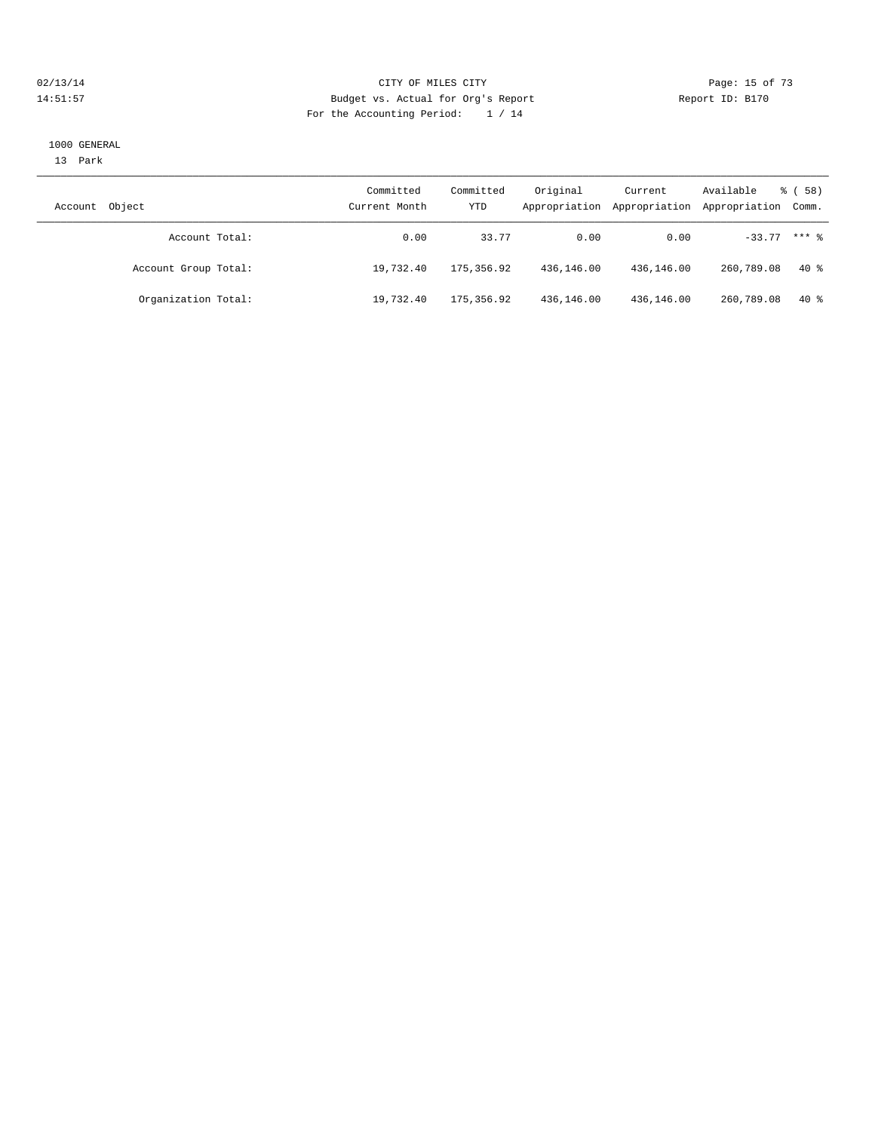#### $O2/13/14$  Page: 15 of 73 14:51:57 Budget vs. Actual for Org's Report Report ID: B170 For the Accounting Period: 1 / 14

#### 1000 GENERAL

13 Park

| Object<br>Account    | Committed<br>Current Month | Committed<br>YTD | Original   | Current<br>Appropriation Appropriation | Available<br>Appropriation Comm. | <sub>ර</sub> ි (58) |
|----------------------|----------------------------|------------------|------------|----------------------------------------|----------------------------------|---------------------|
| Account Total:       | 0.00                       | 33.77            | 0.00       | 0.00                                   | $-33.77$ *** $%$                 |                     |
| Account Group Total: | 19,732.40                  | 175,356.92       | 436,146.00 | 436,146.00                             | 260,789.08                       | $40*$               |
| Organization Total:  | 19,732.40                  | 175,356.92       | 436,146.00 | 436,146.00                             | 260,789.08                       | 40 %                |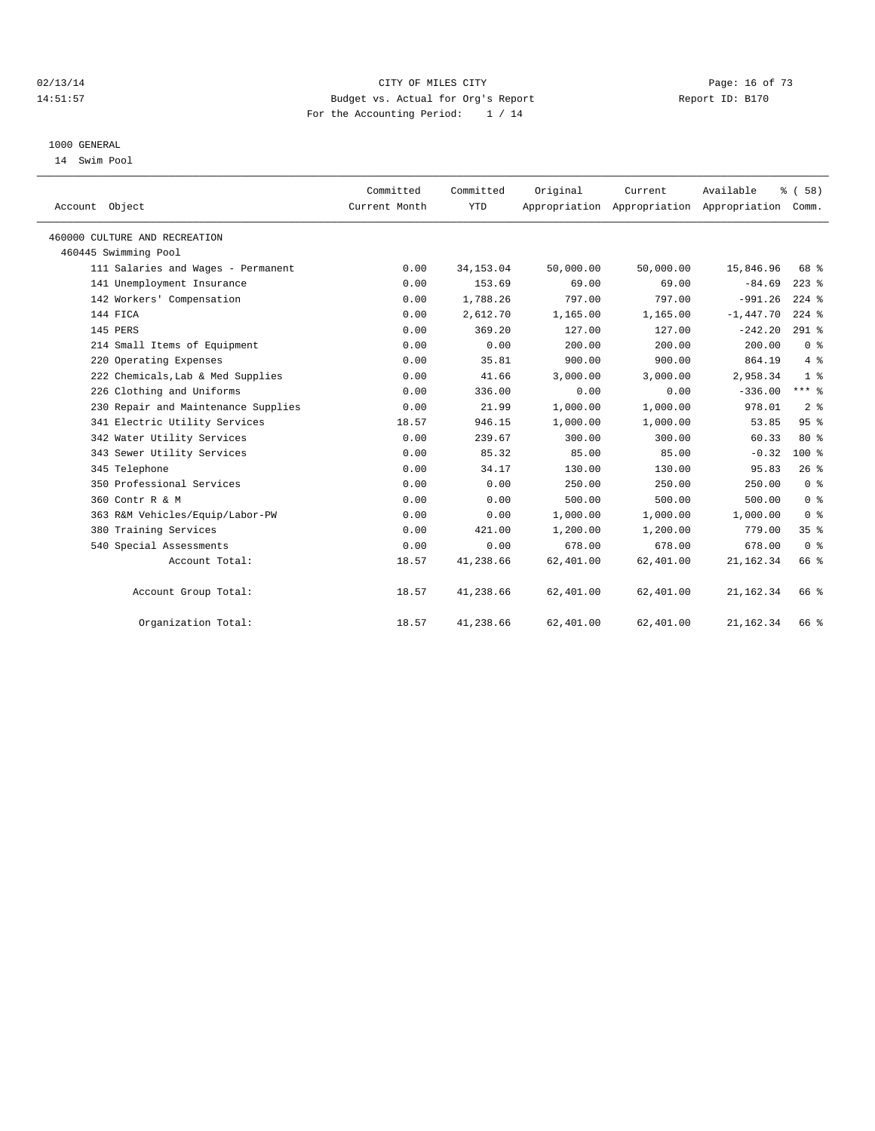#### $O2/13/14$  Page: 16 of 73 14:51:57 Budget vs. Actual for Org's Report Report ID: B170 For the Accounting Period: 1 / 14

#### 1000 GENERAL

14 Swim Pool

| Account Object                      | Committed<br>Current Month | Committed<br><b>YTD</b> | Original  | Current<br>Appropriation Appropriation Appropriation Comm. | Available   | % (58)          |  |
|-------------------------------------|----------------------------|-------------------------|-----------|------------------------------------------------------------|-------------|-----------------|--|
| 460000 CULTURE AND RECREATION       |                            |                         |           |                                                            |             |                 |  |
| 460445 Swimming Pool                |                            |                         |           |                                                            |             |                 |  |
| 111 Salaries and Wages - Permanent  | 0.00                       | 34, 153.04              | 50,000.00 | 50,000.00                                                  | 15,846.96   | 68 %            |  |
| 141 Unemployment Insurance          | 0.00                       | 153.69                  | 69.00     | 69.00                                                      | $-84.69$    | $223$ $%$       |  |
| 142 Workers' Compensation           | 0.00                       | 1,788.26                | 797.00    | 797.00                                                     | $-991.26$   | $224$ $%$       |  |
| 144 FICA                            | 0.00                       | 2,612.70                | 1,165.00  | 1,165.00                                                   | $-1,447.70$ | $224$ %         |  |
| 145 PERS                            | 0.00                       | 369.20                  | 127.00    | 127.00                                                     | $-242.20$   | $291$ %         |  |
| 214 Small Items of Equipment        | 0.00                       | 0.00                    | 200.00    | 200.00                                                     | 200.00      | 0 <sup>8</sup>  |  |
| 220 Operating Expenses              | 0.00                       | 35.81                   | 900.00    | 900.00                                                     | 864.19      | $4\degree$      |  |
| 222 Chemicals, Lab & Med Supplies   | 0.00                       | 41.66                   | 3,000.00  | 3,000.00                                                   | 2,958.34    | 1 <sup>8</sup>  |  |
| 226 Clothing and Uniforms           | 0.00                       | 336.00                  | 0.00      | 0.00                                                       | $-336.00$   | $***$ $_{8}$    |  |
| 230 Repair and Maintenance Supplies | 0.00                       | 21.99                   | 1,000.00  | 1,000.00                                                   | 978.01      | 2 <sup>°</sup>  |  |
| 341 Electric Utility Services       | 18.57                      | 946.15                  | 1,000.00  | 1,000.00                                                   | 53.85       | 95%             |  |
| 342 Water Utility Services          | 0.00                       | 239.67                  | 300.00    | 300.00                                                     | 60.33       | $80*$           |  |
| 343 Sewer Utility Services          | 0.00                       | 85.32                   | 85.00     | 85.00                                                      | $-0.32$     | $100$ %         |  |
| 345 Telephone                       | 0.00                       | 34.17                   | 130.00    | 130.00                                                     | 95.83       | 26%             |  |
| 350 Professional Services           | 0.00                       | 0.00                    | 250.00    | 250.00                                                     | 250.00      | 0 <sup>8</sup>  |  |
| 360 Contr R & M                     | 0.00                       | 0.00                    | 500.00    | 500.00                                                     | 500.00      | 0 <sup>8</sup>  |  |
| 363 R&M Vehicles/Equip/Labor-PW     | 0.00                       | 0.00                    | 1,000.00  | 1,000.00                                                   | 1,000.00    | 0 <sup>8</sup>  |  |
| 380 Training Services               | 0.00                       | 421.00                  | 1,200.00  | 1,200.00                                                   | 779.00      | 35 <sup>8</sup> |  |
| 540 Special Assessments             | 0.00                       | 0.00                    | 678.00    | 678.00                                                     | 678.00      | 0 <sup>8</sup>  |  |
| Account Total:                      | 18.57                      | 41,238.66               | 62,401.00 | 62,401.00                                                  | 21, 162.34  | 66 %            |  |
| Account Group Total:                | 18.57                      | 41,238.66               | 62,401.00 | 62,401.00                                                  | 21, 162.34  | 66 %            |  |
| Organization Total:                 | 18.57                      | 41,238.66               | 62,401.00 | 62,401.00                                                  | 21, 162.34  | 66 %            |  |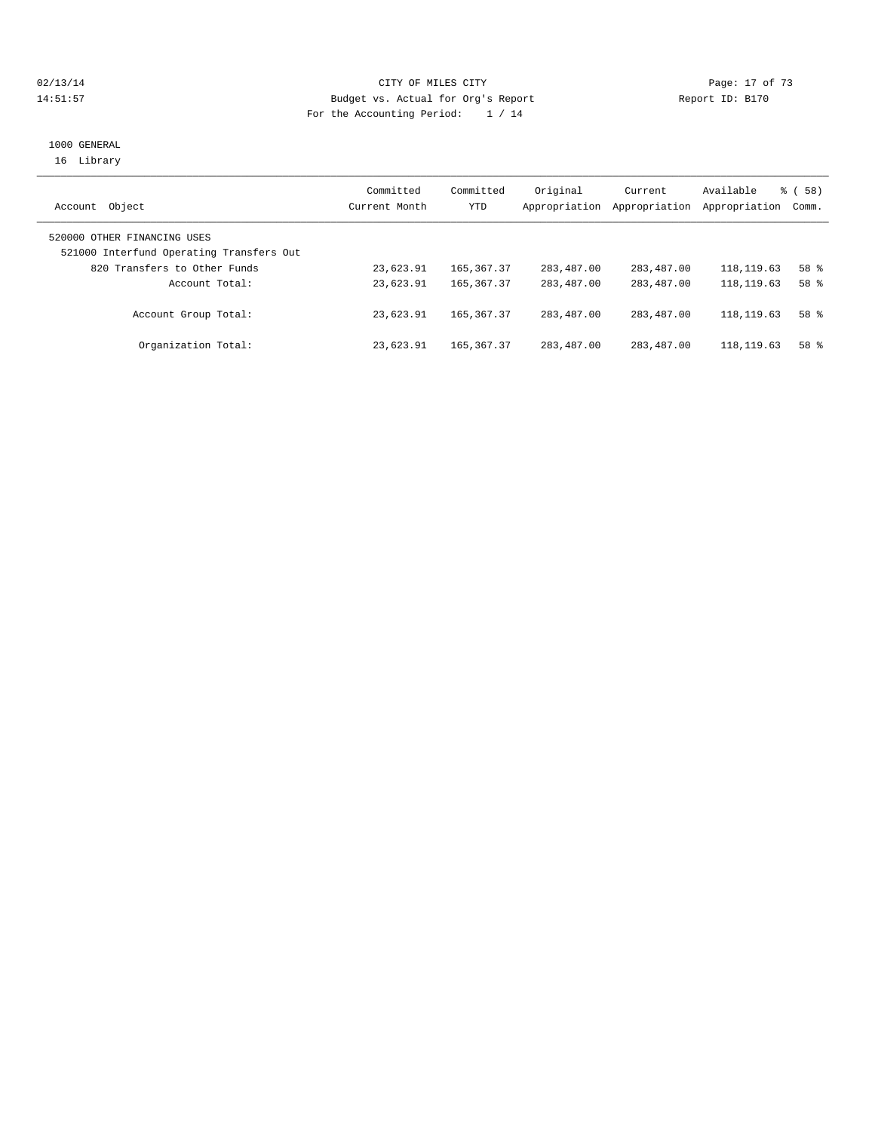## 02/13/14 Page: 17 of 73 14:51:57 Budget vs. Actual for Org's Report Report ID: B170 For the Accounting Period: 1 / 14

#### 1000 GENERAL 16 Library

| Object<br>Account                                                       | Committed<br>Current Month | Committed<br><b>YTD</b> | Original<br>Appropriation | Current<br>Appropriation | Available<br>Appropriation | <sub>ර</sub> ි (58)<br>Comm. |
|-------------------------------------------------------------------------|----------------------------|-------------------------|---------------------------|--------------------------|----------------------------|------------------------------|
| 520000 OTHER FINANCING USES<br>521000 Interfund Operating Transfers Out |                            |                         |                           |                          |                            |                              |
| 820 Transfers to Other Funds                                            | 23,623.91                  | 165, 367, 37            | 283,487.00                | 283,487.00               | 118, 119.63                | $58*$                        |
| Account Total:                                                          | 23,623.91                  | 165, 367, 37            | 283,487.00                | 283,487.00               | 118, 119.63                | 58 <sup>8</sup>              |
| Account Group Total:                                                    | 23,623.91                  | 165, 367, 37            | 283,487.00                | 283,487.00               | 118, 119.63                | 58 %                         |
| Organization Total:                                                     | 23,623.91                  | 165, 367, 37            | 283,487.00                | 283,487.00               | 118, 119.63                | $58*$                        |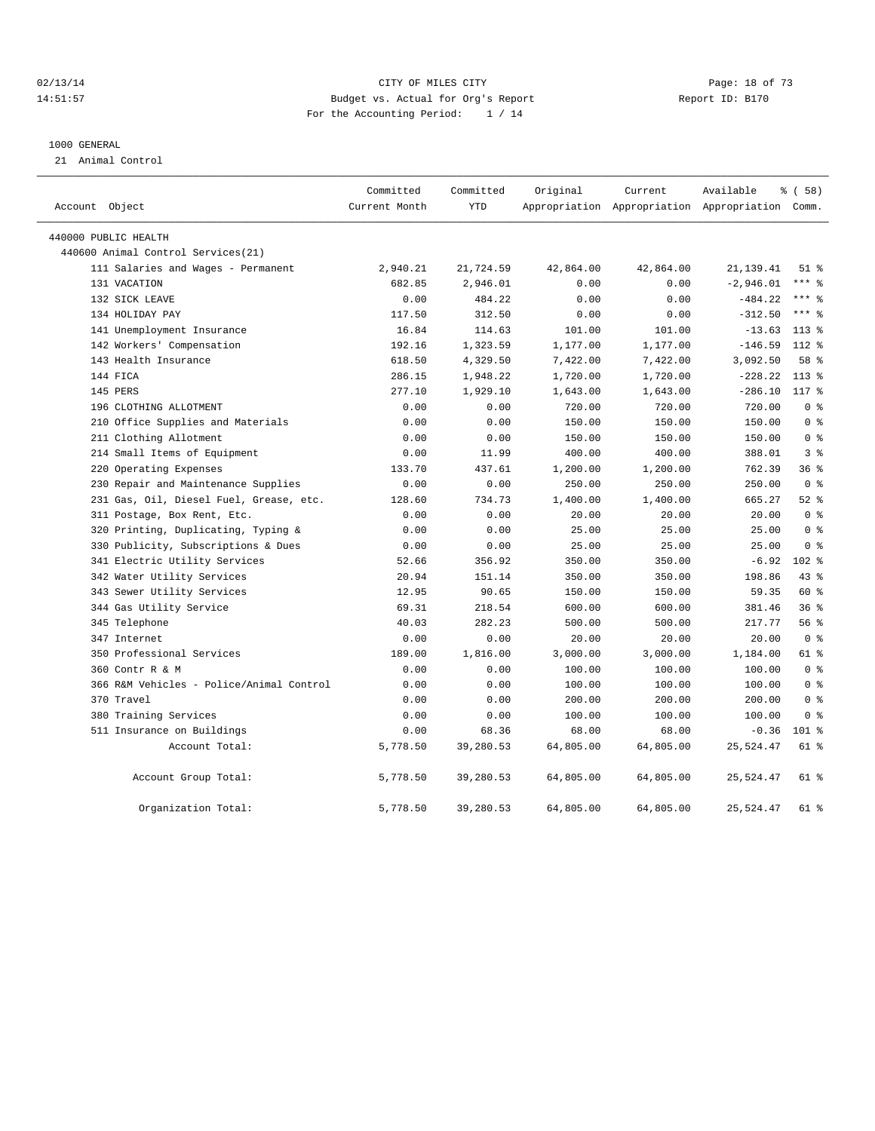#### $O2/13/14$  Page: 18 of 73 14:51:57 Budget vs. Actual for Org's Report Report ID: B170 For the Accounting Period: 1 / 14

#### 1000 GENERAL

21 Animal Control

| Account Object                           | Committed<br>Current Month | Committed<br><b>YTD</b> | Original  | Current<br>Appropriation Appropriation Appropriation Comm. | Available   | % (58)         |
|------------------------------------------|----------------------------|-------------------------|-----------|------------------------------------------------------------|-------------|----------------|
|                                          |                            |                         |           |                                                            |             |                |
| 440000 PUBLIC HEALTH                     |                            |                         |           |                                                            |             |                |
| 440600 Animal Control Services (21)      |                            |                         |           |                                                            |             |                |
| 111 Salaries and Wages - Permanent       | 2,940.21                   | 21,724.59               | 42,864.00 | 42,864.00                                                  | 21, 139.41  | $51$ %         |
| 131 VACATION                             | 682.85                     | 2,946.01                | 0.00      | 0.00                                                       | $-2,946.01$ | $***$ $%$      |
| 132 SICK LEAVE                           | 0.00                       | 484.22                  | 0.00      | 0.00                                                       | $-484.22$   | $***$ $%$      |
| 134 HOLIDAY PAY                          | 117.50                     | 312.50                  | 0.00      | 0.00                                                       | $-312.50$   | $***$ $%$      |
| 141 Unemployment Insurance               | 16.84                      | 114.63                  | 101.00    | 101.00                                                     | $-13.63$    | $113*$         |
| 142 Workers' Compensation                | 192.16                     | 1,323.59                | 1,177.00  | 1,177.00                                                   | $-146.59$   | $112*$         |
| 143 Health Insurance                     | 618.50                     | 4,329.50                | 7,422.00  | 7,422.00                                                   | 3,092.50    | 58 %           |
| 144 FICA                                 | 286.15                     | 1,948.22                | 1,720.00  | 1,720.00                                                   | $-228.22$   | $113*$         |
| 145 PERS                                 | 277.10                     | 1,929.10                | 1,643.00  | 1,643.00                                                   | $-286.10$   | 117 %          |
| 196 CLOTHING ALLOTMENT                   | 0.00                       | 0.00                    | 720.00    | 720.00                                                     | 720.00      | 0 <sup>8</sup> |
| 210 Office Supplies and Materials        | 0.00                       | 0.00                    | 150.00    | 150.00                                                     | 150.00      | 0 <sup>8</sup> |
| 211 Clothing Allotment                   | 0.00                       | 0.00                    | 150.00    | 150.00                                                     | 150.00      | 0 <sup>8</sup> |
| 214 Small Items of Equipment             | 0.00                       | 11.99                   | 400.00    | 400.00                                                     | 388.01      | 3 <sup>8</sup> |
| 220 Operating Expenses                   | 133.70                     | 437.61                  | 1,200.00  | 1,200.00                                                   | 762.39      | 36%            |
| 230 Repair and Maintenance Supplies      | 0.00                       | 0.00                    | 250.00    | 250.00                                                     | 250.00      | 0 <sup>8</sup> |
| 231 Gas, Oil, Diesel Fuel, Grease, etc.  | 128.60                     | 734.73                  | 1,400.00  | 1,400.00                                                   | 665.27      | $52$ $%$       |
| 311 Postage, Box Rent, Etc.              | 0.00                       | 0.00                    | 20.00     | 20.00                                                      | 20.00       | 0 <sup>8</sup> |
| 320 Printing, Duplicating, Typing &      | 0.00                       | 0.00                    | 25.00     | 25.00                                                      | 25.00       | 0 <sup>8</sup> |
| 330 Publicity, Subscriptions & Dues      | 0.00                       | 0.00                    | 25.00     | 25.00                                                      | 25.00       | 0 <sup>8</sup> |
| 341 Electric Utility Services            | 52.66                      | 356.92                  | 350.00    | 350.00                                                     | $-6.92$     | $102*$         |
| 342 Water Utility Services               | 20.94                      | 151.14                  | 350.00    | 350.00                                                     | 198.86      | 43.8           |
| 343 Sewer Utility Services               | 12.95                      | 90.65                   | 150.00    | 150.00                                                     | 59.35       | 60 %           |
| 344 Gas Utility Service                  | 69.31                      | 218.54                  | 600.00    | 600.00                                                     | 381.46      | 36%            |
| 345 Telephone                            | 40.03                      | 282.23                  | 500.00    | 500.00                                                     | 217.77      | 56%            |
| 347 Internet                             | 0.00                       | 0.00                    | 20.00     | 20.00                                                      | 20.00       | 0 <sup>8</sup> |
| 350 Professional Services                | 189.00                     | 1,816.00                | 3,000.00  | 3,000.00                                                   | 1,184.00    | 61 %           |
| 360 Contr R & M                          | 0.00                       | 0.00                    | 100.00    | 100.00                                                     | 100.00      | 0 <sup>8</sup> |
| 366 R&M Vehicles - Police/Animal Control | 0.00                       | 0.00                    | 100.00    | 100.00                                                     | 100.00      | 0 <sup>8</sup> |
| 370 Travel                               | 0.00                       | 0.00                    | 200.00    | 200.00                                                     | 200.00      | 0 <sup>8</sup> |
| 380 Training Services                    | 0.00                       | 0.00                    | 100.00    | 100.00                                                     | 100.00      | 0 <sup>8</sup> |
| 511 Insurance on Buildings               | 0.00                       | 68.36                   | 68.00     | 68.00                                                      | $-0.36$     | $101$ %        |
| Account Total:                           | 5,778.50                   | 39,280.53               | 64,805.00 | 64,805.00                                                  | 25,524.47   | 61 %           |
| Account Group Total:                     | 5,778.50                   | 39,280.53               | 64,805.00 | 64,805.00                                                  | 25,524.47   | 61 %           |
| Organization Total:                      | 5,778.50                   | 39,280.53               | 64,805.00 | 64,805.00                                                  | 25,524.47   | $61*$          |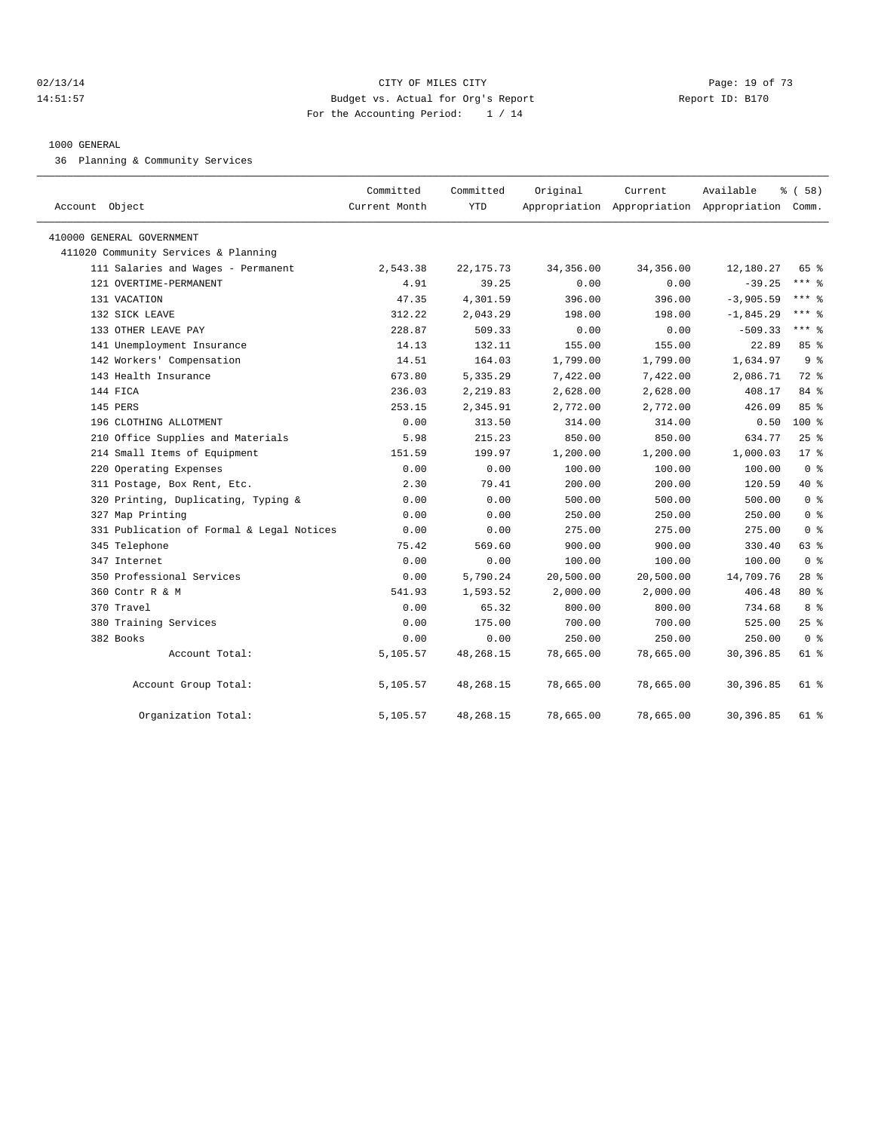#### 02/13/14 Page: 19 of 73 14:51:57 Budget vs. Actual for Org's Report Report ID: B170 For the Accounting Period: 1 / 14

#### 1000 GENERAL

36 Planning & Community Services

| Account Object                            | Committed<br>Current Month | Committed<br>YTD | Original   | Current   | Available<br>Appropriation Appropriation Appropriation Comm. | % (58)         |
|-------------------------------------------|----------------------------|------------------|------------|-----------|--------------------------------------------------------------|----------------|
| 410000 GENERAL GOVERNMENT                 |                            |                  |            |           |                                                              |                |
| 411020 Community Services & Planning      |                            |                  |            |           |                                                              |                |
| 111 Salaries and Wages - Permanent        | 2,543.38                   | 22, 175.73       | 34, 356.00 | 34,356.00 | 12,180.27                                                    | 65 %           |
| 121 OVERTIME-PERMANENT                    | 4.91                       | 39.25            | 0.00       | 0.00      | $-39.25$                                                     | $***$ $%$      |
| 131 VACATION                              | 47.35                      | 4,301.59         | 396.00     | 396.00    | $-3,905.59$                                                  | $***$ $=$      |
| 132 SICK LEAVE                            | 312.22                     | 2,043.29         | 198.00     | 198.00    | $-1,845.29$                                                  | $***$ 8        |
| 133 OTHER LEAVE PAY                       | 228.87                     | 509.33           | 0.00       | 0.00      | $-509.33$                                                    | $***$ $=$      |
| 141 Unemployment Insurance                | 14.13                      | 132.11           | 155.00     | 155.00    | 22.89                                                        | 85%            |
| 142 Workers' Compensation                 | 14.51                      | 164.03           | 1,799.00   | 1,799.00  | 1,634.97                                                     | 9 <sup>8</sup> |
| 143 Health Insurance                      | 673.80                     | 5,335.29         | 7,422.00   | 7,422.00  | 2,086.71                                                     | 72 %           |
| 144 FICA                                  | 236.03                     | 2,219.83         | 2,628.00   | 2,628.00  | 408.17                                                       | 84 %           |
| 145 PERS                                  | 253.15                     | 2,345.91         | 2,772.00   | 2,772.00  | 426.09                                                       | 85%            |
| 196 CLOTHING ALLOTMENT                    | 0.00                       | 313.50           | 314.00     | 314.00    | 0.50                                                         | $100*$         |
| 210 Office Supplies and Materials         | 5.98                       | 215.23           | 850.00     | 850.00    | 634.77                                                       | $25$ $%$       |
| 214 Small Items of Equipment              | 151.59                     | 199.97           | 1,200.00   | 1,200.00  | 1,000.03                                                     | 17.8           |
| 220 Operating Expenses                    | 0.00                       | 0.00             | 100.00     | 100.00    | 100.00                                                       | 0 <sup>8</sup> |
| 311 Postage, Box Rent, Etc.               | 2.30                       | 79.41            | 200.00     | 200.00    | 120.59                                                       | 40 %           |
| 320 Printing, Duplicating, Typing &       | 0.00                       | 0.00             | 500.00     | 500.00    | 500.00                                                       | 0 <sup>8</sup> |
| 327 Map Printing                          | 0.00                       | 0.00             | 250.00     | 250.00    | 250.00                                                       | 0 <sup>8</sup> |
| 331 Publication of Formal & Legal Notices | 0.00                       | 0.00             | 275.00     | 275.00    | 275.00                                                       | 0 <sup>8</sup> |
| 345 Telephone                             | 75.42                      | 569.60           | 900.00     | 900.00    | 330.40                                                       | 63 %           |
| 347 Internet                              | 0.00                       | 0.00             | 100.00     | 100.00    | 100.00                                                       | 0 <sup>8</sup> |
| 350 Professional Services                 | 0.00                       | 5,790.24         | 20,500.00  | 20,500.00 | 14,709.76                                                    | $28$ %         |
| 360 Contr R & M                           | 541.93                     | 1,593.52         | 2,000.00   | 2,000.00  | 406.48                                                       | $80*$          |
| 370 Travel                                | 0.00                       | 65.32            | 800.00     | 800.00    | 734.68                                                       | 8 %            |
| 380 Training Services                     | 0.00                       | 175.00           | 700.00     | 700.00    | 525.00                                                       | 25%            |
| 382 Books                                 | 0.00                       | 0.00             | 250.00     | 250.00    | 250.00                                                       | 0 <sup>8</sup> |
| Account Total:                            | 5,105.57                   | 48,268.15        | 78,665.00  | 78,665.00 | 30,396.85                                                    | 61 %           |
| Account Group Total:                      | 5,105.57                   | 48,268.15        | 78,665.00  | 78,665.00 | 30,396.85                                                    | $61*$          |
| Organization Total:                       | 5,105.57                   | 48,268.15        | 78,665.00  | 78,665.00 | 30,396.85                                                    | 61 %           |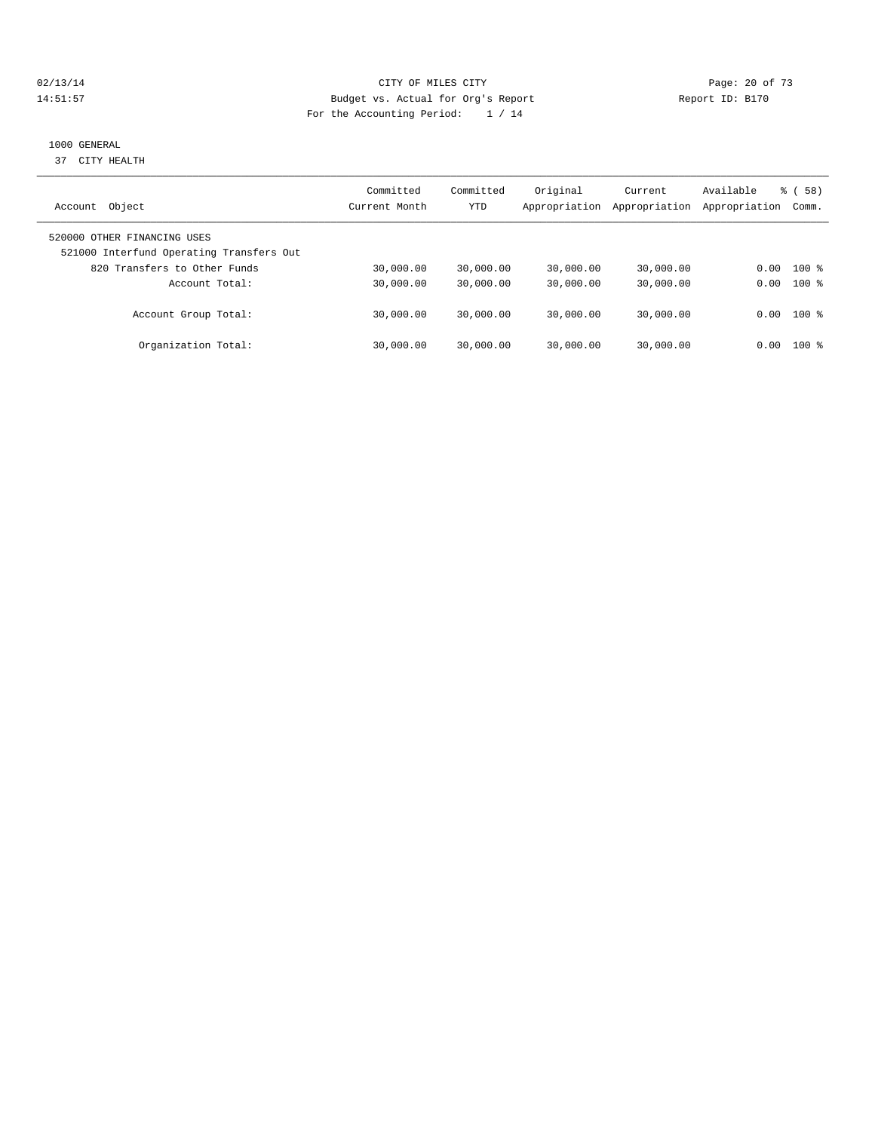#### $O(13/14$   $O(13/14)$   $O(13/14)$   $O(15/14)$   $O(15/14)$   $O(15/14)$   $O(15/14)$   $O(15/14)$   $O(15/14)$   $O(15/14)$   $O(15/14)$   $O(15/14)$   $O(15/14)$   $O(15/14)$   $O(15/14)$   $O(15/14)$   $O(15/14)$   $O(15/14)$   $O(15/14)$   $O(15/14)$   $O$ 14:51:57 Budget vs. Actual for Org's Report Report ID: B170 For the Accounting Period: 1 / 14

#### 1000 GENERAL

37 CITY HEALTH

|                                                                         | Committed     | Committed | Original      | Current       | Available     | 58)<br>ී ( |
|-------------------------------------------------------------------------|---------------|-----------|---------------|---------------|---------------|------------|
| Object<br>Account                                                       | Current Month | YTD       | Appropriation | Appropriation | Appropriation | Comm.      |
| 520000 OTHER FINANCING USES<br>521000 Interfund Operating Transfers Out |               |           |               |               |               |            |
| 820 Transfers to Other Funds                                            | 30,000.00     | 30,000.00 | 30,000.00     | 30,000.00     | 0.00          | $100*$     |
| Account Total:                                                          | 30,000.00     | 30,000.00 | 30,000.00     | 30,000.00     | 0.00          | $100*$     |
| Account Group Total:                                                    | 30,000.00     | 30,000.00 | 30,000.00     | 30,000.00     | 0.00          | $100*$     |
| Organization Total:                                                     | 30,000.00     | 30,000.00 | 30,000.00     | 30,000.00     | 0.00          | $100*$     |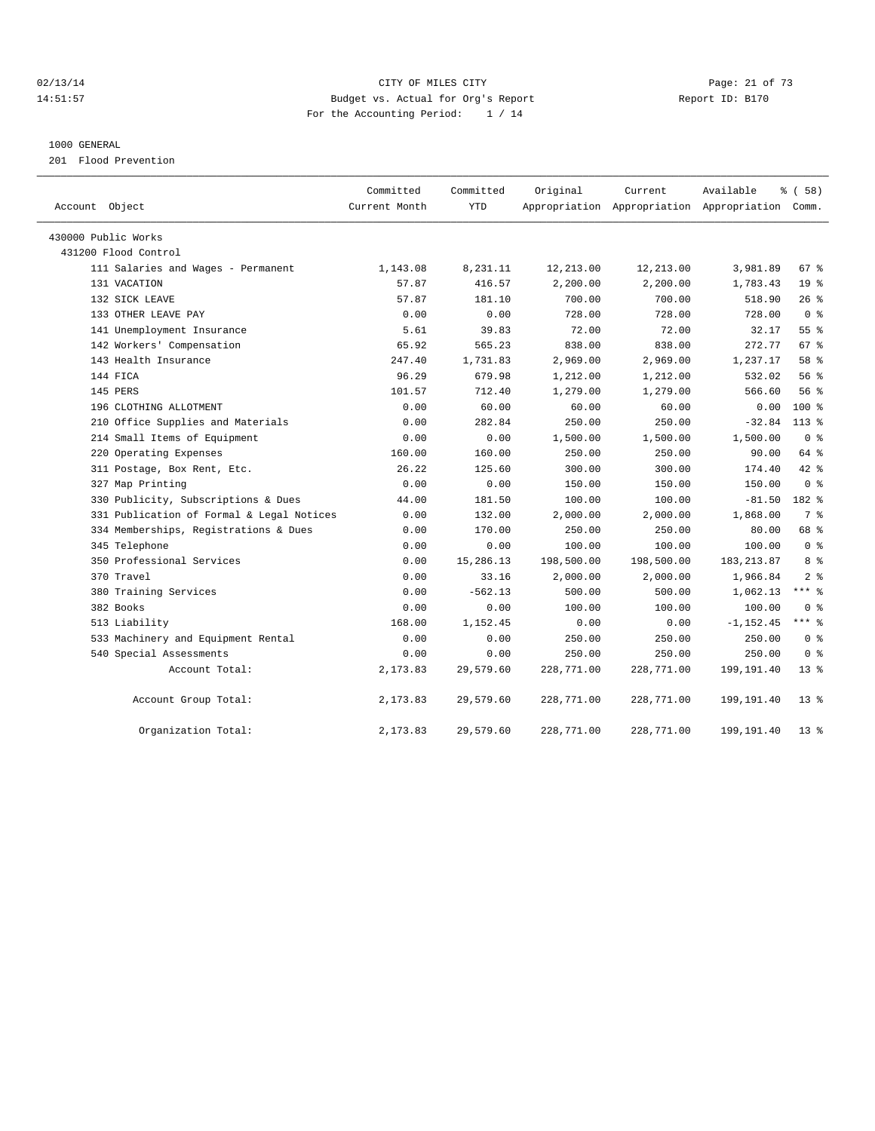## 02/13/14 Page: 21 of 73 14:51:57 Budget vs. Actual for Org's Report Report ID: B170 For the Accounting Period: 1 / 14

#### 1000 GENERAL

201 Flood Prevention

| Account Object                            | Committed<br>Current Month | Committed<br><b>YTD</b> | Original   | Current    | Available<br>Appropriation Appropriation Appropriation Comm. | % (58)          |
|-------------------------------------------|----------------------------|-------------------------|------------|------------|--------------------------------------------------------------|-----------------|
| 430000 Public Works                       |                            |                         |            |            |                                                              |                 |
| 431200 Flood Control                      |                            |                         |            |            |                                                              |                 |
| 111 Salaries and Wages - Permanent        | 1,143.08                   | 8,231.11                | 12,213.00  | 12,213.00  | 3,981.89                                                     | 67 %            |
| 131 VACATION                              | 57.87                      | 416.57                  | 2,200.00   | 2,200.00   | 1,783.43                                                     | 19 <sup>°</sup> |
| 132 SICK LEAVE                            | 57.87                      | 181.10                  | 700.00     | 700.00     | 518.90                                                       | 26%             |
| 133 OTHER LEAVE PAY                       | 0.00                       | 0.00                    | 728.00     | 728.00     | 728.00                                                       | 0 <sup>8</sup>  |
| 141 Unemployment Insurance                | 5.61                       | 39.83                   | 72.00      | 72.00      | 32.17                                                        | 55 <sup>8</sup> |
| 142 Workers' Compensation                 | 65.92                      | 565.23                  | 838.00     | 838.00     | 272.77                                                       | $67$ $%$        |
| 143 Health Insurance                      | 247.40                     | 1,731.83                | 2,969.00   | 2,969.00   | 1,237.17                                                     | 58 %            |
| 144 FICA                                  | 96.29                      | 679.98                  | 1,212.00   | 1,212.00   | 532.02                                                       | 56%             |
| 145 PERS                                  | 101.57                     | 712.40                  | 1,279.00   | 1,279.00   | 566.60                                                       | 56%             |
| 196 CLOTHING ALLOTMENT                    | 0.00                       | 60.00                   | 60.00      | 60.00      | 0.00                                                         | $100*$          |
| 210 Office Supplies and Materials         | 0.00                       | 282.84                  | 250.00     | 250.00     | $-32.84$                                                     | $113$ %         |
| 214 Small Items of Equipment              | 0.00                       | 0.00                    | 1,500.00   | 1,500.00   | 1,500.00                                                     | 0 <sup>8</sup>  |
| 220 Operating Expenses                    | 160.00                     | 160.00                  | 250.00     | 250.00     | 90.00                                                        | 64 %            |
| 311 Postage, Box Rent, Etc.               | 26.22                      | 125.60                  | 300.00     | 300.00     | 174.40                                                       | 42.8            |
| 327 Map Printing                          | 0.00                       | 0.00                    | 150.00     | 150.00     | 150.00                                                       | 0 <sup>8</sup>  |
| 330 Publicity, Subscriptions & Dues       | 44.00                      | 181.50                  | 100.00     | 100.00     | $-81.50$                                                     | 182 %           |
| 331 Publication of Formal & Legal Notices | 0.00                       | 132.00                  | 2,000.00   | 2,000.00   | 1,868.00                                                     | 7 <sup>°</sup>  |
| 334 Memberships, Registrations & Dues     | 0.00                       | 170.00                  | 250.00     | 250.00     | 80.00                                                        | 68 %            |
| 345 Telephone                             | 0.00                       | 0.00                    | 100.00     | 100.00     | 100.00                                                       | 0 <sup>8</sup>  |
| 350 Professional Services                 | 0.00                       | 15,286.13               | 198,500.00 | 198,500.00 | 183, 213.87                                                  | 8 %             |
| 370 Travel                                | 0.00                       | 33.16                   | 2,000.00   | 2,000.00   | 1,966.84                                                     | 2 <sup>8</sup>  |
| 380 Training Services                     | 0.00                       | $-562.13$               | 500.00     | 500.00     | 1,062.13                                                     | $***$ 8         |
| 382 Books                                 | 0.00                       | 0.00                    | 100.00     | 100.00     | 100.00                                                       | 0 <sup>8</sup>  |
| 513 Liability                             | 168.00                     | 1,152.45                | 0.00       | 0.00       | $-1, 152.45$                                                 | $***$ $=$       |
| 533 Machinery and Equipment Rental        | 0.00                       | 0.00                    | 250.00     | 250.00     | 250.00                                                       | 0 <sup>8</sup>  |
| 540 Special Assessments                   | 0.00                       | 0.00                    | 250.00     | 250.00     | 250.00                                                       | 0 <sup>8</sup>  |
| Account Total:                            | 2,173.83                   | 29,579.60               | 228,771.00 | 228,771.00 | 199,191.40                                                   | $13*$           |
| Account Group Total:                      | 2,173.83                   | 29,579.60               | 228,771.00 | 228,771.00 | 199,191.40                                                   | 13 <sup>°</sup> |
| Organization Total:                       | 2,173.83                   | 29,579.60               | 228,771.00 | 228,771.00 | 199,191.40                                                   | $13*$           |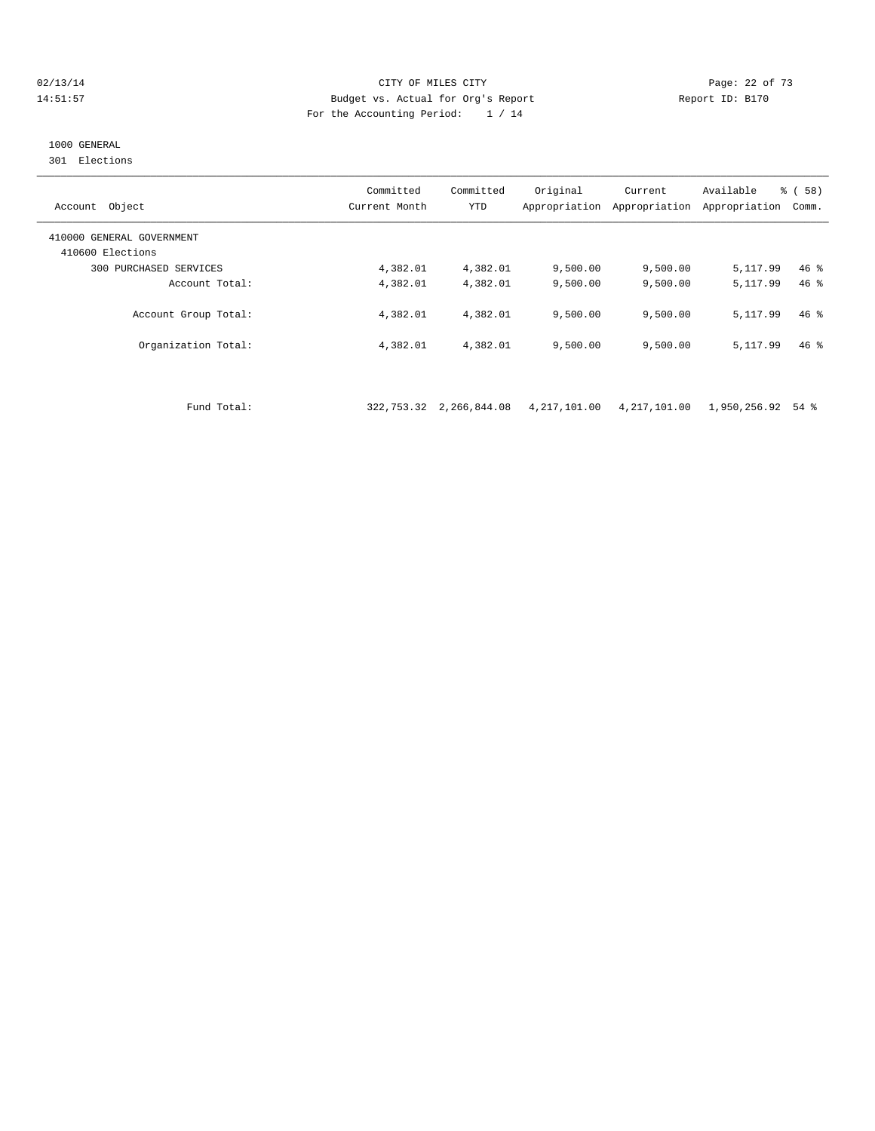#### 02/13/14 Page: 22 of 73 14:51:57 Budget vs. Actual for Org's Report Report ID: B170 For the Accounting Period: 1 / 14

# 1000 GENERAL

301 Elections

| Object<br>Account                             | Committed<br>Current Month | Committed<br><b>YTD</b> | Original<br>Appropriation | Current<br>Appropriation | Available<br>Appropriation | % (58)<br>Comm. |
|-----------------------------------------------|----------------------------|-------------------------|---------------------------|--------------------------|----------------------------|-----------------|
| 410000 GENERAL GOVERNMENT<br>410600 Elections |                            |                         |                           |                          |                            |                 |
| PURCHASED SERVICES<br>300                     | 4,382.01                   | 4,382.01                | 9,500.00                  | 9,500.00                 | 5, 117.99                  | $46*$           |
| Account Total:                                | 4,382.01                   | 4,382.01                | 9.500.00                  | 9.500.00                 | 5, 117.99                  | $46*$           |
| Account Group Total:                          | 4,382.01                   | 4,382.01                | 9.500.00                  | 9.500.00                 | 5,117.99                   | $46*$           |
| Organization Total:                           | 4,382.01                   | 4,382.01                | 9,500.00                  | 9,500.00                 | 5, 117, 99                 | $46*$           |

Fund Total: 322,753.32 2,266,844.08 4,217,101.00 4,217,101.00 1,950,256.92 54 %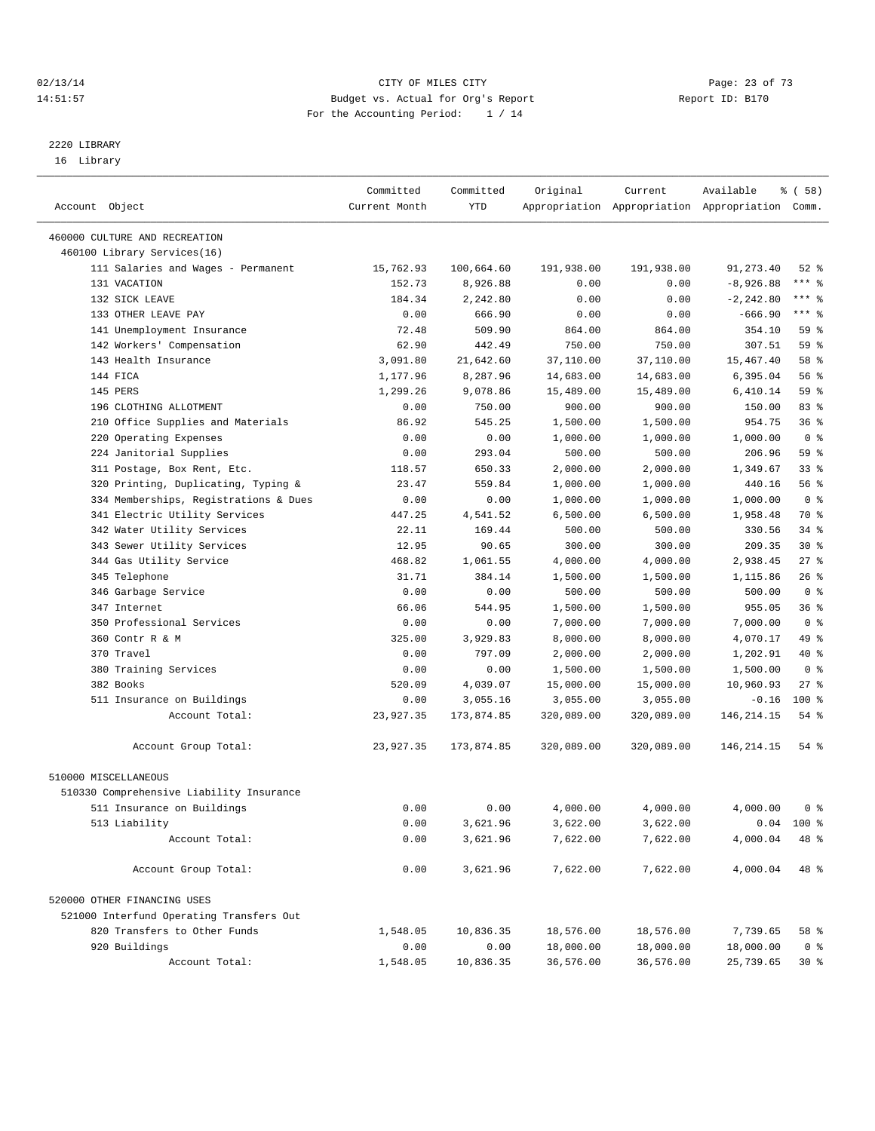#### 02/13/14 Page: 23 of 73 14:51:57 Budget vs. Actual for Org's Report Report ID: B170 For the Accounting Period: 1 / 14

————————————————————————————————————————————————————————————————————————————————————————————————————————————————————————————————————

# 2220 LIBRARY

16 Library

|                                          | Committed     | Committed  | Original   | Current    | Available                                       | १ ( 58 )       |
|------------------------------------------|---------------|------------|------------|------------|-------------------------------------------------|----------------|
| Account Object                           | Current Month | YTD        |            |            | Appropriation Appropriation Appropriation Comm. |                |
|                                          |               |            |            |            |                                                 |                |
| 460000 CULTURE AND RECREATION            |               |            |            |            |                                                 |                |
| 460100 Library Services(16)              |               |            |            |            |                                                 |                |
| 111 Salaries and Wages - Permanent       | 15,762.93     | 100,664.60 | 191,938.00 | 191,938.00 | 91, 273.40                                      | $52$ $%$       |
| 131 VACATION                             | 152.73        | 8,926.88   | 0.00       | 0.00       | $-8,926.88$                                     | *** %          |
| 132 SICK LEAVE                           | 184.34        | 2,242.80   | 0.00       | 0.00       | $-2, 242.80$                                    | *** %          |
| 133 OTHER LEAVE PAY                      | 0.00          | 666.90     | 0.00       | 0.00       | $-666.90$                                       | *** %          |
| 141 Unemployment Insurance               | 72.48         | 509.90     | 864.00     | 864.00     | 354.10                                          | 59 %           |
| 142 Workers' Compensation                | 62.90         | 442.49     | 750.00     | 750.00     | 307.51                                          | 59 %           |
| 143 Health Insurance                     | 3,091.80      | 21,642.60  | 37,110.00  | 37,110.00  | 15,467.40                                       | 58 %           |
| 144 FICA                                 | 1,177.96      | 8,287.96   | 14,683.00  | 14,683.00  | 6,395.04                                        | 56 %           |
| 145 PERS                                 | 1,299.26      | 9,078.86   | 15,489.00  | 15,489.00  | 6,410.14                                        | 59 %           |
| 196 CLOTHING ALLOTMENT                   | 0.00          | 750.00     | 900.00     | 900.00     | 150.00                                          | 83 %           |
| 210 Office Supplies and Materials        | 86.92         | 545.25     | 1,500.00   | 1,500.00   | 954.75                                          | 36%            |
| 220 Operating Expenses                   | 0.00          | 0.00       | 1,000.00   | 1,000.00   | 1,000.00                                        | 0 <sup>8</sup> |
| 224 Janitorial Supplies                  | 0.00          | 293.04     | 500.00     | 500.00     | 206.96                                          | 59 %           |
| 311 Postage, Box Rent, Etc.              | 118.57        | 650.33     | 2,000.00   | 2,000.00   | 1,349.67                                        | $33$ $%$       |
| 320 Printing, Duplicating, Typing &      | 23.47         | 559.84     | 1,000.00   | 1,000.00   | 440.16                                          | 56 %           |
| 334 Memberships, Registrations & Dues    | 0.00          | 0.00       | 1,000.00   | 1,000.00   | 1,000.00                                        | 0 <sup>8</sup> |
| 341 Electric Utility Services            | 447.25        | 4,541.52   | 6,500.00   | 6,500.00   | 1,958.48                                        | 70 %           |
| 342 Water Utility Services               | 22.11         | 169.44     | 500.00     | 500.00     | 330.56                                          | 34 %           |
| 343 Sewer Utility Services               | 12.95         | 90.65      | 300.00     | 300.00     | 209.35                                          | $30*$          |
| 344 Gas Utility Service                  | 468.82        | 1,061.55   | 4,000.00   | 4,000.00   | 2,938.45                                        | $27$ %         |
| 345 Telephone                            | 31.71         | 384.14     | 1,500.00   | 1,500.00   | 1,115.86                                        | $26$ %         |
| 346 Garbage Service                      | 0.00          | 0.00       | 500.00     | 500.00     | 500.00                                          | 0 <sup>8</sup> |
| 347 Internet                             | 66.06         | 544.95     | 1,500.00   | 1,500.00   | 955.05                                          | 36%            |
| 350 Professional Services                | 0.00          | 0.00       | 7,000.00   | 7,000.00   | 7,000.00                                        | 0 <sup>8</sup> |
| 360 Contr R & M                          | 325.00        | 3,929.83   | 8,000.00   | 8,000.00   | 4,070.17                                        | 49 %           |
| 370 Travel                               | 0.00          | 797.09     | 2,000.00   | 2,000.00   | 1,202.91                                        | 40 %           |
| 380 Training Services                    | 0.00          | 0.00       | 1,500.00   | 1,500.00   | 1,500.00                                        | 0 <sup>8</sup> |
| 382 Books                                | 520.09        | 4,039.07   | 15,000.00  | 15,000.00  | 10,960.93                                       | $27$ %         |
| 511 Insurance on Buildings               | 0.00          | 3,055.16   | 3,055.00   | 3,055.00   | $-0.16$                                         | $100*$         |
| Account Total:                           | 23,927.35     | 173,874.85 | 320,089.00 | 320,089.00 | 146, 214. 15                                    | 54 %           |
| Account Group Total:                     | 23,927.35     | 173,874.85 | 320,089.00 | 320,089.00 | 146, 214. 15                                    | 54 %           |
| 510000 MISCELLANEOUS                     |               |            |            |            |                                                 |                |
| 510330 Comprehensive Liability Insurance |               |            |            |            |                                                 |                |
| 511 Insurance on Buildings               | 0.00          | 0.00       | 4,000.00   | 4,000.00   | 4,000.00                                        | 0 <sup>8</sup> |
| 513 Liability                            | 0.00          | 3,621.96   | 3,622.00   | 3,622.00   |                                                 | $0.04$ 100 %   |
| Account Total:                           | 0.00          | 3,621.96   | 7,622.00   | 7,622.00   | 4,000.04                                        | 48 %           |
|                                          |               |            |            |            |                                                 |                |
| Account Group Total:                     | 0.00          | 3,621.96   | 7,622.00   | 7,622.00   | 4,000.04                                        | 48 %           |
| 520000 OTHER FINANCING USES              |               |            |            |            |                                                 |                |
| 521000 Interfund Operating Transfers Out |               |            |            |            |                                                 |                |
| 820 Transfers to Other Funds             | 1,548.05      | 10,836.35  | 18,576.00  | 18,576.00  | 7,739.65                                        | 58 %           |
| 920 Buildings                            | 0.00          | 0.00       | 18,000.00  | 18,000.00  | 18,000.00                                       | 0 <sup>8</sup> |
| Account Total:                           | 1,548.05      | 10,836.35  | 36,576.00  | 36,576.00  | 25,739.65                                       | $30*$          |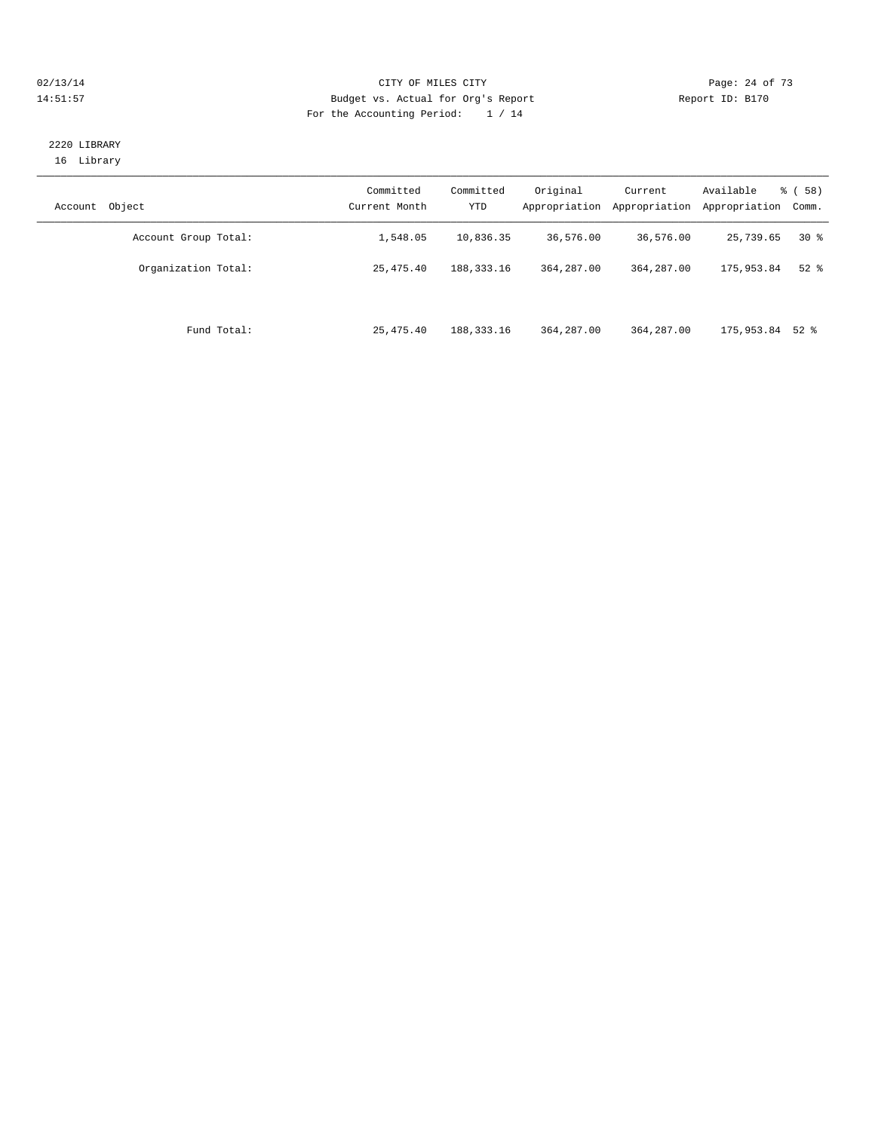#### $O2/13/14$  Page: 24 of 73 14:51:57 Budget vs. Actual for Org's Report Report ID: B170 For the Accounting Period: 1 / 14

#### 2220 LIBRARY 16 Library

| Object<br>Account    | Committed<br>Current Month | Committed<br><b>YTD</b> | Original<br>Appropriation | Current<br>Appropriation | Available<br>Appropriation | % (58)<br>Comm. |
|----------------------|----------------------------|-------------------------|---------------------------|--------------------------|----------------------------|-----------------|
| Account Group Total: | 1,548.05                   | 10,836.35               | 36,576.00                 | 36,576.00                | 25,739.65                  | $30*$           |
| Organization Total:  | 25, 475, 40                | 188, 333, 16            | 364, 287, 00              | 364, 287, 00             | 175,953.84                 | $52$ $%$        |
| Fund Total:          | 25, 475, 40                | 188, 333, 16            | 364, 287, 00              | 364, 287, 00             | 175,953.84 52 %            |                 |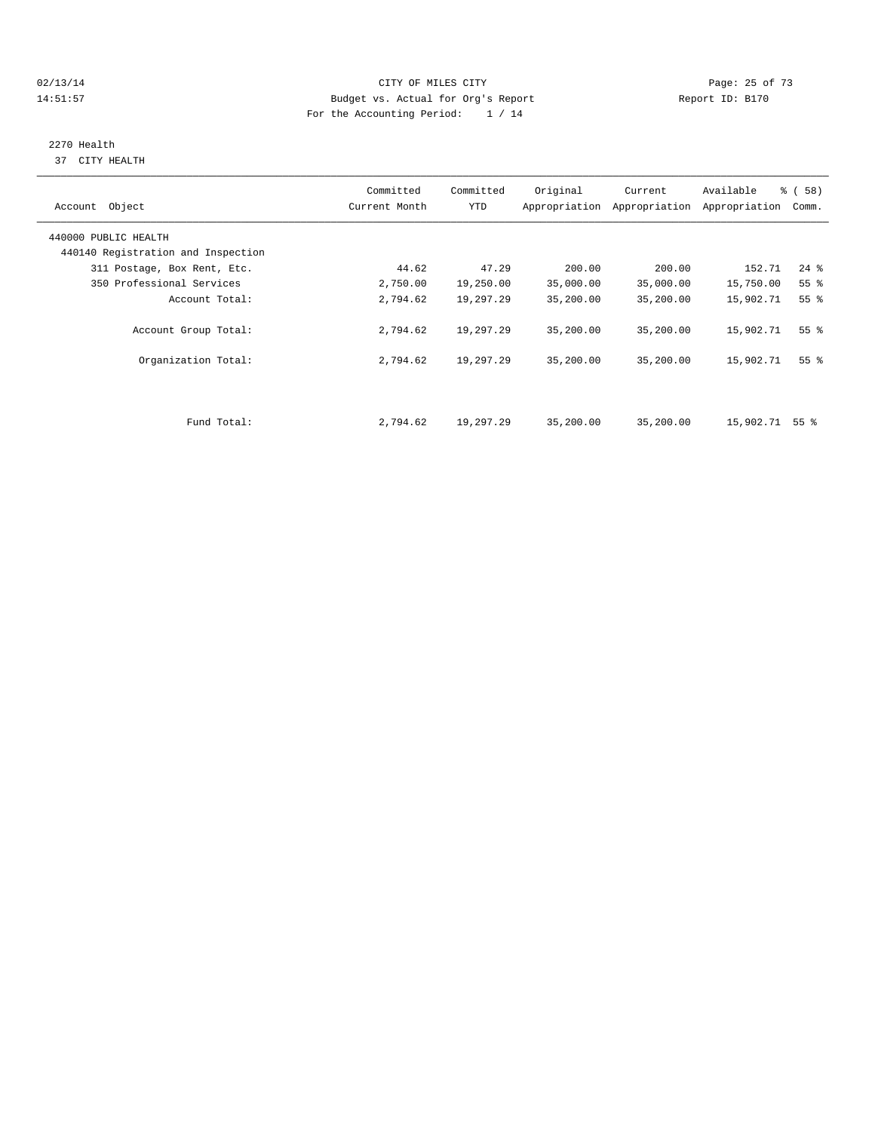$O(13/14$   $O(13/14)$   $O(13/14)$   $O(13/14)$   $O(13/14)$   $O(13/14)$   $O(13/14)$   $O(13/14)$   $O(13/14)$ 14:51:57 Budget vs. Actual for Org's Report Report ID: B170 For the Accounting Period: 1 / 14

# 2270 Health

37 CITY HEALTH

| Account Object                     | Committed<br>Current Month | Committed<br>YTD | Original  | Current<br>Appropriation Appropriation | Available<br>Appropriation | <sub>ර</sub> ි (58)<br>Comm. |
|------------------------------------|----------------------------|------------------|-----------|----------------------------------------|----------------------------|------------------------------|
| 440000 PUBLIC HEALTH               |                            |                  |           |                                        |                            |                              |
| 440140 Registration and Inspection |                            |                  |           |                                        |                            |                              |
| 311 Postage, Box Rent, Etc.        | 44.62                      | 47.29            | 200.00    | 200.00                                 | 152.71                     | $24$ $%$                     |
| 350 Professional Services          | 2,750.00                   | 19,250.00        | 35,000.00 | 35,000.00                              | 15,750.00                  | 55%                          |
| Account Total:                     | 2,794.62                   | 19,297.29        | 35,200.00 | 35,200.00                              | 15,902.71                  | 55%                          |
| Account Group Total:               | 2,794.62                   | 19,297.29        | 35,200.00 | 35,200.00                              | 15,902.71                  | $55$ $%$                     |
| Organization Total:                | 2,794.62                   | 19,297.29        | 35,200.00 | 35,200.00                              | 15,902.71                  | 55 <sup>8</sup>              |
|                                    |                            |                  |           |                                        |                            |                              |
| Fund Total:                        | 2,794.62                   | 19,297.29        | 35,200.00 | 35,200.00                              | 15,902.71                  | 55 <sup>8</sup>              |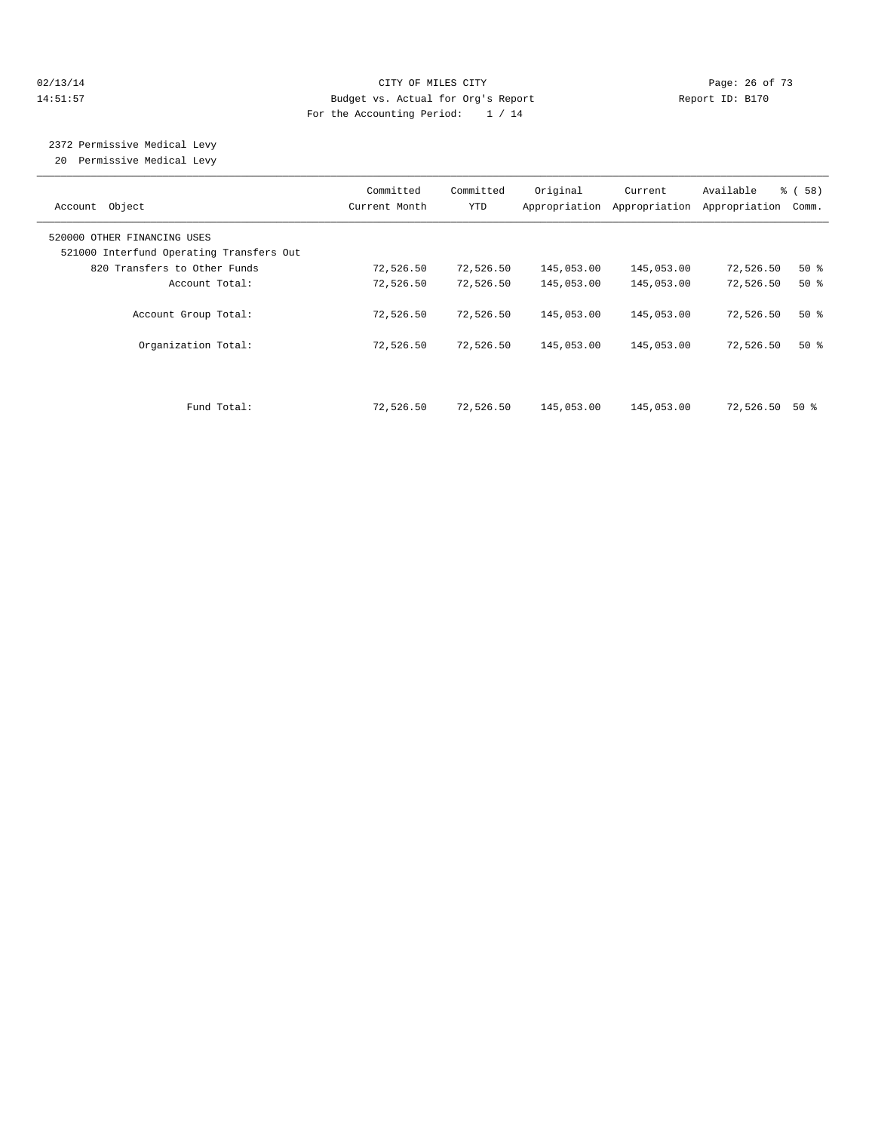#### 02/13/14 Page: 26 of 73 14:51:57 Budget vs. Actual for Org's Report Report ID: B170 For the Accounting Period: 1 / 14

 2372 Permissive Medical Levy 20 Permissive Medical Levy

———————————————————————————————————————————————————————————————————————————————————————————————————————————————————————————————————— Committed Committed Original Current Available % ( 58) Account Object Current Month YTD Appropriation Appropriation Appropriation Comm. ———————————————————————————————————————————————————————————————————————————————————————————————————————————————————————————————————— 520000 OTHER FINANCING USES 521000 Interfund Operating Transfers Out 820 Transfers to Other Funds 72,526.50 72,526.50 145,053.00 145,053.00 72,526.50 50 % Account Total: 72,526.50 72,526.50 145,053.00 145,053.00 72,526.50 50 % Account Group Total: 72,526.50 72,526.50 145,053.00 145,053.00 72,526.50 50 % Organization Total: 72,526.50 72,526.50 145,053.00 145,053.00 72,526.50 50 % Fund Total: 72,526.50 72,526.50 145,053.00 145,053.00 72,526.50 50 %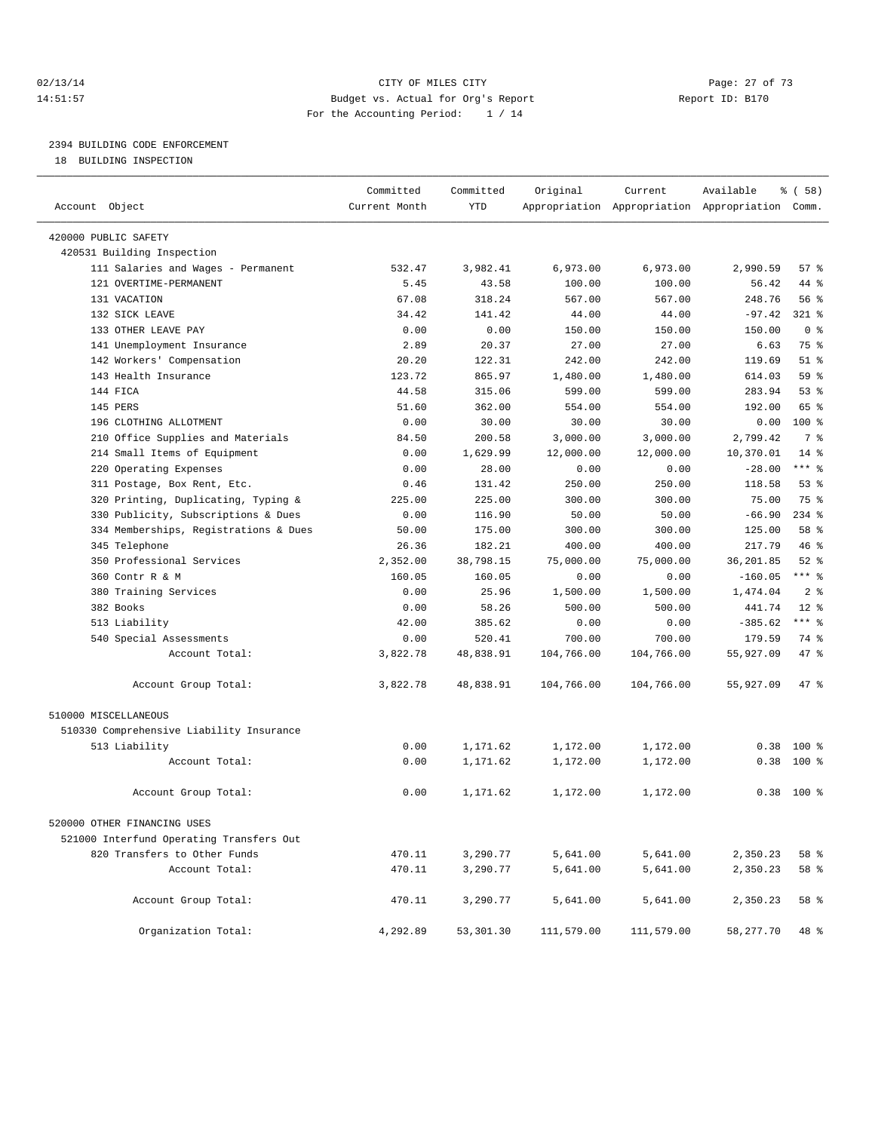## 02/13/14 Page: 27 of 73 14:51:57 Budget vs. Actual for Org's Report Report ID: B170 For the Accounting Period: 1 / 14

————————————————————————————————————————————————————————————————————————————————————————————————————————————————————————————————————

# 2394 BUILDING CODE ENFORCEMENT

18 BUILDING INSPECTION

|                                          | Committed     | Committed | Original   | Current    | Available                                       | % ( 58 )        |  |
|------------------------------------------|---------------|-----------|------------|------------|-------------------------------------------------|-----------------|--|
| Account Object                           | Current Month | YTD       |            |            | Appropriation Appropriation Appropriation Comm. |                 |  |
| 420000 PUBLIC SAFETY                     |               |           |            |            |                                                 |                 |  |
| 420531 Building Inspection               |               |           |            |            |                                                 |                 |  |
| 111 Salaries and Wages - Permanent       | 532.47        | 3,982.41  | 6,973.00   | 6,973.00   | 2,990.59                                        | 57%             |  |
| 121 OVERTIME-PERMANENT                   | 5.45          | 43.58     | 100.00     | 100.00     | 56.42                                           | 44 %            |  |
| 131 VACATION                             | 67.08         | 318.24    | 567.00     | 567.00     | 248.76                                          | 56%             |  |
| 132 SICK LEAVE                           | 34.42         | 141.42    | 44.00      | 44.00      | $-97.42$                                        | $321$ %         |  |
| 133 OTHER LEAVE PAY                      | 0.00          | 0.00      | 150.00     | 150.00     | 150.00                                          | 0 <sup>8</sup>  |  |
| 141 Unemployment Insurance               | 2.89          | 20.37     | 27.00      | 27.00      | 6.63                                            | 75 %            |  |
| 142 Workers' Compensation                | 20.20         | 122.31    | 242.00     | 242.00     | 119.69                                          | $51$ %          |  |
| 143 Health Insurance                     | 123.72        | 865.97    | 1,480.00   | 1,480.00   | 614.03                                          | 59 <sub>8</sub> |  |
| 144 FICA                                 | 44.58         | 315.06    | 599.00     | 599.00     | 283.94                                          | $53$ $%$        |  |
| 145 PERS                                 | 51.60         | 362.00    | 554.00     | 554.00     | 192.00                                          | 65 %            |  |
| 196 CLOTHING ALLOTMENT                   | 0.00          | 30.00     | 30.00      | 30.00      | 0.00                                            | 100 %           |  |
| 210 Office Supplies and Materials        | 84.50         | 200.58    | 3,000.00   | 3,000.00   | 2,799.42                                        | 7 %             |  |
| 214 Small Items of Equipment             | 0.00          | 1,629.99  | 12,000.00  | 12,000.00  | 10,370.01                                       | $14$ %          |  |
| 220 Operating Expenses                   | 0.00          | 28.00     | 0.00       | 0.00       | $-28.00$                                        | *** %           |  |
| 311 Postage, Box Rent, Etc.              | 0.46          | 131.42    | 250.00     | 250.00     | 118.58                                          | $53$ $%$        |  |
| 320 Printing, Duplicating, Typing &      | 225.00        | 225.00    | 300.00     | 300.00     | 75.00                                           | 75 %            |  |
| 330 Publicity, Subscriptions & Dues      | 0.00          | 116.90    | 50.00      | 50.00      | $-66.90$                                        | $234$ %         |  |
| 334 Memberships, Registrations & Dues    | 50.00         | 175.00    | 300.00     | 300.00     | 125.00                                          | 58 %            |  |
| 345 Telephone                            | 26.36         | 182.21    | 400.00     | 400.00     | 217.79                                          | 46 %            |  |
| 350 Professional Services                | 2,352.00      | 38,798.15 | 75,000.00  | 75,000.00  | 36,201.85                                       | $52$ $%$        |  |
| 360 Contr R & M                          | 160.05        | 160.05    | 0.00       | 0.00       | $-160.05$                                       | *** %           |  |
| 380 Training Services                    | 0.00          | 25.96     | 1,500.00   | 1,500.00   | 1,474.04                                        | 2 <sup>8</sup>  |  |
| 382 Books                                | 0.00          | 58.26     | 500.00     | 500.00     | 441.74                                          | $12*$           |  |
| 513 Liability                            | 42.00         | 385.62    | 0.00       | 0.00       | $-385.62$                                       | *** %           |  |
| 540 Special Assessments                  | 0.00          | 520.41    | 700.00     | 700.00     | 179.59                                          | 74 %            |  |
| Account Total:                           | 3,822.78      | 48,838.91 | 104,766.00 | 104,766.00 | 55,927.09                                       | 47 %            |  |
| Account Group Total:                     | 3,822.78      | 48,838.91 | 104,766.00 | 104,766.00 | 55,927.09                                       | 47 %            |  |
| 510000 MISCELLANEOUS                     |               |           |            |            |                                                 |                 |  |
| 510330 Comprehensive Liability Insurance |               |           |            |            |                                                 |                 |  |
| 513 Liability                            | 0.00          | 1,171.62  | 1,172.00   | 1,172.00   |                                                 | $0.38$ 100 %    |  |
| Account Total:                           | 0.00          | 1,171.62  | 1,172.00   | 1,172.00   | 0.38                                            | $100*$          |  |
| Account Group Total:                     | 0.00          | 1,171.62  | 1,172.00   | 1,172.00   |                                                 | $0.38$ 100 %    |  |
| 520000 OTHER FINANCING USES              |               |           |            |            |                                                 |                 |  |
| 521000 Interfund Operating Transfers Out |               |           |            |            |                                                 |                 |  |
| 820 Transfers to Other Funds             | 470.11        | 3,290.77  | 5,641.00   | 5,641.00   | 2,350.23                                        | 58 %            |  |
| Account Total:                           | 470.11        | 3,290.77  | 5,641.00   | 5,641.00   | 2,350.23                                        | 58 %            |  |
|                                          |               |           |            |            |                                                 |                 |  |
| Account Group Total:                     | 470.11        | 3,290.77  | 5,641.00   | 5,641.00   | 2,350.23                                        | 58 %            |  |
| Organization Total:                      | 4,292.89      | 53,301.30 | 111,579.00 | 111,579.00 | 58,277.70                                       | 48 %            |  |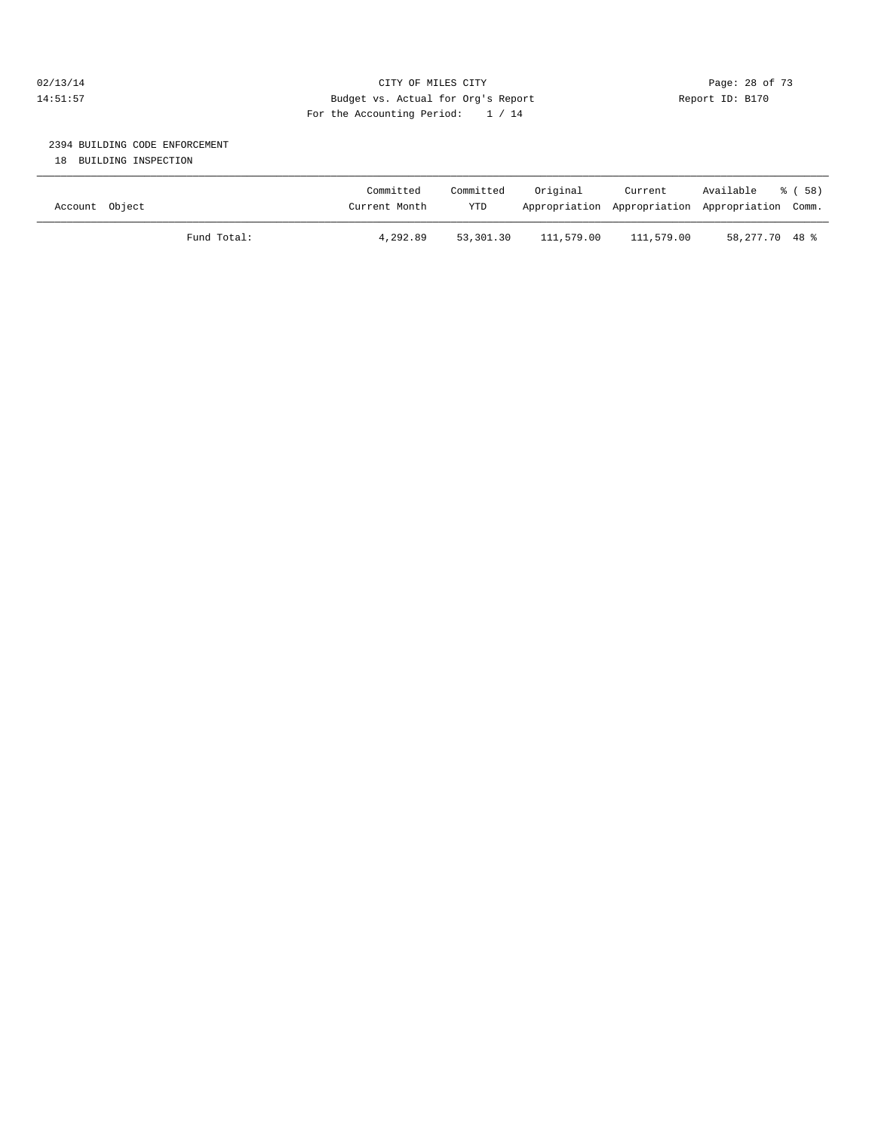## 02/13/14 Page: 28 of 73 14:51:57 Budget vs. Actual for Org's Report Report ID: B170 For the Accounting Period: 1 / 14

# 2394 BUILDING CODE ENFORCEMENT

18 BUILDING INSPECTION

| Account Object |             | Committed<br>Current Month | Committed<br><b>YTD</b> | Original   | Current<br>Appropriation Appropriation Appropriation Comm. | Available      | ී ( 58 ) |
|----------------|-------------|----------------------------|-------------------------|------------|------------------------------------------------------------|----------------|----------|
|                | Fund Total: | 4,292.89                   | 53,301.30               | 111,579.00 | 111,579.00                                                 | 58,277.70 48 % |          |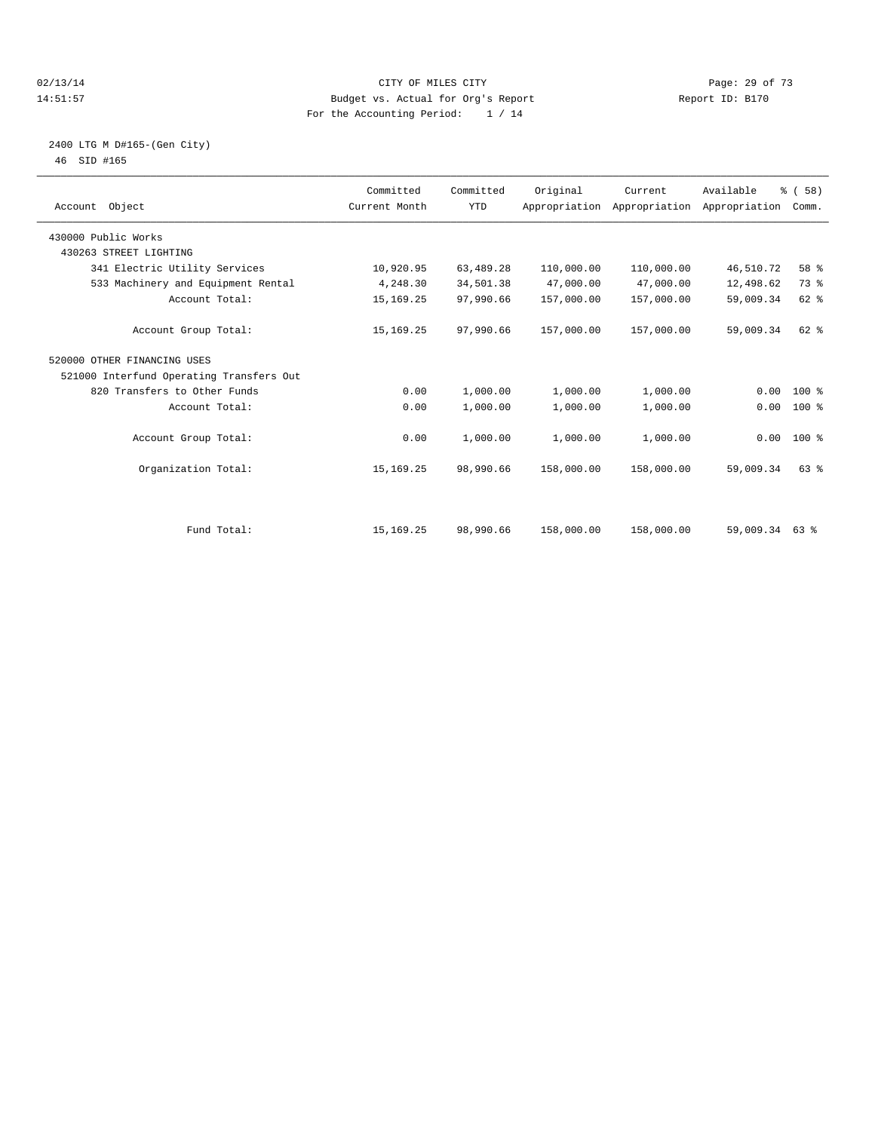#### $O(13/14$   $O(13/14)$   $O(13/14)$   $O(15/14)$   $O(15/14)$   $O(15/14)$   $O(15/14)$   $O(15/14)$   $O(15/14)$   $O(15/14)$   $O(15/14)$   $O(15/14)$   $O(15/14)$   $O(15/14)$   $O(15/14)$   $O(15/14)$   $O(15/14)$   $O(15/14)$   $O(15/14)$   $O(15/14)$   $O$ 14:51:57 Budget vs. Actual for Org's Report Report ID: B170 For the Accounting Period: 1 / 14

#### 2400 LTG M D#165-(Gen City) 46 SID #165

|                                          | Committed     | Committed  | Original   | Current                                   | Available      | % (58)       |  |
|------------------------------------------|---------------|------------|------------|-------------------------------------------|----------------|--------------|--|
| Account Object                           | Current Month | <b>YTD</b> |            | Appropriation Appropriation Appropriation |                | Comm.        |  |
| 430000 Public Works                      |               |            |            |                                           |                |              |  |
| 430263 STREET LIGHTING                   |               |            |            |                                           |                |              |  |
| 341 Electric Utility Services            | 10,920.95     | 63,489.28  | 110,000.00 | 110,000.00                                | 46,510.72      | 58 %         |  |
| 533 Machinery and Equipment Rental       | 4,248.30      | 34,501.38  | 47,000.00  | 47,000.00                                 | 12,498.62      | 73 %         |  |
| Account Total:                           | 15, 169. 25   | 97,990.66  | 157,000.00 | 157,000.00                                | 59,009.34      | 62 %         |  |
| Account Group Total:                     | 15, 169. 25   | 97,990.66  | 157,000.00 | 157,000.00                                | 59,009.34      | $62$ $%$     |  |
| 520000 OTHER FINANCING USES              |               |            |            |                                           |                |              |  |
| 521000 Interfund Operating Transfers Out |               |            |            |                                           |                |              |  |
| 820 Transfers to Other Funds             | 0.00          | 1,000.00   | 1,000.00   | 1,000.00                                  | 0.00           | 100 %        |  |
| Account Total:                           | 0.00          | 1,000.00   | 1,000.00   | 1,000.00                                  | 0.00           | 100 %        |  |
| Account Group Total:                     | 0.00          | 1,000.00   | 1,000.00   | 1,000.00                                  |                | $0.00$ 100 % |  |
| Organization Total:                      | 15, 169. 25   | 98,990.66  | 158,000.00 | 158,000.00                                | 59,009.34      | 63%          |  |
|                                          |               |            |            |                                           |                |              |  |
| Fund Total:                              | 15, 169. 25   | 98,990.66  | 158,000.00 | 158,000.00                                | 59,009.34 63 % |              |  |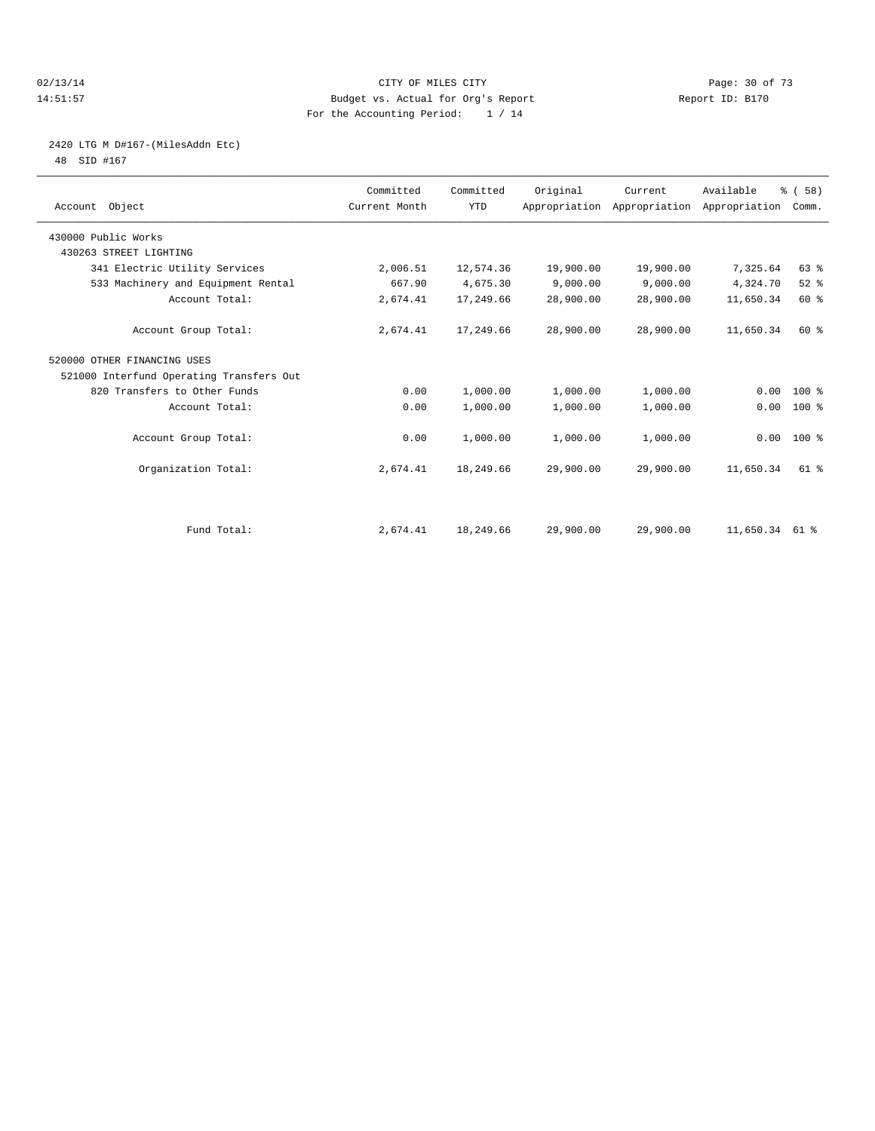#### 02/13/14 Page: 30 of 73 14:51:57 Budget vs. Actual for Org's Report Report ID: B170 For the Accounting Period: 1 / 14

# 2420 LTG M D#167-(MilesAddn Etc)

48 SID #167

| Account Object                           | Committed<br>Current Month | Committed<br><b>YTD</b> | Original  | Current<br>Appropriation Appropriation Appropriation | Available      | % (58)<br>Comm. |  |
|------------------------------------------|----------------------------|-------------------------|-----------|------------------------------------------------------|----------------|-----------------|--|
| 430000 Public Works                      |                            |                         |           |                                                      |                |                 |  |
| 430263 STREET LIGHTING                   |                            |                         |           |                                                      |                |                 |  |
| 341 Electric Utility Services            | 2,006.51                   | 12,574.36               | 19,900.00 | 19,900.00                                            | 7,325.64       | 63 %            |  |
| 533 Machinery and Equipment Rental       | 667.90                     | 4,675.30                | 9,000.00  | 9,000.00                                             | 4,324.70       | $52$ $%$        |  |
| Account Total:                           | 2,674.41                   | 17,249.66               | 28,900.00 | 28,900.00                                            | 11,650.34      | 60 %            |  |
| Account Group Total:                     | 2,674.41                   | 17,249.66               | 28,900.00 | 28,900.00                                            | 11,650.34      | 60 %            |  |
| 520000 OTHER FINANCING USES              |                            |                         |           |                                                      |                |                 |  |
| 521000 Interfund Operating Transfers Out |                            |                         |           |                                                      |                |                 |  |
| 820 Transfers to Other Funds             | 0.00                       | 1,000.00                | 1,000.00  | 1,000.00                                             | 0.00           | $100*$          |  |
| Account Total:                           | 0.00                       | 1,000.00                | 1,000.00  | 1,000.00                                             | 0.00           | 100 %           |  |
| Account Group Total:                     | 0.00                       | 1,000.00                | 1,000.00  | 1,000.00                                             |                | $0.00$ 100 %    |  |
| Organization Total:                      | 2,674.41                   | 18,249.66               | 29,900.00 | 29,900.00                                            | 11,650.34      | 61 %            |  |
|                                          |                            |                         |           |                                                      |                |                 |  |
| Fund Total:                              | 2,674.41                   | 18,249.66               | 29,900.00 | 29,900.00                                            | 11,650.34 61 % |                 |  |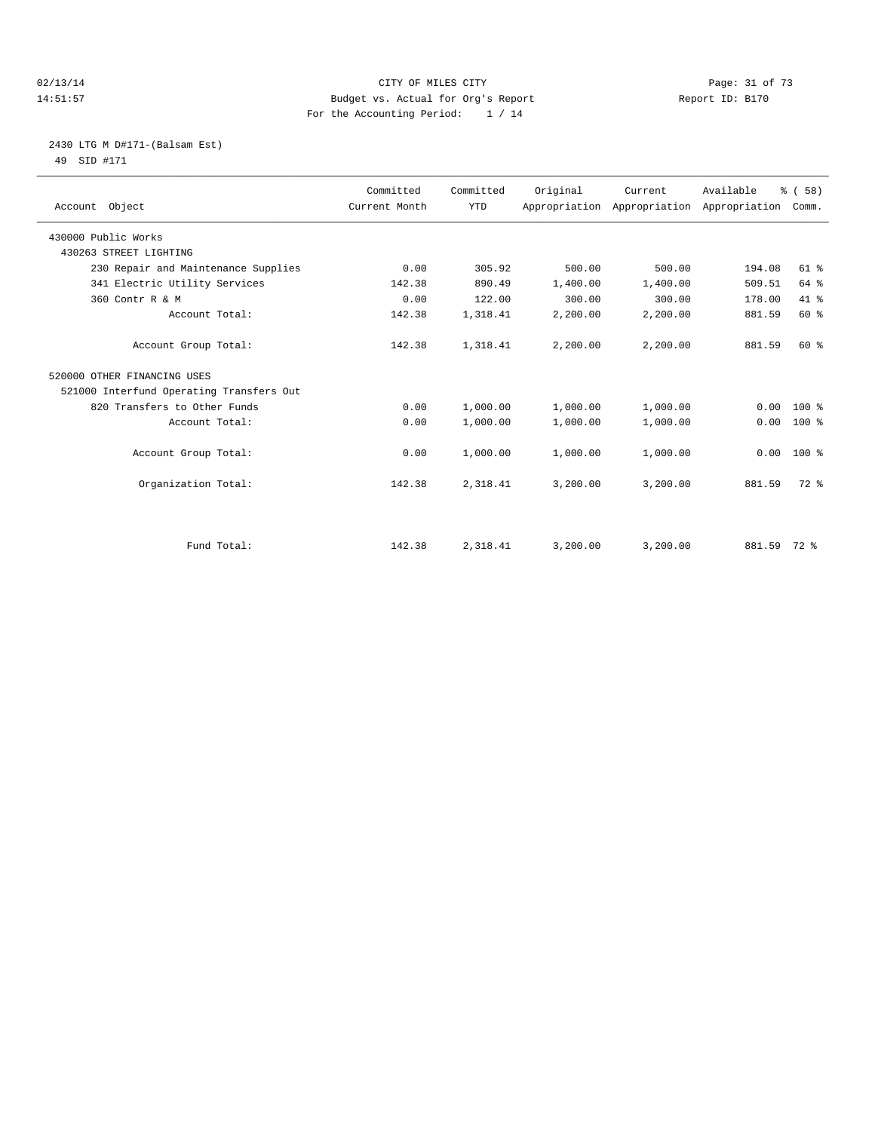#### 02/13/14 Page: 31 of 73 14:51:57 Budget vs. Actual for Org's Report Report ID: B170 For the Accounting Period: 1 / 14

# 2430 LTG M D#171-(Balsam Est) 49 SID #171

| Account Object                           | Committed<br>Current Month | Committed<br><b>YTD</b> | Original | Current  | Available<br>Appropriation Appropriation Appropriation | % (58)<br>Comm. |  |
|------------------------------------------|----------------------------|-------------------------|----------|----------|--------------------------------------------------------|-----------------|--|
| 430000 Public Works                      |                            |                         |          |          |                                                        |                 |  |
| 430263 STREET LIGHTING                   |                            |                         |          |          |                                                        |                 |  |
| 230 Repair and Maintenance Supplies      | 0.00                       | 305.92                  | 500.00   | 500.00   | 194.08                                                 | $61$ $%$        |  |
| 341 Electric Utility Services            | 142.38                     | 890.49                  | 1,400.00 | 1,400.00 | 509.51                                                 | 64 %            |  |
| 360 Contr R & M                          | 0.00                       | 122.00                  | 300.00   | 300.00   | 178.00                                                 | 41.8            |  |
| Account Total:                           | 142.38                     | 1,318.41                | 2,200.00 | 2,200.00 | 881.59                                                 | 60%             |  |
| Account Group Total:                     | 142.38                     | 1,318.41                | 2,200.00 | 2,200.00 | 881.59                                                 | 60 %            |  |
| 520000 OTHER FINANCING USES              |                            |                         |          |          |                                                        |                 |  |
| 521000 Interfund Operating Transfers Out |                            |                         |          |          |                                                        |                 |  |
| 820 Transfers to Other Funds             | 0.00                       | 1,000.00                | 1,000.00 | 1,000.00 | 0.00                                                   | $100*$          |  |
| Account Total:                           | 0.00                       | 1,000.00                | 1,000.00 | 1,000.00 | 0.00                                                   | 100 %           |  |
| Account Group Total:                     | 0.00                       | 1,000.00                | 1,000.00 | 1,000.00 | 0.00                                                   | 100 %           |  |
| Organization Total:                      | 142.38                     | 2,318.41                | 3,200.00 | 3,200.00 | 881.59                                                 | $72.$ %         |  |
|                                          |                            |                         |          |          |                                                        |                 |  |
| Fund Total:                              | 142.38                     | 2,318.41                | 3,200.00 | 3,200.00 | 881.59 72 %                                            |                 |  |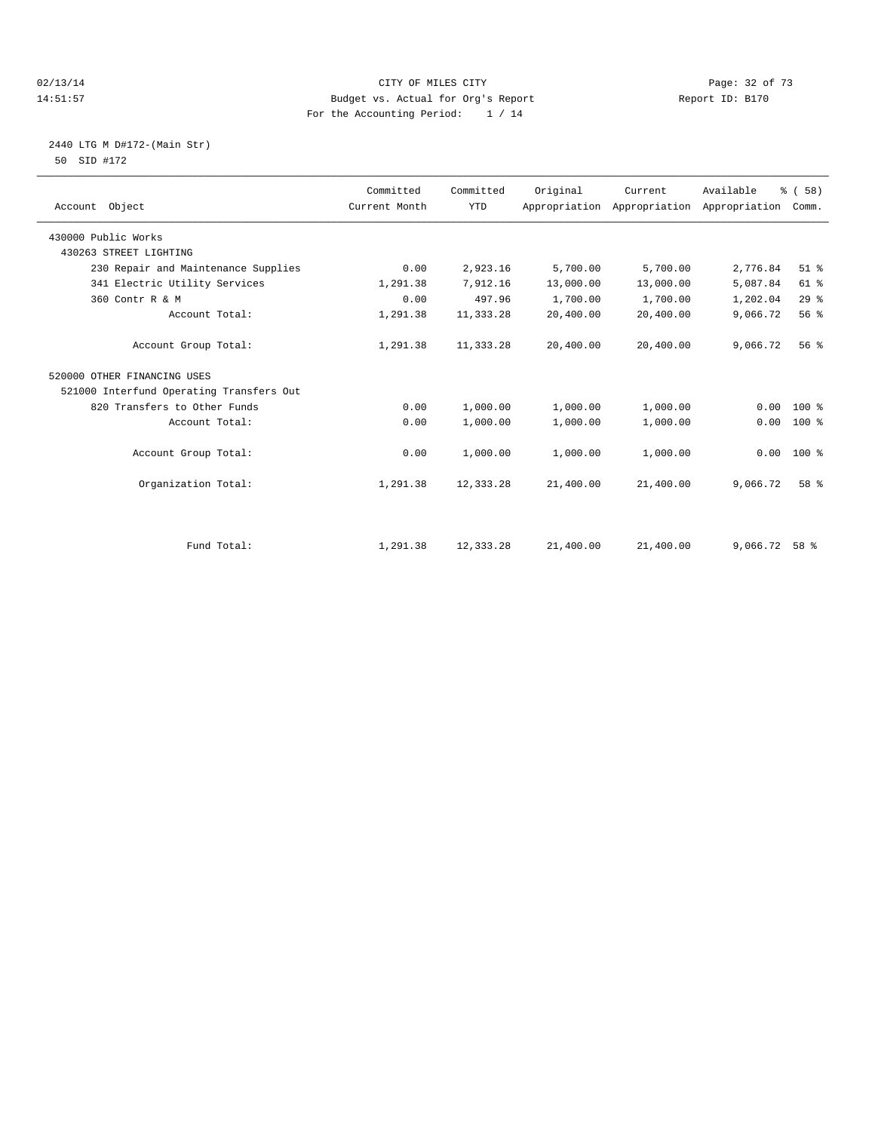#### 02/13/14 Page: 32 of 73 14:51:57 Budget vs. Actual for Org's Report Report ID: B170 For the Accounting Period: 1 / 14

# 2440 LTG M D#172-(Main Str) 50 SID #172

| Account Object                           | Committed<br>Current Month | Committed<br><b>YTD</b> | Original  | Current<br>Appropriation Appropriation | Available<br>Appropriation | % (58)<br>Comm. |
|------------------------------------------|----------------------------|-------------------------|-----------|----------------------------------------|----------------------------|-----------------|
| 430000 Public Works                      |                            |                         |           |                                        |                            |                 |
| 430263 STREET LIGHTING                   |                            |                         |           |                                        |                            |                 |
| 230 Repair and Maintenance Supplies      | 0.00                       | 2,923.16                | 5,700.00  | 5,700.00                               | 2,776.84                   | $51$ %          |
| 341 Electric Utility Services            | 1,291.38                   | 7,912.16                | 13,000.00 | 13,000.00                              | 5,087.84                   | 61 %            |
| 360 Contr R & M                          | 0.00                       | 497.96                  | 1,700.00  | 1,700.00                               | 1,202.04                   | 29%             |
| Account Total:                           | 1,291.38                   | 11,333.28               | 20,400.00 | 20,400.00                              | 9,066.72                   | 56 %            |
| Account Group Total:                     | 1,291.38                   | 11,333.28               | 20,400.00 | 20,400.00                              | 9,066.72                   | 56%             |
| 520000 OTHER FINANCING USES              |                            |                         |           |                                        |                            |                 |
| 521000 Interfund Operating Transfers Out |                            |                         |           |                                        |                            |                 |
| 820 Transfers to Other Funds             | 0.00                       | 1,000.00                | 1,000.00  | 1,000.00                               | 0.00                       | $100*$          |
| Account Total:                           | 0.00                       | 1,000.00                | 1,000.00  | 1,000.00                               | 0.00                       | $100*$          |
| Account Group Total:                     | 0.00                       | 1,000.00                | 1,000.00  | 1,000.00                               | 0.00                       | 100 %           |
| Organization Total:                      | 1,291.38                   | 12,333.28               | 21,400.00 | 21,400.00                              | 9,066.72                   | 58 %            |
| Fund Total:                              | 1,291.38                   | 12,333.28               | 21,400.00 | 21,400.00                              | 9,066.72                   | 58 %            |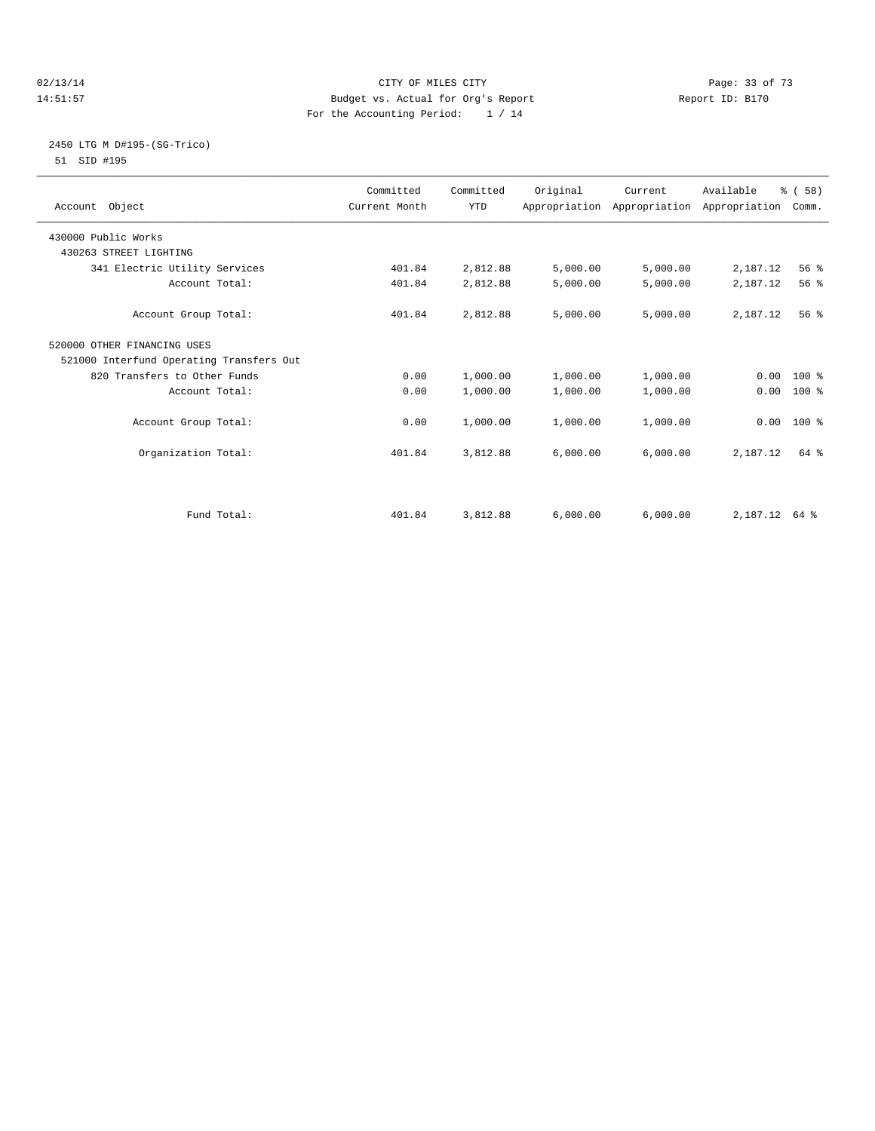#### $O(13/14$   $O(13/14)$   $O(13/14)$   $O(13/14)$   $O(13/14)$   $O(13/14)$   $O(13/14)$   $O(13/14)$ 14:51:57 Budget vs. Actual for Org's Report Report ID: B170 For the Accounting Period: 1 / 14

#### 2450 LTG M D#195-(SG-Trico) 51 SID #195

| Account Object                           | Committed<br>Current Month | Committed<br><b>YTD</b> | Original | Current  | Available<br>Appropriation Appropriation Appropriation | % (58)<br>Comm. |  |
|------------------------------------------|----------------------------|-------------------------|----------|----------|--------------------------------------------------------|-----------------|--|
| 430000 Public Works                      |                            |                         |          |          |                                                        |                 |  |
| 430263 STREET LIGHTING                   |                            |                         |          |          |                                                        |                 |  |
| 341 Electric Utility Services            | 401.84                     | 2,812.88                | 5,000.00 | 5,000.00 | 2,187.12                                               | 56 %            |  |
| Account Total:                           | 401.84                     | 2,812.88                | 5,000.00 | 5,000.00 | 2,187.12                                               | 56 %            |  |
| Account Group Total:                     | 401.84                     | 2,812.88                | 5,000.00 | 5,000.00 | 2,187.12                                               | 56%             |  |
| 520000 OTHER FINANCING USES              |                            |                         |          |          |                                                        |                 |  |
| 521000 Interfund Operating Transfers Out |                            |                         |          |          |                                                        |                 |  |
| 820 Transfers to Other Funds             | 0.00                       | 1,000.00                | 1,000.00 | 1,000.00 |                                                        | $0.00 100$ %    |  |
| Account Total:                           | 0.00                       | 1,000.00                | 1,000.00 | 1,000.00 | 0.00                                                   | 100 %           |  |
| Account Group Total:                     | 0.00                       | 1,000.00                | 1,000.00 | 1,000.00 |                                                        | $0.00$ 100 %    |  |
| Organization Total:                      | 401.84                     | 3,812.88                | 6,000.00 | 6,000.00 | 2,187.12                                               | 64 %            |  |
|                                          |                            |                         |          |          |                                                        |                 |  |
| Fund Total:                              | 401.84                     | 3,812.88                | 6,000.00 | 6,000.00 | 2, 187. 12 64 %                                        |                 |  |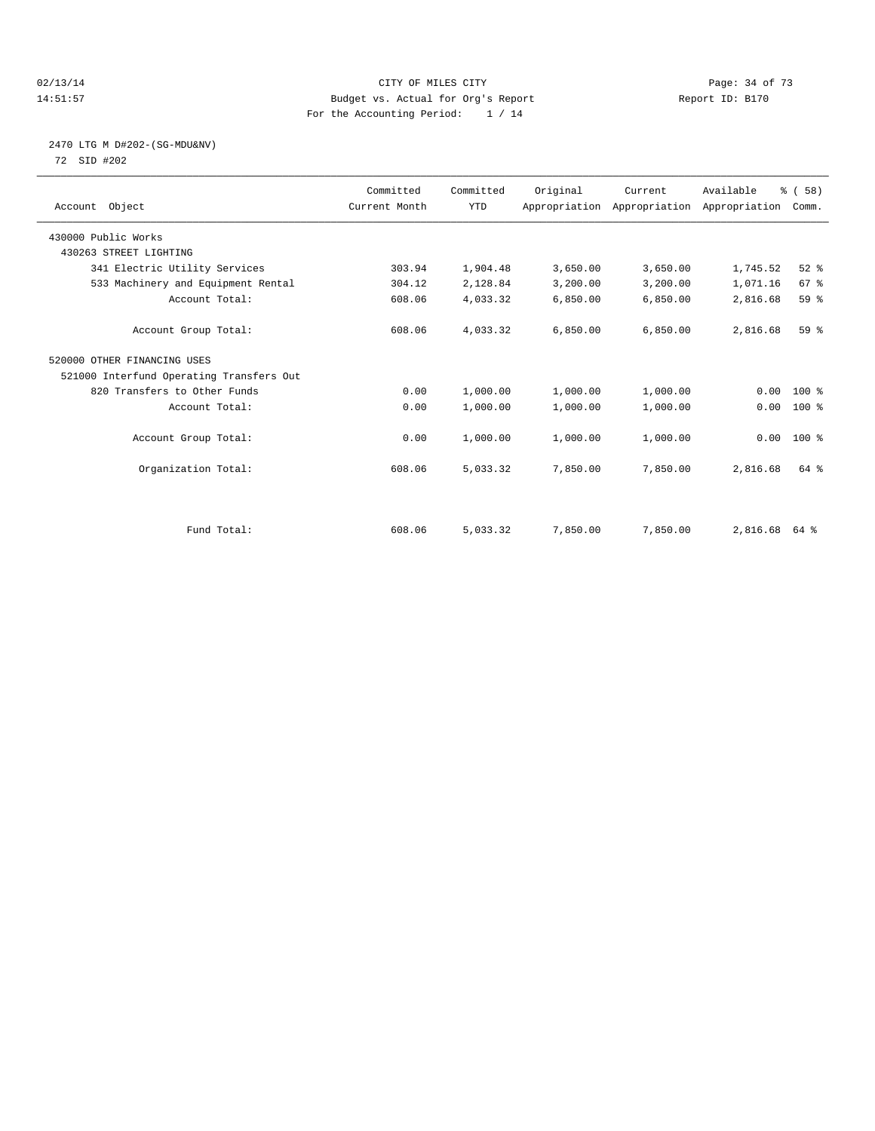#### 02/13/14 Page: 34 of 73 14:51:57 Budget vs. Actual for Org's Report Report ID: B170 For the Accounting Period: 1 / 14

# 2470 LTG M D#202-(SG-MDU&NV) 72 SID #202

| Account Object                           | Committed<br>Current Month | Committed<br><b>YTD</b> | Original | Current<br>Appropriation Appropriation Appropriation | Available | % (58)<br>Comm. |  |
|------------------------------------------|----------------------------|-------------------------|----------|------------------------------------------------------|-----------|-----------------|--|
| 430000 Public Works                      |                            |                         |          |                                                      |           |                 |  |
| 430263 STREET LIGHTING                   |                            |                         |          |                                                      |           |                 |  |
| 341 Electric Utility Services            | 303.94                     | 1,904.48                | 3,650.00 | 3,650.00                                             | 1,745.52  | 52%             |  |
| 533 Machinery and Equipment Rental       | 304.12                     | 2,128.84                | 3,200.00 | 3,200.00                                             | 1,071.16  | 67 %            |  |
| Account Total:                           | 608.06                     | 4,033.32                | 6,850.00 | 6,850.00                                             | 2,816.68  | 59 %            |  |
| Account Group Total:                     | 608.06                     | 4,033.32                | 6,850.00 | 6,850.00                                             | 2,816.68  | 59 %            |  |
| 520000 OTHER FINANCING USES              |                            |                         |          |                                                      |           |                 |  |
| 521000 Interfund Operating Transfers Out |                            |                         |          |                                                      |           |                 |  |
| 820 Transfers to Other Funds             | 0.00                       | 1,000.00                | 1,000.00 | 1,000.00                                             | 0.00      | $100*$          |  |
| Account Total:                           | 0.00                       | 1,000.00                | 1,000.00 | 1,000.00                                             | 0.00      | $100*$          |  |
| Account Group Total:                     | 0.00                       | 1,000.00                | 1,000.00 | 1,000.00                                             |           | $0.00$ 100 %    |  |
| Organization Total:                      | 608.06                     | 5,033.32                | 7,850.00 | 7,850.00                                             | 2,816.68  | 64 %            |  |
|                                          |                            |                         |          |                                                      |           |                 |  |
| Fund Total:                              | 608.06                     | 5,033.32                | 7,850.00 | 7,850.00                                             | 2,816.68  | 64 %            |  |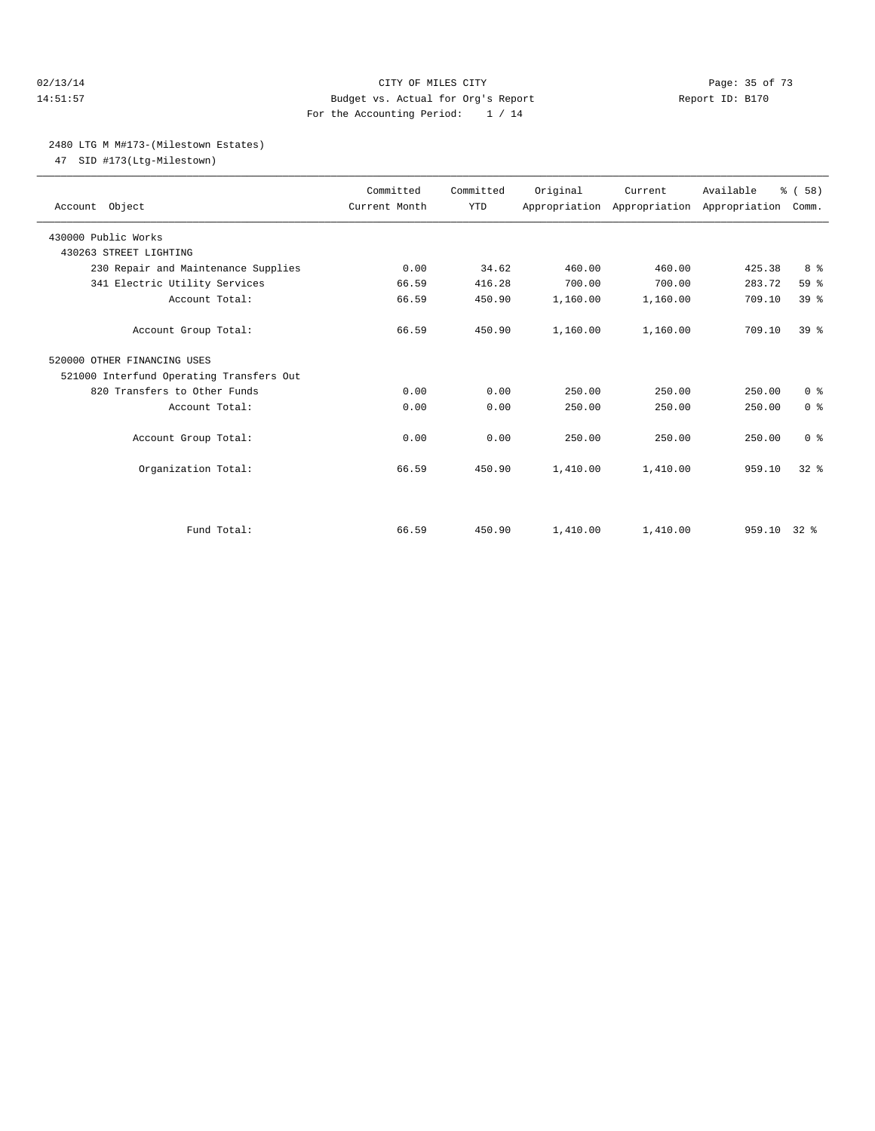#### $O(2/13/14$  Page: 35 of 73 14:51:57 Budget vs. Actual for Org's Report Report ID: B170 For the Accounting Period: 1 / 14

#### 2480 LTG M M#173-(Milestown Estates)

47 SID #173(Ltg-Milestown)

| Account Object                           | Committed<br>Current Month | Committed<br><b>YTD</b> | Original | Current<br>Appropriation Appropriation Appropriation | Available   | % (58)<br>Comm. |  |
|------------------------------------------|----------------------------|-------------------------|----------|------------------------------------------------------|-------------|-----------------|--|
| 430000 Public Works                      |                            |                         |          |                                                      |             |                 |  |
| 430263 STREET LIGHTING                   |                            |                         |          |                                                      |             |                 |  |
| 230 Repair and Maintenance Supplies      | 0.00                       | 34.62                   | 460.00   | 460.00                                               | 425.38      | 8 %             |  |
| 341 Electric Utility Services            | 66.59                      | 416.28                  | 700.00   | 700.00                                               | 283.72      | 59 %            |  |
| Account Total:                           | 66.59                      | 450.90                  | 1,160.00 | 1,160.00                                             | 709.10      | 39 <sup>8</sup> |  |
| Account Group Total:                     | 66.59                      | 450.90                  | 1,160.00 | 1,160.00                                             | 709.10      | 39 <sup>8</sup> |  |
| 520000 OTHER FINANCING USES              |                            |                         |          |                                                      |             |                 |  |
| 521000 Interfund Operating Transfers Out |                            |                         |          |                                                      |             |                 |  |
| 820 Transfers to Other Funds             | 0.00                       | 0.00                    | 250.00   | 250.00                                               | 250.00      | 0 <sup>8</sup>  |  |
| Account Total:                           | 0.00                       | 0.00                    | 250.00   | 250.00                                               | 250.00      | 0 <sup>8</sup>  |  |
|                                          |                            |                         |          |                                                      |             |                 |  |
| Account Group Total:                     | 0.00                       | 0.00                    | 250.00   | 250.00                                               | 250.00      | 0 <sup>8</sup>  |  |
| Organization Total:                      | 66.59                      | 450.90                  | 1,410.00 | 1,410.00                                             | 959.10      | 32 <sup>8</sup> |  |
| Fund Total:                              | 66.59                      | 450.90                  | 1,410.00 | 1,410.00                                             | 959.10 32 % |                 |  |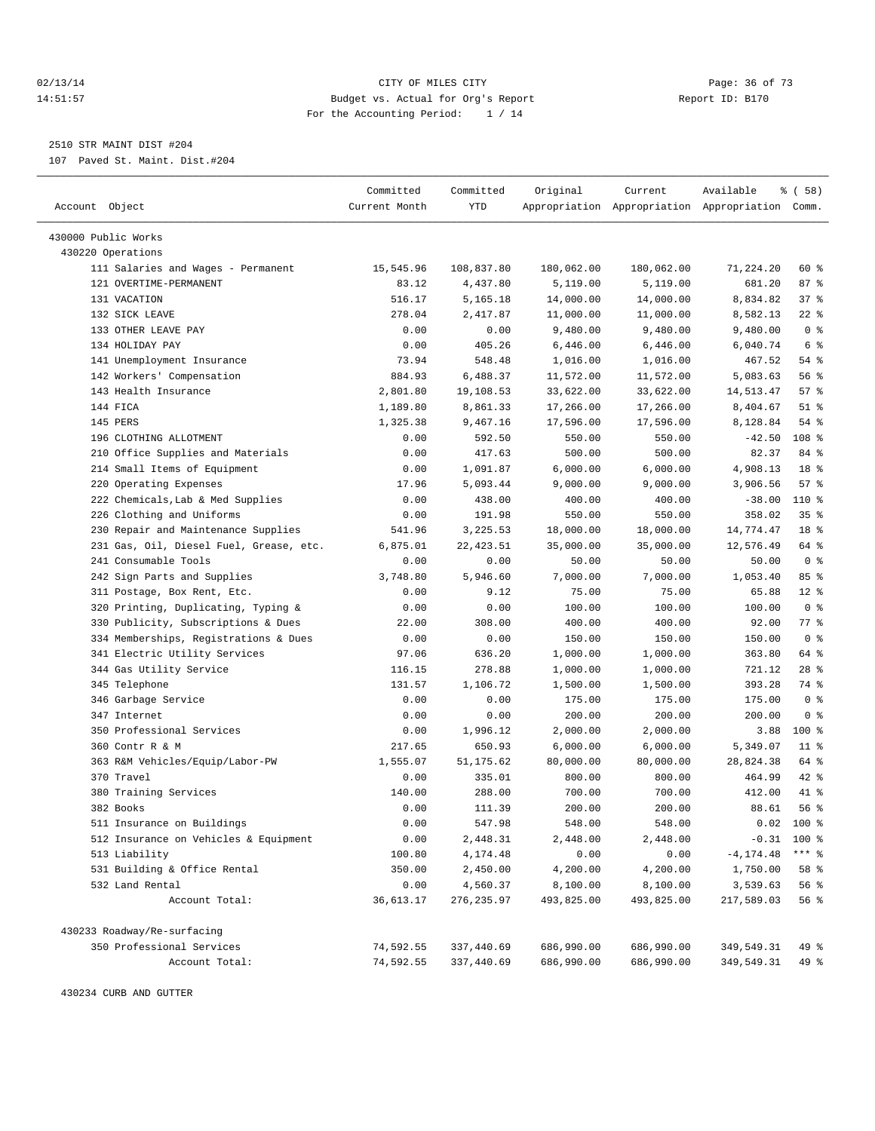#### 02/13/14 Page: 36 of 73 14:51:57 Budget vs. Actual for Org's Report Report ID: B170 For the Accounting Period: 1 / 14

————————————————————————————————————————————————————————————————————————————————————————————————————————————————————————————————————

2510 STR MAINT DIST #204

107 Paved St. Maint. Dist.#204

|                                         | Committed     | Committed   | Original   | Current    | Available                                       | % ( 58 )        |
|-----------------------------------------|---------------|-------------|------------|------------|-------------------------------------------------|-----------------|
| Account Object                          | Current Month | YTD         |            |            | Appropriation Appropriation Appropriation Comm. |                 |
|                                         |               |             |            |            |                                                 |                 |
| 430000 Public Works                     |               |             |            |            |                                                 |                 |
| 430220 Operations                       |               |             |            |            |                                                 |                 |
| 111 Salaries and Wages - Permanent      | 15,545.96     | 108,837.80  | 180,062.00 | 180,062.00 | 71,224.20                                       | 60 %            |
| 121 OVERTIME-PERMANENT                  | 83.12         | 4,437.80    | 5,119.00   | 5,119.00   | 681.20                                          | 87%             |
| 131 VACATION                            | 516.17        | 5,165.18    | 14,000.00  | 14,000.00  | 8,834.82                                        | 37%             |
| 132 SICK LEAVE                          | 278.04        | 2,417.87    | 11,000.00  | 11,000.00  | 8,582.13                                        | $22$ %          |
| 133 OTHER LEAVE PAY                     | 0.00          | 0.00        | 9,480.00   | 9,480.00   | 9,480.00                                        | 0 <sup>8</sup>  |
| 134 HOLIDAY PAY                         | 0.00          | 405.26      | 6,446.00   | 6,446.00   | 6,040.74                                        | 6 %             |
| 141 Unemployment Insurance              | 73.94         | 548.48      | 1,016.00   | 1,016.00   | 467.52                                          | 54 %            |
| 142 Workers' Compensation               | 884.93        | 6,488.37    | 11,572.00  | 11,572.00  | 5,083.63                                        | 56 %            |
| 143 Health Insurance                    | 2,801.80      | 19,108.53   | 33,622.00  | 33,622.00  | 14,513.47                                       | 57%             |
| 144 FICA                                | 1,189.80      | 8,861.33    | 17,266.00  | 17,266.00  | 8,404.67                                        | $51$ %          |
| 145 PERS                                | 1,325.38      | 9,467.16    | 17,596.00  | 17,596.00  | 8,128.84                                        | 54 %            |
| 196 CLOTHING ALLOTMENT                  | 0.00          | 592.50      | 550.00     | 550.00     | $-42.50$                                        | 108 %           |
| 210 Office Supplies and Materials       | 0.00          | 417.63      | 500.00     | 500.00     | 82.37                                           | 84 %            |
| 214 Small Items of Equipment            | 0.00          | 1,091.87    | 6,000.00   | 6,000.00   | 4,908.13                                        | 18 %            |
| 220 Operating Expenses                  | 17.96         | 5,093.44    | 9,000.00   | 9,000.00   | 3,906.56                                        | 57%             |
| 222 Chemicals, Lab & Med Supplies       | 0.00          | 438.00      | 400.00     | 400.00     | $-38.00$                                        | $110*$          |
| 226 Clothing and Uniforms               | 0.00          | 191.98      | 550.00     | 550.00     | 358.02                                          | 35%             |
| 230 Repair and Maintenance Supplies     | 541.96        | 3,225.53    | 18,000.00  | 18,000.00  | 14,774.47                                       | 18 <sup>8</sup> |
| 231 Gas, Oil, Diesel Fuel, Grease, etc. | 6,875.01      | 22, 423.51  | 35,000.00  | 35,000.00  | 12,576.49                                       | 64 %            |
| 241 Consumable Tools                    | 0.00          | 0.00        | 50.00      | 50.00      | 50.00                                           | 0 <sup>8</sup>  |
| 242 Sign Parts and Supplies             | 3,748.80      | 5,946.60    | 7,000.00   | 7,000.00   | 1,053.40                                        | 85%             |
| 311 Postage, Box Rent, Etc.             | 0.00          | 9.12        | 75.00      | 75.00      | 65.88                                           | $12*$           |
| 320 Printing, Duplicating, Typing &     | 0.00          | 0.00        | 100.00     | 100.00     | 100.00                                          | 0 <sup>8</sup>  |
| 330 Publicity, Subscriptions & Dues     | 22.00         | 308.00      | 400.00     | 400.00     | 92.00                                           | 77.8            |
| 334 Memberships, Registrations & Dues   | 0.00          | 0.00        | 150.00     | 150.00     | 150.00                                          | 0 <sup>8</sup>  |
| 341 Electric Utility Services           | 97.06         | 636.20      | 1,000.00   | 1,000.00   | 363.80                                          | 64 %            |
| 344 Gas Utility Service                 | 116.15        | 278.88      | 1,000.00   | 1,000.00   | 721.12                                          | $28$ %          |
| 345 Telephone                           | 131.57        | 1,106.72    | 1,500.00   | 1,500.00   | 393.28                                          | 74 %            |
| 346 Garbage Service                     | 0.00          | 0.00        | 175.00     | 175.00     | 175.00                                          | 0 <sup>8</sup>  |
| 347 Internet                            | 0.00          | 0.00        | 200.00     | 200.00     | 200.00                                          | 0 <sup>8</sup>  |
| 350 Professional Services               | 0.00          | 1,996.12    | 2,000.00   | 2,000.00   | 3.88                                            | $100$ %         |
| 360 Contr R & M                         | 217.65        | 650.93      | 6,000.00   | 6,000.00   | 5,349.07                                        | $11$ %          |
| 363 R&M Vehicles/Equip/Labor-PW         | 1,555.07      | 51, 175.62  | 80,000.00  | 80,000.00  | 28,824.38                                       | 64 %            |
| 370 Travel                              | 0.00          | 335.01      | 800.00     | 800.00     | 464.99                                          | 42 %            |
| 380 Training Services                   | 140.00        | 288.00      | 700.00     | 700.00     | 412.00                                          | 41 %            |
| 382 Books                               | 0.00          | 111.39      | 200.00     | 200.00     | 88.61                                           | 56 %            |
| 511 Insurance on Buildings              | 0.00          | 547.98      | 548.00     | 548.00     | 0.02                                            | $100$ %         |
| 512 Insurance on Vehicles & Equipment   | 0.00          | 2,448.31    | 2,448.00   | 2,448.00   |                                                 | $-0.31$ 100 %   |
| 513 Liability                           | 100.80        | 4,174.48    | 0.00       | 0.00       | $-4, 174.48$                                    | *** %           |
| 531 Building & Office Rental            | 350.00        | 2,450.00    | 4,200.00   | 4,200.00   | 1,750.00                                        | 58 %            |
| 532 Land Rental                         | 0.00          | 4,560.37    | 8,100.00   | 8,100.00   | 3,539.63                                        | 56%             |
| Account Total:                          | 36,613.17     | 276, 235.97 | 493,825.00 | 493,825.00 | 217,589.03                                      | 56%             |
|                                         |               |             |            |            |                                                 |                 |
| 430233 Roadway/Re-surfacing             |               |             |            |            |                                                 |                 |
| 350 Professional Services               | 74,592.55     | 337,440.69  | 686,990.00 | 686,990.00 | 349,549.31                                      | 49 %            |
| Account Total:                          | 74,592.55     | 337,440.69  | 686,990.00 | 686,990.00 | 349,549.31                                      | 49 %            |
|                                         |               |             |            |            |                                                 |                 |

430234 CURB AND GUTTER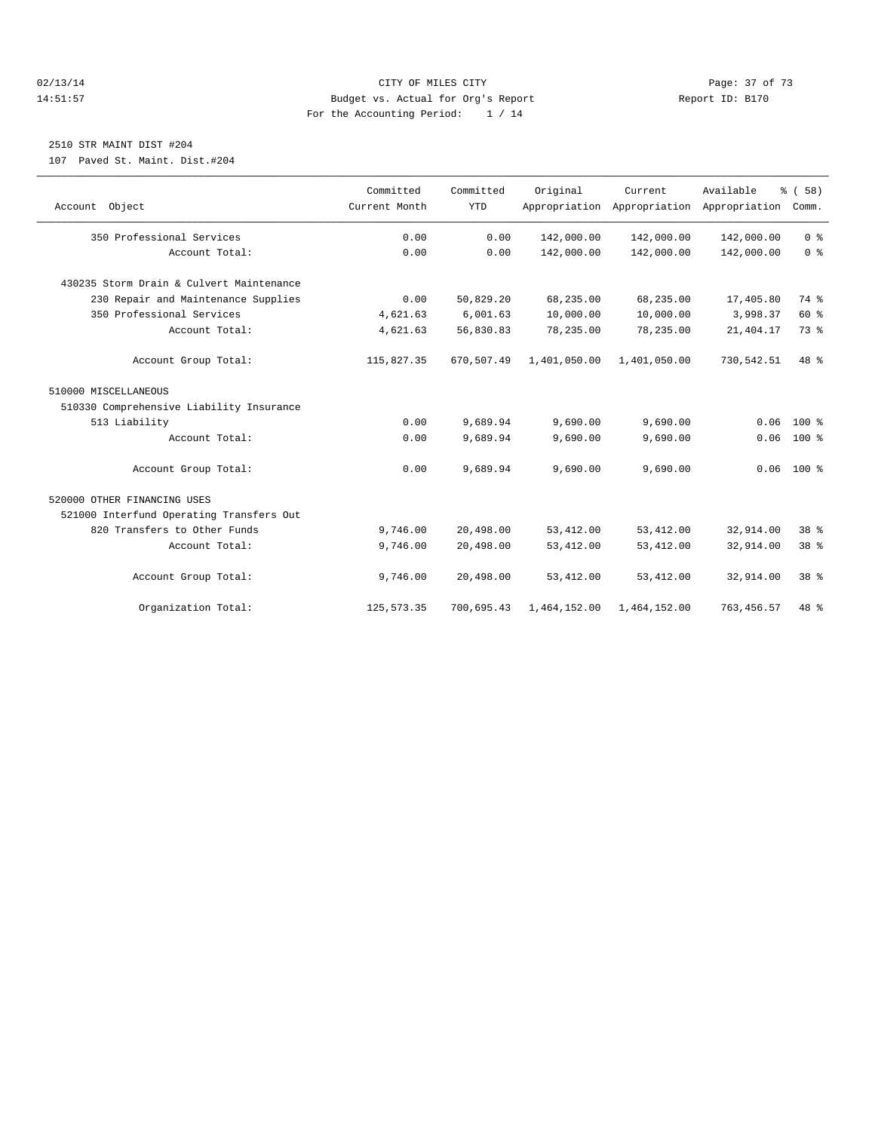#### $O(13/14$   $O(13/14)$   $O(13/14)$   $O(15/14)$   $O(15/14)$   $O(15/14)$   $O(15/14)$   $O(15/14)$   $O(15/14)$   $O(15/14)$   $O(15/14)$   $O(15/14)$   $O(15/14)$   $O(15/14)$   $O(15/14)$   $O(15/14)$   $O(15/14)$   $O(15/14)$   $O(15/14)$   $O(15/14)$   $O$ 14:51:57 Budget vs. Actual for Org's Report Report ID: B170 For the Accounting Period: 1 / 14

# 2510 STR MAINT DIST #204

107 Paved St. Maint. Dist.#204

| Account Object                           | Committed<br>Current Month | Committed<br><b>YTD</b> | Original     | Current.<br>Appropriation Appropriation Appropriation | Available   | % (58)<br>Comm. |
|------------------------------------------|----------------------------|-------------------------|--------------|-------------------------------------------------------|-------------|-----------------|
| 350 Professional Services                | 0.00                       | 0.00                    | 142,000.00   | 142,000.00                                            | 142,000.00  | 0 <sup>8</sup>  |
| Account Total:                           | 0.00                       | 0.00                    | 142,000.00   | 142,000.00                                            | 142,000.00  | 0 <sup>8</sup>  |
| 430235 Storm Drain & Culvert Maintenance |                            |                         |              |                                                       |             |                 |
| 230 Repair and Maintenance Supplies      | 0.00                       | 50,829.20               | 68,235.00    | 68,235.00                                             | 17,405.80   | 74 %            |
| 350 Professional Services                | 4,621.63                   | 6,001.63                | 10,000.00    | 10,000.00                                             | 3,998.37    | 60%             |
| Account Total:                           | 4,621.63                   | 56,830.83               | 78,235.00    | 78,235.00                                             | 21, 404.17  | 73 %            |
| Account Group Total:                     | 115,827.35                 | 670,507.49              | 1,401,050.00 | 1,401,050.00                                          | 730,542.51  | 48 %            |
| 510000 MISCELLANEOUS                     |                            |                         |              |                                                       |             |                 |
| 510330 Comprehensive Liability Insurance |                            |                         |              |                                                       |             |                 |
| 513 Liability                            | 0.00                       | 9,689.94                | 9,690.00     | 9,690.00                                              | 0.06        | $100*$          |
| Account Total:                           | 0.00                       | 9,689.94                | 9,690.00     | 9,690.00                                              | 0.06        | $100*$          |
| Account Group Total:                     | 0.00                       | 9,689.94                | 9,690.00     | 9,690.00                                              |             | $0.06$ 100 %    |
| 520000 OTHER FINANCING USES              |                            |                         |              |                                                       |             |                 |
| 521000 Interfund Operating Transfers Out |                            |                         |              |                                                       |             |                 |
| 820 Transfers to Other Funds             | 9,746.00                   | 20,498.00               | 53, 412.00   | 53, 412.00                                            | 32,914.00   | 38 <sup>8</sup> |
| Account Total:                           | 9,746.00                   | 20,498.00               | 53, 412.00   | 53, 412.00                                            | 32,914.00   | 38 %            |
| Account Group Total:                     | 9,746.00                   | 20,498.00               | 53, 412.00   | 53, 412.00                                            | 32,914.00   | 38 <sup>8</sup> |
| Organization Total:                      | 125, 573.35                | 700,695.43              | 1,464,152.00 | 1,464,152.00                                          | 763, 456.57 | $48*$           |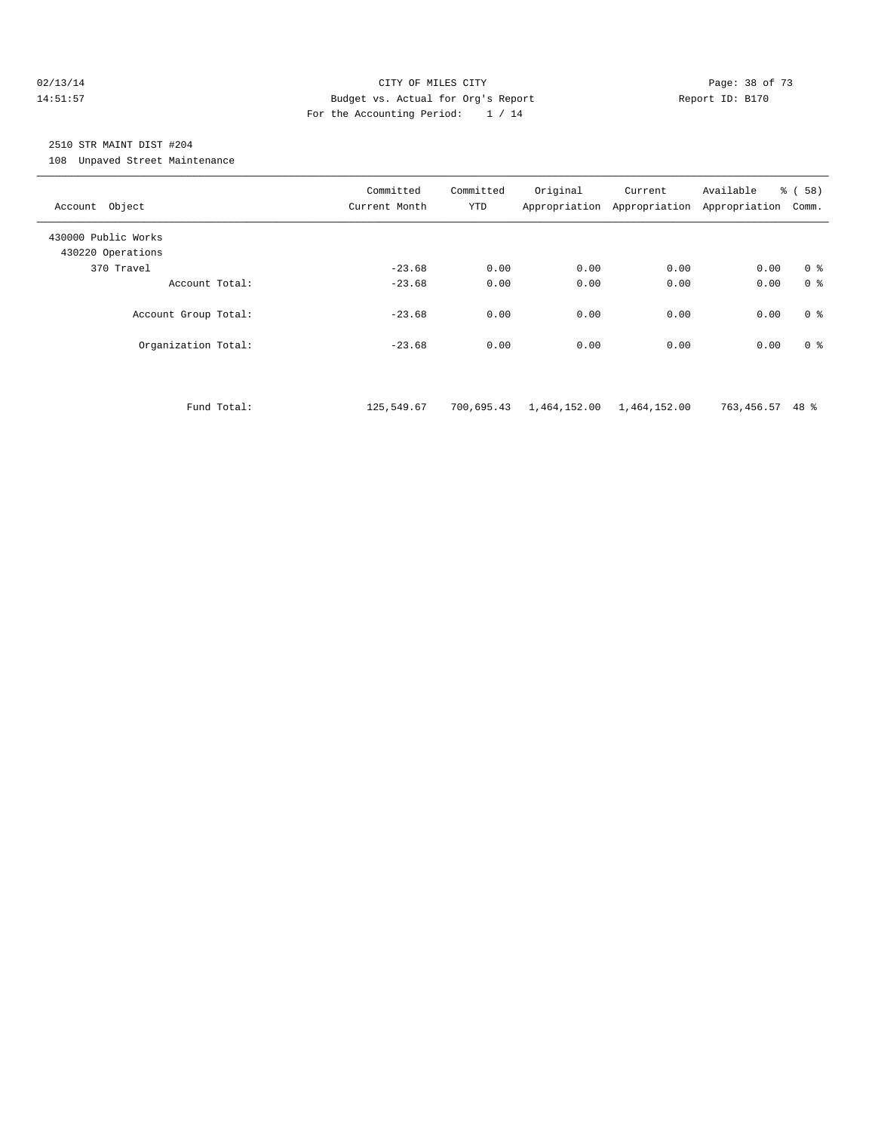#### 02/13/14 Page: 38 of 73 14:51:57 Budget vs. Actual for Org's Report Report ID: B170 For the Accounting Period: 1 / 14

# 2510 STR MAINT DIST #204

108 Unpaved Street Maintenance

| Account Object                           |             | Committed<br>Current Month | Committed<br><b>YTD</b> | Original                  | Current<br>Appropriation Appropriation Appropriation | Available       | % (58)<br>Comm. |
|------------------------------------------|-------------|----------------------------|-------------------------|---------------------------|------------------------------------------------------|-----------------|-----------------|
| 430000 Public Works<br>430220 Operations |             |                            |                         |                           |                                                      |                 |                 |
| 370 Travel                               |             | $-23.68$                   | 0.00                    | 0.00                      | 0.00                                                 | 0.00            | 0 <sup>8</sup>  |
| Account Total:                           |             | $-23.68$                   | 0.00                    | 0.00                      | 0.00                                                 | 0.00            | 0 <sup>8</sup>  |
| Account Group Total:                     |             | $-23.68$                   | 0.00                    | 0.00                      | 0.00                                                 | 0.00            | 0 <sup>8</sup>  |
| Organization Total:                      |             | $-23.68$                   | 0.00                    | 0.00                      | 0.00                                                 | 0.00            | 0 <sup>8</sup>  |
|                                          |             |                            |                         |                           |                                                      |                 |                 |
|                                          | Fund Total: | 125,549.67                 | 700,695.43              | 1,464,152.00 1,464,152.00 |                                                      | 763,456.57 48 % |                 |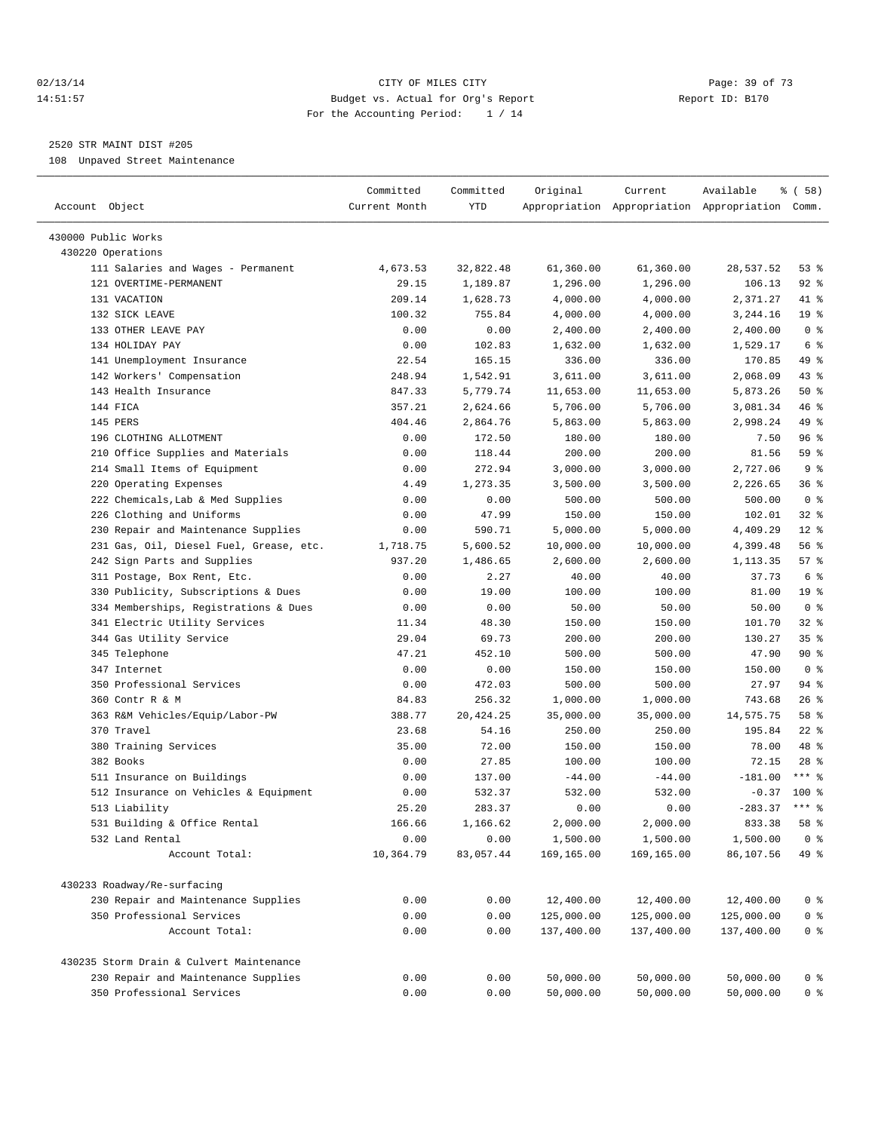#### 02/13/14 Page: 39 of 73 14:51:57 Budget vs. Actual for Org's Report Report ID: B170 For the Accounting Period: 1 / 14

————————————————————————————————————————————————————————————————————————————————————————————————————————————————————————————————————

# 2520 STR MAINT DIST #205

108 Unpaved Street Maintenance

|                                                                        | Committed     | Committed  | Original   | Current    | Available                                       | % ( 58 )        |
|------------------------------------------------------------------------|---------------|------------|------------|------------|-------------------------------------------------|-----------------|
| Account Object                                                         | Current Month | YTD        |            |            | Appropriation Appropriation Appropriation Comm. |                 |
| 430000 Public Works                                                    |               |            |            |            |                                                 |                 |
| 430220 Operations                                                      |               |            |            |            |                                                 |                 |
| 111 Salaries and Wages - Permanent                                     | 4,673.53      | 32,822.48  | 61,360.00  | 61,360.00  | 28,537.52                                       | 53%             |
| 121 OVERTIME-PERMANENT                                                 | 29.15         | 1,189.87   | 1,296.00   | 1,296.00   | 106.13                                          | $92$ $%$        |
| 131 VACATION                                                           | 209.14        | 1,628.73   | 4,000.00   | 4,000.00   | 2,371.27                                        | 41 %            |
| 132 SICK LEAVE                                                         | 100.32        | 755.84     | 4,000.00   | 4,000.00   | 3,244.16                                        | 19 <sup>°</sup> |
| 133 OTHER LEAVE PAY                                                    | 0.00          | 0.00       | 2,400.00   | 2,400.00   | 2,400.00                                        | 0 <sup>8</sup>  |
| 134 HOLIDAY PAY                                                        | 0.00          | 102.83     | 1,632.00   | 1,632.00   | 1,529.17                                        | 6 <sup>°</sup>  |
| 141 Unemployment Insurance                                             | 22.54         | 165.15     | 336.00     | 336.00     | 170.85                                          | 49 %            |
| 142 Workers' Compensation                                              | 248.94        | 1,542.91   | 3,611.00   | 3,611.00   | 2,068.09                                        | 43 %            |
| 143 Health Insurance                                                   | 847.33        | 5,779.74   | 11,653.00  | 11,653.00  | 5,873.26                                        | 50%             |
| 144 FICA                                                               | 357.21        | 2,624.66   | 5,706.00   | 5,706.00   | 3,081.34                                        | 46 %            |
| 145 PERS                                                               | 404.46        | 2,864.76   | 5,863.00   | 5,863.00   | 2,998.24                                        | 49 %            |
| 196 CLOTHING ALLOTMENT                                                 | 0.00          | 172.50     | 180.00     | 180.00     | 7.50                                            | 96 %            |
| 210 Office Supplies and Materials                                      | 0.00          | 118.44     | 200.00     | 200.00     | 81.56                                           | 59 %            |
| 214 Small Items of Equipment                                           | 0.00          | 272.94     | 3,000.00   | 3,000.00   | 2,727.06                                        | 9%              |
| 220 Operating Expenses                                                 | 4.49          | 1,273.35   | 3,500.00   | 3,500.00   | 2,226.65                                        | 36%             |
| 222 Chemicals, Lab & Med Supplies                                      | 0.00          | 0.00       | 500.00     | 500.00     | 500.00                                          | 0 <sup>8</sup>  |
| 226 Clothing and Uniforms                                              | 0.00          | 47.99      | 150.00     | 150.00     | 102.01                                          | $32$ $%$        |
|                                                                        |               | 590.71     | 5,000.00   | 5,000.00   | 4,409.29                                        | $12*$           |
| 230 Repair and Maintenance Supplies                                    | 0.00          |            |            | 10,000.00  |                                                 | 56%             |
| 231 Gas, Oil, Diesel Fuel, Grease, etc.<br>242 Sign Parts and Supplies | 1,718.75      | 5,600.52   | 10,000.00  |            | 4,399.48                                        | 57%             |
|                                                                        | 937.20        | 1,486.65   | 2,600.00   | 2,600.00   | 1,113.35                                        |                 |
| 311 Postage, Box Rent, Etc.                                            | 0.00          | 2.27       | 40.00      | 40.00      | 37.73                                           | 6 %             |
| 330 Publicity, Subscriptions & Dues                                    | 0.00          | 19.00      | 100.00     | 100.00     | 81.00                                           | 19 <sup>°</sup> |
| 334 Memberships, Registrations & Dues                                  | 0.00          | 0.00       | 50.00      | 50.00      | 50.00                                           | 0 <sup>8</sup>  |
| 341 Electric Utility Services                                          | 11.34         | 48.30      | 150.00     | 150.00     | 101.70                                          | $32$ $%$        |
| 344 Gas Utility Service                                                | 29.04         | 69.73      | 200.00     | 200.00     | 130.27                                          | 35%             |
| 345 Telephone                                                          | 47.21         | 452.10     | 500.00     | 500.00     | 47.90                                           | 90%             |
| 347 Internet                                                           | 0.00          | 0.00       | 150.00     | 150.00     | 150.00                                          | 0 <sup>8</sup>  |
| 350 Professional Services                                              | 0.00          | 472.03     | 500.00     | 500.00     | 27.97                                           | 94 %            |
| 360 Contr R & M                                                        | 84.83         | 256.32     | 1,000.00   | 1,000.00   | 743.68                                          | $26$ %          |
| 363 R&M Vehicles/Equip/Labor-PW                                        | 388.77        | 20, 424.25 | 35,000.00  | 35,000.00  | 14,575.75                                       | 58 %            |
| 370 Travel                                                             | 23.68         | 54.16      | 250.00     | 250.00     | 195.84                                          | $22$ %          |
| 380 Training Services                                                  | 35.00         | 72.00      | 150.00     | 150.00     | 78.00                                           | 48 %            |
| 382 Books                                                              | 0.00          | 27.85      | 100.00     | 100.00     | 72.15                                           | $28$ %          |
| 511 Insurance on Buildings                                             | 0.00          | 137.00     | $-44.00$   | $-44.00$   | $-181.00$                                       | $***$ 8         |
| 512 Insurance on Vehicles & Equipment                                  | 0.00          | 532.37     | 532.00     | 532.00     | $-0.37$                                         | $100*$          |
| 513 Liability                                                          | 25.20         | 283.37     | 0.00       | 0.00       | $-283.37$                                       | $***$ $%$       |
| 531 Building & Office Rental                                           | 166.66        | 1,166.62   | 2,000.00   | 2,000.00   | 833.38                                          | 58 %            |
| 532 Land Rental                                                        | 0.00          | 0.00       | 1,500.00   | 1,500.00   | 1,500.00                                        | 0 <sup>8</sup>  |
| Account Total:                                                         | 10,364.79     | 83,057.44  | 169,165.00 | 169,165.00 | 86,107.56                                       | 49 %            |
| 430233 Roadway/Re-surfacing                                            |               |            |            |            |                                                 |                 |
| 230 Repair and Maintenance Supplies                                    | 0.00          | 0.00       | 12,400.00  | 12,400.00  | 12,400.00                                       | $0$ %           |
| 350 Professional Services                                              | 0.00          | 0.00       | 125,000.00 | 125,000.00 | 125,000.00                                      | $0$ %           |
| Account Total:                                                         | 0.00          | 0.00       | 137,400.00 | 137,400.00 | 137,400.00                                      | $0$ %           |
| 430235 Storm Drain & Culvert Maintenance                               |               |            |            |            |                                                 |                 |
|                                                                        |               |            |            | 50,000.00  |                                                 |                 |
| 230 Repair and Maintenance Supplies                                    | 0.00          | 0.00       | 50,000.00  |            | 50,000.00                                       | 0 %             |
| 350 Professional Services                                              | 0.00          | 0.00       | 50,000.00  | 50,000.00  | 50,000.00                                       | 0 %             |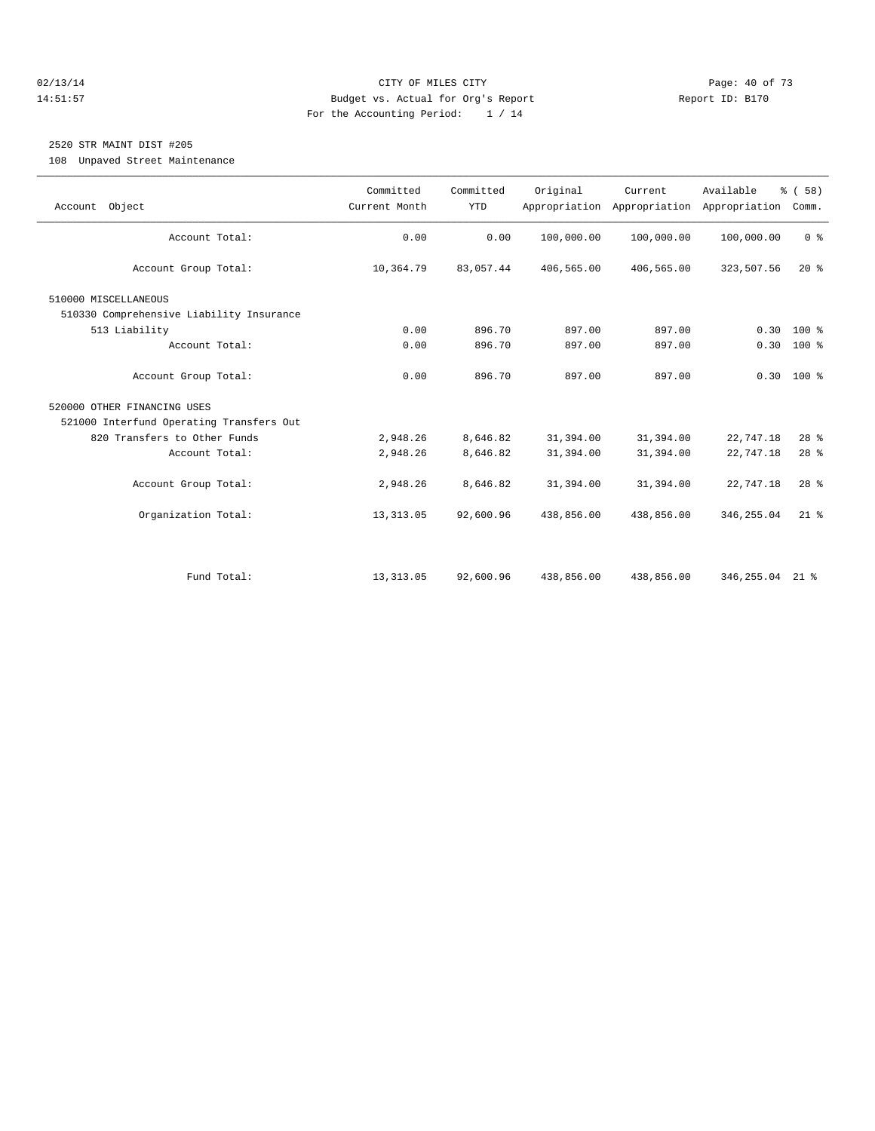#### 02/13/14 Page: 40 of 73 14:51:57 Budget vs. Actual for Org's Report Report ID: B170 For the Accounting Period: 1 / 14

# 2520 STR MAINT DIST #205

108 Unpaved Street Maintenance

| Account Object                           | Committed<br>Current Month | Committed<br><b>YTD</b> | Original   | Current<br>Appropriation Appropriation | Available<br>Appropriation | % (58)<br>Comm. |
|------------------------------------------|----------------------------|-------------------------|------------|----------------------------------------|----------------------------|-----------------|
| Account Total:                           | 0.00                       | 0.00                    | 100,000.00 | 100,000.00                             | 100,000.00                 | 0 <sup>8</sup>  |
| Account Group Total:                     | 10,364.79                  | 83,057.44               | 406,565.00 | 406,565.00                             | 323,507.56                 | $20*$           |
|                                          |                            |                         |            |                                        |                            |                 |
| 510000 MISCELLANEOUS                     |                            |                         |            |                                        |                            |                 |
| 510330 Comprehensive Liability Insurance |                            |                         |            |                                        |                            |                 |
| 513 Liability                            | 0.00                       | 896.70                  | 897.00     | 897.00                                 | 0.30                       | $100*$          |
| Account Total:                           | 0.00                       | 896.70                  | 897.00     | 897.00                                 |                            | $0.30 100$ %    |
|                                          |                            |                         |            |                                        |                            |                 |
| Account Group Total:                     | 0.00                       | 896.70                  | 897.00     | 897.00                                 |                            | $0.30$ 100 %    |
| 520000 OTHER FINANCING USES              |                            |                         |            |                                        |                            |                 |
| 521000 Interfund Operating Transfers Out |                            |                         |            |                                        |                            |                 |
| 820 Transfers to Other Funds             | 2,948.26                   | 8,646.82                | 31,394.00  | 31,394.00                              | 22,747.18                  | $28$ %          |
| Account Total:                           | 2,948.26                   | 8,646.82                | 31,394.00  | 31,394.00                              | 22,747.18                  | $28$ %          |
| Account Group Total:                     | 2,948.26                   | 8,646.82                | 31,394.00  | 31,394.00                              | 22,747.18                  | 28 <sup>8</sup> |
|                                          |                            |                         |            |                                        |                            |                 |
| Organization Total:                      | 13, 313.05                 | 92,600.96               | 438,856.00 | 438,856.00                             | 346, 255.04                | $21$ $%$        |
|                                          |                            |                         |            |                                        |                            |                 |
|                                          |                            |                         |            |                                        |                            |                 |
| Fund Total:                              | 13, 313.05                 | 92,600.96               | 438,856.00 | 438,856.00                             | 346,255.04 21 %            |                 |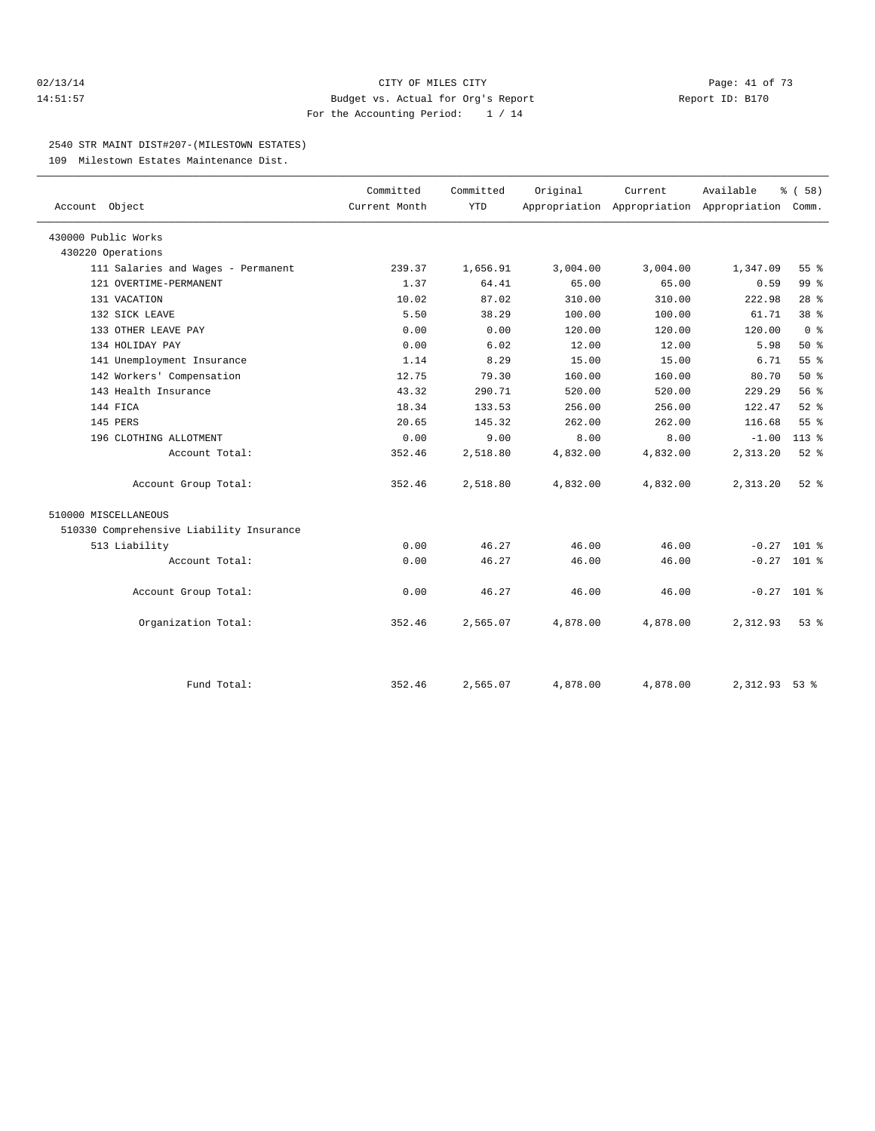#### 02/13/14 Page: 41 of 73 14:51:57 Budget vs. Actual for Org's Report Report ID: B170 For the Accounting Period: 1 / 14

#### 2540 STR MAINT DIST#207-(MILESTOWN ESTATES)

109 Milestown Estates Maintenance Dist.

|                                          | Committed     | Committed  | Original | Current  | Available                                 | % (58)          |  |
|------------------------------------------|---------------|------------|----------|----------|-------------------------------------------|-----------------|--|
| Account Object                           | Current Month | <b>YTD</b> |          |          | Appropriation Appropriation Appropriation | Comm.           |  |
| 430000 Public Works                      |               |            |          |          |                                           |                 |  |
| 430220 Operations                        |               |            |          |          |                                           |                 |  |
| 111 Salaries and Wages - Permanent       | 239.37        | 1,656.91   | 3,004.00 | 3,004.00 | 1,347.09                                  | 55 <sup>8</sup> |  |
| 121 OVERTIME-PERMANENT                   | 1.37          | 64.41      | 65.00    | 65.00    | 0.59                                      | 99 <sub>8</sub> |  |
| 131 VACATION                             | 10.02         | 87.02      | 310.00   | 310.00   | 222.98                                    | 28 <sup>8</sup> |  |
| 132 SICK LEAVE                           | 5.50          | 38.29      | 100.00   | 100.00   | 61.71                                     | 38 <sup>8</sup> |  |
| 133 OTHER LEAVE PAY                      | 0.00          | 0.00       | 120.00   | 120.00   | 120.00                                    | 0 <sup>8</sup>  |  |
| 134 HOLIDAY PAY                          | 0.00          | 6.02       | 12.00    | 12.00    | 5.98                                      | $50*$           |  |
| 141 Unemployment Insurance               | 1.14          | 8.29       | 15.00    | 15.00    | 6.71                                      | 55 %            |  |
| 142 Workers' Compensation                | 12.75         | 79.30      | 160.00   | 160.00   | 80.70                                     | $50*$           |  |
| 143 Health Insurance                     | 43.32         | 290.71     | 520.00   | 520.00   | 229.29                                    | 56%             |  |
| 144 FICA                                 | 18.34         | 133.53     | 256.00   | 256.00   | 122.47                                    | $52$ $%$        |  |
| 145 PERS                                 | 20.65         | 145.32     | 262.00   | 262.00   | 116.68                                    | 55 <sup>8</sup> |  |
| 196 CLOTHING ALLOTMENT                   | 0.00          | 9.00       | 8.00     | 8.00     | $-1.00$                                   | $113*$          |  |
| Account Total:                           | 352.46        | 2,518.80   | 4,832.00 | 4,832.00 | 2,313.20                                  | $52$ $%$        |  |
| Account Group Total:                     | 352.46        | 2,518.80   | 4,832.00 | 4,832.00 | 2,313.20                                  | $52*$           |  |
| 510000 MISCELLANEOUS                     |               |            |          |          |                                           |                 |  |
| 510330 Comprehensive Liability Insurance |               |            |          |          |                                           |                 |  |
| 513 Liability                            | 0.00          | 46.27      | 46.00    | 46.00    | $-0.27$ 101 %                             |                 |  |
| Account Total:                           | 0.00          | 46.27      | 46.00    | 46.00    | $-0.27$ 101 %                             |                 |  |
| Account Group Total:                     | 0.00          | 46.27      | 46.00    | 46.00    | $-0.27$ 101 %                             |                 |  |
| Organization Total:                      | 352.46        | 2,565.07   | 4,878.00 | 4,878.00 | 2,312.93                                  | $53*$           |  |
|                                          |               |            |          |          |                                           |                 |  |
| Fund Total:                              | 352.46        | 2,565.07   | 4,878.00 | 4,878.00 | 2,312.93                                  | $53$ $%$        |  |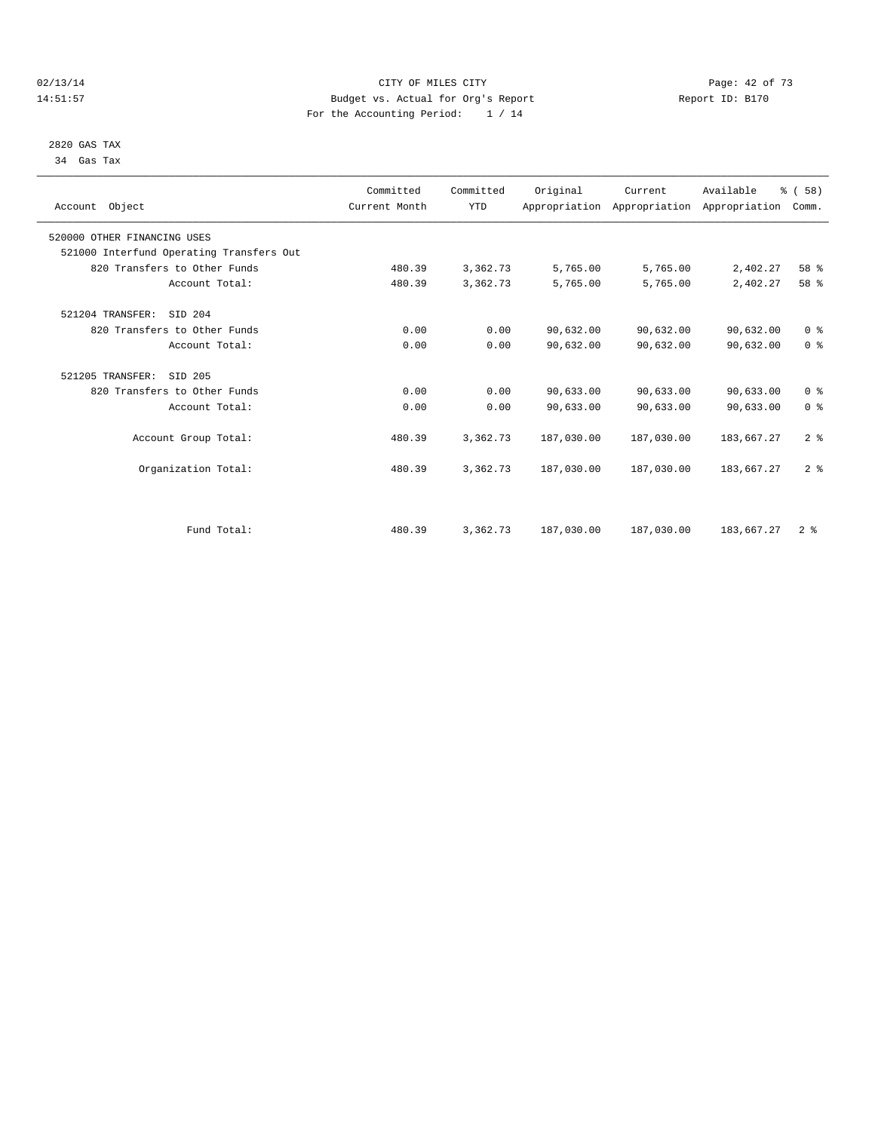#### $O2/13/14$  Page: 42 of 73 14:51:57 Budget vs. Actual for Org's Report Report ID: B170 For the Accounting Period: 1 / 14

 2820 GAS TAX 34 Gas Tax

| Account Object                           | Committed<br>Current Month | Committed<br><b>YTD</b> | Original   | Current<br>Appropriation Appropriation Appropriation | Available  | % (58)<br>Comm. |  |
|------------------------------------------|----------------------------|-------------------------|------------|------------------------------------------------------|------------|-----------------|--|
| 520000 OTHER FINANCING USES              |                            |                         |            |                                                      |            |                 |  |
| 521000 Interfund Operating Transfers Out |                            |                         |            |                                                      |            |                 |  |
| 820 Transfers to Other Funds             | 480.39                     | 3,362.73                | 5,765.00   | 5,765.00                                             | 2,402.27   | 58 %            |  |
| Account Total:                           | 480.39                     | 3,362.73                | 5,765.00   | 5,765.00                                             | 2,402.27   | 58 %            |  |
| 521204 TRANSFER:<br>SID 204              |                            |                         |            |                                                      |            |                 |  |
| 820 Transfers to Other Funds             | 0.00                       | 0.00                    | 90,632.00  | 90,632.00                                            | 90,632.00  | 0 <sup>8</sup>  |  |
| Account Total:                           | 0.00                       | 0.00                    | 90,632.00  | 90,632.00                                            | 90,632.00  | 0 <sup>8</sup>  |  |
| 521205 TRANSFER:<br>SID 205              |                            |                         |            |                                                      |            |                 |  |
| 820 Transfers to Other Funds             | 0.00                       | 0.00                    | 90,633.00  | 90,633.00                                            | 90,633.00  | 0 <sup>8</sup>  |  |
| Account Total:                           | 0.00                       | 0.00                    | 90,633.00  | 90,633.00                                            | 90,633.00  | 0 <sup>8</sup>  |  |
| Account Group Total:                     | 480.39                     | 3,362.73                | 187,030.00 | 187,030.00                                           | 183,667.27 | 2 <sup>8</sup>  |  |
| Organization Total:                      | 480.39                     | 3,362.73                | 187,030.00 | 187,030.00                                           | 183,667.27 | 2 <sup>8</sup>  |  |
|                                          |                            |                         |            |                                                      |            |                 |  |
| Fund Total:                              | 480.39                     | 3,362.73                | 187,030.00 | 187,030.00                                           | 183,667.27 | 2 <sup>8</sup>  |  |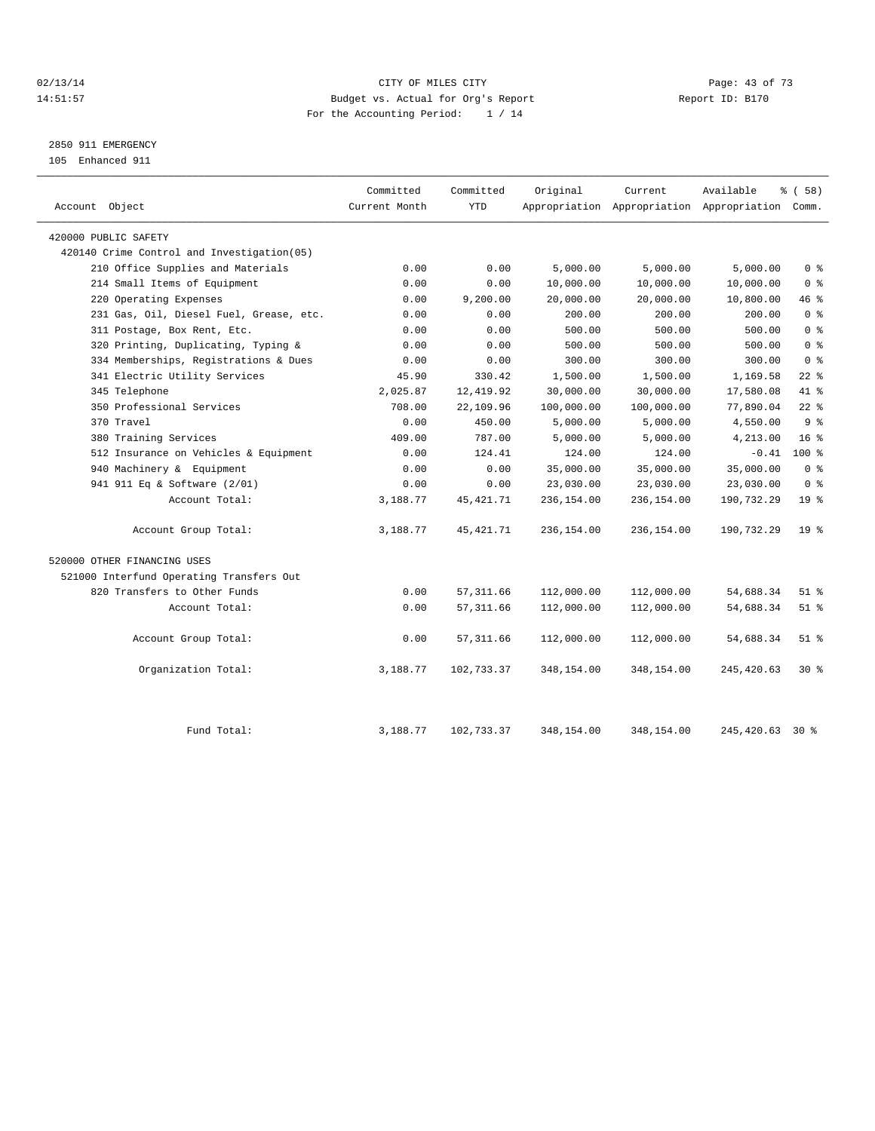### $O2/13/14$  Page: 43 of 73 14:51:57 Budget vs. Actual for Org's Report Report ID: B170 For the Accounting Period: 1 / 14

# 2850 911 EMERGENCY

105 Enhanced 911

| Account Object                             | Committed<br>Current Month | Committed<br><b>YTD</b> | Original   | Current    | Available<br>Appropriation Appropriation Appropriation Comm. | % (58)          |
|--------------------------------------------|----------------------------|-------------------------|------------|------------|--------------------------------------------------------------|-----------------|
| 420000 PUBLIC SAFETY                       |                            |                         |            |            |                                                              |                 |
| 420140 Crime Control and Investigation(05) |                            |                         |            |            |                                                              |                 |
| 210 Office Supplies and Materials          | 0.00                       | 0.00                    | 5,000.00   | 5,000.00   | 5,000.00                                                     | 0 <sup>8</sup>  |
| 214 Small Items of Equipment               | 0.00                       | 0.00                    | 10,000.00  | 10,000.00  | 10,000.00                                                    | 0 <sup>8</sup>  |
| 220 Operating Expenses                     | 0.00                       | 9,200.00                | 20,000.00  | 20,000.00  | 10,800.00                                                    | 46 %            |
| 231 Gas, Oil, Diesel Fuel, Grease, etc.    | 0.00                       | 0.00                    | 200.00     | 200.00     | 200.00                                                       | 0 <sup>8</sup>  |
| 311 Postage, Box Rent, Etc.                | 0.00                       | 0.00                    | 500.00     | 500.00     | 500.00                                                       | 0 <sup>8</sup>  |
| 320 Printing, Duplicating, Typing &        | 0.00                       | 0.00                    | 500.00     | 500.00     | 500.00                                                       | 0 <sup>8</sup>  |
| 334 Memberships, Registrations & Dues      | 0.00                       | 0.00                    | 300.00     | 300.00     | 300.00                                                       | 0 <sup>8</sup>  |
| 341 Electric Utility Services              | 45.90                      | 330.42                  | 1,500.00   | 1,500.00   | 1,169.58                                                     | $22$ %          |
| 345 Telephone                              | 2,025.87                   | 12, 419.92              | 30,000.00  | 30,000.00  | 17,580.08                                                    | 41 %            |
| 350 Professional Services                  | 708.00                     | 22,109.96               | 100,000.00 | 100,000.00 | 77,890.04                                                    | $22$ %          |
| 370 Travel                                 | 0.00                       | 450.00                  | 5,000.00   | 5,000.00   | 4,550.00                                                     | 9 <sup>8</sup>  |
| 380 Training Services                      | 409.00                     | 787.00                  | 5,000.00   | 5,000.00   | 4,213.00                                                     | $16*$           |
| 512 Insurance on Vehicles & Equipment      | 0.00                       | 124.41                  | 124.00     | 124.00     | $-0.41$                                                      | $100*$          |
| 940 Machinery & Equipment                  | 0.00                       | 0.00                    | 35,000.00  | 35,000.00  | 35,000.00                                                    | 0 <sup>8</sup>  |
| 941 911 Eq & Software (2/01)               | 0.00                       | 0.00                    | 23,030.00  | 23,030.00  | 23,030.00                                                    | 0 <sup>8</sup>  |
| Account Total:                             | 3,188.77                   | 45, 421.71              | 236,154.00 | 236,154.00 | 190,732.29                                                   | 19 <sup>°</sup> |
| Account Group Total:                       | 3,188.77                   | 45, 421.71              | 236,154.00 | 236,154.00 | 190,732.29                                                   | 19 <sup>8</sup> |
| 520000 OTHER FINANCING USES                |                            |                         |            |            |                                                              |                 |
| 521000 Interfund Operating Transfers Out   |                            |                         |            |            |                                                              |                 |
| 820 Transfers to Other Funds               | 0.00                       | 57, 311.66              | 112,000.00 | 112,000.00 | 54,688.34                                                    | $51$ $%$        |
| Account Total:                             | 0.00                       | 57, 311.66              | 112,000.00 | 112,000.00 | 54,688.34                                                    | $51$ %          |
| Account Group Total:                       | 0.00                       | 57, 311.66              | 112,000.00 | 112,000.00 | 54,688.34                                                    | $51$ %          |
| Organization Total:                        | 3,188.77                   | 102,733.37              | 348,154.00 | 348,154.00 | 245, 420.63                                                  | $30*$           |
| Fund Total:                                | 3,188.77                   | 102,733.37              | 348,154.00 | 348,154.00 | 245, 420.63 30 %                                             |                 |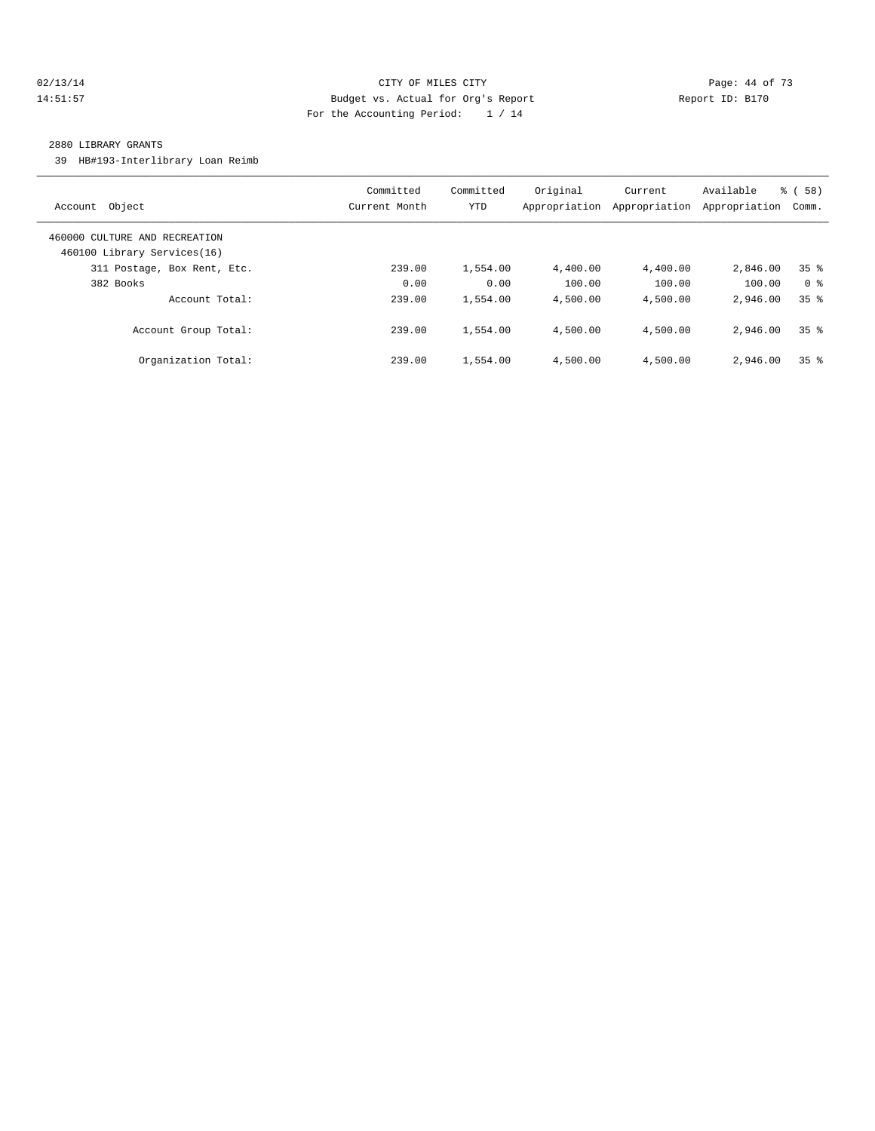### 02/13/14 Page: 44 of 73 14:51:57 Budget vs. Actual for Org's Report Report ID: B170 For the Accounting Period: 1 / 14

#### 2880 LIBRARY GRANTS

39 HB#193-Interlibrary Loan Reimb

| Account Object                                               | Committed<br>Current Month | Committed<br><b>YTD</b> | Original<br>Appropriation | Current<br>Appropriation | Available<br>Appropriation | % (58)<br>Comm. |
|--------------------------------------------------------------|----------------------------|-------------------------|---------------------------|--------------------------|----------------------------|-----------------|
| 460000 CULTURE AND RECREATION<br>460100 Library Services(16) |                            |                         |                           |                          |                            |                 |
| 311 Postage, Box Rent, Etc.                                  | 239.00                     | 1,554.00                | 4,400.00                  | 4,400.00                 | 2,846.00                   | 35 <sup>8</sup> |
| 382 Books                                                    | 0.00                       | 0.00                    | 100.00                    | 100.00                   | 100.00                     | 0 <sup>8</sup>  |
| Account Total:                                               | 239.00                     | 1,554.00                | 4,500.00                  | 4,500.00                 | 2,946.00                   | 35 <sup>8</sup> |
| Account Group Total:                                         | 239.00                     | 1,554.00                | 4,500.00                  | 4,500.00                 | 2,946.00                   | 35 <sup>8</sup> |
| Organization Total:                                          | 239.00                     | 1,554.00                | 4,500.00                  | 4,500.00                 | 2,946.00                   | 35 <sup>8</sup> |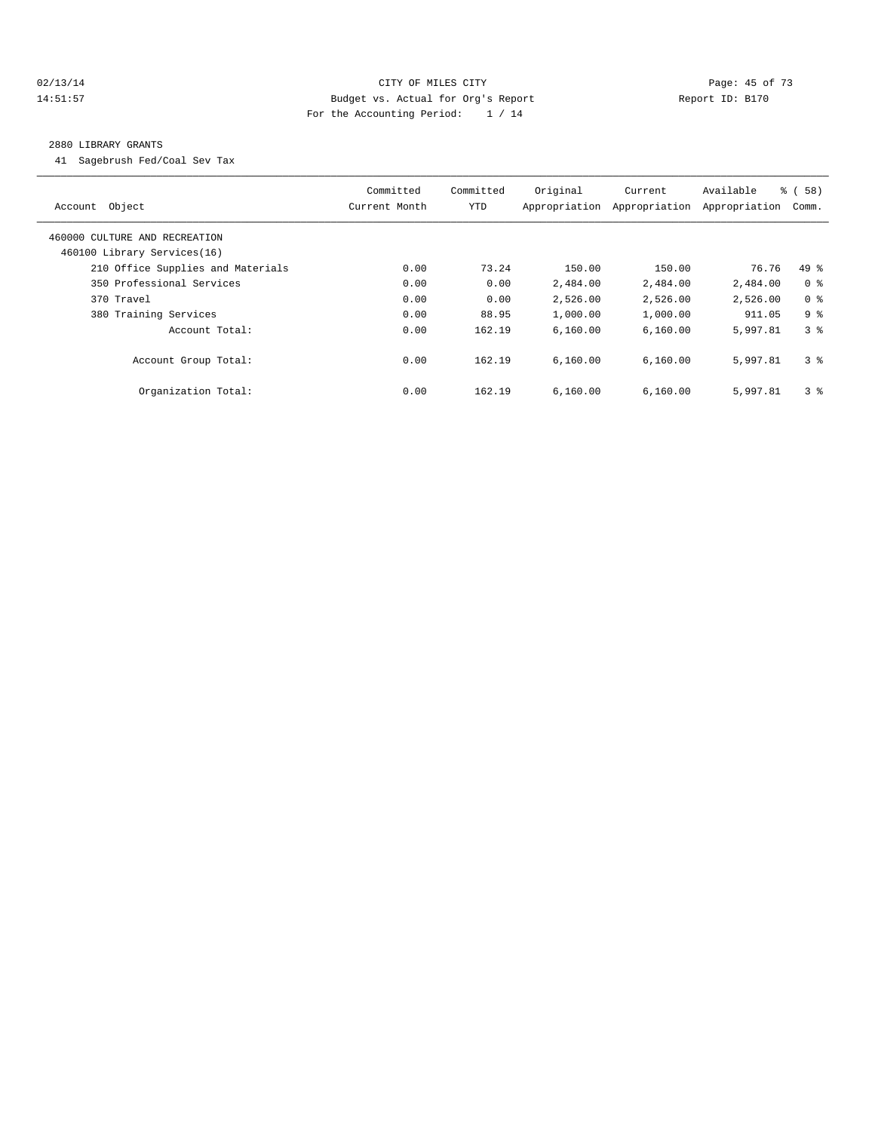### 02/13/14 Page: 45 of 73 14:51:57 Budget vs. Actual for Org's Report Report ID: B170 For the Accounting Period: 1 / 14

#### 2880 LIBRARY GRANTS

41 Sagebrush Fed/Coal Sev Tax

| Account Object                                               | Committed<br>Current Month | Committed<br>YTD | Original<br>Appropriation | Current<br>Appropriation | Available<br>Appropriation | % ( 58 )<br>Comm. |
|--------------------------------------------------------------|----------------------------|------------------|---------------------------|--------------------------|----------------------------|-------------------|
| 460000 CULTURE AND RECREATION<br>460100 Library Services(16) |                            |                  |                           |                          |                            |                   |
| 210 Office Supplies and Materials                            | 0.00                       | 73.24            | 150.00                    | 150.00                   | 76.76                      | $49*$             |
| 350 Professional Services                                    | 0.00                       | 0.00             | 2,484.00                  | 2,484.00                 | 2,484.00                   | 0 <sup>8</sup>    |
| 370 Travel                                                   | 0.00                       | 0.00             | 2,526.00                  | 2,526.00                 | 2,526.00                   | 0 <sup>8</sup>    |
| 380 Training Services                                        | 0.00                       | 88.95            | 1,000.00                  | 1,000.00                 | 911.05                     | 9 <sup>8</sup>    |
| Account Total:                                               | 0.00                       | 162.19           | 6.160.00                  | 6,160.00                 | 5,997.81                   | 3 <sup>8</sup>    |
| Account Group Total:                                         | 0.00                       | 162.19           | 6.160.00                  | 6.160.00                 | 5,997.81                   | 3 <sup>8</sup>    |
| Organization Total:                                          | 0.00                       | 162.19           | 6.160.00                  | 6.160.00                 | 5,997.81                   | 3 <sup>8</sup>    |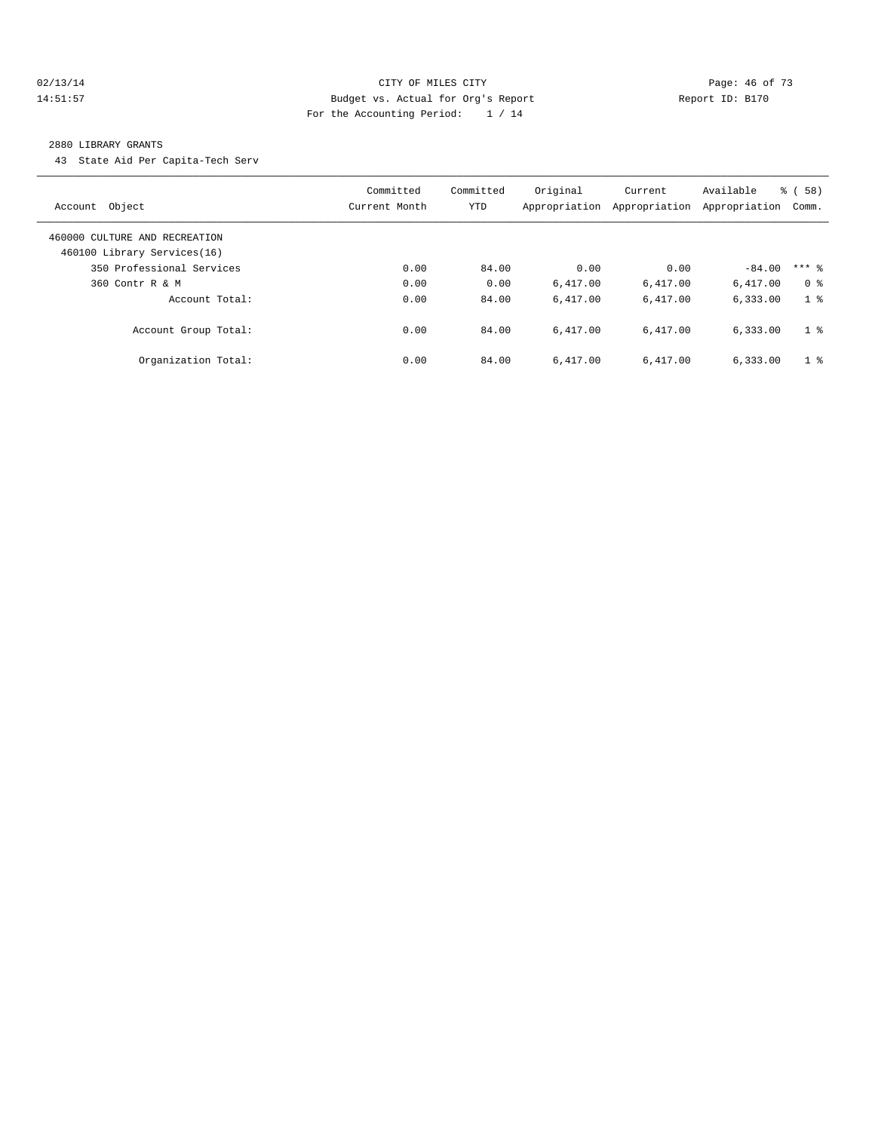### 02/13/14 Page: 46 of 73 14:51:57 Budget vs. Actual for Org's Report Report ID: B170 For the Accounting Period: 1 / 14

#### 2880 LIBRARY GRANTS

43 State Aid Per Capita-Tech Serv

| Object<br>Account                                            | Committed<br>Current Month | Committed<br><b>YTD</b> | Original<br>Appropriation | Current<br>Appropriation | Available<br>Appropriation | <b>%</b> (<br>58)<br>Comm. |
|--------------------------------------------------------------|----------------------------|-------------------------|---------------------------|--------------------------|----------------------------|----------------------------|
| 460000 CULTURE AND RECREATION<br>460100 Library Services(16) |                            |                         |                           |                          |                            |                            |
| 350 Professional Services                                    | 0.00                       | 84.00                   | 0.00                      | 0.00                     | $-84.00$                   | $***$ $\frac{6}{5}$        |
| $360$ Contr R & M                                            | 0.00                       | 0.00                    | 6.417.00                  | 6,417.00                 | 6,417.00                   | 0 <sup>8</sup>             |
| Account Total:                                               | 0.00                       | 84.00                   | 6.417.00                  | 6.417.00                 | 6,333.00                   | 1 <sup>8</sup>             |
| Account Group Total:                                         | 0.00                       | 84.00                   | 6.417.00                  | 6.417.00                 | 6,333.00                   | 1 <sup>8</sup>             |
| Organization Total:                                          | 0.00                       | 84.00                   | 6.417.00                  | 6.417.00                 | 6.333.00                   | 1 <sup>8</sup>             |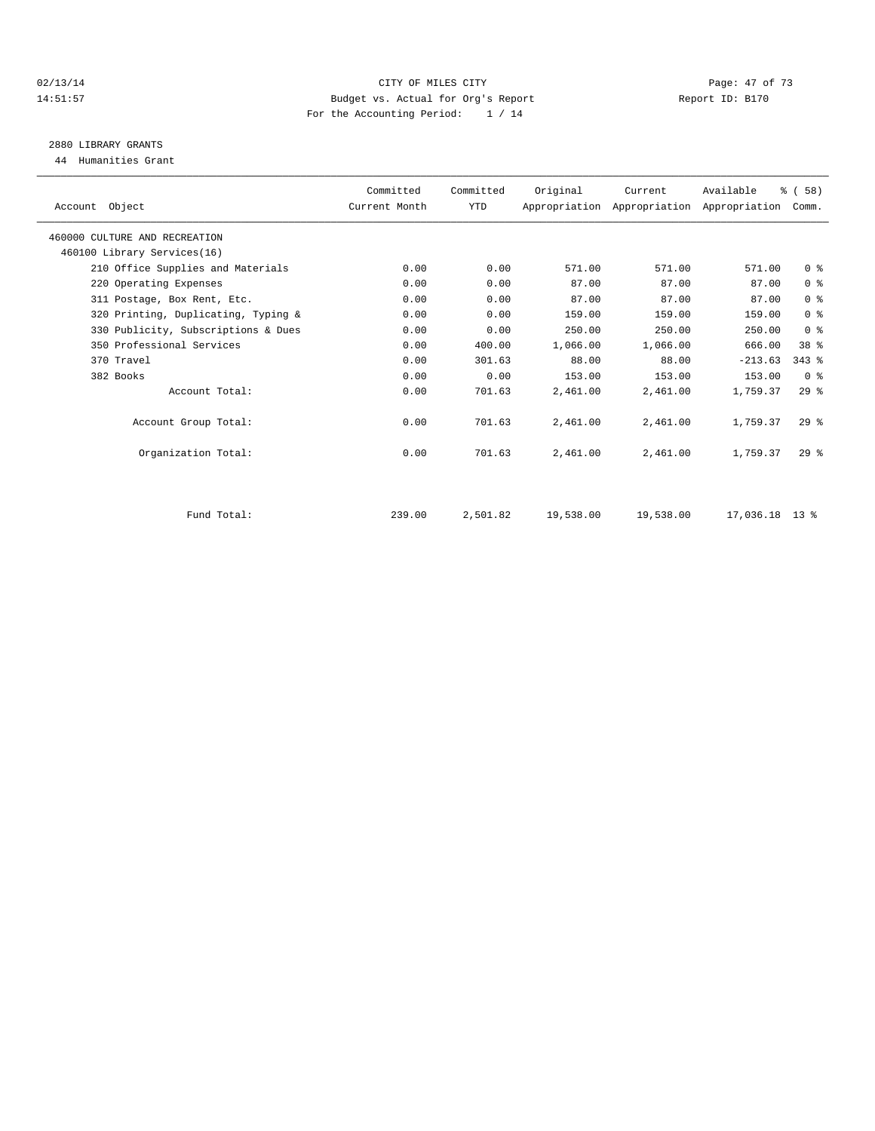#### $O2/13/14$   $O4/13/14$   $O4/13/14$   $O4/13/14$   $O4/13/14$   $O4/13/14$ 14:51:57 Budget vs. Actual for Org's Report Report ID: B170 For the Accounting Period: 1 / 14

# 2880 LIBRARY GRANTS

44 Humanities Grant

| Account Object                      | Committed<br>Current Month | Committed<br><b>YTD</b> | Original  | Current   | Available<br>Appropriation Appropriation Appropriation | % (58)<br>Comm. |  |
|-------------------------------------|----------------------------|-------------------------|-----------|-----------|--------------------------------------------------------|-----------------|--|
| 460000 CULTURE AND RECREATION       |                            |                         |           |           |                                                        |                 |  |
| 460100 Library Services(16)         |                            |                         |           |           |                                                        |                 |  |
| 210 Office Supplies and Materials   | 0.00                       | 0.00                    | 571.00    | 571.00    | 571.00                                                 | 0 <sup>8</sup>  |  |
| 220 Operating Expenses              | 0.00                       | 0.00                    | 87.00     | 87.00     | 87.00                                                  | 0 <sup>8</sup>  |  |
| 311 Postage, Box Rent, Etc.         | 0.00                       | 0.00                    | 87.00     | 87.00     | 87.00                                                  | 0 <sup>8</sup>  |  |
| 320 Printing, Duplicating, Typing & | 0.00                       | 0.00                    | 159.00    | 159.00    | 159.00                                                 | 0 <sup>8</sup>  |  |
| 330 Publicity, Subscriptions & Dues | 0.00                       | 0.00                    | 250.00    | 250.00    | 250.00                                                 | 0 <sup>8</sup>  |  |
| 350 Professional Services           | 0.00                       | 400.00                  | 1,066.00  | 1,066.00  | 666.00                                                 | 38 <sup>8</sup> |  |
| 370 Travel                          | 0.00                       | 301.63                  | 88.00     | 88.00     | $-213.63$                                              | $343$ $%$       |  |
| 382 Books                           | 0.00                       | 0.00                    | 153.00    | 153.00    | 153.00                                                 | 0 <sup>8</sup>  |  |
| Account Total:                      | 0.00                       | 701.63                  | 2,461.00  | 2,461.00  | 1,759.37                                               | 29%             |  |
| Account Group Total:                | 0.00                       | 701.63                  | 2,461.00  | 2,461.00  | 1,759.37                                               | $29*$           |  |
| Organization Total:                 | 0.00                       | 701.63                  | 2,461.00  | 2,461.00  | 1,759.37                                               | 29 <sup>8</sup> |  |
|                                     |                            |                         |           |           |                                                        |                 |  |
| Fund Total:                         | 239.00                     | 2,501.82                | 19,538.00 | 19,538.00 | $17.036.18$ 13 %                                       |                 |  |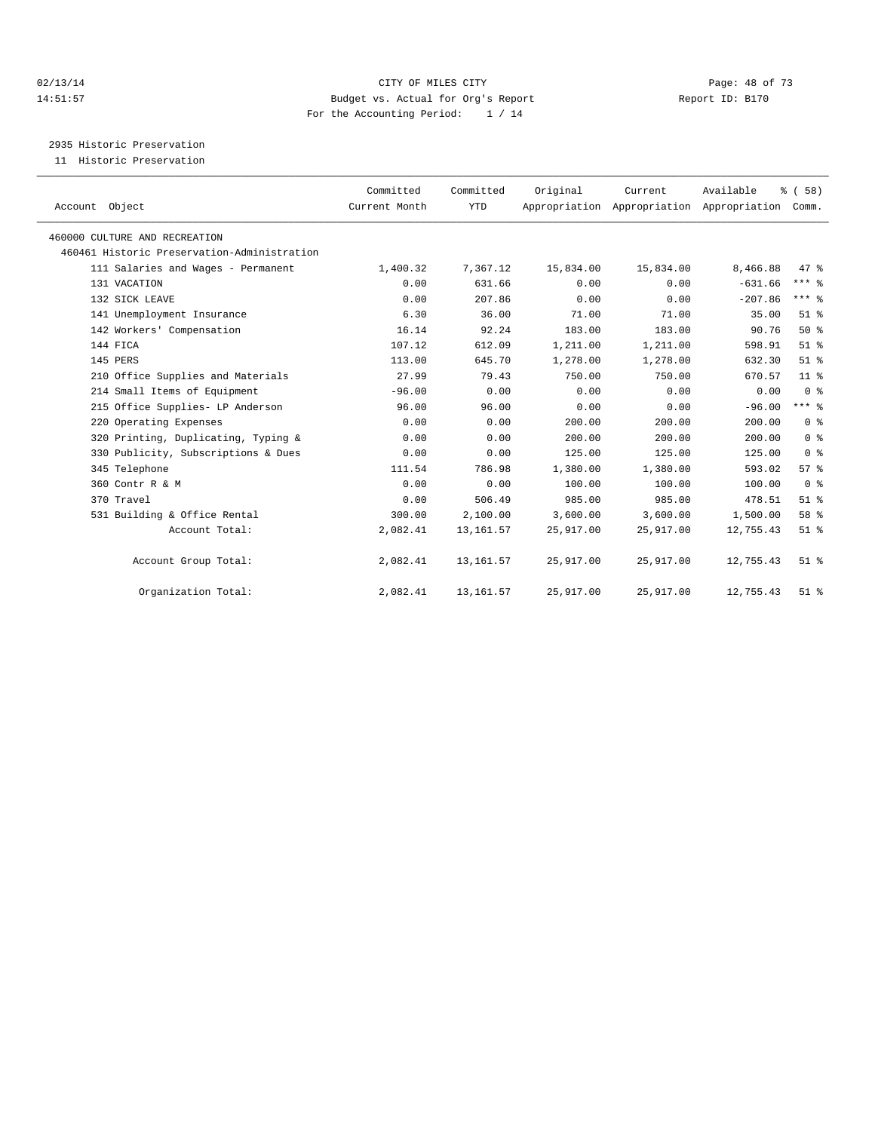#### 02/13/14 Page: 48 of 73 14:51:57 Budget vs. Actual for Org's Report Report ID: B170 For the Accounting Period: 1 / 14

2935 Historic Preservation

11 Historic Preservation

| Account Object                              | Committed<br>Current Month | Committed<br><b>YTD</b> | Original  | Current<br>Appropriation Appropriation Appropriation | Available | % (58)<br>Comm. |
|---------------------------------------------|----------------------------|-------------------------|-----------|------------------------------------------------------|-----------|-----------------|
| 460000 CULTURE AND RECREATION               |                            |                         |           |                                                      |           |                 |
| 460461 Historic Preservation-Administration |                            |                         |           |                                                      |           |                 |
| 111 Salaries and Wages - Permanent          | 1,400.32                   | 7,367.12                | 15,834.00 | 15,834.00                                            | 8,466.88  | 47.8            |
| 131 VACATION                                | 0.00                       | 631.66                  | 0.00      | 0.00                                                 | $-631.66$ | $***$ $%$       |
| 132 SICK LEAVE                              | 0.00                       | 207.86                  | 0.00      | 0.00                                                 | $-207.86$ | $***$ $_{8}$    |
| 141 Unemployment Insurance                  | 6.30                       | 36.00                   | 71.00     | 71.00                                                | 35.00     | $51*$           |
| 142 Workers' Compensation                   | 16.14                      | 92.24                   | 183.00    | 183.00                                               | 90.76     | $50*$           |
| 144 FICA                                    | 107.12                     | 612.09                  | 1,211.00  | 1,211.00                                             | 598.91    | $51$ $%$        |
| 145 PERS                                    | 113.00                     | 645.70                  | 1,278.00  | 1,278.00                                             | 632.30    | $51$ $%$        |
| 210 Office Supplies and Materials           | 27.99                      | 79.43                   | 750.00    | 750.00                                               | 670.57    | 11 <sup>8</sup> |
| 214 Small Items of Equipment                | $-96.00$                   | 0.00                    | 0.00      | 0.00                                                 | 0.00      | 0 <sup>8</sup>  |
| 215 Office Supplies- LP Anderson            | 96.00                      | 96.00                   | 0.00      | 0.00                                                 | $-96.00$  | $***$ $-$       |
| 220 Operating Expenses                      | 0.00                       | 0.00                    | 200.00    | 200.00                                               | 200.00    | 0 <sup>8</sup>  |
| 320 Printing, Duplicating, Typing &         | 0.00                       | 0.00                    | 200.00    | 200.00                                               | 200.00    | 0 <sup>8</sup>  |
| 330 Publicity, Subscriptions & Dues         | 0.00                       | 0.00                    | 125.00    | 125.00                                               | 125.00    | 0 <sup>8</sup>  |
| 345 Telephone                               | 111.54                     | 786.98                  | 1,380.00  | 1,380.00                                             | 593.02    | 57%             |
| 360 Contr R & M                             | 0.00                       | 0.00                    | 100.00    | 100.00                                               | 100.00    | 0 <sup>8</sup>  |
| 370 Travel                                  | 0.00                       | 506.49                  | 985.00    | 985.00                                               | 478.51    | $51$ $%$        |
| 531 Building & Office Rental                | 300.00                     | 2,100.00                | 3,600.00  | 3,600.00                                             | 1,500.00  | 58 %            |
| Account Total:                              | 2,082.41                   | 13, 161.57              | 25,917.00 | 25,917.00                                            | 12,755.43 | $51$ $%$        |
| Account Group Total:                        | 2,082.41                   | 13, 161.57              | 25,917.00 | 25,917.00                                            | 12,755.43 | $51$ %          |
| Organization Total:                         | 2,082.41                   | 13, 161.57              | 25,917.00 | 25,917.00                                            | 12,755.43 | $51$ %          |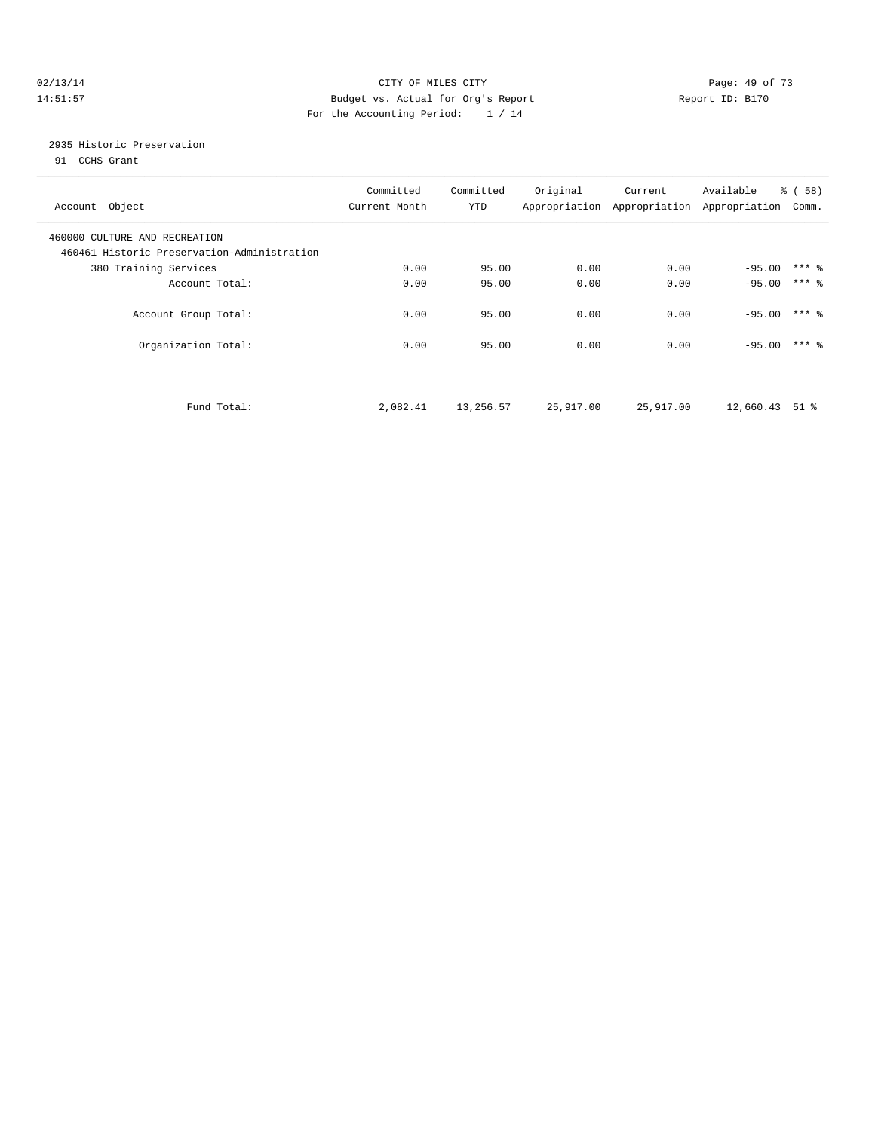### $O(13/14$   $O(13/14)$   $O(13/14)$   $O(15/14)$   $O(15/14)$   $O(15/14)$   $O(15/14)$   $O(15/14)$   $O(15/14)$   $O(15/14)$   $O(15/14)$   $O(15/14)$   $O(15/14)$   $O(15/14)$   $O(15/14)$   $O(15/14)$   $O(15/14)$   $O(15/14)$   $O(15/14)$   $O(15/14)$   $O$ 14:51:57 Budget vs. Actual for Org's Report Report ID: B170 For the Accounting Period: 1 / 14

## 2935 Historic Preservation

91 CCHS Grant

| Account Object                                                               | Committed<br>Current Month | Committed<br>YTD | Original  | Current<br>Appropriation Appropriation Appropriation | Available | % (58)<br>Comm. |  |
|------------------------------------------------------------------------------|----------------------------|------------------|-----------|------------------------------------------------------|-----------|-----------------|--|
| 460000 CULTURE AND RECREATION<br>460461 Historic Preservation-Administration |                            |                  |           |                                                      |           |                 |  |
| 380 Training Services                                                        | 0.00                       | 95.00            | 0.00      | 0.00                                                 | $-95.00$  | $***$ $%$       |  |
| Account Total:                                                               | 0.00                       | 95.00            | 0.00      | 0.00                                                 | $-95.00$  | $***$ 2         |  |
| Account Group Total:                                                         | 0.00                       | 95.00            | 0.00      | 0.00                                                 | $-95.00$  | $***$ 2         |  |
| Organization Total:                                                          | 0.00                       | 95.00            | 0.00      | 0.00                                                 | $-95.00$  | $***$ 2         |  |
| Fund Total:                                                                  | 2,082.41                   | 13,256.57        | 25,917.00 | 25,917.00                                            | 12,660.43 | 51 %            |  |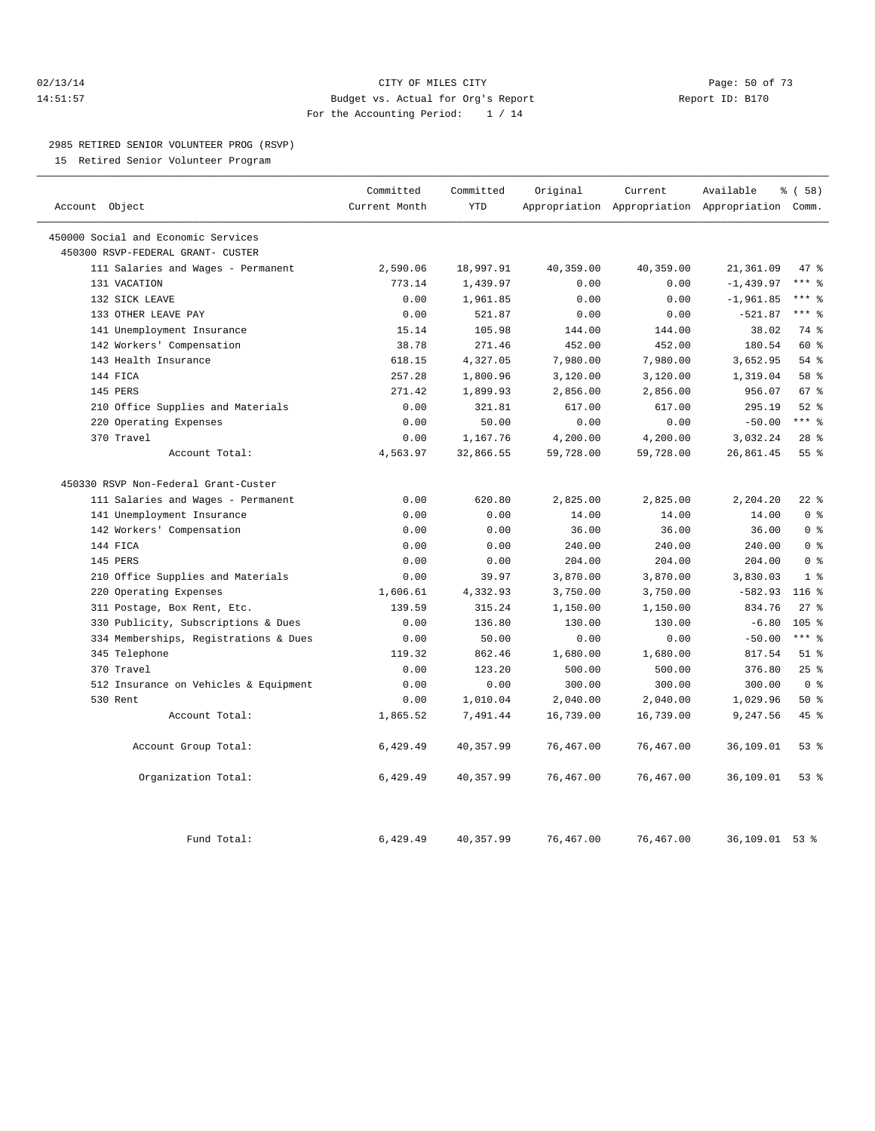### 02/13/14 Page: 50 of 73 14:51:57 Budget vs. Actual for Org's Report Report ID: B170 For the Accounting Period: 1 / 14

#### 2985 RETIRED SENIOR VOLUNTEER PROG (RSVP)

15 Retired Senior Volunteer Program

|                |                                       | Committed     | Committed  | Original  | Current                                   | Available    | % ( 58)          |
|----------------|---------------------------------------|---------------|------------|-----------|-------------------------------------------|--------------|------------------|
| Account Object |                                       | Current Month | <b>YTD</b> |           | Appropriation Appropriation Appropriation |              | Comm.            |
|                | 450000 Social and Economic Services   |               |            |           |                                           |              |                  |
|                | 450300 RSVP-FEDERAL GRANT- CUSTER     |               |            |           |                                           |              |                  |
|                | 111 Salaries and Wages - Permanent    | 2,590.06      | 18,997.91  | 40,359.00 | 40,359.00                                 | 21,361.09    | 47 %             |
|                | 131 VACATION                          | 773.14        | 1,439.97   | 0.00      | 0.00                                      | $-1, 439.97$ | $***$ 8          |
|                | 132 SICK LEAVE                        | 0.00          | 1,961.85   | 0.00      | 0.00                                      | $-1,961.85$  | $***$ 8          |
|                | 133 OTHER LEAVE PAY                   | 0.00          | 521.87     | 0.00      | 0.00                                      | $-521.87$    | $***$ 8          |
|                | 141 Unemployment Insurance            | 15.14         | 105.98     | 144.00    | 144.00                                    | 38.02        | 74 %             |
|                | 142 Workers' Compensation             | 38.78         | 271.46     | 452.00    | 452.00                                    | 180.54       | 60 %             |
|                | 143 Health Insurance                  | 618.15        | 4,327.05   | 7,980.00  | 7,980.00                                  | 3,652.95     | 54%              |
|                | 144 FICA                              | 257.28        | 1,800.96   | 3,120.00  | 3,120.00                                  | 1,319.04     | 58 %             |
|                | 145 PERS                              | 271.42        | 1,899.93   | 2,856.00  | 2,856.00                                  | 956.07       | 67 <sup>8</sup>  |
|                | 210 Office Supplies and Materials     | 0.00          | 321.81     | 617.00    | 617.00                                    | 295.19       | $52$ $%$         |
|                | 220 Operating Expenses                | 0.00          | 50.00      | 0.00      | 0.00                                      | $-50.00$     | $***$ 8          |
|                | 370 Travel                            | 0.00          | 1,167.76   | 4,200.00  | 4,200.00                                  | 3,032.24     | $28$ %           |
|                | Account Total:                        | 4,563.97      | 32,866.55  | 59,728.00 | 59,728.00                                 | 26,861.45    | 55%              |
|                | 450330 RSVP Non-Federal Grant-Custer  |               |            |           |                                           |              |                  |
|                | 111 Salaries and Wages - Permanent    | 0.00          | 620.80     | 2,825.00  | 2,825.00                                  | 2,204.20     | $22$ %           |
|                | 141 Unemployment Insurance            | 0.00          | 0.00       | 14.00     | 14.00                                     | 14.00        | 0 <sup>8</sup>   |
|                | 142 Workers' Compensation             | 0.00          | 0.00       | 36.00     | 36.00                                     | 36.00        | 0 <sup>8</sup>   |
|                | 144 FICA                              | 0.00          | 0.00       | 240.00    | 240.00                                    | 240.00       | 0 <sup>8</sup>   |
|                | 145 PERS                              | 0.00          | 0.00       | 204.00    | 204.00                                    | 204.00       | 0 <sup>8</sup>   |
|                | 210 Office Supplies and Materials     | 0.00          | 39.97      | 3,870.00  | 3,870.00                                  | 3,830.03     | 1 <sup>8</sup>   |
| 220            | Operating Expenses                    | 1,606.61      | 4,332.93   | 3,750.00  | 3,750.00                                  | $-582.93$    | 116 <sup>8</sup> |
|                | 311 Postage, Box Rent, Etc.           | 139.59        | 315.24     | 1,150.00  | 1,150.00                                  | 834.76       | $27$ $%$         |
|                | 330 Publicity, Subscriptions & Dues   | 0.00          | 136.80     | 130.00    | 130.00                                    | $-6.80$      | 105 <sub>8</sub> |
|                | 334 Memberships, Registrations & Dues | 0.00          | 50.00      | 0.00      | 0.00                                      | $-50.00$     | $***$ $_{8}$     |
|                | 345 Telephone                         | 119.32        | 862.46     | 1,680.00  | 1,680.00                                  | 817.54       | $51$ %           |
|                | 370 Travel                            | 0.00          | 123.20     | 500.00    | 500.00                                    | 376.80       | 25%              |
|                | 512 Insurance on Vehicles & Equipment | 0.00          | 0.00       | 300.00    | 300.00                                    | 300.00       | 0 <sup>8</sup>   |
|                | 530 Rent                              | 0.00          | 1,010.04   | 2,040.00  | 2,040.00                                  | 1,029.96     | $50*$            |
|                | Account Total:                        | 1,865.52      | 7,491.44   | 16,739.00 | 16,739.00                                 | 9,247.56     | 45 %             |
|                | Account Group Total:                  | 6,429.49      | 40,357.99  | 76,467.00 | 76,467.00                                 | 36,109.01    | 53%              |
|                | Organization Total:                   | 6,429.49      | 40,357.99  | 76,467.00 | 76,467.00                                 | 36,109.01    | $53*$            |
|                | Fund Total:                           | 6,429.49      | 40,357.99  | 76,467.00 | 76,467.00                                 | 36,109.01    | 53%              |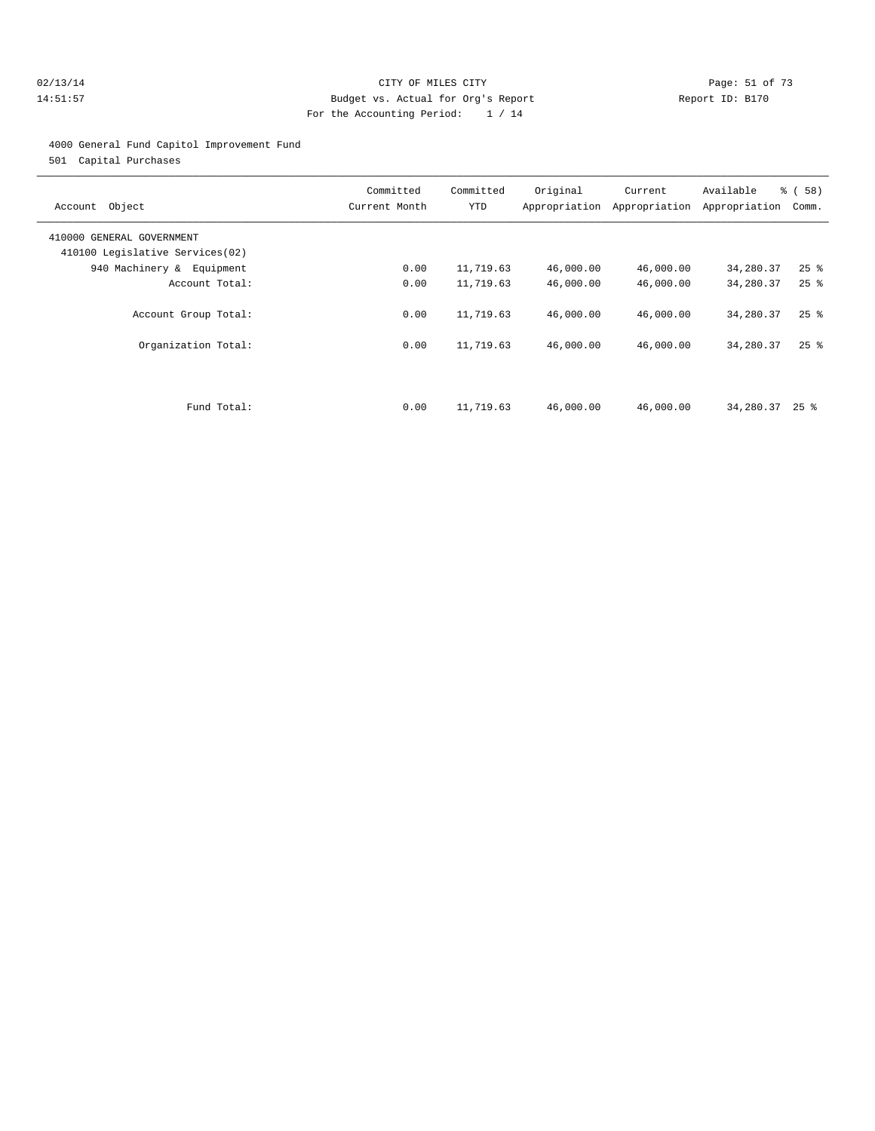#### 02/13/14 Page: 51 of 73 14:51:57 Budget vs. Actual for Org's Report Report ID: B170 For the Accounting Period: 1 / 14

#### 4000 General Fund Capitol Improvement Fund

501 Capital Purchases

| Account Object                                               | Committed<br>Current Month | Committed<br>YTD | Original  | Current<br>Appropriation Appropriation | Available<br>Appropriation | % (58)<br>Comm.    |
|--------------------------------------------------------------|----------------------------|------------------|-----------|----------------------------------------|----------------------------|--------------------|
| 410000 GENERAL GOVERNMENT<br>410100 Legislative Services(02) |                            |                  |           |                                        |                            |                    |
| 940 Machinery & Equipment                                    | 0.00                       | 11,719.63        | 46,000.00 | 46,000.00                              | 34,280.37                  | $25$ $\frac{6}{5}$ |
| Account Total:                                               | 0.00                       | 11,719.63        | 46,000.00 | 46,000.00                              | 34,280.37                  | $25$ $\frac{6}{5}$ |
| Account Group Total:                                         | 0.00                       | 11,719.63        | 46,000.00 | 46,000.00                              | 34,280.37                  | $25$ $\frac{6}{5}$ |
| Organization Total:                                          | 0.00                       | 11,719.63        | 46,000.00 | 46,000.00                              | 34,280.37                  | $25$ $%$           |
| Fund Total:                                                  | 0.00                       | 11,719.63        | 46,000.00 | 46,000.00                              | 34,280.37                  | $25$ %             |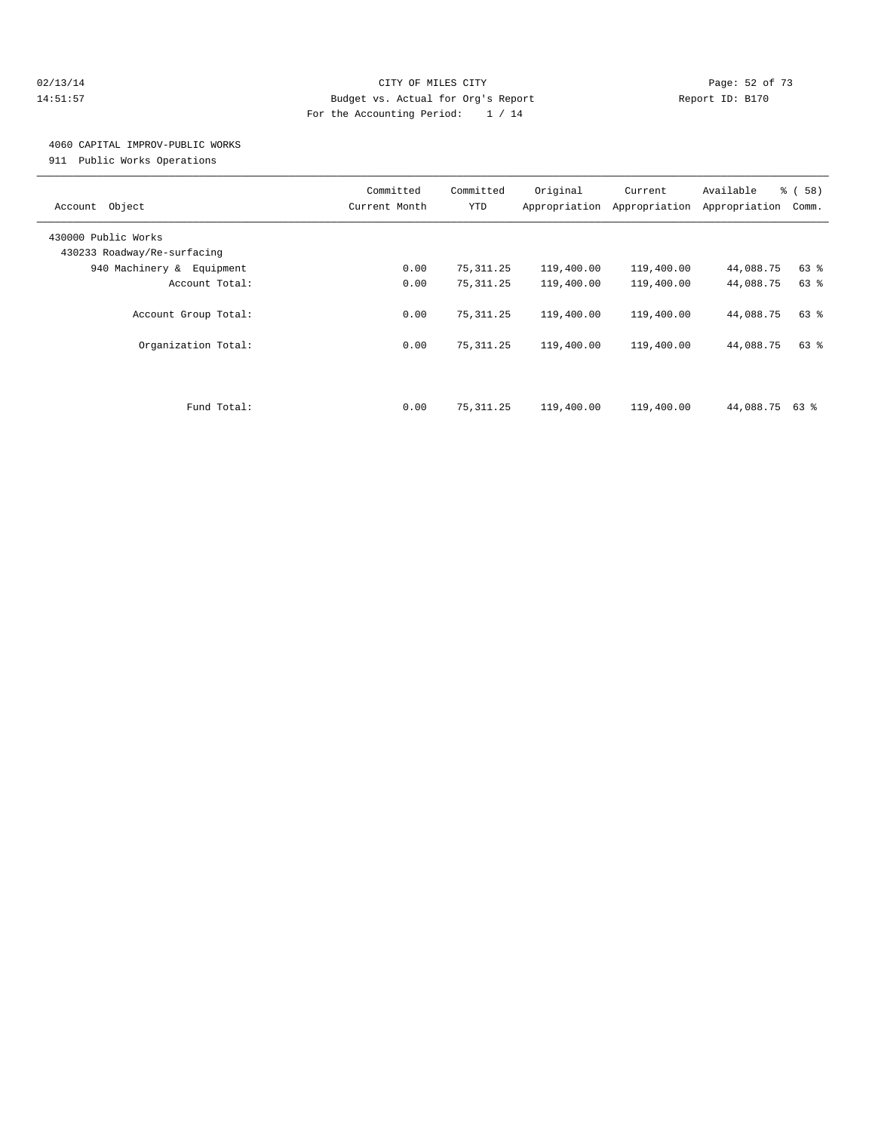#### 02/13/14 Page: 52 of 73 14:51:57 Budget vs. Actual for Org's Report Report ID: B170 For the Accounting Period: 1 / 14

## 4060 CAPITAL IMPROV-PUBLIC WORKS

911 Public Works Operations

| Object<br>Account                                  | Committed<br>Current Month | Committed<br><b>YTD</b> | Original<br>Appropriation | Current<br>Appropriation | Available<br>Appropriation | % (58)<br>Comm. |
|----------------------------------------------------|----------------------------|-------------------------|---------------------------|--------------------------|----------------------------|-----------------|
| 430000 Public Works<br>430233 Roadway/Re-surfacing |                            |                         |                           |                          |                            |                 |
| 940 Machinery & Equipment                          | 0.00                       | 75,311.25               | 119,400.00                | 119,400.00               | 44,088.75                  | 63 %            |
| Account Total:                                     | 0.00                       | 75, 311.25              | 119,400.00                | 119,400.00               | 44,088.75                  | 63%             |
| Account Group Total:                               | 0.00                       | 75, 311.25              | 119,400.00                | 119,400.00               | 44,088.75                  | 63 %            |
| Organization Total:                                | 0.00                       | 75, 311.25              | 119,400.00                | 119,400.00               | 44,088.75                  | 63 %            |
| Fund Total:                                        | 0.00                       | 75, 311.25              | 119,400.00                | 119,400.00               | 44,088.75 63 %             |                 |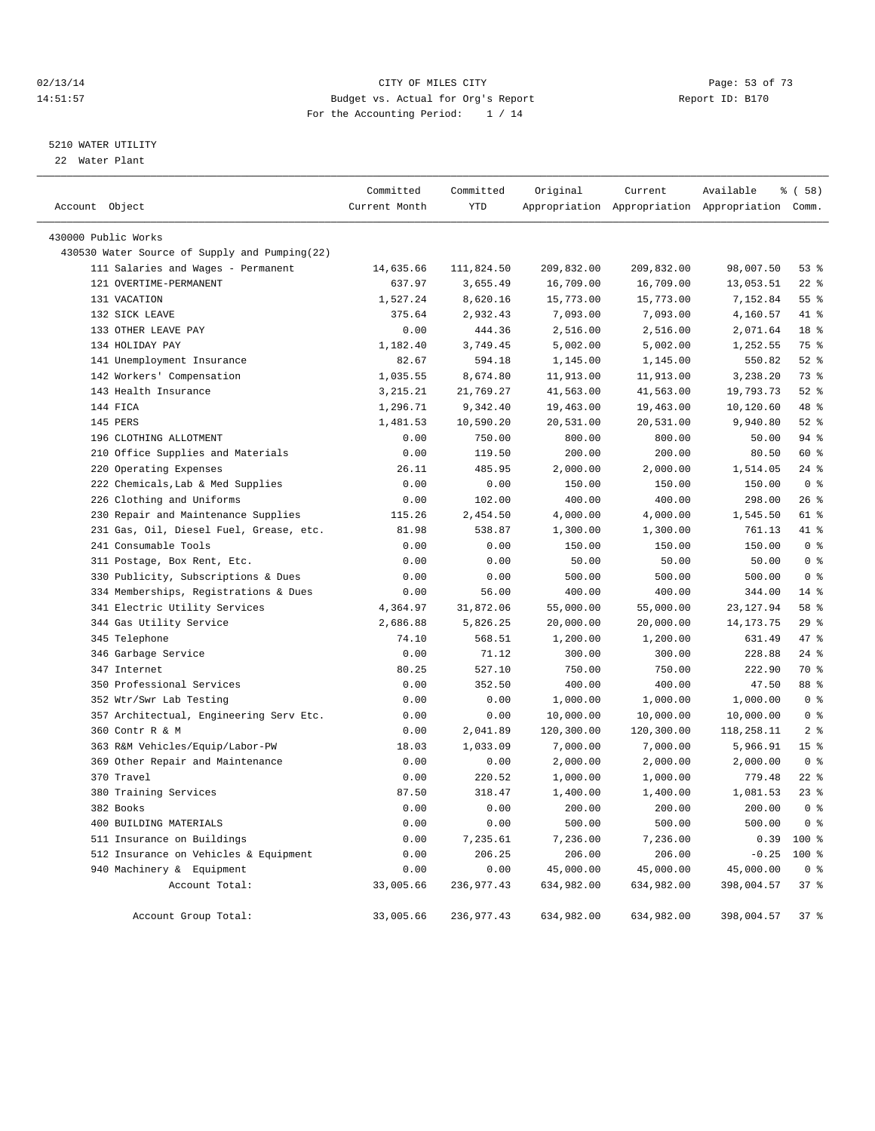#### 02/13/14 Page: 53 of 73 14:51:57 Budget vs. Actual for Org's Report Report ID: B170 For the Accounting Period: 1 / 14

————————————————————————————————————————————————————————————————————————————————————————————————————————————————————————————————————

#### 5210 WATER UTILITY

22 Water Plant

|                                               | Committed     | Committed   | Original   | Current    | Available                                       | % ( 58 )        |
|-----------------------------------------------|---------------|-------------|------------|------------|-------------------------------------------------|-----------------|
| Account Object                                | Current Month | <b>YTD</b>  |            |            | Appropriation Appropriation Appropriation Comm. |                 |
| 430000 Public Works                           |               |             |            |            |                                                 |                 |
| 430530 Water Source of Supply and Pumping(22) |               |             |            |            |                                                 |                 |
| 111 Salaries and Wages - Permanent            | 14,635.66     | 111,824.50  | 209,832.00 | 209,832.00 | 98,007.50                                       | 53%             |
| 121 OVERTIME-PERMANENT                        | 637.97        | 3,655.49    | 16,709.00  | 16,709.00  | 13,053.51                                       | $22$ %          |
| 131 VACATION                                  | 1,527.24      | 8,620.16    | 15,773.00  | 15,773.00  | 7,152.84                                        | 55%             |
| 132 SICK LEAVE                                | 375.64        | 2,932.43    | 7,093.00   | 7,093.00   | 4,160.57                                        | 41 %            |
| 133 OTHER LEAVE PAY                           | 0.00          | 444.36      | 2,516.00   | 2,516.00   | 2,071.64                                        | 18 %            |
| 134 HOLIDAY PAY                               | 1,182.40      | 3,749.45    | 5,002.00   | 5,002.00   | 1,252.55                                        | 75 %            |
| 141 Unemployment Insurance                    | 82.67         | 594.18      | 1,145.00   | 1,145.00   | 550.82                                          | $52$ $%$        |
| 142 Workers' Compensation                     | 1,035.55      | 8,674.80    | 11,913.00  | 11,913.00  | 3,238.20                                        | 73 %            |
| 143 Health Insurance                          | 3, 215. 21    | 21,769.27   | 41,563.00  | 41,563.00  | 19,793.73                                       | $52$ $%$        |
| 144 FICA                                      | 1,296.71      | 9,342.40    | 19,463.00  | 19,463.00  | 10,120.60                                       | 48 %            |
| 145 PERS                                      | 1,481.53      | 10,590.20   | 20,531.00  | 20,531.00  | 9,940.80                                        | $52$ $%$        |
| 196 CLOTHING ALLOTMENT                        | 0.00          | 750.00      | 800.00     | 800.00     | 50.00                                           | $94$ %          |
| 210 Office Supplies and Materials             | 0.00          | 119.50      | 200.00     | 200.00     | 80.50                                           | 60 %            |
| 220 Operating Expenses                        | 26.11         | 485.95      | 2,000.00   | 2,000.00   | 1,514.05                                        | $24$ %          |
| 222 Chemicals, Lab & Med Supplies             | 0.00          | 0.00        | 150.00     | 150.00     | 150.00                                          | 0 <sup>8</sup>  |
| 226 Clothing and Uniforms                     | 0.00          | 102.00      | 400.00     | 400.00     | 298.00                                          | $26$ %          |
| 230 Repair and Maintenance Supplies           | 115.26        | 2,454.50    | 4,000.00   | 4,000.00   | 1,545.50                                        | 61 %            |
| 231 Gas, Oil, Diesel Fuel, Grease, etc.       | 81.98         | 538.87      | 1,300.00   | 1,300.00   | 761.13                                          | 41.8            |
| 241 Consumable Tools                          | 0.00          | 0.00        | 150.00     | 150.00     | 150.00                                          | 0 <sup>8</sup>  |
| 311 Postage, Box Rent, Etc.                   | 0.00          | 0.00        | 50.00      | 50.00      | 50.00                                           | 0 <sup>8</sup>  |
| 330 Publicity, Subscriptions & Dues           | 0.00          | 0.00        | 500.00     | 500.00     | 500.00                                          | 0 <sup>8</sup>  |
| 334 Memberships, Registrations & Dues         | 0.00          | 56.00       | 400.00     | 400.00     | 344.00                                          | $14*$           |
| 341 Electric Utility Services                 | 4,364.97      | 31,872.06   | 55,000.00  | 55,000.00  | 23, 127.94                                      | 58 %            |
| 344 Gas Utility Service                       | 2,686.88      | 5,826.25    | 20,000.00  | 20,000.00  | 14, 173. 75                                     | 29%             |
| 345 Telephone                                 | 74.10         | 568.51      | 1,200.00   | 1,200.00   | 631.49                                          | 47 %            |
| 346 Garbage Service                           | 0.00          | 71.12       | 300.00     | 300.00     | 228.88                                          | $24$ %          |
| 347 Internet                                  | 80.25         | 527.10      | 750.00     | 750.00     | 222.90                                          | 70 %            |
| 350 Professional Services                     | 0.00          | 352.50      | 400.00     | 400.00     | 47.50                                           | 88 %            |
| 352 Wtr/Swr Lab Testing                       | 0.00          | 0.00        | 1,000.00   | 1,000.00   | 1,000.00                                        | 0 <sup>8</sup>  |
| 357 Architectual, Engineering Serv Etc.       | 0.00          | 0.00        | 10,000.00  | 10,000.00  | 10,000.00                                       | 0 <sup>8</sup>  |
| 360 Contr R & M                               | 0.00          | 2,041.89    | 120,300.00 | 120,300.00 | 118,258.11                                      | 2 <sup>8</sup>  |
| 363 R&M Vehicles/Equip/Labor-PW               | 18.03         | 1,033.09    | 7,000.00   | 7,000.00   | 5,966.91                                        | 15 <sup>°</sup> |
| 369 Other Repair and Maintenance              | 0.00          | 0.00        | 2,000.00   | 2,000.00   | 2,000.00                                        | 0 <sup>8</sup>  |
| 370 Travel                                    | 0.00          | 220.52      | 1,000.00   | 1,000.00   | 779.48                                          | $22$ %          |
| 380 Training Services                         | 87.50         | 318.47      | 1,400.00   | 1,400.00   | 1,081.53                                        | $23$ %          |
| 382 Books                                     | 0.00          | 0.00        | 200.00     | 200.00     | 200.00                                          | 0 <sup>8</sup>  |
| 400 BUILDING MATERIALS                        | 0.00          | 0.00        | 500.00     | 500.00     | 500.00                                          | 0 <sup>8</sup>  |
| 511 Insurance on Buildings                    | 0.00          | 7,235.61    | 7,236.00   | 7,236.00   | 0.39                                            | 100 %           |
| 512 Insurance on Vehicles & Equipment         | 0.00          | 206.25      | 206.00     | 206.00     | $-0.25$                                         | 100 %           |
| 940 Machinery & Equipment                     | 0.00          | 0.00        | 45,000.00  | 45,000.00  | 45,000.00                                       | 0 <sup>8</sup>  |
| Account Total:                                | 33,005.66     | 236,977.43  | 634,982.00 | 634,982.00 | 398,004.57                                      | 37 <sup>8</sup> |
|                                               |               |             |            |            |                                                 |                 |
| Account Group Total:                          | 33,005.66     | 236, 977.43 | 634,982.00 | 634,982.00 | 398,004.57                                      | 37%             |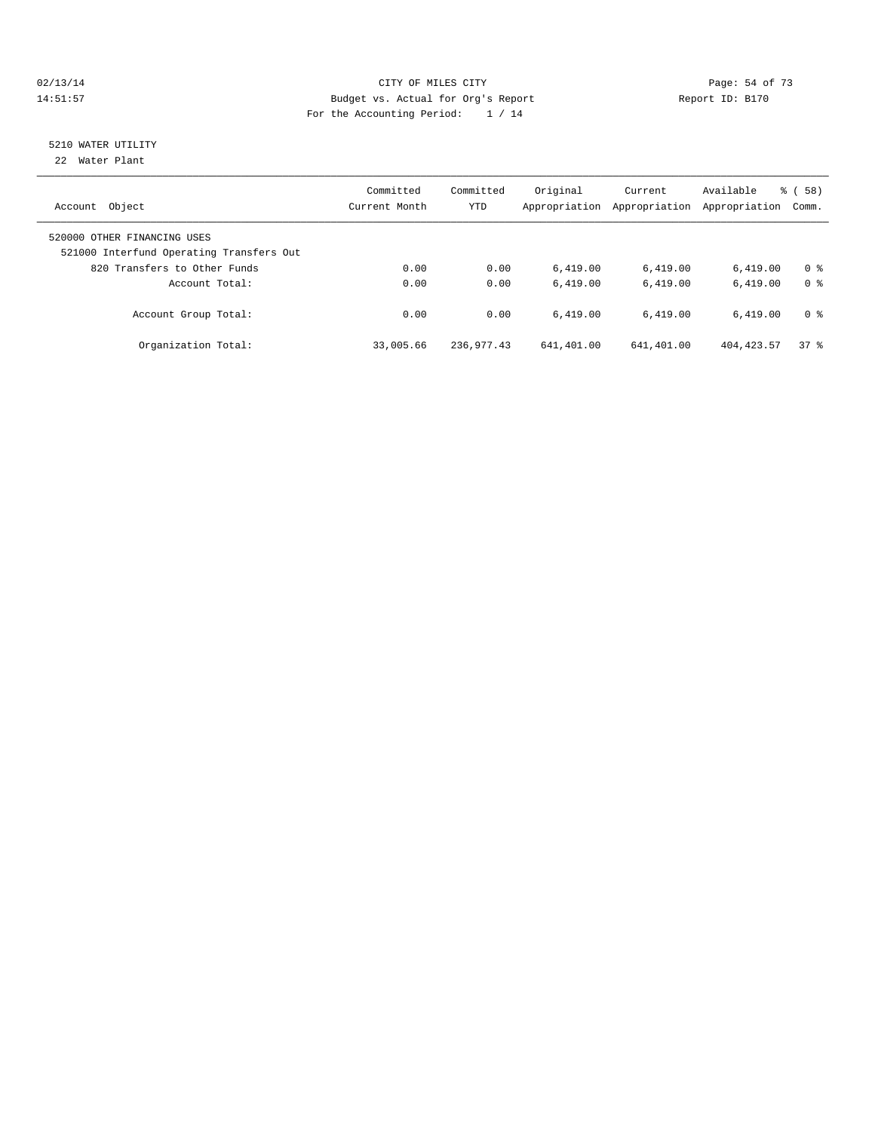#### 02/13/14 Page: 54 of 73 14:51:57 Budget vs. Actual for Org's Report Report ID: B170 For the Accounting Period: 1 / 14

# 5210 WATER UTILITY

22 Water Plant

| Object<br>Account                                                       | Committed<br>Current Month | Committed<br><b>YTD</b> | Original<br>Appropriation | Current<br>Appropriation | Available<br>Appropriation | % (58)<br>Comm. |
|-------------------------------------------------------------------------|----------------------------|-------------------------|---------------------------|--------------------------|----------------------------|-----------------|
| 520000 OTHER FINANCING USES<br>521000 Interfund Operating Transfers Out |                            |                         |                           |                          |                            |                 |
| 820 Transfers to Other Funds                                            | 0.00                       | 0.00                    | 6.419.00                  | 6,419.00                 | 6.419.00                   | 0 <sup>8</sup>  |
| Account Total:                                                          | 0.00                       | 0.00                    | 6.419.00                  | 6.419.00                 | 6.419.00                   | 0 <sup>8</sup>  |
| Account Group Total:                                                    | 0.00                       | 0.00                    | 6.419.00                  | 6.419.00                 | 6.419.00                   | 0 <sup>8</sup>  |
| Organization Total:                                                     | 33,005.66                  | 236, 977.43             | 641,401.00                | 641,401.00               | 404, 423.57                | 378             |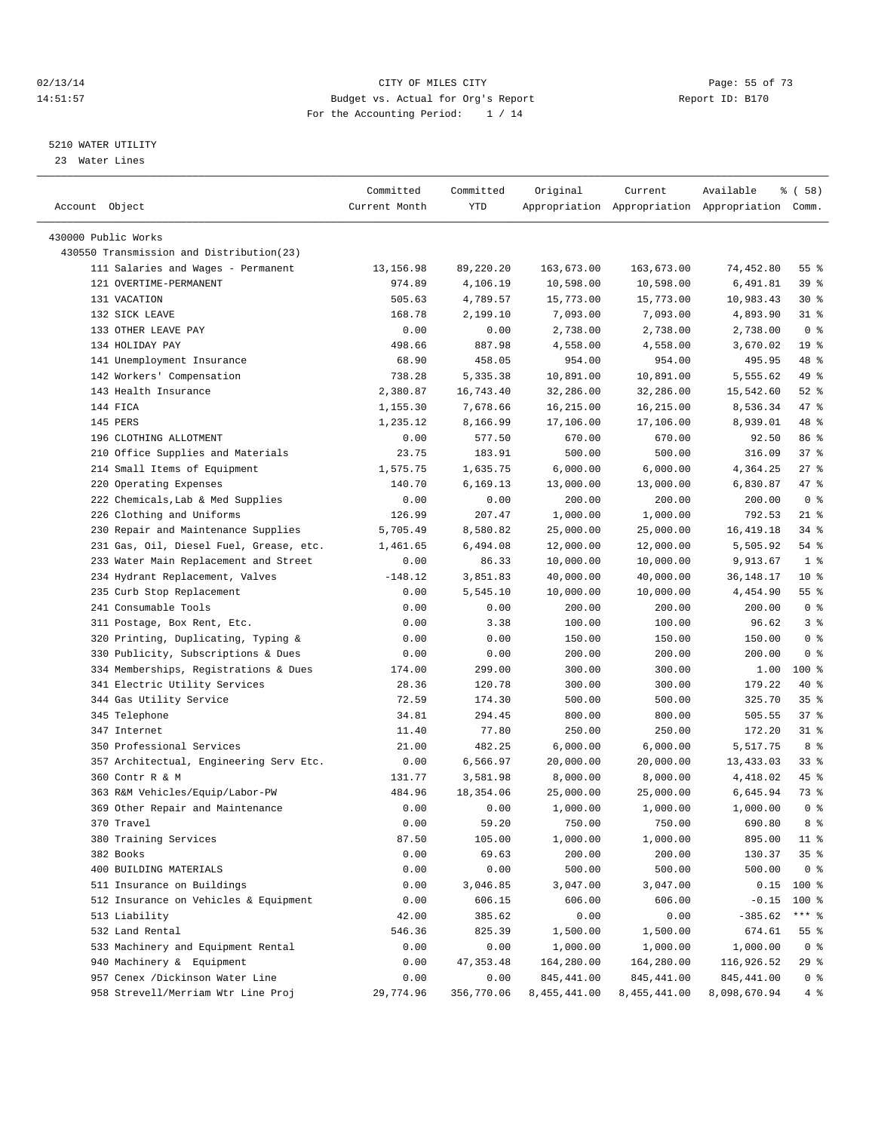#### $O2/13/14$  Page: 55 of 73 14:51:57 Budget vs. Actual for Org's Report Report ID: B170 For the Accounting Period: 1 / 14

————————————————————————————————————————————————————————————————————————————————————————————————————————————————————————————————————

### 5210 WATER UTILITY

23 Water Lines

|                                          | Committed     | Committed  | Original         | Current      | Available                                       | % ( 58 )                 |
|------------------------------------------|---------------|------------|------------------|--------------|-------------------------------------------------|--------------------------|
| Account Object                           | Current Month | YTD        |                  |              | Appropriation Appropriation Appropriation Comm. |                          |
| 430000 Public Works                      |               |            |                  |              |                                                 |                          |
| 430550 Transmission and Distribution(23) |               |            |                  |              |                                                 |                          |
| 111 Salaries and Wages - Permanent       | 13, 156.98    | 89,220.20  | 163,673.00       | 163,673.00   | 74,452.80                                       | 55 %                     |
| 121 OVERTIME-PERMANENT                   | 974.89        | 4,106.19   | 10,598.00        | 10,598.00    | 6,491.81                                        | 39%                      |
| 131 VACATION                             | 505.63        | 4,789.57   | 15,773.00        | 15,773.00    | 10,983.43                                       | $30*$                    |
| 132 SICK LEAVE                           |               |            | 7,093.00         |              |                                                 |                          |
| 133 OTHER LEAVE PAY                      | 168.78        | 2,199.10   |                  | 7,093.00     | 4,893.90                                        | $31$ %<br>0 <sup>8</sup> |
|                                          | 0.00          | 0.00       | 2,738.00         | 2,738.00     | 2,738.00                                        |                          |
| 134 HOLIDAY PAY                          | 498.66        | 887.98     | 4,558.00         | 4,558.00     | 3,670.02                                        | 19 <sup>°</sup>          |
| 141 Unemployment Insurance               | 68.90         | 458.05     | 954.00           | 954.00       | 495.95                                          | 48 %                     |
| 142 Workers' Compensation                | 738.28        | 5,335.38   | 10,891.00        | 10,891.00    | 5,555.62                                        | 49 %                     |
| 143 Health Insurance                     | 2,380.87      | 16,743.40  | 32,286.00        | 32,286.00    | 15,542.60                                       | $52$ $%$                 |
| 144 FICA                                 | 1,155.30      | 7,678.66   | 16,215.00        | 16,215.00    | 8,536.34                                        | 47 %                     |
| 145 PERS                                 | 1,235.12      | 8,166.99   | 17,106.00        | 17,106.00    | 8,939.01                                        | 48 %                     |
| 196 CLOTHING ALLOTMENT                   | 0.00          | 577.50     | 670.00           | 670.00       | 92.50                                           | 86 %                     |
| 210 Office Supplies and Materials        | 23.75         | 183.91     | 500.00           | 500.00       | 316.09                                          | 37%                      |
| 214 Small Items of Equipment             | 1,575.75      | 1,635.75   | 6,000.00         | 6,000.00     | 4,364.25                                        | $27$ %                   |
| 220 Operating Expenses                   | 140.70        | 6,169.13   | 13,000.00        | 13,000.00    | 6,830.87                                        | 47 %                     |
| 222 Chemicals, Lab & Med Supplies        | 0.00          | 0.00       | 200.00           | 200.00       | 200.00                                          | 0 <sup>8</sup>           |
| 226 Clothing and Uniforms                | 126.99        | 207.47     | 1,000.00         | 1,000.00     | 792.53                                          | $21$ %                   |
| 230 Repair and Maintenance Supplies      | 5,705.49      | 8,580.82   | 25,000.00        | 25,000.00    | 16, 419.18                                      | 34 %                     |
| 231 Gas, Oil, Diesel Fuel, Grease, etc.  | 1,461.65      | 6,494.08   | 12,000.00        | 12,000.00    | 5,505.92                                        | 54 %                     |
| 233 Water Main Replacement and Street    | 0.00          | 86.33      | 10,000.00        | 10,000.00    | 9,913.67                                        | 1 <sup>8</sup>           |
| 234 Hydrant Replacement, Valves          | $-148.12$     | 3,851.83   | 40,000.00        | 40,000.00    | 36,148.17                                       | 10 <sup>°</sup>          |
| 235 Curb Stop Replacement                | 0.00          | 5,545.10   | 10,000.00        | 10,000.00    | 4,454.90                                        | $55$ $%$                 |
| 241 Consumable Tools                     | 0.00          | 0.00       | 200.00           | 200.00       | 200.00                                          | 0 <sup>8</sup>           |
| 311 Postage, Box Rent, Etc.              | 0.00          | 3.38       | 100.00           | 100.00       | 96.62                                           | 3%                       |
| 320 Printing, Duplicating, Typing &      | 0.00          | 0.00       | 150.00           | 150.00       | 150.00                                          | 0 <sup>8</sup>           |
| 330 Publicity, Subscriptions & Dues      | 0.00          | 0.00       | 200.00           | 200.00       | 200.00                                          | 0 <sup>8</sup>           |
| 334 Memberships, Registrations & Dues    | 174.00        | 299.00     | 300.00           | 300.00       | 1.00                                            | $100$ %                  |
| 341 Electric Utility Services            | 28.36         | 120.78     | 300.00           | 300.00       | 179.22                                          | 40 %                     |
| 344 Gas Utility Service                  | 72.59         | 174.30     | 500.00           | 500.00       | 325.70                                          | 35 <sup>8</sup>          |
| 345 Telephone                            | 34.81         | 294.45     | 800.00           | 800.00       | 505.55                                          | 37%                      |
| 347 Internet                             | 11.40         | 77.80      | 250.00           | 250.00       | 172.20                                          | $31$ %                   |
| 350 Professional Services                | 21.00         | 482.25     | 6,000.00         | 6,000.00     | 5,517.75                                        | 8 %                      |
| 357 Architectual, Engineering Serv Etc.  | 0.00          | 6,566.97   | 20,000.00        | 20,000.00    | 13,433.03                                       | 33%                      |
| 360 Contr R & M                          | 131.77        | 3,581.98   | 8,000.00         | 8,000.00     | 4,418.02                                        | 45 %                     |
| 363 R&M Vehicles/Equip/Labor-PW          | 484.96        | 18,354.06  | 25,000.00        | 25,000.00    | 6,645.94                                        | 73 %                     |
| 369 Other Repair and Maintenance         | 0.00          | 0.00       | 1,000.00         | 1,000.00     | 1,000.00                                        | 0 <sup>8</sup>           |
| 370 Travel                               | 0.00          | 59.20      | 750.00           | 750.00       | 690.80                                          | 8 %                      |
| 380 Training Services                    |               |            | 1,000.00         |              |                                                 | $11$ %                   |
| 382 Books                                | 87.50         | 105.00     |                  | 1,000.00     | 895.00                                          |                          |
|                                          | 0.00          | 69.63      | 200.00<br>500.00 | 200.00       | 130.37                                          | 35%                      |
| 400 BUILDING MATERIALS                   | 0.00          | 0.00       |                  | 500.00       | 500.00                                          | 0 <sup>8</sup>           |
| 511 Insurance on Buildings               | 0.00          | 3,046.85   | 3,047.00         | 3,047.00     | 0.15                                            | $100$ %                  |
| 512 Insurance on Vehicles & Equipment    | 0.00          | 606.15     | 606.00           | 606.00       | $-0.15$                                         | 100 %                    |
| 513 Liability                            | 42.00         | 385.62     | 0.00             | 0.00         | $-385.62$                                       | *** 응                    |
| 532 Land Rental                          | 546.36        | 825.39     | 1,500.00         | 1,500.00     | 674.61                                          | $55$ $%$                 |
| 533 Machinery and Equipment Rental       | 0.00          | 0.00       | 1,000.00         | 1,000.00     | 1,000.00                                        | 0 <sup>8</sup>           |
| 940 Machinery & Equipment                | 0.00          | 47, 353.48 | 164,280.00       | 164,280.00   | 116,926.52                                      | 29 %                     |
| 957 Cenex /Dickinson Water Line          | 0.00          | 0.00       | 845,441.00       | 845,441.00   | 845, 441.00                                     | 0 <sup>8</sup>           |
| 958 Strevell/Merriam Wtr Line Proj       | 29,774.96     | 356,770.06 | 8,455,441.00     | 8,455,441.00 | 8,098,670.94                                    | 4%                       |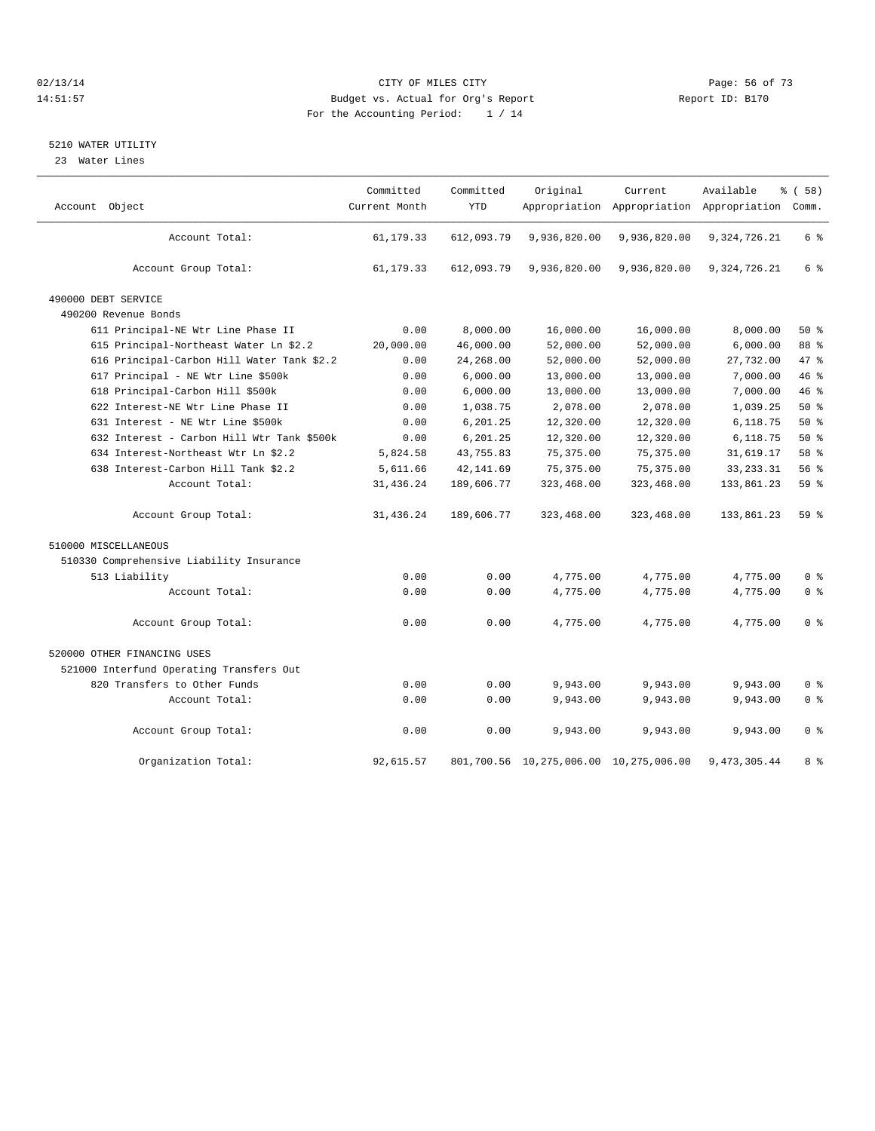#### $O(13/14$   $O(13/14)$   $O(13/14)$   $O(15/14)$   $O(15/14)$   $O(15/14)$   $O(15/14)$   $O(15/14)$   $O(15/14)$   $O(15/14)$   $O(15/14)$   $O(15/14)$   $O(15/14)$   $O(15/14)$   $O(15/14)$   $O(15/14)$   $O(15/14)$   $O(15/14)$   $O(15/14)$   $O(15/14)$   $O$ 14:51:57 Budget vs. Actual for Org's Report Report ID: B170 For the Accounting Period: 1 / 14

### 5210 WATER UTILITY

23 Water Lines

| Account Object                             | Committed<br>Current Month | Committed<br><b>YTD</b> | Original                               | Current      | Available<br>Appropriation Appropriation Appropriation Comm. | % ( 58 )       |  |
|--------------------------------------------|----------------------------|-------------------------|----------------------------------------|--------------|--------------------------------------------------------------|----------------|--|
| Account Total:                             | 61, 179. 33                | 612,093.79              | 9,936,820.00                           | 9,936,820.00 | 9, 324, 726. 21                                              | 6 %            |  |
| Account Group Total:                       | 61,179.33                  | 612,093.79              | 9,936,820.00                           | 9,936,820.00 | 9,324,726.21                                                 | 6 %            |  |
| 490000 DEBT SERVICE                        |                            |                         |                                        |              |                                                              |                |  |
| 490200 Revenue Bonds                       |                            |                         |                                        |              |                                                              |                |  |
| 611 Principal-NE Wtr Line Phase II         | 0.00                       | 8,000.00                | 16,000.00                              | 16,000.00    | 8,000.00                                                     | $50*$          |  |
| 615 Principal-Northeast Water Ln \$2.2     | 20,000.00                  | 46,000.00               | 52,000.00                              | 52,000.00    | 6,000.00                                                     | 88 %           |  |
| 616 Principal-Carbon Hill Water Tank \$2.2 | 0.00                       | 24,268.00               | 52,000.00                              | 52,000.00    | 27,732.00                                                    | 47.8           |  |
| 617 Principal - NE Wtr Line \$500k         | 0.00                       | 6,000.00                | 13,000.00                              | 13,000.00    | 7,000.00                                                     | 46%            |  |
| 618 Principal-Carbon Hill \$500k           | 0.00                       | 6,000.00                | 13,000.00                              | 13,000.00    | 7,000.00                                                     | 46%            |  |
| 622 Interest-NE Wtr Line Phase II          | 0.00                       | 1,038.75                | 2,078.00                               | 2,078.00     | 1,039.25                                                     | 50%            |  |
| 631 Interest - NE Wtr Line \$500k          | 0.00                       | 6,201.25                | 12,320.00                              | 12,320.00    | 6,118.75                                                     | $50*$          |  |
| 632 Interest - Carbon Hill Wtr Tank \$500k | 0.00                       | 6,201.25                | 12,320.00                              | 12,320.00    | 6,118.75                                                     | 50%            |  |
| 634 Interest-Northeast Wtr Ln \$2.2        | 5,824.58                   | 43,755.83               | 75,375.00                              | 75,375.00    | 31,619.17                                                    | 58 %           |  |
| 638 Interest-Carbon Hill Tank \$2.2        | 5,611.66                   | 42, 141.69              | 75, 375.00                             | 75, 375.00   | 33, 233. 31                                                  | 56%            |  |
| Account Total:                             | 31,436.24                  | 189,606.77              | 323,468.00                             | 323,468.00   | 133,861.23                                                   | 59 %           |  |
| Account Group Total:                       | 31,436.24                  | 189,606.77              | 323,468.00                             | 323,468.00   | 133,861.23                                                   | $59*$          |  |
| 510000 MISCELLANEOUS                       |                            |                         |                                        |              |                                                              |                |  |
| 510330 Comprehensive Liability Insurance   |                            |                         |                                        |              |                                                              |                |  |
| 513 Liability                              | 0.00                       | 0.00                    | 4,775.00                               | 4,775.00     | 4,775.00                                                     | 0 <sup>8</sup> |  |
| Account Total:                             | 0.00                       | 0.00                    | 4,775.00                               | 4,775.00     | 4,775.00                                                     | 0 <sup>8</sup> |  |
| Account Group Total:                       | 0.00                       | 0.00                    | 4,775.00                               | 4,775.00     | 4,775.00                                                     | 0 <sup>8</sup> |  |
| 520000 OTHER FINANCING USES                |                            |                         |                                        |              |                                                              |                |  |
| 521000 Interfund Operating Transfers Out   |                            |                         |                                        |              |                                                              |                |  |
| 820 Transfers to Other Funds               | 0.00                       | 0.00                    | 9,943.00                               | 9,943.00     | 9,943.00                                                     | 0 <sup>8</sup> |  |
| Account Total:                             | 0.00                       | 0.00                    | 9,943.00                               | 9,943.00     | 9,943.00                                                     | 0 <sup>8</sup> |  |
| Account Group Total:                       | 0.00                       | 0.00                    | 9,943.00                               | 9,943.00     | 9,943.00                                                     | 0 <sup>8</sup> |  |
| Organization Total:                        | 92,615.57                  |                         | 801,700.56 10,275,006.00 10,275,006.00 |              | 9,473,305.44                                                 | 8 %            |  |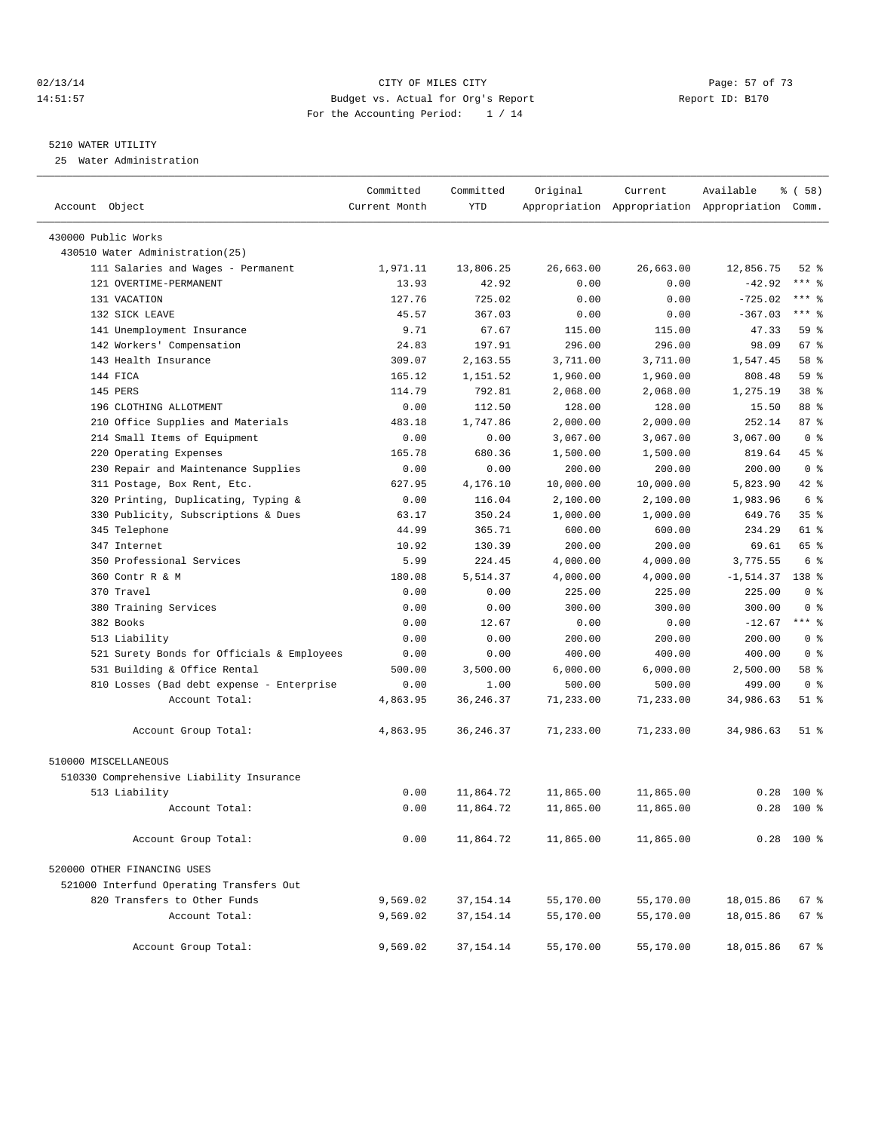#### 02/13/14 Page: 57 of 73 14:51:57 Budget vs. Actual for Org's Report Report ID: B170 For the Accounting Period: 1 / 14

————————————————————————————————————————————————————————————————————————————————————————————————————————————————————————————————————

#### 5210 WATER UTILITY

25 Water Administration

|                                            | Committed     | Committed   | Original  | Current   | Available                                       | $\frac{1}{6}$ (58) |
|--------------------------------------------|---------------|-------------|-----------|-----------|-------------------------------------------------|--------------------|
| Account Object                             | Current Month | <b>YTD</b>  |           |           | Appropriation Appropriation Appropriation Comm. |                    |
| 430000 Public Works                        |               |             |           |           |                                                 |                    |
| 430510 Water Administration(25)            |               |             |           |           |                                                 |                    |
| 111 Salaries and Wages - Permanent         | 1,971.11      | 13,806.25   | 26,663.00 | 26,663.00 | 12,856.75                                       | $52$ $%$           |
| 121 OVERTIME-PERMANENT                     | 13.93         | 42.92       | 0.00      | 0.00      | $-42.92$                                        | $***$ $-$          |
| 131 VACATION                               | 127.76        | 725.02      | 0.00      | 0.00      | $-725.02$                                       | $***$ $-$          |
| 132 SICK LEAVE                             | 45.57         | 367.03      | 0.00      | 0.00      | $-367.03$                                       | $***$ $-$          |
| 141 Unemployment Insurance                 | 9.71          | 67.67       | 115.00    | 115.00    | 47.33                                           | 59 %               |
| 142 Workers' Compensation                  | 24.83         | 197.91      | 296.00    | 296.00    | 98.09                                           | 67 %               |
| 143 Health Insurance                       | 309.07        | 2,163.55    | 3,711.00  | 3,711.00  | 1,547.45                                        | 58 %               |
| 144 FICA                                   | 165.12        | 1,151.52    | 1,960.00  | 1,960.00  | 808.48                                          | 59%                |
| 145 PERS                                   | 114.79        | 792.81      | 2,068.00  | 2,068.00  | 1,275.19                                        | 38 %               |
| 196 CLOTHING ALLOTMENT                     | 0.00          | 112.50      | 128.00    | 128.00    | 15.50                                           | 88 %               |
| 210 Office Supplies and Materials          | 483.18        | 1,747.86    | 2,000.00  | 2,000.00  | 252.14                                          | 87%                |
| 214 Small Items of Equipment               | 0.00          | 0.00        | 3,067.00  | 3,067.00  | 3,067.00                                        | 0 <sup>8</sup>     |
| 220 Operating Expenses                     | 165.78        | 680.36      | 1,500.00  | 1,500.00  | 819.64                                          | 45 %               |
| 230 Repair and Maintenance Supplies        | 0.00          | 0.00        | 200.00    | 200.00    | 200.00                                          | 0 <sup>8</sup>     |
| 311 Postage, Box Rent, Etc.                | 627.95        | 4,176.10    | 10,000.00 | 10,000.00 | 5,823.90                                        | 42 %               |
| 320 Printing, Duplicating, Typing &        | 0.00          | 116.04      | 2,100.00  | 2,100.00  | 1,983.96                                        | 6 %                |
| 330 Publicity, Subscriptions & Dues        | 63.17         | 350.24      | 1,000.00  | 1,000.00  | 649.76                                          | 35 <sup>8</sup>    |
| 345 Telephone                              | 44.99         | 365.71      | 600.00    | 600.00    | 234.29                                          | 61 %               |
| 347 Internet                               | 10.92         | 130.39      | 200.00    | 200.00    | 69.61                                           | 65 %               |
| 350 Professional Services                  | 5.99          | 224.45      | 4,000.00  | 4,000.00  | 3,775.55                                        | 6 %                |
| 360 Contr R & M                            | 180.08        | 5,514.37    | 4,000.00  | 4,000.00  | $-1, 514.37$                                    | 138 %              |
| 370 Travel                                 | 0.00          | 0.00        | 225.00    | 225.00    | 225.00                                          | 0 <sup>8</sup>     |
| 380 Training Services                      | 0.00          | 0.00        | 300.00    | 300.00    | 300.00                                          | 0 <sup>8</sup>     |
| 382 Books                                  | 0.00          | 12.67       | 0.00      | 0.00      | $-12.67$                                        | $***$ $%$          |
| 513 Liability                              | 0.00          | 0.00        | 200.00    | 200.00    | 200.00                                          | 0 <sup>8</sup>     |
| 521 Surety Bonds for Officials & Employees | 0.00          | 0.00        | 400.00    | 400.00    | 400.00                                          | 0 <sup>8</sup>     |
| 531 Building & Office Rental               | 500.00        | 3,500.00    | 6,000.00  | 6,000.00  | 2,500.00                                        | 58 %               |
| 810 Losses (Bad debt expense - Enterprise  | 0.00          | 1.00        | 500.00    | 500.00    | 499.00                                          | 0 <sup>8</sup>     |
| Account Total:                             | 4,863.95      | 36, 246. 37 | 71,233.00 | 71,233.00 | 34,986.63                                       | $51$ %             |
| Account Group Total:                       | 4,863.95      | 36, 246.37  | 71,233.00 | 71,233.00 | 34,986.63                                       | 51 %               |
| 510000 MISCELLANEOUS                       |               |             |           |           |                                                 |                    |
| 510330 Comprehensive Liability Insurance   |               |             |           |           |                                                 |                    |
| 513 Liability                              | 0.00          | 11,864.72   | 11,865.00 | 11,865.00 | 0.28                                            | $100*$             |
| Account Total:                             | 0.00          | 11,864.72   | 11,865.00 | 11,865.00 | 0.28                                            | 100 %              |
| Account Group Total:                       | 0.00          | 11,864.72   | 11,865.00 | 11,865.00 |                                                 | $0.28$ 100 %       |
| 520000 OTHER FINANCING USES                |               |             |           |           |                                                 |                    |
| 521000 Interfund Operating Transfers Out   |               |             |           |           |                                                 |                    |
| 820 Transfers to Other Funds               | 9,569.02      | 37,154.14   | 55,170.00 | 55,170.00 | 18,015.86                                       | 67 %               |
| Account Total:                             | 9,569.02      | 37, 154. 14 | 55,170.00 | 55,170.00 | 18,015.86                                       | 67 %               |
| Account Group Total:                       | 9,569.02      | 37, 154. 14 | 55,170.00 | 55,170.00 | 18,015.86                                       | 67%                |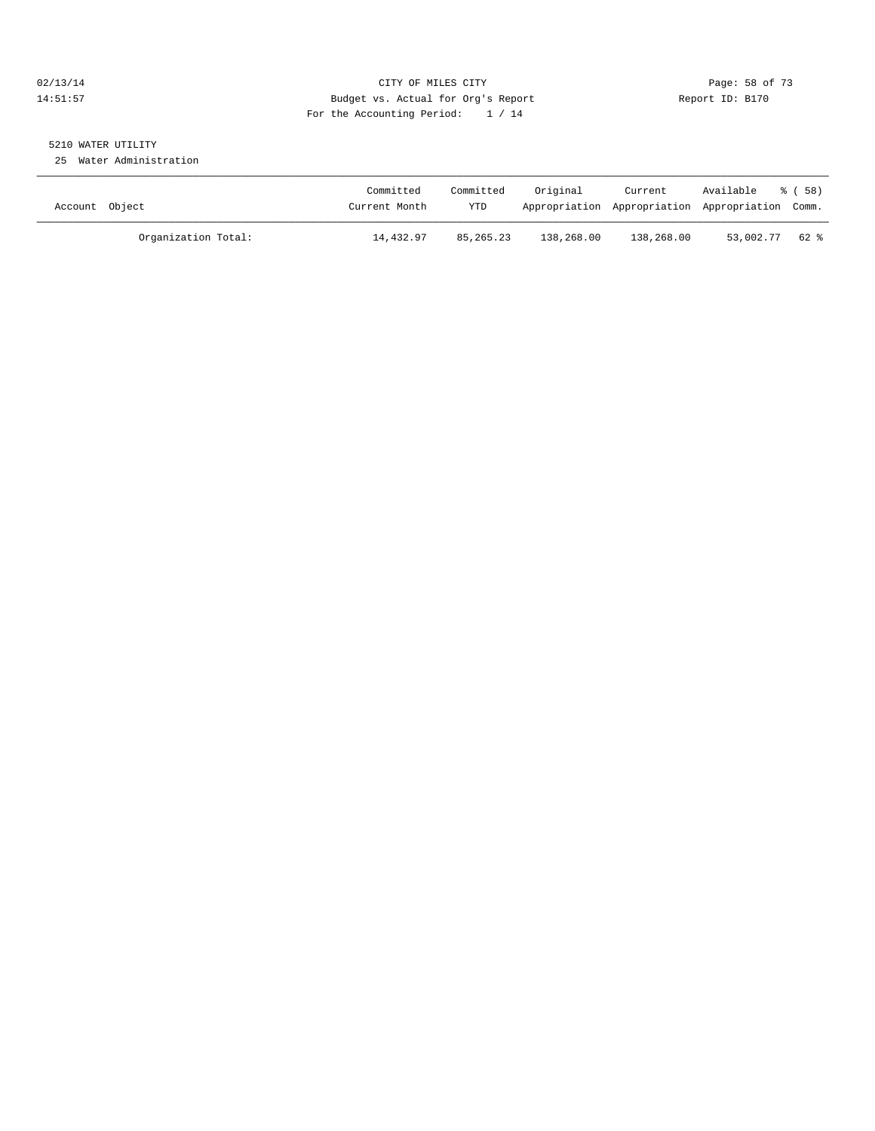### 02/13/14 Page: 58 of 73 14:51:57 Budget vs. Actual for Org's Report Report ID: B170 For the Accounting Period: 1 / 14

# 5210 WATER UTILITY

25 Water Administration

| Account Object |                     | Committed<br>Current Month | Committed<br><b>YTD</b> | Original   | Current    | Available<br>Appropriation Appropriation Appropriation Comm. | ී ( 58 ) |
|----------------|---------------------|----------------------------|-------------------------|------------|------------|--------------------------------------------------------------|----------|
|                | Organization Total: | 14,432.97                  | 85, 265, 23             | 138,268.00 | 138,268.00 | 53,002.77                                                    | 62 %     |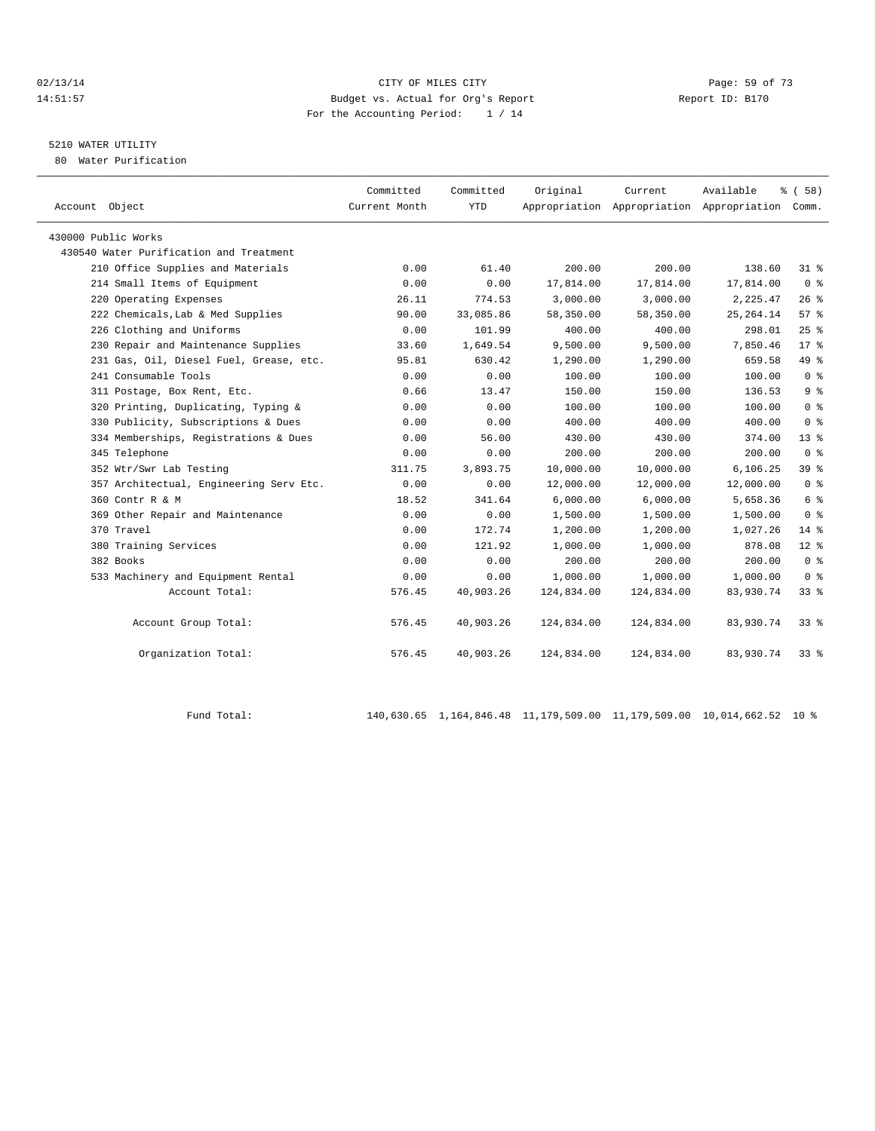#### $O(13/14$   $O(13/14)$   $O(13/14)$   $O(13/14)$   $O(13/14)$   $O(13/14)$   $O(13/14)$   $O(13/14)$ 14:51:57 Budget vs. Actual for Org's Report Report ID: B170 For the Accounting Period: 1 / 14

# 5210 WATER UTILITY

80 Water Purification

| Committed     | Committed | Original                | Current              | Available            | 8 ( 58 )                                                               |
|---------------|-----------|-------------------------|----------------------|----------------------|------------------------------------------------------------------------|
| Current Month |           |                         |                      |                      |                                                                        |
|               |           |                         |                      |                      |                                                                        |
|               |           |                         |                      |                      |                                                                        |
| 0.00          | 61.40     |                         |                      |                      | 31 %                                                                   |
| 0.00          | 0.00      | 17,814.00               | 17,814.00            | 17,814.00            | 0 <sup>8</sup>                                                         |
| 26.11         | 774.53    | 3,000.00                | 3,000.00             | 2,225.47             | 26%                                                                    |
| 90.00         | 33,085.86 | 58,350.00               | 58,350.00            | 25, 264.14           | 57%                                                                    |
| 0.00          | 101.99    | 400.00                  | 400.00               | 298.01               | 25%                                                                    |
| 33.60         | 1,649.54  | 9,500.00                | 9,500.00             | 7,850.46             | $17*$                                                                  |
| 95.81         | 630.42    | 1,290.00                | 1,290.00             | 659.58               | 49 %                                                                   |
| 0.00          | 0.00      | 100.00                  | 100.00               | 100.00               | 0 <sup>8</sup>                                                         |
| 0.66          | 13.47     | 150.00                  | 150.00               | 136.53               | 9%                                                                     |
| 0.00          | 0.00      | 100.00                  | 100.00               | 100.00               | 0 <sup>8</sup>                                                         |
| 0.00          | 0.00      | 400.00                  | 400.00               | 400.00               | 0 <sup>8</sup>                                                         |
| 0.00          | 56.00     | 430.00                  | 430.00               | 374.00               | 13 <sup>°</sup>                                                        |
| 0.00          | 0.00      | 200.00                  | 200.00               | 200.00               | 0 <sup>8</sup>                                                         |
| 311.75        | 3,893.75  | 10,000.00               | 10,000.00            | 6,106.25             | 39 <sup>8</sup>                                                        |
| 0.00          | 0.00      | 12,000.00               | 12,000.00            | 12,000.00            | 0 <sup>8</sup>                                                         |
| 18.52         | 341.64    | 6,000.00                | 6,000.00             | 5,658.36             | 6 %                                                                    |
| 0.00          | 0.00      | 1,500.00                | 1,500.00             | 1,500.00             | 0 <sup>8</sup>                                                         |
| 0.00          | 172.74    | 1,200.00                | 1,200.00             | 1,027.26             | $14*$                                                                  |
| 0.00          | 121.92    | 1,000.00                | 1,000.00             | 878.08               | $12*$                                                                  |
| 0.00          | 0.00      | 200.00                  | 200.00               | 200.00               | 0 <sup>8</sup>                                                         |
| 0.00          | 0.00      | 1,000.00                | 1,000.00             | 1,000.00             | 0 <sup>8</sup>                                                         |
| 576.45        | 40,903.26 | 124,834.00              | 124,834.00           | 83,930.74            | $33*$                                                                  |
|               |           |                         |                      |                      |                                                                        |
|               |           |                         |                      |                      | $33*$                                                                  |
| 576.45        | 40,903.26 | 124,834.00              | 124,834.00           | 83,930.74            | $33*$                                                                  |
|               | 576.45    | <b>YTD</b><br>40,903.26 | 200.00<br>124,834.00 | 200.00<br>124,834.00 | Appropriation Appropriation Appropriation Comm.<br>138.60<br>83,930.74 |

Fund Total: 140,630.65 1,164,846.48 11,179,509.00 11,179,509.00 10,014,662.52 10 %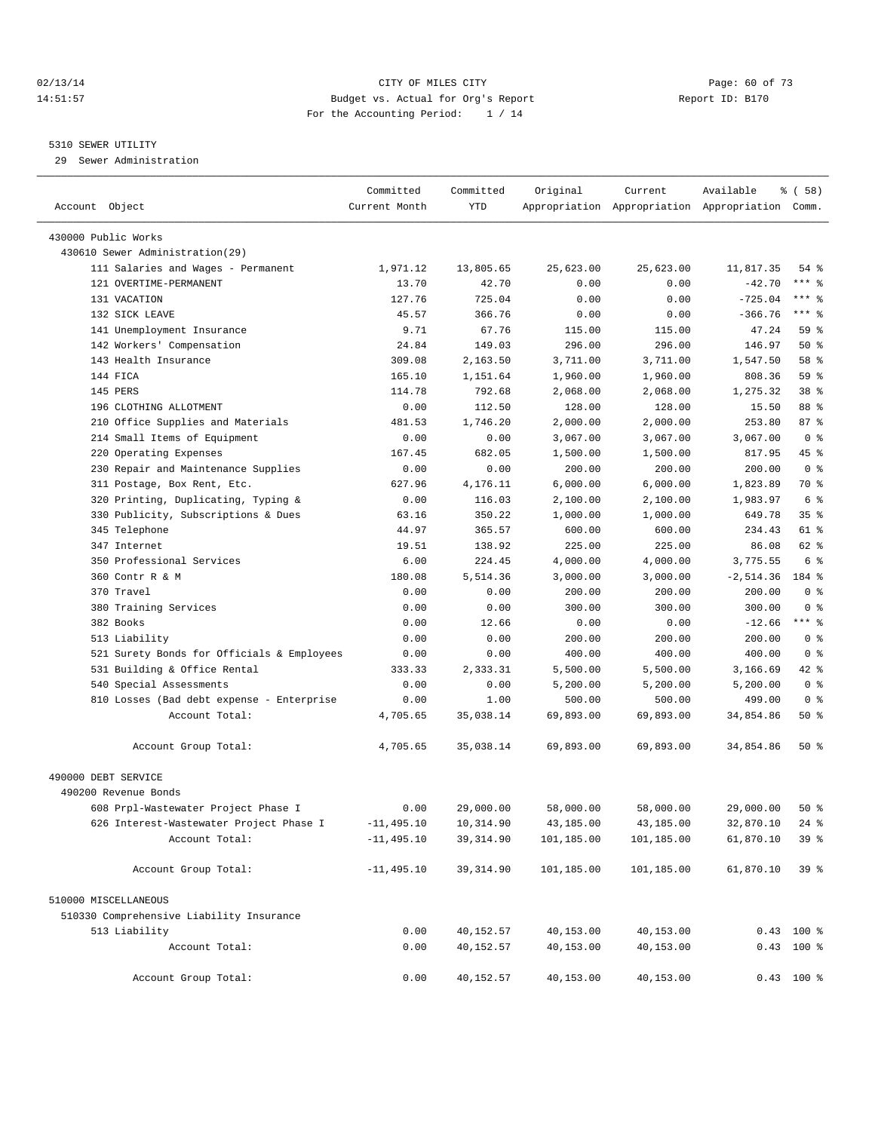#### 02/13/14 Page: 60 of 73 14:51:57 Budget vs. Actual for Org's Report Report ID: B170 For the Accounting Period: 1 / 14

————————————————————————————————————————————————————————————————————————————————————————————————————————————————————————————————————

#### 5310 SEWER UTILITY

29 Sewer Administration

|                                            | Committed     | Committed     | Original       | Current        | Available                                       | $\frac{1}{6}$ (58) |  |
|--------------------------------------------|---------------|---------------|----------------|----------------|-------------------------------------------------|--------------------|--|
| Account Object                             | Current Month | <b>YTD</b>    |                |                | Appropriation Appropriation Appropriation Comm. |                    |  |
| 430000 Public Works                        |               |               |                |                |                                                 |                    |  |
| 430610 Sewer Administration(29)            |               |               |                |                |                                                 |                    |  |
| 111 Salaries and Wages - Permanent         | 1,971.12      | 13,805.65     | 25,623.00      | 25,623.00      | 11,817.35                                       | 54 %               |  |
| 121 OVERTIME-PERMANENT                     | 13.70         | 42.70         | 0.00           | 0.00           | $-42.70$                                        | $***$ $-$          |  |
| 131 VACATION                               | 127.76        | 725.04        | 0.00           | 0.00           | $-725.04$                                       | *** 응              |  |
| 132 SICK LEAVE                             | 45.57         | 366.76        | 0.00           | 0.00           | $-366.76$                                       | $***$ $-$          |  |
| 141 Unemployment Insurance                 | 9.71          | 67.76         | 115.00         | 115.00         | 47.24                                           | 59 %               |  |
| 142 Workers' Compensation                  | 24.84         | 149.03        | 296.00         | 296.00         | 146.97                                          | 50%                |  |
| 143 Health Insurance                       | 309.08        | 2,163.50      | 3,711.00       | 3,711.00       | 1,547.50                                        | 58 %               |  |
| 144 FICA                                   | 165.10        | 1,151.64      | 1,960.00       | 1,960.00       | 808.36                                          | 59 %               |  |
| 145 PERS                                   | 114.78        | 792.68        | 2,068.00       | 2,068.00       | 1,275.32                                        | 38 %               |  |
| 196 CLOTHING ALLOTMENT                     | 0.00          | 112.50        | 128.00         | 128.00         | 15.50                                           | 88 %               |  |
| 210 Office Supplies and Materials          | 481.53        | 1,746.20      | 2,000.00       | 2,000.00       | 253.80                                          | 87%                |  |
| 214 Small Items of Equipment               | 0.00          | 0.00          | 3,067.00       | 3,067.00       | 3,067.00                                        | 0 <sup>8</sup>     |  |
| 220 Operating Expenses                     | 167.45        | 682.05        | 1,500.00       | 1,500.00       | 817.95                                          | 45 %               |  |
| 230 Repair and Maintenance Supplies        | 0.00          | 0.00          | 200.00         | 200.00         | 200.00                                          | 0 <sup>8</sup>     |  |
| 311 Postage, Box Rent, Etc.                | 627.96        | 4,176.11      | 6,000.00       | 6,000.00       | 1,823.89                                        | 70 %               |  |
| 320 Printing, Duplicating, Typing &        | 0.00          | 116.03        | 2,100.00       | 2,100.00       | 1,983.97                                        | 6 %                |  |
| 330 Publicity, Subscriptions & Dues        | 63.16         | 350.22        | 1,000.00       | 1,000.00       | 649.78                                          | 35%                |  |
| 345 Telephone                              | 44.97         | 365.57        | 600.00         | 600.00         | 234.43                                          | 61 %               |  |
| 347 Internet                               | 19.51         | 138.92        | 225.00         | 225.00         | 86.08                                           | 62 %               |  |
| 350 Professional Services                  | 6.00          | 224.45        | 4,000.00       | 4,000.00       | 3,775.55                                        | 6 %                |  |
| 360 Contr R & M                            | 180.08        | 5,514.36      | 3,000.00       | 3,000.00       | $-2,514.36$                                     | 184 %              |  |
| 370 Travel                                 | 0.00          | 0.00          | 200.00         | 200.00         | 200.00                                          | 0 <sup>8</sup>     |  |
| 380 Training Services                      | 0.00          | 0.00          | 300.00         | 300.00         | 300.00                                          | 0 <sup>8</sup>     |  |
| 382 Books                                  |               |               |                |                |                                                 | $***$ $-$          |  |
| 513 Liability                              | 0.00<br>0.00  | 12.66<br>0.00 | 0.00<br>200.00 | 0.00<br>200.00 | $-12.66$<br>200.00                              | 0 <sup>8</sup>     |  |
| 521 Surety Bonds for Officials & Employees | 0.00          | 0.00          | 400.00         | 400.00         | 400.00                                          | 0 <sup>8</sup>     |  |
| 531 Building & Office Rental               | 333.33        | 2,333.31      | 5,500.00       | 5,500.00       | 3,166.69                                        | 42 %               |  |
| 540 Special Assessments                    | 0.00          | 0.00          |                |                | 5,200.00                                        | 0 <sup>8</sup>     |  |
|                                            |               |               | 5,200.00       | 5,200.00       |                                                 | 0 <sup>8</sup>     |  |
| 810 Losses (Bad debt expense - Enterprise  | 0.00          | 1.00          | 500.00         | 500.00         | 499.00                                          | $50*$              |  |
| Account Total:                             | 4,705.65      | 35,038.14     | 69,893.00      | 69,893.00      | 34,854.86                                       |                    |  |
| Account Group Total:                       | 4,705.65      | 35,038.14     | 69,893.00      | 69,893.00      | 34,854.86                                       | $50*$              |  |
| 490000 DEBT SERVICE                        |               |               |                |                |                                                 |                    |  |
| 490200 Revenue Bonds                       |               |               |                |                |                                                 |                    |  |
| 608 Prpl-Wastewater Project Phase I        | 0.00          | 29,000.00     | 58,000.00      | 58,000.00      | 29,000.00                                       | $50*$              |  |
| 626 Interest-Wastewater Project Phase I    | $-11, 495.10$ | 10,314.90     | 43,185.00      | 43,185.00      | 32,870.10                                       | $24$ %             |  |
| Account Total:                             | $-11, 495.10$ | 39, 314.90    | 101,185.00     | 101,185.00     | 61,870.10                                       | 39%                |  |
| Account Group Total:                       | $-11, 495.10$ | 39, 314.90    | 101,185.00     | 101,185.00     | 61,870.10                                       | 39%                |  |
| 510000 MISCELLANEOUS                       |               |               |                |                |                                                 |                    |  |
| 510330 Comprehensive Liability Insurance   |               |               |                |                |                                                 |                    |  |
| 513 Liability                              | 0.00          | 40,152.57     | 40,153.00      | 40,153.00      |                                                 | $0.43$ 100 %       |  |
| Account Total:                             | 0.00          | 40,152.57     | 40,153.00      | 40,153.00      |                                                 | 0.43 100 %         |  |
| Account Group Total:                       | 0.00          | 40,152.57     | 40,153.00      | 40,153.00      |                                                 | $0.43$ 100 %       |  |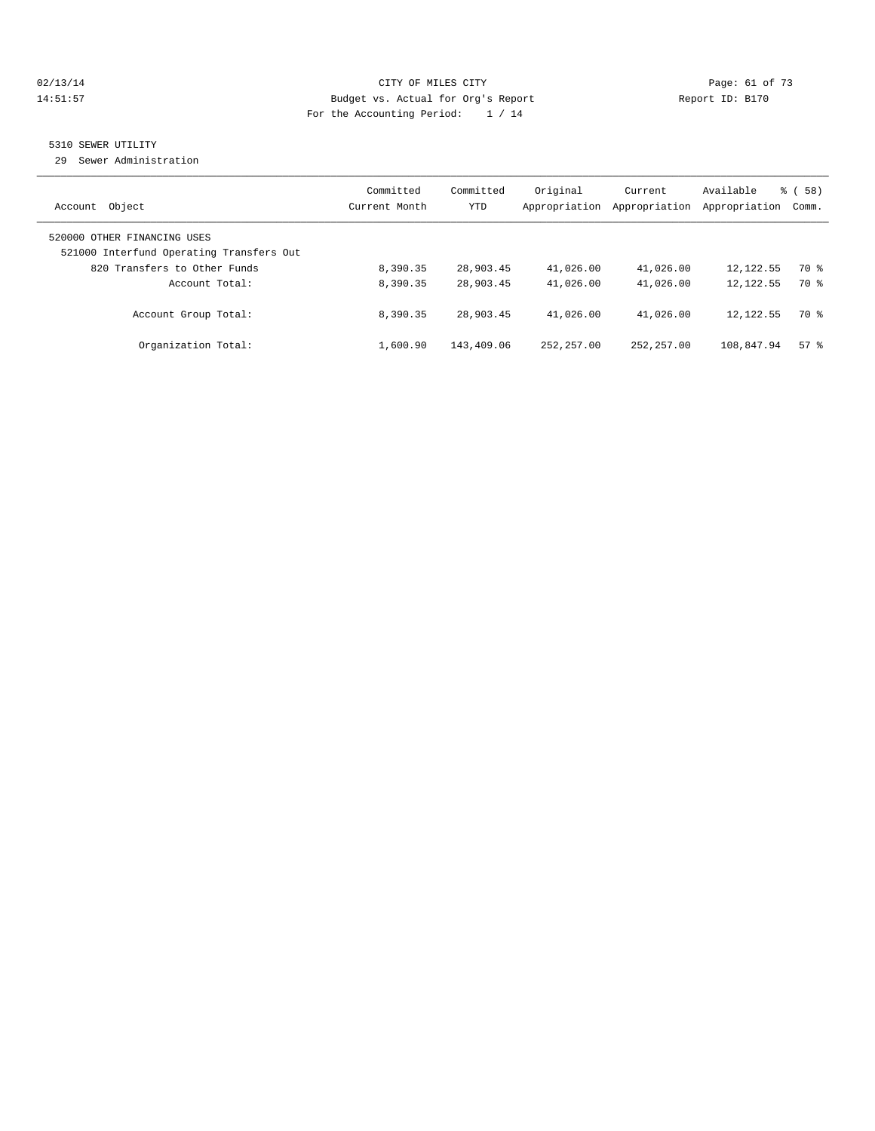#### 02/13/14 Page: 61 of 73 14:51:57 Budget vs. Actual for Org's Report Report ID: B170 For the Accounting Period: 1 / 14

# 5310 SEWER UTILITY

29 Sewer Administration

| Object<br>Account                                                                                       | Committed<br>Current Month | Committed<br><b>YTD</b> | Original<br>Appropriation | Current<br>Appropriation | Available<br>Appropriation | % (58)<br>Comm. |
|---------------------------------------------------------------------------------------------------------|----------------------------|-------------------------|---------------------------|--------------------------|----------------------------|-----------------|
| 520000 OTHER FINANCING USES<br>521000 Interfund Operating Transfers Out<br>820 Transfers to Other Funds | 8,390.35                   | 28,903.45               | 41,026.00                 | 41,026.00                | 12, 122.55                 | 70 %            |
| Account Total:                                                                                          | 8,390.35                   | 28,903.45               | 41,026.00                 | 41,026.00                | 12, 122.55                 | 70 %            |
| Account Group Total:                                                                                    | 8,390.35                   | 28,903.45               | 41,026.00                 | 41,026.00                | 12, 122.55                 | 70 %            |
| Organization Total:                                                                                     | 1,600.90                   | 143,409.06              | 252, 257, 00              | 252, 257, 00             | 108,847.94                 | $57*$           |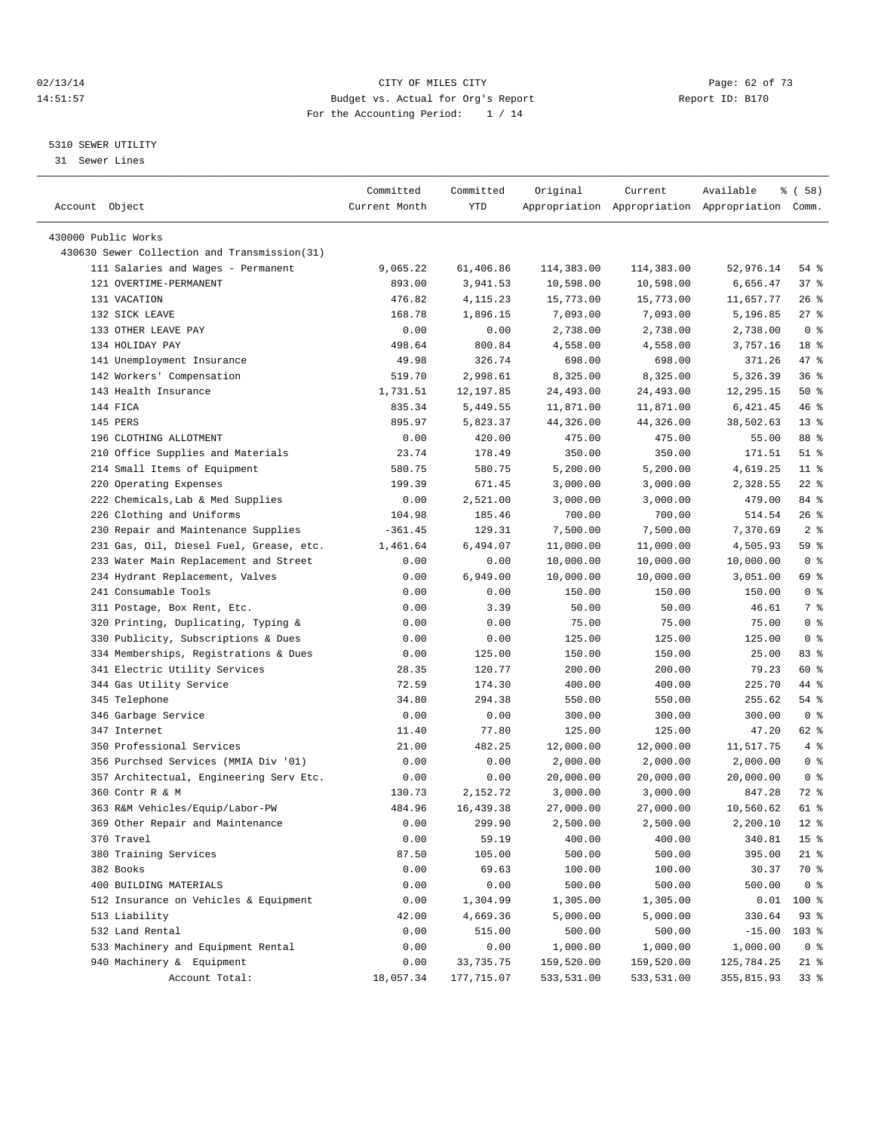#### $O2/13/14$  Page: 62 of 73 14:51:57 Budget vs. Actual for Org's Report Report ID: B170 For the Accounting Period: 1 / 14

————————————————————————————————————————————————————————————————————————————————————————————————————————————————————————————————————

#### 5310 SEWER UTILITY

31 Sewer Lines

|                                              | Committed     | Committed  | Original   | Current    | Available                                       | १ ( 58)         |
|----------------------------------------------|---------------|------------|------------|------------|-------------------------------------------------|-----------------|
| Account Object                               | Current Month | YTD        |            |            | Appropriation Appropriation Appropriation Comm. |                 |
|                                              |               |            |            |            |                                                 |                 |
| 430000 Public Works                          |               |            |            |            |                                                 |                 |
| 430630 Sewer Collection and Transmission(31) |               |            |            |            |                                                 |                 |
| 111 Salaries and Wages - Permanent           | 9,065.22      | 61,406.86  | 114,383.00 | 114,383.00 | 52,976.14                                       | 54 %            |
| 121 OVERTIME-PERMANENT                       | 893.00        | 3,941.53   | 10,598.00  | 10,598.00  | 6,656.47                                        | 37%             |
| 131 VACATION                                 | 476.82        | 4, 115. 23 | 15,773.00  | 15,773.00  | 11,657.77                                       | $26$ %          |
| 132 SICK LEAVE                               | 168.78        | 1,896.15   | 7,093.00   | 7,093.00   | 5,196.85                                        | $27$ %          |
| 133 OTHER LEAVE PAY                          | 0.00          | 0.00       | 2,738.00   | 2,738.00   | 2,738.00                                        | 0 <sup>8</sup>  |
| 134 HOLIDAY PAY                              | 498.64        | 800.84     | 4,558.00   | 4,558.00   | 3,757.16                                        | 18 <sup>°</sup> |
| 141 Unemployment Insurance                   | 49.98         | 326.74     | 698.00     | 698.00     | 371.26                                          | 47 %            |
| 142 Workers' Compensation                    | 519.70        | 2,998.61   | 8,325.00   | 8,325.00   | 5,326.39                                        | 36%             |
| 143 Health Insurance                         | 1,731.51      | 12,197.85  | 24,493.00  | 24,493.00  | 12,295.15                                       | 50%             |
| 144 FICA                                     | 835.34        | 5,449.55   | 11,871.00  | 11,871.00  | 6,421.45                                        | 46 %            |
| 145 PERS                                     | 895.97        | 5,823.37   | 44,326.00  | 44,326.00  | 38,502.63                                       | $13*$           |
| 196 CLOTHING ALLOTMENT                       | 0.00          | 420.00     | 475.00     | 475.00     | 55.00                                           | 88 %            |
| 210 Office Supplies and Materials            | 23.74         | 178.49     | 350.00     | 350.00     | 171.51                                          | $51$ %          |
| 214 Small Items of Equipment                 | 580.75        | 580.75     | 5,200.00   | 5,200.00   | 4,619.25                                        | $11*$           |
| 220 Operating Expenses                       | 199.39        | 671.45     | 3,000.00   | 3,000.00   | 2,328.55                                        | $22$ %          |
| 222 Chemicals, Lab & Med Supplies            | 0.00          | 2,521.00   | 3,000.00   | 3,000.00   | 479.00                                          | 84 %            |
| 226 Clothing and Uniforms                    | 104.98        | 185.46     | 700.00     | 700.00     | 514.54                                          | $26$ %          |
| 230 Repair and Maintenance Supplies          | $-361.45$     | 129.31     | 7,500.00   | 7,500.00   | 7,370.69                                        | 2 <sup>°</sup>  |
| 231 Gas, Oil, Diesel Fuel, Grease, etc.      | 1,461.64      | 6,494.07   | 11,000.00  | 11,000.00  | 4,505.93                                        | 59 %            |
| 233 Water Main Replacement and Street        | 0.00          | 0.00       | 10,000.00  | 10,000.00  | 10,000.00                                       | 0 <sup>8</sup>  |
| 234 Hydrant Replacement, Valves              | 0.00          | 6,949.00   | 10,000.00  | 10,000.00  | 3,051.00                                        | 69 %            |
| 241 Consumable Tools                         | 0.00          | 0.00       | 150.00     | 150.00     | 150.00                                          | 0 <sup>8</sup>  |
| 311 Postage, Box Rent, Etc.                  | 0.00          | 3.39       | 50.00      | 50.00      | 46.61                                           | 7 %             |
| 320 Printing, Duplicating, Typing &          | 0.00          | 0.00       | 75.00      | 75.00      | 75.00                                           | 0 <sup>8</sup>  |
| 330 Publicity, Subscriptions & Dues          | 0.00          | 0.00       | 125.00     | 125.00     | 125.00                                          | 0 <sup>8</sup>  |
| 334 Memberships, Registrations & Dues        | 0.00          | 125.00     | 150.00     | 150.00     | 25.00                                           | 83 %            |
| 341 Electric Utility Services                | 28.35         | 120.77     | 200.00     | 200.00     | 79.23                                           | 60 %            |
| 344 Gas Utility Service                      | 72.59         | 174.30     | 400.00     | 400.00     | 225.70                                          | 44 %            |
| 345 Telephone                                | 34.80         | 294.38     | 550.00     | 550.00     | 255.62                                          | 54 %            |
| 346 Garbage Service                          | 0.00          | 0.00       | 300.00     | 300.00     | 300.00                                          | 0 <sup>8</sup>  |
| 347 Internet                                 | 11.40         | 77.80      | 125.00     | 125.00     | 47.20                                           | 62 %            |
| 350 Professional Services                    | 21.00         | 482.25     | 12,000.00  | 12,000.00  | 11,517.75                                       | 4%              |
| 356 Purchsed Services (MMIA Div '01)         | 0.00          | 0.00       | 2,000.00   | 2,000.00   | 2,000.00                                        | 0 <sup>8</sup>  |
| 357 Architectual, Engineering Serv Etc.      | 0.00          | 0.00       | 20,000.00  | 20,000.00  | 20,000.00                                       | 0 <sup>8</sup>  |
| 360 Contr R & M                              | 130.73        | 2,152.72   | 3,000.00   | 3,000.00   | 847.28                                          | 72 %            |
| 363 R&M Vehicles/Equip/Labor-PW              | 484.96        | 16,439.38  | 27,000.00  | 27,000.00  | 10,560.62                                       | 61 %            |
| 369 Other Repair and Maintenance             | 0.00          | 299.90     | 2,500.00   | 2,500.00   | 2,200.10                                        | $12$ %          |
| 370 Travel                                   | 0.00          | 59.19      | 400.00     | 400.00     | 340.81                                          | 15 <sup>°</sup> |
| 380 Training Services                        | 87.50         | 105.00     | 500.00     | 500.00     | 395.00                                          | $21$ %          |
| 382 Books                                    | 0.00          | 69.63      | 100.00     | 100.00     | 30.37                                           | 70 %            |
| 400 BUILDING MATERIALS                       | 0.00          | 0.00       | 500.00     | 500.00     | 500.00                                          | 0 <sup>8</sup>  |
| 512 Insurance on Vehicles & Equipment        | 0.00          | 1,304.99   | 1,305.00   | 1,305.00   | 0.01                                            | 100 %           |
| 513 Liability                                | 42.00         | 4,669.36   | 5,000.00   | 5,000.00   | 330.64                                          | 93%             |
| 532 Land Rental                              | 0.00          | 515.00     | 500.00     | 500.00     | $-15.00$                                        | $103$ %         |
| 533 Machinery and Equipment Rental           | 0.00          | 0.00       | 1,000.00   | 1,000.00   | 1,000.00                                        | 0 <sup>8</sup>  |
| 940 Machinery & Equipment                    | 0.00          | 33,735.75  | 159,520.00 | 159,520.00 | 125,784.25                                      | 21 %            |
| Account Total:                               | 18,057.34     | 177,715.07 | 533,531.00 | 533,531.00 | 355,815.93                                      | 33 <sup>8</sup> |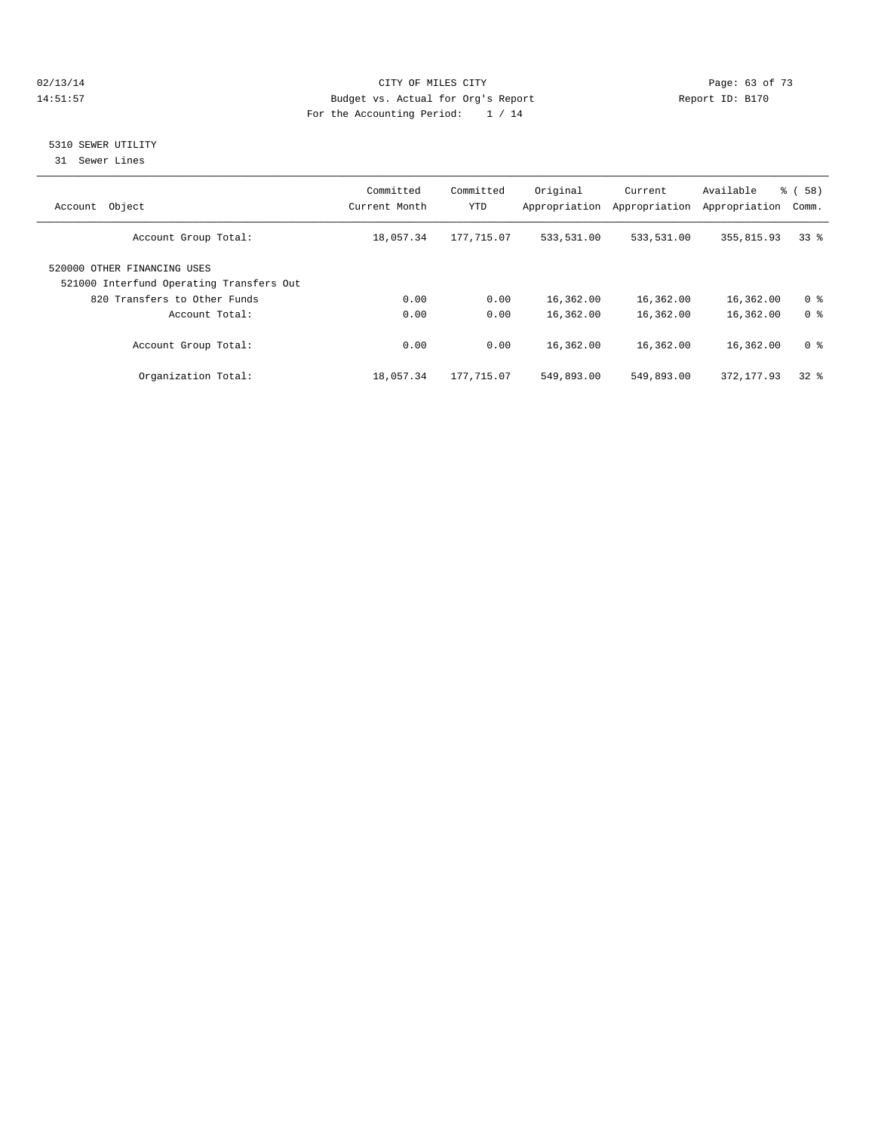#### 02/13/14 Page: 63 of 73 14:51:57 Budget vs. Actual for Org's Report Report ID: B170 For the Accounting Period: 1 / 14

## 5310 SEWER UTILITY

31 Sewer Lines

| Object<br>Account                                                       | Committed<br>Current Month | Committed<br>YTD | Original<br>Appropriation | Current<br>Appropriation | Available<br>Appropriation | $\frac{6}{6}$ (<br>58)<br>Comm. |
|-------------------------------------------------------------------------|----------------------------|------------------|---------------------------|--------------------------|----------------------------|---------------------------------|
| Account Group Total:                                                    | 18,057.34                  | 177,715.07       | 533,531.00                | 533,531.00               | 355,815.93                 | 338                             |
| 520000 OTHER FINANCING USES<br>521000 Interfund Operating Transfers Out |                            |                  |                           |                          |                            |                                 |
| 820 Transfers to Other Funds                                            | 0.00                       | 0.00             | 16,362.00                 | 16,362.00                | 16,362.00                  | 0 <sup>8</sup>                  |
| Account Total:                                                          | 0.00                       | 0.00             | 16,362.00                 | 16,362.00                | 16,362.00                  | 0 <sup>8</sup>                  |
| Account Group Total:                                                    | 0.00                       | 0.00             | 16,362.00                 | 16,362.00                | 16,362.00                  | 0 <sup>8</sup>                  |
| Organization Total:                                                     | 18,057.34                  | 177,715.07       | 549,893.00                | 549,893.00               | 372, 177, 93               | 328                             |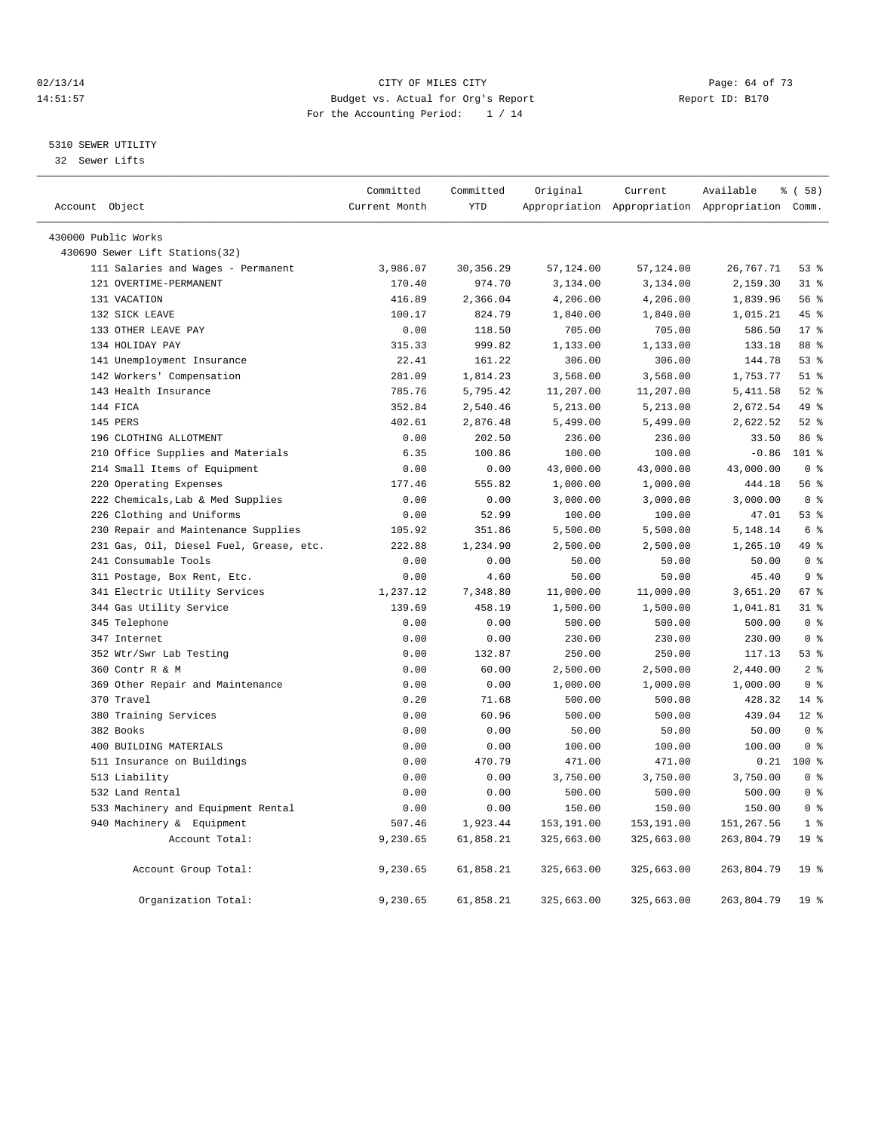#### $O2/13/14$  Page: 64 of 73 14:51:57 Budget vs. Actual for Org's Report Report ID: B170 For the Accounting Period: 1 / 14

### 5310 SEWER UTILITY

32 Sewer Lifts

|                                         | Committed     | Committed  | Original   | Current    | Available                                       | % (58)          |  |
|-----------------------------------------|---------------|------------|------------|------------|-------------------------------------------------|-----------------|--|
| Account Object                          | Current Month | <b>YTD</b> |            |            | Appropriation Appropriation Appropriation Comm. |                 |  |
| 430000 Public Works                     |               |            |            |            |                                                 |                 |  |
| 430690 Sewer Lift Stations(32)          |               |            |            |            |                                                 |                 |  |
| 111 Salaries and Wages - Permanent      | 3,986.07      | 30, 356.29 | 57,124.00  | 57,124.00  | 26,767.71                                       | $53$ %          |  |
| 121 OVERTIME-PERMANENT                  | 170.40        | 974.70     | 3,134.00   | 3,134.00   | 2,159.30                                        | 31.8            |  |
| 131 VACATION                            | 416.89        | 2,366.04   | 4,206.00   | 4,206.00   | 1,839.96                                        | 56%             |  |
| 132 SICK LEAVE                          | 100.17        | 824.79     | 1,840.00   | 1,840.00   | 1,015.21                                        | 45 %            |  |
| 133 OTHER LEAVE PAY                     | 0.00          | 118.50     | 705.00     | 705.00     | 586.50                                          | $17*$           |  |
| 134 HOLIDAY PAY                         | 315.33        | 999.82     | 1,133.00   | 1,133.00   | 133.18                                          | 88 %            |  |
| 141 Unemployment Insurance              | 22.41         | 161.22     | 306.00     | 306.00     | 144.78                                          | 53 <sup>8</sup> |  |
| 142 Workers' Compensation               | 281.09        | 1,814.23   | 3,568.00   | 3,568.00   | 1,753.77                                        | $51$ $%$        |  |
| 143 Health Insurance                    | 785.76        | 5,795.42   | 11,207.00  | 11,207.00  | 5, 411.58                                       | $52$ $%$        |  |
| 144 FICA                                | 352.84        | 2,540.46   | 5,213.00   | 5,213.00   | 2,672.54                                        | 49 %            |  |
| 145 PERS                                | 402.61        | 2,876.48   | 5,499.00   | 5,499.00   | 2,622.52                                        | $52$ $%$        |  |
| 196 CLOTHING ALLOTMENT                  | 0.00          | 202.50     | 236.00     | 236.00     | 33.50                                           | 86 %            |  |
| 210 Office Supplies and Materials       | 6.35          | 100.86     | 100.00     | 100.00     | $-0.86$                                         | $101$ %         |  |
| 214 Small Items of Equipment            | 0.00          | 0.00       | 43,000.00  | 43,000.00  | 43,000.00                                       | 0 <sup>8</sup>  |  |
| 220 Operating Expenses                  | 177.46        | 555.82     | 1,000.00   | 1,000.00   | 444.18                                          | 56 %            |  |
| 222 Chemicals, Lab & Med Supplies       | 0.00          | 0.00       | 3,000.00   | 3,000.00   | 3,000.00                                        | 0 <sup>8</sup>  |  |
| 226 Clothing and Uniforms               | 0.00          | 52.99      | 100.00     | 100.00     | 47.01                                           | 53%             |  |
| 230 Repair and Maintenance Supplies     | 105.92        | 351.86     | 5,500.00   | 5,500.00   | 5,148.14                                        | 6 <sup>8</sup>  |  |
| 231 Gas, Oil, Diesel Fuel, Grease, etc. | 222.88        | 1,234.90   | 2,500.00   | 2,500.00   | 1,265.10                                        | 49 %            |  |
| 241 Consumable Tools                    | 0.00          | 0.00       | 50.00      | 50.00      | 50.00                                           | 0 <sup>8</sup>  |  |
| 311 Postage, Box Rent, Etc.             | 0.00          | 4.60       | 50.00      | 50.00      | 45.40                                           | 9 <sup>8</sup>  |  |
| 341 Electric Utility Services           | 1,237.12      | 7,348.80   | 11,000.00  | 11,000.00  | 3,651.20                                        | 67 <sup>8</sup> |  |
| 344 Gas Utility Service                 | 139.69        | 458.19     | 1,500.00   | 1,500.00   | 1,041.81                                        | 31.8            |  |
| 345 Telephone                           | 0.00          | 0.00       | 500.00     | 500.00     | 500.00                                          | 0 <sup>8</sup>  |  |
| 347 Internet                            | 0.00          | 0.00       | 230.00     | 230.00     | 230.00                                          | 0 <sup>8</sup>  |  |
| 352 Wtr/Swr Lab Testing                 | 0.00          | 132.87     | 250.00     | 250.00     | 117.13                                          | 53%             |  |
| 360 Contr R & M                         | 0.00          | 60.00      | 2,500.00   | 2,500.00   | 2,440.00                                        | 2 <sub>8</sub>  |  |
| 369 Other Repair and Maintenance        | 0.00          | 0.00       | 1,000.00   | 1,000.00   | 1,000.00                                        | 0 <sup>8</sup>  |  |
| 370 Travel                              | 0.20          | 71.68      | 500.00     | 500.00     | 428.32                                          | 14 %            |  |
| 380 Training Services                   | 0.00          | 60.96      | 500.00     | 500.00     | 439.04                                          | $12*$           |  |
| 382 Books                               | 0.00          | 0.00       | 50.00      | 50.00      | 50.00                                           | 0 <sup>8</sup>  |  |
| 400 BUILDING MATERIALS                  | 0.00          | 0.00       | 100.00     | 100.00     | 100.00                                          | 0 <sup>8</sup>  |  |
| 511 Insurance on Buildings              | 0.00          | 470.79     | 471.00     | 471.00     | 0.21                                            | 100 %           |  |
| 513 Liability                           | 0.00          | 0.00       | 3,750.00   | 3,750.00   | 3,750.00                                        | 0 <sup>8</sup>  |  |
| 532 Land Rental                         | 0.00          | 0.00       | 500.00     | 500.00     | 500.00                                          | 0 <sup>8</sup>  |  |
| 533 Machinery and Equipment Rental      | 0.00          | 0.00       | 150.00     | 150.00     | 150.00                                          | 0 <sup>8</sup>  |  |
| 940 Machinery & Equipment               | 507.46        | 1,923.44   | 153,191.00 | 153,191.00 | 151,267.56                                      | 1 <sup>8</sup>  |  |
| Account Total:                          | 9,230.65      | 61,858.21  | 325,663.00 | 325,663.00 | 263,804.79                                      | 19 <sup>8</sup> |  |
| Account Group Total:                    | 9,230.65      | 61,858.21  | 325,663.00 | 325,663.00 | 263,804.79                                      | 19 <sup>°</sup> |  |
| Organization Total:                     | 9,230.65      | 61,858.21  | 325,663.00 | 325,663.00 | 263,804.79                                      | 19 <sup>°</sup> |  |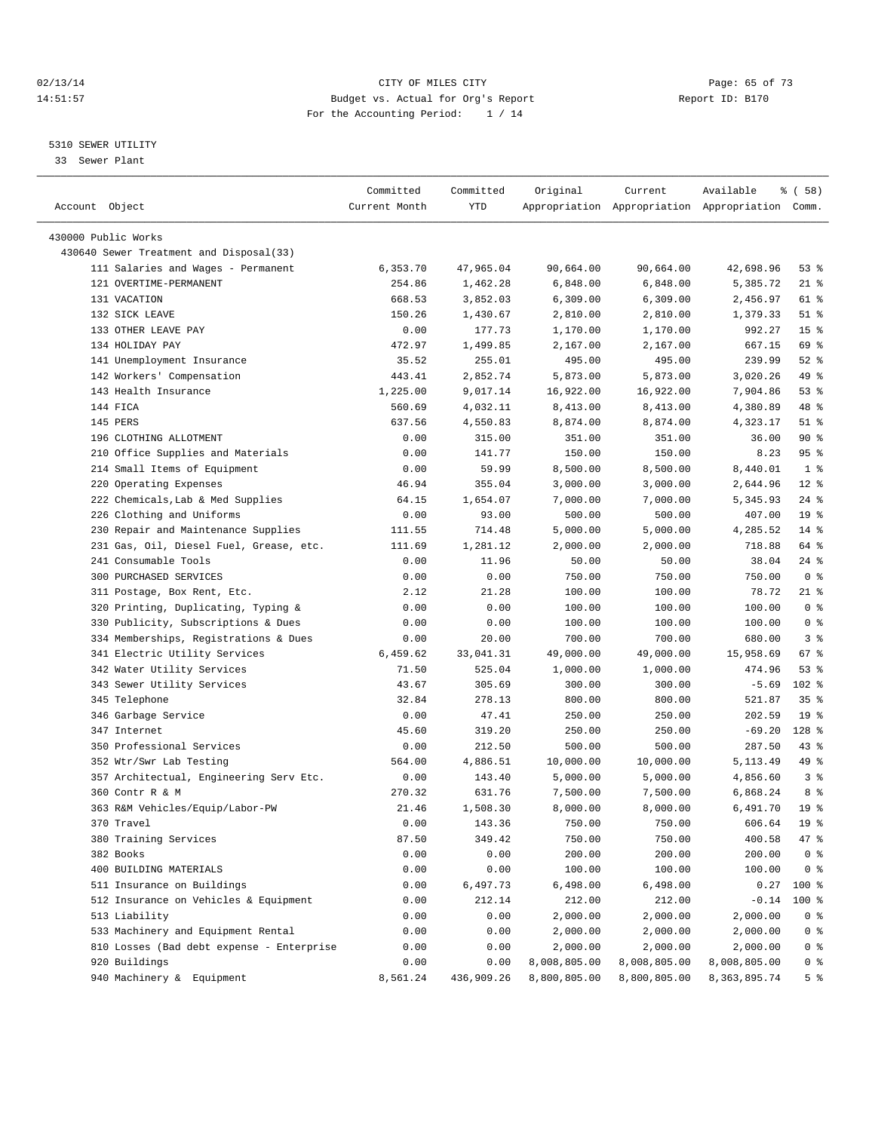#### $O2/13/14$  Page: 65 of 73 14:51:57 Budget vs. Actual for Org's Report Report ID: B170 For the Accounting Period: 1 / 14

————————————————————————————————————————————————————————————————————————————————————————————————————————————————————————————————————

#### 5310 SEWER UTILITY

33 Sewer Plant

|                                           | Committed     | Committed  | Original     | Current      | Available                                       | % ( 58 )        |
|-------------------------------------------|---------------|------------|--------------|--------------|-------------------------------------------------|-----------------|
| Account Object                            | Current Month | YTD        |              |              | Appropriation Appropriation Appropriation Comm. |                 |
|                                           |               |            |              |              |                                                 |                 |
| 430000 Public Works                       |               |            |              |              |                                                 |                 |
| 430640 Sewer Treatment and Disposal(33)   |               |            |              |              |                                                 |                 |
| 111 Salaries and Wages - Permanent        | 6,353.70      | 47,965.04  | 90,664.00    | 90,664.00    | 42,698.96                                       | 53%             |
| 121 OVERTIME-PERMANENT                    | 254.86        | 1,462.28   | 6,848.00     | 6,848.00     | 5,385.72                                        | $21$ %          |
| 131 VACATION                              | 668.53        | 3,852.03   | 6,309.00     | 6,309.00     | 2,456.97                                        | 61 %            |
| 132 SICK LEAVE                            | 150.26        | 1,430.67   | 2,810.00     | 2,810.00     | 1,379.33                                        | $51$ %          |
| 133 OTHER LEAVE PAY                       | 0.00          | 177.73     | 1,170.00     | 1,170.00     | 992.27                                          | 15 <sup>8</sup> |
| 134 HOLIDAY PAY                           | 472.97        | 1,499.85   | 2,167.00     | 2,167.00     | 667.15                                          | 69 %            |
| 141 Unemployment Insurance                | 35.52         | 255.01     | 495.00       | 495.00       | 239.99                                          | $52$ $%$        |
| 142 Workers' Compensation                 | 443.41        | 2,852.74   | 5,873.00     | 5,873.00     | 3,020.26                                        | 49 %            |
| 143 Health Insurance                      | 1,225.00      | 9,017.14   | 16,922.00    | 16,922.00    | 7,904.86                                        | $53$ $%$        |
| 144 FICA                                  | 560.69        | 4,032.11   | 8,413.00     | 8,413.00     | 4,380.89                                        | 48 %            |
| 145 PERS                                  | 637.56        | 4,550.83   | 8,874.00     | 8,874.00     | 4,323.17                                        | $51$ %          |
| 196 CLOTHING ALLOTMENT                    | 0.00          | 315.00     | 351.00       | 351.00       | 36.00                                           | 90%             |
| 210 Office Supplies and Materials         | 0.00          | 141.77     | 150.00       | 150.00       | 8.23                                            | 95%             |
| 214 Small Items of Equipment              | 0.00          | 59.99      | 8,500.00     | 8,500.00     | 8,440.01                                        | 1 <sup>8</sup>  |
| 220 Operating Expenses                    | 46.94         | 355.04     | 3,000.00     | 3,000.00     | 2,644.96                                        | $12*$           |
| 222 Chemicals, Lab & Med Supplies         | 64.15         | 1,654.07   | 7,000.00     | 7,000.00     | 5,345.93                                        | $24$ %          |
| 226 Clothing and Uniforms                 | 0.00          | 93.00      | 500.00       | 500.00       | 407.00                                          | 19 <sup>°</sup> |
| 230 Repair and Maintenance Supplies       | 111.55        | 714.48     | 5,000.00     | 5,000.00     | 4,285.52                                        | $14$ %          |
| 231 Gas, Oil, Diesel Fuel, Grease, etc.   | 111.69        | 1,281.12   | 2,000.00     | 2,000.00     | 718.88                                          | 64 %            |
| 241 Consumable Tools                      | 0.00          | 11.96      | 50.00        | 50.00        | 38.04                                           | $24$ %          |
| 300 PURCHASED SERVICES                    | 0.00          | 0.00       | 750.00       | 750.00       | 750.00                                          | 0 <sup>8</sup>  |
| 311 Postage, Box Rent, Etc.               | 2.12          | 21.28      | 100.00       | 100.00       | 78.72                                           | 21 %            |
| 320 Printing, Duplicating, Typing &       | 0.00          | 0.00       | 100.00       | 100.00       | 100.00                                          | 0 <sup>8</sup>  |
| 330 Publicity, Subscriptions & Dues       | 0.00          | 0.00       | 100.00       | 100.00       | 100.00                                          | 0 <sup>8</sup>  |
| 334 Memberships, Registrations & Dues     | 0.00          | 20.00      | 700.00       | 700.00       | 680.00                                          | 3 <sup>8</sup>  |
| 341 Electric Utility Services             | 6,459.62      | 33,041.31  | 49,000.00    | 49,000.00    | 15,958.69                                       | 67 %            |
| 342 Water Utility Services                | 71.50         | 525.04     | 1,000.00     | 1,000.00     | 474.96                                          | 53%             |
| 343 Sewer Utility Services                | 43.67         | 305.69     | 300.00       | 300.00       | $-5.69$                                         | $102$ %         |
| 345 Telephone                             | 32.84         | 278.13     | 800.00       | 800.00       | 521.87                                          | 35 <sup>8</sup> |
| 346 Garbage Service                       | 0.00          | 47.41      | 250.00       | 250.00       | 202.59                                          | 19 <sup>°</sup> |
| 347 Internet                              | 45.60         | 319.20     | 250.00       | 250.00       | $-69.20$                                        | 128 %           |
| 350 Professional Services                 | 0.00          | 212.50     | 500.00       | 500.00       | 287.50                                          | $43$ %          |
| 352 Wtr/Swr Lab Testing                   | 564.00        | 4,886.51   | 10,000.00    | 10,000.00    | 5,113.49                                        | 49 %            |
| 357 Architectual, Engineering Serv Etc.   | 0.00          | 143.40     | 5,000.00     | 5,000.00     | 4,856.60                                        | 3 <sup>8</sup>  |
| 360 Contr R & M                           | 270.32        | 631.76     | 7,500.00     | 7,500.00     | 6,868.24                                        | 8 %             |
| 363 R&M Vehicles/Equip/Labor-PW           | 21.46         | 1,508.30   | 8,000.00     | 8,000.00     | 6,491.70                                        | 19 <sup>°</sup> |
| 370 Travel                                | 0.00          | 143.36     | 750.00       | 750.00       | 606.64                                          | 19 <sup>°</sup> |
| 380 Training Services                     | 87.50         | 349.42     | 750.00       | 750.00       | 400.58                                          | 47 %            |
| 382 Books                                 | 0.00          | 0.00       | 200.00       | 200.00       | 200.00                                          | 0 <sup>8</sup>  |
| 400 BUILDING MATERIALS                    | 0.00          | 0.00       | 100.00       | 100.00       | 100.00                                          | 0 <sup>8</sup>  |
| 511 Insurance on Buildings                | 0.00          | 6,497.73   | 6,498.00     | 6,498.00     | 0.27                                            | 100 %           |
| 512 Insurance on Vehicles & Equipment     | 0.00          | 212.14     | 212.00       | 212.00       | $-0.14$                                         | 100 %           |
| 513 Liability                             | 0.00          | 0.00       | 2,000.00     | 2,000.00     | 2,000.00                                        | 0 <sup>8</sup>  |
| 533 Machinery and Equipment Rental        | 0.00          | 0.00       | 2,000.00     | 2,000.00     | 2,000.00                                        | 0 <sup>8</sup>  |
| 810 Losses (Bad debt expense - Enterprise | 0.00          | 0.00       | 2,000.00     | 2,000.00     | 2,000.00                                        | 0 <sup>8</sup>  |
| 920 Buildings                             | 0.00          | 0.00       | 8,008,805.00 | 8,008,805.00 | 8,008,805.00                                    | 0 %             |
| 940 Machinery & Equipment                 | 8,561.24      | 436,909.26 | 8,800,805.00 | 8,800,805.00 | 8,363,895.74                                    | 5 <sup>°</sup>  |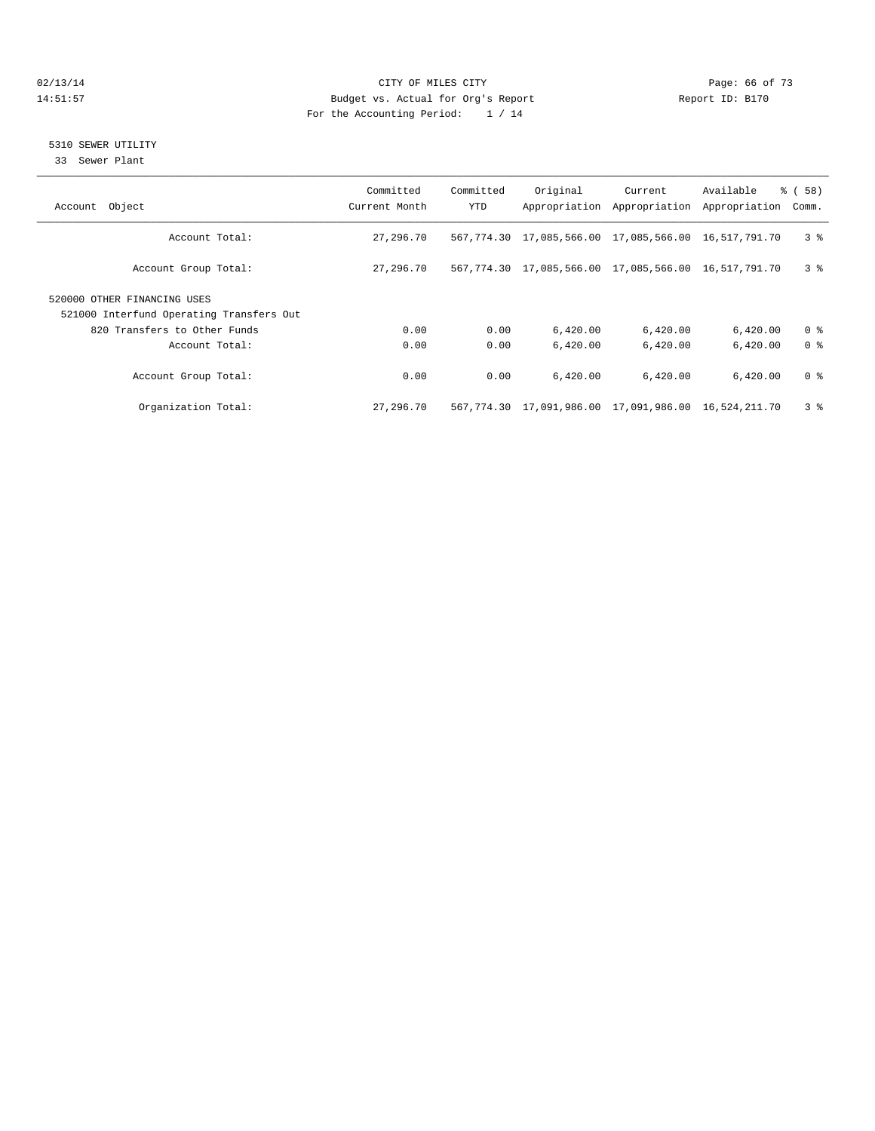#### $O(13/14$   $O(13/14)$   $O(13/14)$   $O(15/14)$   $O(15/14)$   $O(15/14)$   $O(15/14)$   $O(15/14)$   $O(15/14)$   $O(15/14)$   $O(15/14)$   $O(15/14)$   $O(15/14)$   $O(15/14)$   $O(15/14)$   $O(15/14)$   $O(15/14)$   $O(15/14)$   $O(15/14)$   $O(15/14)$   $O$ 14:51:57 Budget vs. Actual for Org's Report Report ID: B170 For the Accounting Period: 1 / 14

### 5310 SEWER UTILITY

33 Sewer Plant

| Account Object                                                          | Committed<br>Current Month | Committed<br>YTD | Original                                                    | Current<br>Appropriation Appropriation | Available<br>Appropriation | 8 ( 58 )<br>Comm. |
|-------------------------------------------------------------------------|----------------------------|------------------|-------------------------------------------------------------|----------------------------------------|----------------------------|-------------------|
| Account Total:                                                          | 27,296.70                  |                  | 567,774.30 17,085,566.00 17,085,566.00 16,517,791.70        |                                        |                            | 3 <sup>8</sup>    |
| Account Group Total:                                                    | 27,296.70                  |                  | 567, 774.30 17, 085, 566.00 17, 085, 566.00 16, 517, 791.70 |                                        |                            | 3 <sup>8</sup>    |
| 520000 OTHER FINANCING USES<br>521000 Interfund Operating Transfers Out |                            |                  |                                                             |                                        |                            |                   |
| 820 Transfers to Other Funds                                            | 0.00                       | 0.00             | 6,420.00                                                    | 6,420.00                               | 6,420.00                   | 0 <sup>8</sup>    |
| Account Total:                                                          | 0.00                       | 0.00             | 6,420.00                                                    | 6,420.00                               | 6,420.00                   | 0 <sup>8</sup>    |
| Account Group Total:                                                    | 0.00                       | 0.00             | 6.420.00                                                    | 6.420.00                               | 6,420.00                   | 0 <sup>8</sup>    |
| Organization Total:                                                     | 27,296.70                  |                  | 567,774.30 17,091,986.00 17,091,986.00 16,524,211.70        |                                        |                            | 3 <sup>8</sup>    |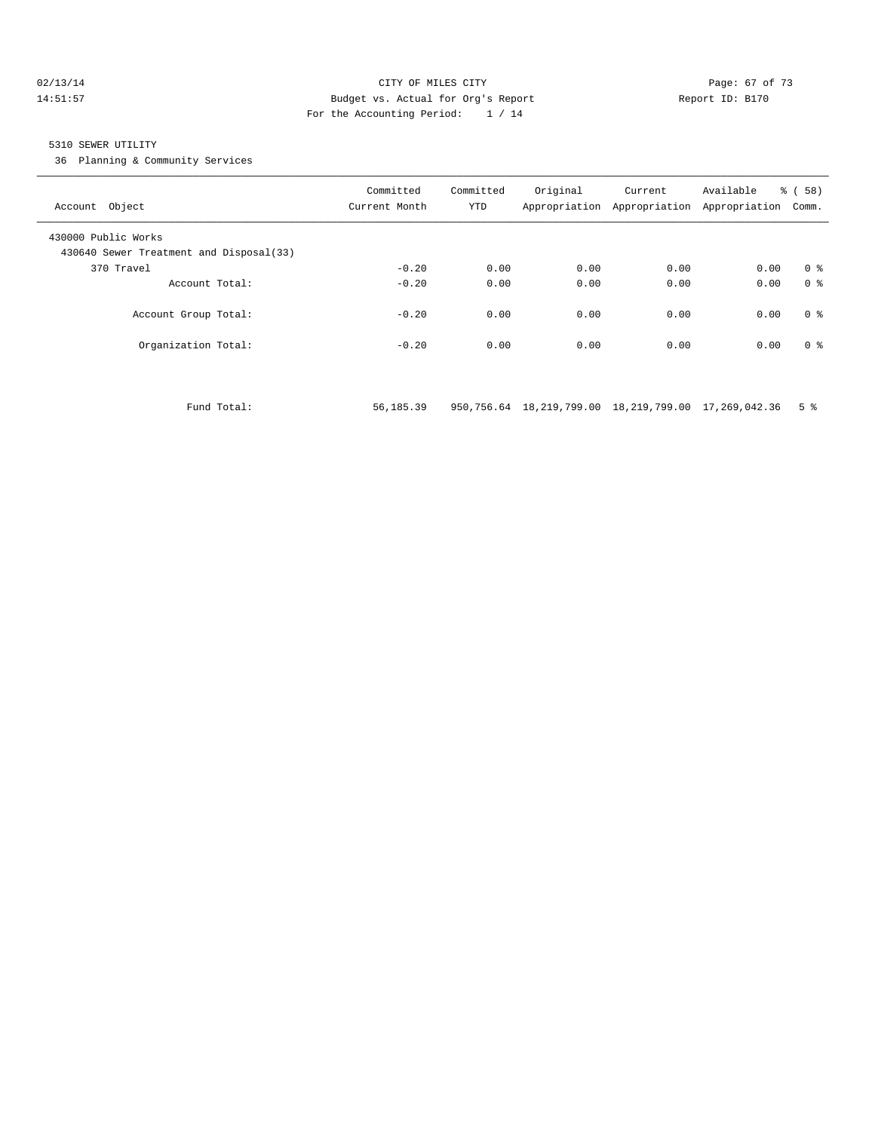#### 02/13/14 Page: 67 of 73 14:51:57 Budget vs. Actual for Org's Report Report ID: B170 For the Accounting Period: 1 / 14

#### 5310 SEWER UTILITY

36 Planning & Community Services

| Account Object                                                 | Committed<br>Current Month | Committed<br>YTD | Original | Current<br>Appropriation Appropriation | Available<br>Appropriation | % (58)<br>Comm. |
|----------------------------------------------------------------|----------------------------|------------------|----------|----------------------------------------|----------------------------|-----------------|
| 430000 Public Works<br>430640 Sewer Treatment and Disposal(33) |                            |                  |          |                                        |                            |                 |
| 370 Travel                                                     | $-0.20$                    | 0.00             | 0.00     | 0.00                                   | 0.00                       | 0 <sup>8</sup>  |
| Account Total:                                                 | $-0.20$                    | 0.00             | 0.00     | 0.00                                   | 0.00                       | 0 <sup>8</sup>  |
| Account Group Total:                                           | $-0.20$                    | 0.00             | 0.00     | 0.00                                   | 0.00                       | 0 <sup>8</sup>  |
| Organization Total:                                            | $-0.20$                    | 0.00             | 0.00     | 0.00                                   | 0.00                       | 0 <sup>8</sup>  |
|                                                                |                            |                  |          |                                        |                            |                 |

Fund Total: 56,185.39 950,756.64 18,219,799.00 18,219,799.00 17,269,042.36 5 %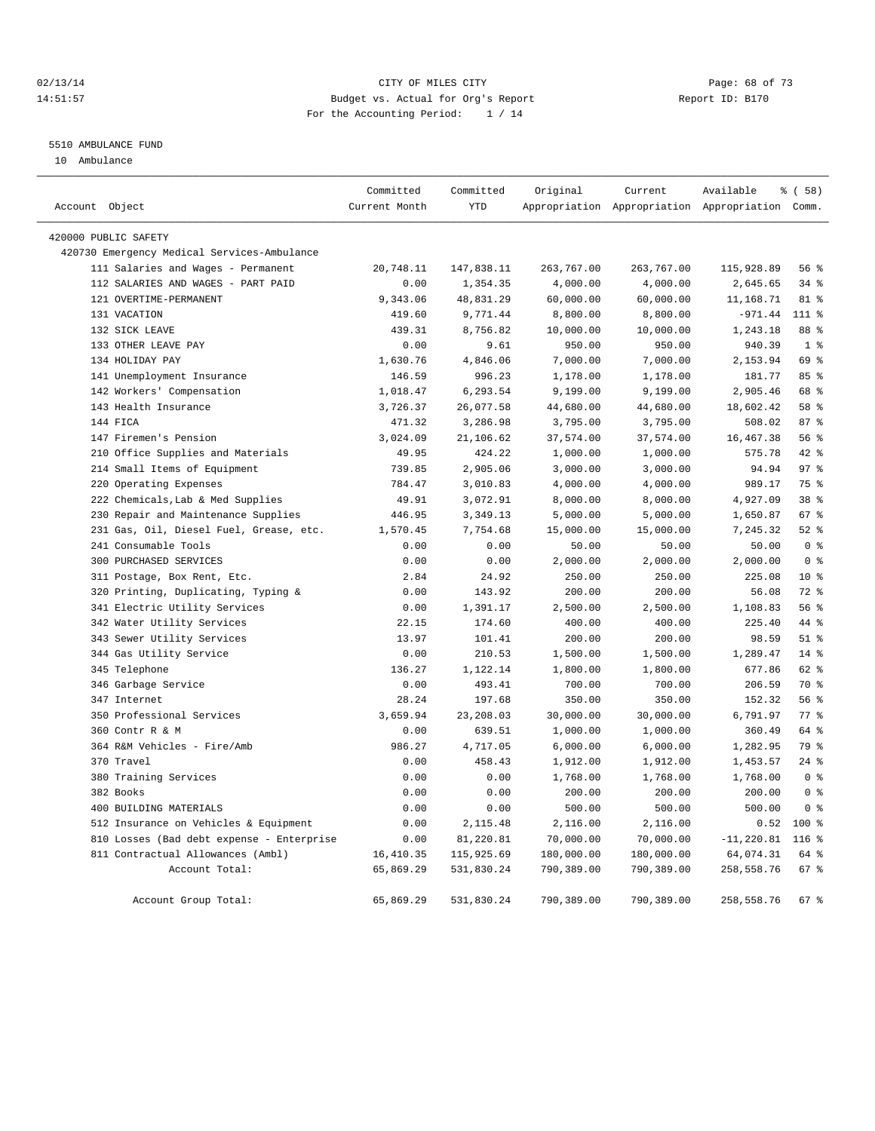### 02/13/14 Page: 68 of 73 14:51:57 Budget vs. Actual for Org's Report Report ID: B170 For the Accounting Period: 1 / 14

#### 5510 AMBULANCE FUND

10 Ambulance

|                                             | Committed     | Committed  | Original   | Current    | Available                                       | % (58)          |
|---------------------------------------------|---------------|------------|------------|------------|-------------------------------------------------|-----------------|
| Account Object                              | Current Month | <b>YTD</b> |            |            | Appropriation Appropriation Appropriation Comm. |                 |
| 420000 PUBLIC SAFETY                        |               |            |            |            |                                                 |                 |
| 420730 Emergency Medical Services-Ambulance |               |            |            |            |                                                 |                 |
| 111 Salaries and Wages - Permanent          | 20,748.11     | 147,838.11 | 263,767.00 | 263,767.00 | 115,928.89                                      | 56%             |
| 112 SALARIES AND WAGES - PART PAID          | 0.00          | 1,354.35   | 4,000.00   | 4,000.00   | 2,645.65                                        | 34%             |
| 121 OVERTIME-PERMANENT                      | 9,343.06      | 48,831.29  | 60,000.00  | 60,000.00  | 11,168.71                                       | 81 %            |
| 131 VACATION                                | 419.60        | 9,771.44   | 8,800.00   | 8,800.00   | $-971.44$                                       | 111 %           |
| 132 SICK LEAVE                              | 439.31        | 8,756.82   | 10,000.00  | 10,000.00  | 1,243.18                                        | 88 %            |
| 133 OTHER LEAVE PAY                         | 0.00          | 9.61       | 950.00     | 950.00     | 940.39                                          | 1 <sup>°</sup>  |
| 134 HOLIDAY PAY                             | 1,630.76      | 4,846.06   | 7,000.00   | 7,000.00   | 2,153.94                                        | 69 %            |
| 141 Unemployment Insurance                  | 146.59        | 996.23     | 1,178.00   | 1,178.00   | 181.77                                          | 85%             |
| 142 Workers' Compensation                   | 1,018.47      | 6,293.54   | 9,199.00   | 9,199.00   | 2,905.46                                        | 68 %            |
| 143 Health Insurance                        | 3,726.37      | 26,077.58  | 44,680.00  | 44,680.00  | 18,602.42                                       | 58 %            |
| 144 FICA                                    | 471.32        | 3,286.98   | 3,795.00   | 3,795.00   | 508.02                                          | 87 <sup>8</sup> |
| 147 Firemen's Pension                       | 3,024.09      | 21,106.62  | 37,574.00  | 37,574.00  | 16, 467.38                                      | 56 %            |
| 210 Office Supplies and Materials           | 49.95         | 424.22     | 1,000.00   | 1,000.00   | 575.78                                          | 42 %            |
| 214 Small Items of Equipment                | 739.85        | 2,905.06   | 3,000.00   | 3,000.00   | 94.94                                           | 97 <sup>8</sup> |
| 220 Operating Expenses                      | 784.47        | 3,010.83   | 4,000.00   | 4,000.00   | 989.17                                          | 75 %            |
| 222 Chemicals, Lab & Med Supplies           | 49.91         | 3,072.91   | 8,000.00   | 8,000.00   | 4,927.09                                        | 38 %            |
| 230 Repair and Maintenance Supplies         | 446.95        | 3,349.13   | 5,000.00   | 5,000.00   | 1,650.87                                        | 67 %            |
| 231 Gas, Oil, Diesel Fuel, Grease, etc.     | 1,570.45      | 7,754.68   | 15,000.00  | 15,000.00  | 7,245.32                                        | $52$ $%$        |
| 241 Consumable Tools                        | 0.00          | 0.00       | 50.00      | 50.00      | 50.00                                           | 0 <sup>8</sup>  |
| 300 PURCHASED SERVICES                      | 0.00          | 0.00       | 2,000.00   | 2,000.00   | 2,000.00                                        | 0 <sup>8</sup>  |
| 311 Postage, Box Rent, Etc.                 | 2.84          | 24.92      | 250.00     | 250.00     | 225.08                                          | $10*$           |
| 320 Printing, Duplicating, Typing &         | 0.00          | 143.92     | 200.00     | 200.00     | 56.08                                           | $72$ $%$        |
| 341 Electric Utility Services               | 0.00          | 1,391.17   | 2,500.00   | 2,500.00   | 1,108.83                                        | 56%             |
| 342 Water Utility Services                  | 22.15         | 174.60     | 400.00     | 400.00     | 225.40                                          | 44 %            |
| 343 Sewer Utility Services                  | 13.97         | 101.41     | 200.00     | 200.00     | 98.59                                           | $51$ %          |
| 344 Gas Utility Service                     | 0.00          | 210.53     | 1,500.00   | 1,500.00   | 1,289.47                                        | 14 %            |
| 345 Telephone                               | 136.27        | 1,122.14   | 1,800.00   | 1,800.00   | 677.86                                          | 62 %            |
| 346 Garbage Service                         | 0.00          | 493.41     | 700.00     | 700.00     | 206.59                                          | 70 %            |
| 347 Internet                                | 28.24         | 197.68     | 350.00     | 350.00     | 152.32                                          | 56%             |
| 350 Professional Services                   | 3,659.94      | 23,208.03  | 30,000.00  | 30,000.00  | 6,791.97                                        | 77.8            |
| 360 Contr R & M                             | 0.00          | 639.51     | 1,000.00   | 1,000.00   | 360.49                                          | 64 %            |
| 364 R&M Vehicles - Fire/Amb                 | 986.27        | 4,717.05   | 6,000.00   | 6,000.00   | 1,282.95                                        | 79 %            |
| 370 Travel                                  | 0.00          | 458.43     | 1,912.00   | 1,912.00   | 1,453.57                                        | $24$ %          |
| 380 Training Services                       | 0.00          | 0.00       | 1,768.00   | 1,768.00   | 1,768.00                                        | 0 <sup>8</sup>  |
| 382 Books                                   | 0.00          | 0.00       | 200.00     | 200.00     | 200.00                                          | 0 <sup>8</sup>  |
| 400 BUILDING MATERIALS                      | 0.00          | 0.00       | 500.00     | 500.00     | 500.00                                          | 0 <sup>8</sup>  |
| 512 Insurance on Vehicles & Equipment       | 0.00          | 2,115.48   | 2,116.00   | 2,116.00   | 0.52                                            | $100*$          |
| 810 Losses (Bad debt expense - Enterprise   | 0.00          | 81,220.81  | 70,000.00  | 70,000.00  | $-11, 220.81$                                   | $116$ %         |
| 811 Contractual Allowances (Ambl)           | 16, 410.35    | 115,925.69 | 180,000.00 | 180,000.00 | 64,074.31                                       | 64 %            |
| Account Total:                              | 65,869.29     | 531,830.24 | 790,389.00 | 790,389.00 | 258,558.76                                      | 67 %            |
| Account Group Total:                        | 65,869.29     | 531,830.24 | 790,389.00 | 790,389.00 | 258,558.76                                      | 67 %            |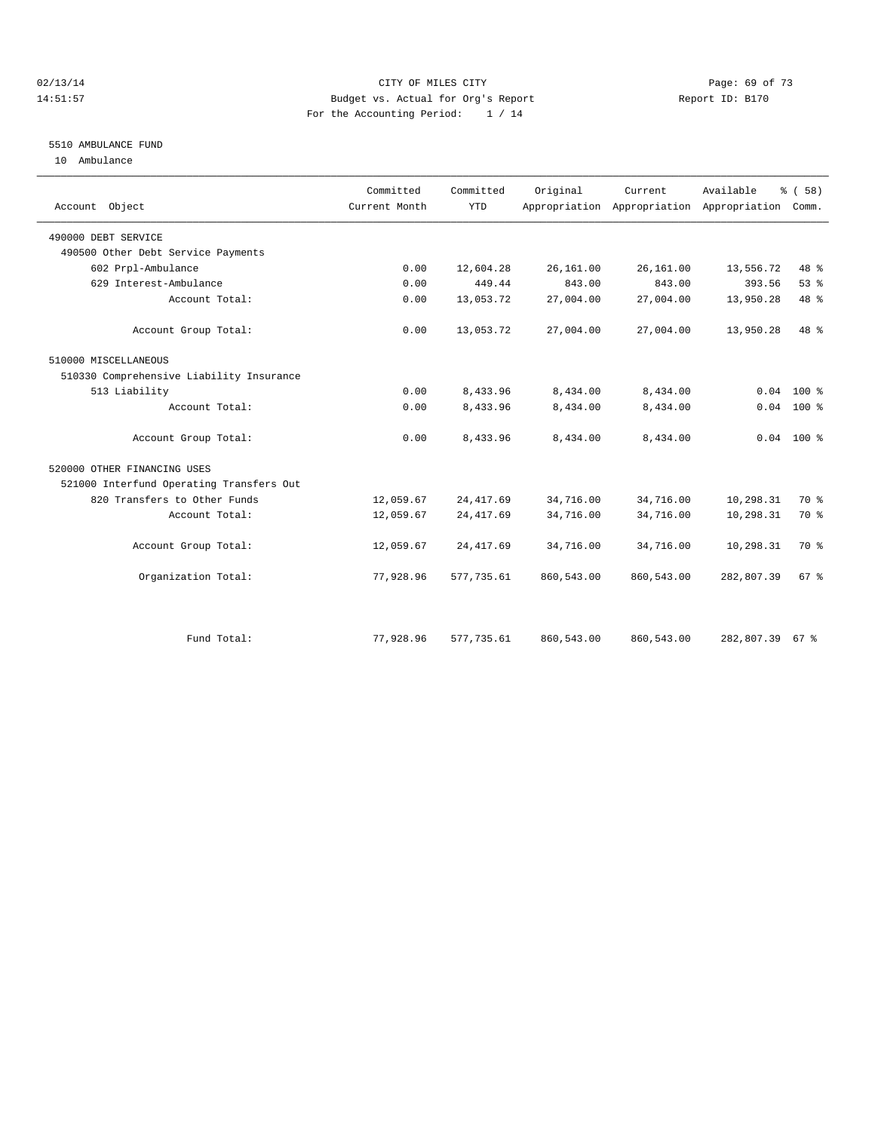#### $O(13/14$   $O(13/14)$   $O(13/14)$   $O(15/14)$   $O(15/14)$   $O(15/14)$   $O(15/14)$   $O(15/14)$   $O(15/14)$   $O(15/14)$   $O(15/14)$   $O(15/14)$   $O(15/14)$   $O(15/14)$   $O(15/14)$   $O(15/14)$   $O(15/14)$   $O(15/14)$   $O(15/14)$   $O(15/14)$   $O$ 14:51:57 Budget vs. Actual for Org's Report Report ID: B170 For the Accounting Period: 1 / 14

## 5510 AMBULANCE FUND

10 Ambulance

| Account Object                           | Committed<br>Current Month | Committed<br><b>YTD</b> | Original   | Current    | Available<br>Appropriation Appropriation Appropriation | % (58)<br>Comm. |
|------------------------------------------|----------------------------|-------------------------|------------|------------|--------------------------------------------------------|-----------------|
| 490000 DEBT SERVICE                      |                            |                         |            |            |                                                        |                 |
| 490500 Other Debt Service Payments       |                            |                         |            |            |                                                        |                 |
| 602 Prpl-Ambulance                       | 0.00                       | 12,604.28               | 26,161.00  | 26,161.00  | 13,556.72                                              | 48 %            |
| 629 Interest-Ambulance                   | 0.00                       | 449.44                  | 843.00     | 843.00     | 393.56                                                 | 53%             |
| Account Total:                           | 0.00                       | 13,053.72               | 27,004.00  | 27,004.00  | 13,950.28                                              | 48 %            |
| Account Group Total:                     | 0.00                       | 13,053.72               | 27,004.00  | 27,004.00  | 13,950.28                                              | 48 %            |
| 510000 MISCELLANEOUS                     |                            |                         |            |            |                                                        |                 |
| 510330 Comprehensive Liability Insurance |                            |                         |            |            |                                                        |                 |
| 513 Liability                            | 0.00                       | 8,433.96                | 8,434.00   | 8,434.00   | 0.04                                                   | $100*$          |
| Account Total:                           | 0.00                       | 8,433.96                | 8,434.00   | 8,434.00   |                                                        | $0.04$ 100 %    |
| Account Group Total:                     | 0.00                       | 8,433.96                | 8,434.00   | 8,434.00   |                                                        | $0.04$ 100 %    |
| 520000 OTHER FINANCING USES              |                            |                         |            |            |                                                        |                 |
| 521000 Interfund Operating Transfers Out |                            |                         |            |            |                                                        |                 |
| 820 Transfers to Other Funds             | 12,059.67                  | 24, 417.69              | 34,716.00  | 34,716.00  | 10,298.31                                              | 70 %            |
| Account Total:                           | 12,059.67                  | 24, 417.69              | 34,716.00  | 34,716.00  | 10,298.31                                              | 70 %            |
| Account Group Total:                     | 12,059.67                  | 24, 417.69              | 34,716.00  | 34,716.00  | 10,298.31                                              | 70 %            |
| Organization Total:                      | 77,928.96                  | 577,735.61              | 860,543.00 | 860,543.00 | 282,807.39                                             | 67 %            |
|                                          |                            |                         |            |            |                                                        |                 |
| Fund Total:                              | 77,928.96                  | 577,735.61              | 860,543.00 | 860,543.00 | 282,807.39 67 %                                        |                 |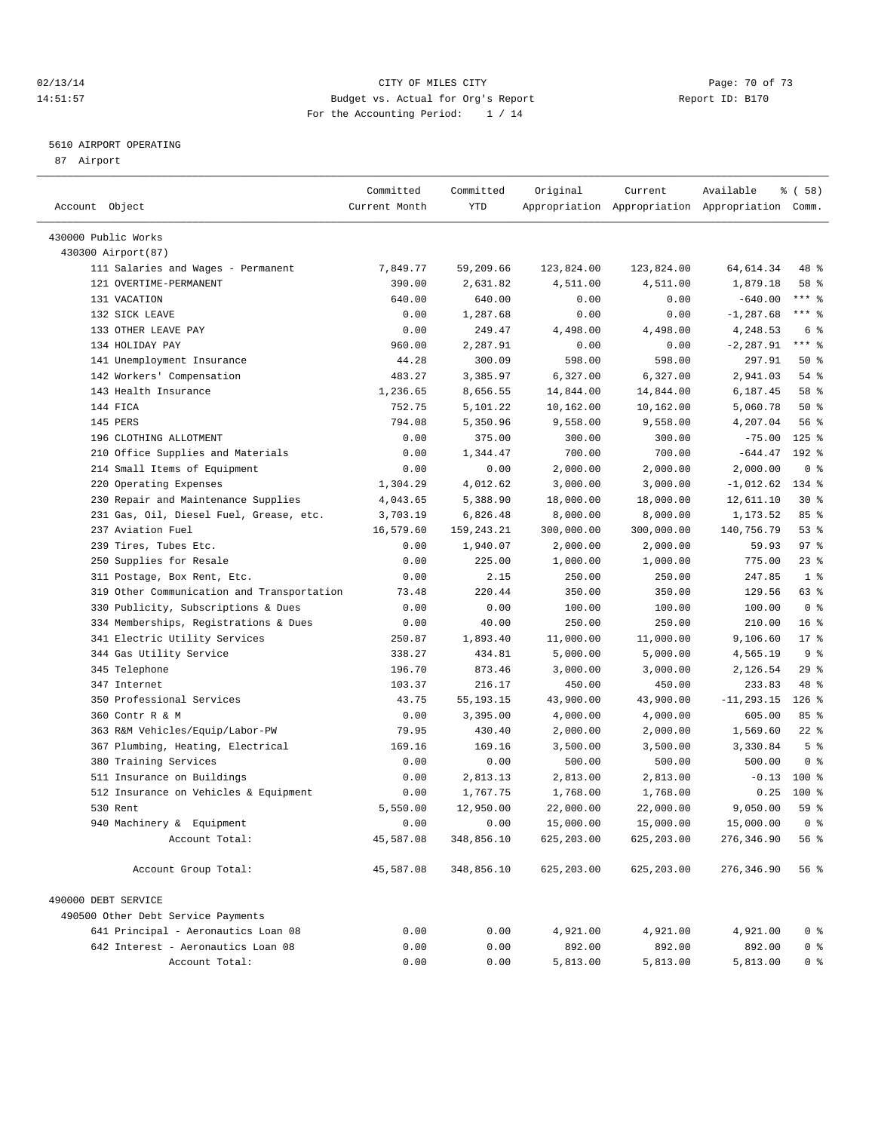### 02/13/14 Page: 70 of 73 14:51:57 Budget vs. Actual for Org's Report Report ID: B170 For the Accounting Period: 1 / 14

————————————————————————————————————————————————————————————————————————————————————————————————————————————————————————————————————

### 5610 AIRPORT OPERATING

87 Airport

|                                                            | Committed     | Committed   | Original    | Current                                         | Available               | १ ( 58 )           |
|------------------------------------------------------------|---------------|-------------|-------------|-------------------------------------------------|-------------------------|--------------------|
| Account Object                                             | Current Month | YTD         |             | Appropriation Appropriation Appropriation Comm. |                         |                    |
| 430000 Public Works                                        |               |             |             |                                                 |                         |                    |
| 430300 Airport (87)                                        |               |             |             |                                                 |                         |                    |
| 111 Salaries and Wages - Permanent                         | 7,849.77      | 59,209.66   | 123,824.00  | 123,824.00                                      | 64,614.34               | 48 %               |
| 121 OVERTIME-PERMANENT                                     | 390.00        | 2,631.82    | 4,511.00    | 4,511.00                                        | 1,879.18                | 58 %               |
| 131 VACATION                                               | 640.00        | 640.00      | 0.00        | 0.00                                            | $-640.00$               | $***$ $-$          |
| 132 SICK LEAVE                                             | 0.00          | 1,287.68    | 0.00        | 0.00                                            | $-1, 287.68$            | $***$ $-$          |
| 133 OTHER LEAVE PAY                                        | 0.00          | 249.47      | 4,498.00    | 4,498.00                                        | 4,248.53                | 6 <sup>°</sup>     |
| 134 HOLIDAY PAY                                            | 960.00        | 2,287.91    | 0.00        | 0.00                                            | $-2, 287.91$            | $***$ $-$          |
| 141 Unemployment Insurance                                 | 44.28         | 300.09      | 598.00      | 598.00                                          | 297.91                  | 50%                |
| 142 Workers' Compensation                                  | 483.27        | 3,385.97    | 6,327.00    | 6,327.00                                        | 2,941.03                | 54 %               |
| 143 Health Insurance                                       | 1,236.65      | 8,656.55    | 14,844.00   | 14,844.00                                       | 6,187.45                | 58 %               |
| 144 FICA                                                   | 752.75        | 5,101.22    | 10,162.00   | 10,162.00                                       | 5,060.78                | $50*$              |
| 145 PERS                                                   | 794.08        | 5,350.96    | 9,558.00    | 9,558.00                                        | 4,207.04                | 56%                |
| 196 CLOTHING ALLOTMENT                                     | 0.00          | 375.00      | 300.00      | 300.00                                          | $-75.00$                | $125$ %            |
| 210 Office Supplies and Materials                          | 0.00          | 1,344.47    | 700.00      | 700.00                                          | $-644.47$               | 192 %              |
| 214 Small Items of Equipment                               | 0.00          | 0.00        | 2,000.00    | 2,000.00                                        | 2,000.00                | 0 <sup>8</sup>     |
| 220 Operating Expenses                                     | 1,304.29      | 4,012.62    | 3,000.00    | 3,000.00                                        | $-1,012.62$             | 134 %              |
| 230 Repair and Maintenance Supplies                        | 4,043.65      | 5,388.90    | 18,000.00   | 18,000.00                                       | 12,611.10               | $30*$              |
| 231 Gas, Oil, Diesel Fuel, Grease, etc.                    | 3,703.19      | 6,826.48    | 8,000.00    | 8,000.00                                        | 1,173.52                | 85%                |
| 237 Aviation Fuel                                          | 16,579.60     | 159,243.21  | 300,000.00  | 300,000.00                                      | 140,756.79              | 53%                |
| 239 Tires, Tubes Etc.                                      | 0.00          | 1,940.07    | 2,000.00    | 2,000.00                                        | 59.93                   | 97%                |
| 250 Supplies for Resale                                    | 0.00          | 225.00      | 1,000.00    | 1,000.00                                        | 775.00                  | $23$ $%$           |
| 311 Postage, Box Rent, Etc.                                | 0.00          | 2.15        | 250.00      | 250.00                                          | 247.85                  | 1 <sup>8</sup>     |
| 319 Other Communication and Transportation                 | 73.48         | 220.44      | 350.00      | 350.00                                          | 129.56                  | 63 %               |
| 330 Publicity, Subscriptions & Dues                        | 0.00          | 0.00        | 100.00      | 100.00                                          | 100.00                  | 0 <sup>8</sup>     |
| 334 Memberships, Registrations & Dues                      | 0.00          | 40.00       | 250.00      | 250.00                                          | 210.00                  | 16 <sup>8</sup>    |
| 341 Electric Utility Services                              | 250.87        | 1,893.40    | 11,000.00   | 11,000.00                                       | 9,106.60                | $17*$              |
| 344 Gas Utility Service                                    | 338.27        | 434.81      | 5,000.00    | 5,000.00                                        | 4,565.19                | 9%                 |
| 345 Telephone                                              | 196.70        | 873.46      | 3,000.00    | 3,000.00                                        | 2,126.54                | 29%                |
| 347 Internet                                               | 103.37        | 216.17      | 450.00      | 450.00                                          | 233.83                  | 48 %               |
| 350 Professional Services                                  | 43.75         | 55, 193. 15 | 43,900.00   | 43,900.00                                       |                         | $126$ %            |
| 360 Contr R & M                                            | 0.00          | 3,395.00    | 4,000.00    | 4,000.00                                        | $-11, 293.15$<br>605.00 | 85%                |
| 363 R&M Vehicles/Equip/Labor-PW                            | 79.95         | 430.40      |             |                                                 | 1,569.60                | $22$ %             |
|                                                            |               |             | 2,000.00    | 2,000.00                                        |                         | 5 <sup>°</sup>     |
| 367 Plumbing, Heating, Electrical<br>380 Training Services | 169.16        | 169.16      | 3,500.00    | 3,500.00                                        | 3,330.84                | 0 <sup>8</sup>     |
|                                                            | 0.00          | 0.00        | 500.00      | 500.00                                          | 500.00                  |                    |
| 511 Insurance on Buildings                                 | 0.00          | 2,813.13    | 2,813.00    | 2,813.00                                        | $-0.13$                 | $100$ %<br>$100$ % |
| 512 Insurance on Vehicles & Equipment<br>530 Rent          | 0.00          | 1,767.75    | 1,768.00    | 1,768.00                                        | 0.25                    | 59 %               |
|                                                            | 5,550.00      | 12,950.00   | 22,000.00   | 22,000.00                                       | 9,050.00                |                    |
| 940 Machinery & Equipment                                  | 0.00          | 0.00        | 15,000.00   | 15,000.00                                       | 15,000.00 0 %           |                    |
| Account Total:                                             | 45,587.08     | 348,856.10  | 625, 203.00 | 625,203.00                                      | 276, 346.90             | 56 %               |
| Account Group Total:                                       | 45,587.08     | 348,856.10  | 625, 203.00 | 625,203.00                                      | 276, 346.90             | 56%                |
| 490000 DEBT SERVICE                                        |               |             |             |                                                 |                         |                    |
| 490500 Other Debt Service Payments                         |               |             |             |                                                 |                         |                    |
| 641 Principal - Aeronautics Loan 08                        | 0.00          | 0.00        | 4,921.00    | 4,921.00                                        | 4,921.00                | 0 <sup>8</sup>     |
| 642 Interest - Aeronautics Loan 08                         | 0.00          | 0.00        | 892.00      | 892.00                                          | 892.00                  | 0 <sup>8</sup>     |
| Account Total:                                             | 0.00          | 0.00        | 5,813.00    | 5,813.00                                        | 5,813.00                | 0 %                |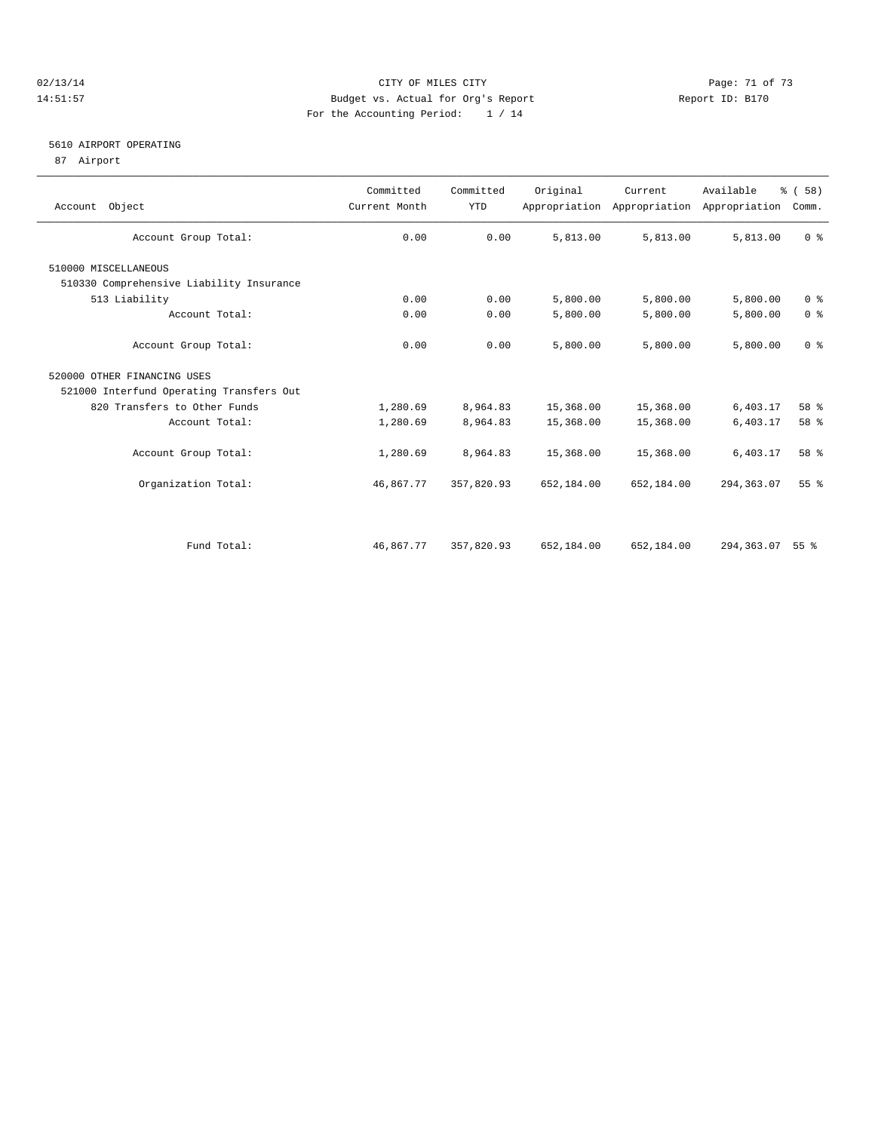### 02/13/14 Page: 71 of 73 14:51:57 Budget vs. Actual for Org's Report Report ID: B170 For the Accounting Period: 1 / 14

### 5610 AIRPORT OPERATING

87 Airport

| Account Object                           | Committed<br>Current Month | Committed<br><b>YTD</b> | Original   | Current    | Available<br>Appropriation Appropriation Appropriation | % (58)<br>Comm.    |
|------------------------------------------|----------------------------|-------------------------|------------|------------|--------------------------------------------------------|--------------------|
| Account Group Total:                     | 0.00                       | 0.00                    | 5,813.00   | 5,813.00   | 5,813.00                                               | 0 <sup>8</sup>     |
| 510000 MISCELLANEOUS                     |                            |                         |            |            |                                                        |                    |
| 510330 Comprehensive Liability Insurance |                            |                         |            |            |                                                        |                    |
| 513 Liability                            | 0.00                       | 0.00                    | 5,800.00   | 5,800.00   | 5,800.00                                               | 0 <sup>8</sup>     |
| Account Total:                           | 0.00                       | 0.00                    | 5,800.00   | 5,800.00   | 5,800.00                                               | 0 <sup>8</sup>     |
| Account Group Total:                     | 0.00                       | 0.00                    | 5,800.00   | 5,800.00   | 5,800.00                                               | 0 <sup>8</sup>     |
| 520000 OTHER FINANCING USES              |                            |                         |            |            |                                                        |                    |
| 521000 Interfund Operating Transfers Out |                            |                         |            |            |                                                        |                    |
| 820 Transfers to Other Funds             | 1,280.69                   | 8,964.83                | 15,368.00  | 15,368.00  | 6,403.17                                               | 58 %               |
| Account Total:                           | 1,280.69                   | 8,964.83                | 15,368.00  | 15,368.00  | 6,403.17                                               | 58 %               |
| Account Group Total:                     | 1,280.69                   | 8,964.83                | 15,368.00  | 15,368.00  | 6,403.17                                               | 58 %               |
| Organization Total:                      | 46,867.77                  | 357,820.93              | 652,184.00 | 652,184.00 | 294, 363.07                                            | 55 <sup>8</sup>    |
|                                          |                            |                         |            |            |                                                        |                    |
| Fund Total:                              | 46,867.77                  | 357,820.93              | 652,184.00 | 652,184.00 | 294,363.07                                             | $55$ $\frac{6}{3}$ |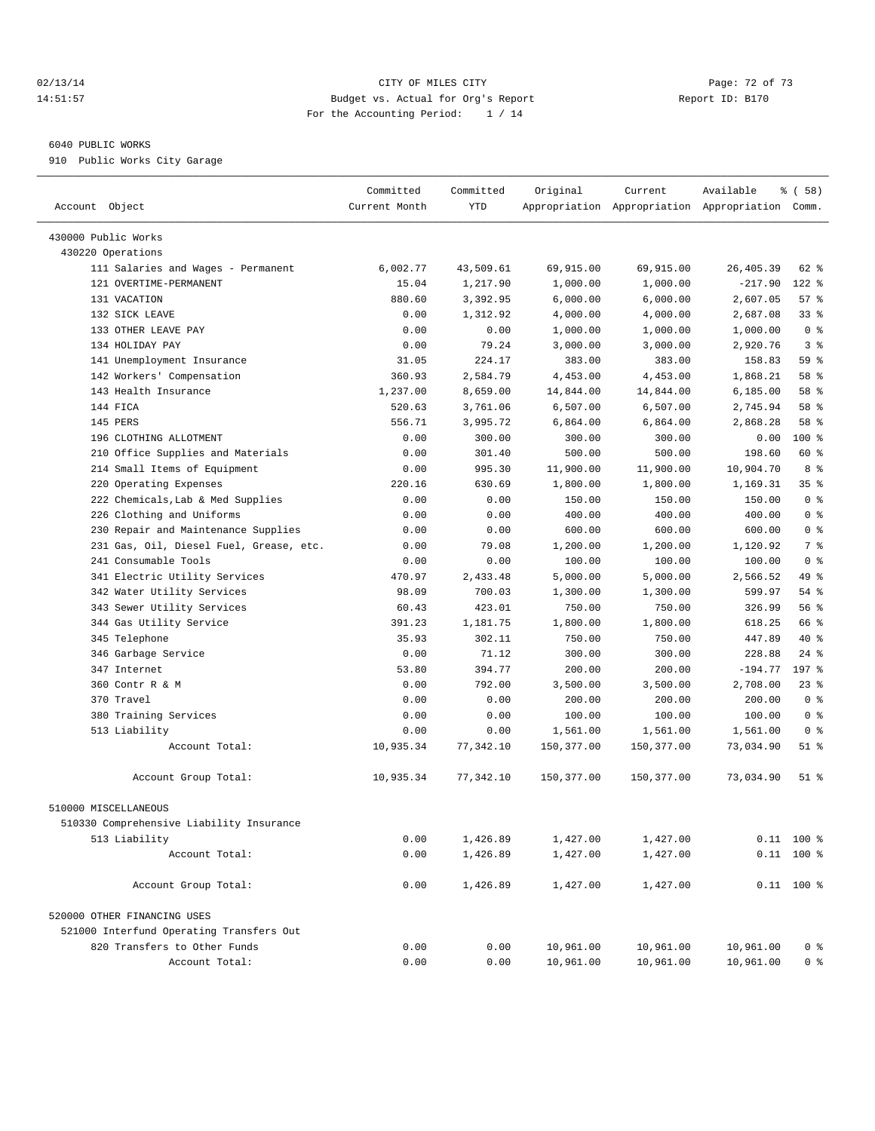### $O(2/13/14$   $O(2/13/14)$   $O(2/13/14)$   $O(2/13/14)$   $O(2/13/14)$   $O(2/13/14)$   $O(2/13/14)$   $O(2/13/14)$ 14:51:57 Budget vs. Actual for Org's Report Report ID: B170 For the Accounting Period: 1 / 14

————————————————————————————————————————————————————————————————————————————————————————————————————————————————————————————————————

#### 6040 PUBLIC WORKS

910 Public Works City Garage

|                                          | Committed     | Committed | Original   | Current    | Available                                       | % ( 58 )        |  |
|------------------------------------------|---------------|-----------|------------|------------|-------------------------------------------------|-----------------|--|
| Account Object                           | Current Month | YTD       |            |            | Appropriation Appropriation Appropriation Comm. |                 |  |
|                                          |               |           |            |            |                                                 |                 |  |
| 430000 Public Works                      |               |           |            |            |                                                 |                 |  |
| 430220 Operations                        |               |           |            |            |                                                 |                 |  |
| 111 Salaries and Wages - Permanent       | 6,002.77      | 43,509.61 | 69,915.00  | 69,915.00  | 26, 405.39                                      | 62 %            |  |
| 121 OVERTIME-PERMANENT                   | 15.04         | 1,217.90  | 1,000.00   | 1,000.00   | $-217.90$                                       | 122 %           |  |
| 131 VACATION                             | 880.60        | 3,392.95  | 6,000.00   | 6,000.00   | 2,607.05                                        | 57%             |  |
| 132 SICK LEAVE                           | 0.00          | 1,312.92  | 4,000.00   | 4,000.00   | 2,687.08                                        | 33%             |  |
| 133 OTHER LEAVE PAY                      | 0.00          | 0.00      | 1,000.00   | 1,000.00   | 1,000.00                                        | 0 <sup>8</sup>  |  |
| 134 HOLIDAY PAY                          | 0.00          | 79.24     | 3,000.00   | 3,000.00   | 2,920.76                                        | 3 <sup>8</sup>  |  |
| 141 Unemployment Insurance               | 31.05         | 224.17    | 383.00     | 383.00     | 158.83                                          | 59 %            |  |
| 142 Workers' Compensation                | 360.93        | 2,584.79  | 4,453.00   | 4,453.00   | 1,868.21                                        | 58 %            |  |
| 143 Health Insurance                     | 1,237.00      | 8,659.00  | 14,844.00  | 14,844.00  | 6,185.00                                        | 58 %            |  |
| 144 FICA                                 | 520.63        | 3,761.06  | 6,507.00   | 6,507.00   | 2,745.94                                        | 58 %            |  |
| 145 PERS                                 | 556.71        | 3,995.72  | 6,864.00   | 6,864.00   | 2,868.28                                        | 58 %            |  |
| 196 CLOTHING ALLOTMENT                   | 0.00          | 300.00    | 300.00     | 300.00     | 0.00                                            | 100 %           |  |
| 210 Office Supplies and Materials        | 0.00          | 301.40    | 500.00     | 500.00     | 198.60                                          | 60 %            |  |
| 214 Small Items of Equipment             | 0.00          | 995.30    | 11,900.00  | 11,900.00  | 10,904.70                                       | 8 %             |  |
| 220 Operating Expenses                   | 220.16        | 630.69    | 1,800.00   | 1,800.00   | 1,169.31                                        | 35 <sup>8</sup> |  |
| 222 Chemicals, Lab & Med Supplies        | 0.00          | 0.00      | 150.00     | 150.00     | 150.00                                          | 0 <sup>8</sup>  |  |
| 226 Clothing and Uniforms                | 0.00          | 0.00      | 400.00     | 400.00     | 400.00                                          | 0 <sup>8</sup>  |  |
| 230 Repair and Maintenance Supplies      | 0.00          | 0.00      | 600.00     | 600.00     | 600.00                                          | 0 <sup>8</sup>  |  |
| 231 Gas, Oil, Diesel Fuel, Grease, etc.  | 0.00          | 79.08     | 1,200.00   | 1,200.00   | 1,120.92                                        | 7 %             |  |
| 241 Consumable Tools                     | 0.00          | 0.00      | 100.00     | 100.00     | 100.00                                          | 0 <sup>8</sup>  |  |
| 341 Electric Utility Services            | 470.97        | 2,433.48  | 5,000.00   | 5,000.00   | 2,566.52                                        | 49 %            |  |
| 342 Water Utility Services               | 98.09         | 700.03    | 1,300.00   | 1,300.00   | 599.97                                          | 54 %            |  |
| 343 Sewer Utility Services               | 60.43         | 423.01    | 750.00     | 750.00     | 326.99                                          | 56 %            |  |
| 344 Gas Utility Service                  | 391.23        | 1,181.75  | 1,800.00   | 1,800.00   | 618.25                                          | 66 %            |  |
| 345 Telephone                            | 35.93         | 302.11    | 750.00     | 750.00     | 447.89                                          | $40*$           |  |
| 346 Garbage Service                      | 0.00          | 71.12     | 300.00     | 300.00     | 228.88                                          | $24$ %          |  |
| 347 Internet                             | 53.80         | 394.77    | 200.00     | 200.00     | $-194.77$                                       | 197 %           |  |
| 360 Contr R & M                          | 0.00          | 792.00    | 3,500.00   | 3,500.00   | 2,708.00                                        | 23%             |  |
| 370 Travel                               | 0.00          | 0.00      | 200.00     | 200.00     | 200.00                                          | 0 <sup>8</sup>  |  |
| 380 Training Services                    | 0.00          | 0.00      | 100.00     | 100.00     | 100.00                                          | 0 <sup>8</sup>  |  |
| 513 Liability                            | 0.00          | 0.00      | 1,561.00   | 1,561.00   | 1,561.00                                        | 0 <sup>8</sup>  |  |
| Account Total:                           | 10,935.34     | 77,342.10 | 150,377.00 | 150,377.00 | 73,034.90                                       | $51$ %          |  |
| Account Group Total:                     | 10,935.34     | 77,342.10 | 150,377.00 | 150,377.00 | 73,034.90                                       | 51 %            |  |
| 510000 MISCELLANEOUS                     |               |           |            |            |                                                 |                 |  |
| 510330 Comprehensive Liability Insurance |               |           |            |            |                                                 |                 |  |
| 513 Liability                            | 0.00          | 1,426.89  | 1,427.00   | 1,427.00   |                                                 | $0.11$ 100 %    |  |
| Account Total:                           | 0.00          | 1,426.89  | 1,427.00   | 1,427.00   |                                                 | $0.11$ 100 %    |  |
|                                          |               |           |            |            |                                                 |                 |  |
| Account Group Total:                     | 0.00          | 1,426.89  | 1,427.00   | 1,427.00   |                                                 | $0.11$ 100 %    |  |
| 520000 OTHER FINANCING USES              |               |           |            |            |                                                 |                 |  |
| 521000 Interfund Operating Transfers Out |               |           |            |            |                                                 |                 |  |
| 820 Transfers to Other Funds             | 0.00          | 0.00      | 10,961.00  | 10,961.00  | 10,961.00                                       | 0 <sup>8</sup>  |  |
| Account Total:                           | 0.00          | 0.00      | 10,961.00  | 10,961.00  | 10,961.00                                       | 0 <sup>8</sup>  |  |